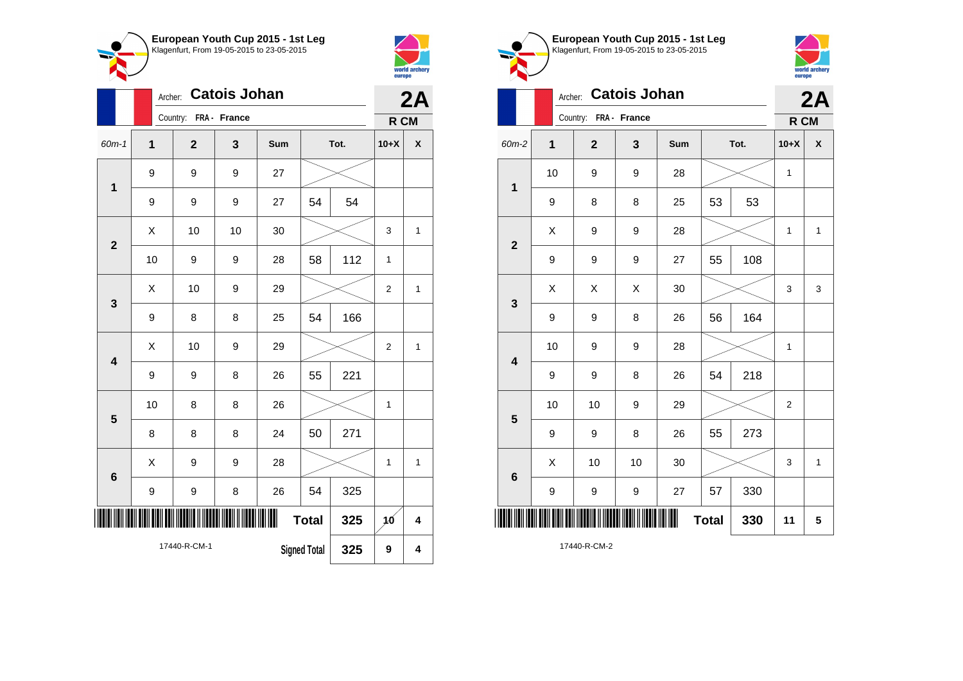



|                         |              | Archer:                  |                |    | 2A  |                     |      |                  |              |
|-------------------------|--------------|--------------------------|----------------|----|-----|---------------------|------|------------------|--------------|
|                         |              | Country:<br>FRA - France |                |    |     |                     |      |                  | R CM         |
| $60m-1$                 | $\mathbf{1}$ |                          | $\overline{2}$ | 3  | Sum |                     | Tot. | $10+X$           | X            |
| $\mathbf 1$             |              | 9                        | 9              | 9  | 27  |                     |      |                  |              |
|                         |              | 9                        | 9              | 9  | 27  | 54                  | 54   |                  |              |
|                         |              | X                        | 10             | 10 | 30  |                     |      | 3                | $\mathbf{1}$ |
| $\mathbf{2}$            |              | 10                       | 9              | 9  | 28  | 58                  | 112  | 1                |              |
| 3                       |              | Χ                        | 10             | 9  | 29  |                     |      | $\overline{2}$   | $\mathbf{1}$ |
|                         |              | 9                        | 8              | 8  | 25  | 54                  | 166  |                  |              |
| $\overline{\mathbf{4}}$ |              | Χ                        | 10             | 9  | 29  |                     |      | $\overline{2}$   | $\mathbf{1}$ |
|                         |              | 9                        | 9              | 8  | 26  | 55                  | 221  |                  |              |
| 5                       |              | 10                       | 8              | 8  | 26  |                     |      | 1                |              |
|                         |              | 8                        | 8              | 8  | 24  | 50                  | 271  |                  |              |
| $6\phantom{1}6$         |              | Χ                        | 9              | 9  | 28  |                     |      | 1                | $\mathbf{1}$ |
|                         |              | $\boldsymbol{9}$         | 9              | 8  | 26  | 54                  | 325  |                  |              |
|                         |              |                          |                |    | Ш   | <b>Total</b>        | 325  | 10 <sup>10</sup> | 4            |
|                         |              |                          | 17440-R-CM-1   |    |     | <b>Signed Total</b> | 325  | 9                | 4            |





|                         | Archer: |                       | <b>Catois Johan</b> |     |              |      |              | 2A               |  |
|-------------------------|---------|-----------------------|---------------------|-----|--------------|------|--------------|------------------|--|
|                         |         | Country: FRA - France |                     |     |              |      | R CM         |                  |  |
| 60m-2                   | 1       | $\mathbf 2$           | 3                   | Sum |              | Tot. | $10+X$       | $\boldsymbol{x}$ |  |
| $\mathbf 1$             | 10      | 9                     | 9                   | 28  |              |      | $\mathbf{1}$ |                  |  |
|                         | 9       | 8                     | 8                   | 25  | 53           | 53   |              |                  |  |
| $\overline{2}$          | Χ       | 9                     | 9                   | 28  |              |      | $\mathbf{1}$ | $\mathbf{1}$     |  |
|                         | 9       | 9                     | 9                   | 27  | 55           | 108  |              |                  |  |
| 3                       | X       | X                     | X                   | 30  |              |      | 3            | 3                |  |
|                         | 9       | 9                     | 8                   | 26  | 56           | 164  |              |                  |  |
| $\overline{\mathbf{4}}$ | 10      | 9                     | 9                   | 28  |              |      | 1            |                  |  |
|                         | 9       | 9                     | 8                   | 26  | 54           | 218  |              |                  |  |
| 5                       | 10      | 10                    | 9                   | 29  |              |      | 2            |                  |  |
|                         | 9       | 9                     | 8                   | 26  | 55           | 273  |              |                  |  |
| $6\phantom{1}6$         | X       | 10                    | 10                  | 30  |              |      | 3            | $\mathbf{1}$     |  |
|                         | 9       | 9                     | 9                   | 27  | 57           | 330  |              |                  |  |
|                         |         |                       |                     |     | <b>Total</b> | 330  | 11           | 5                |  |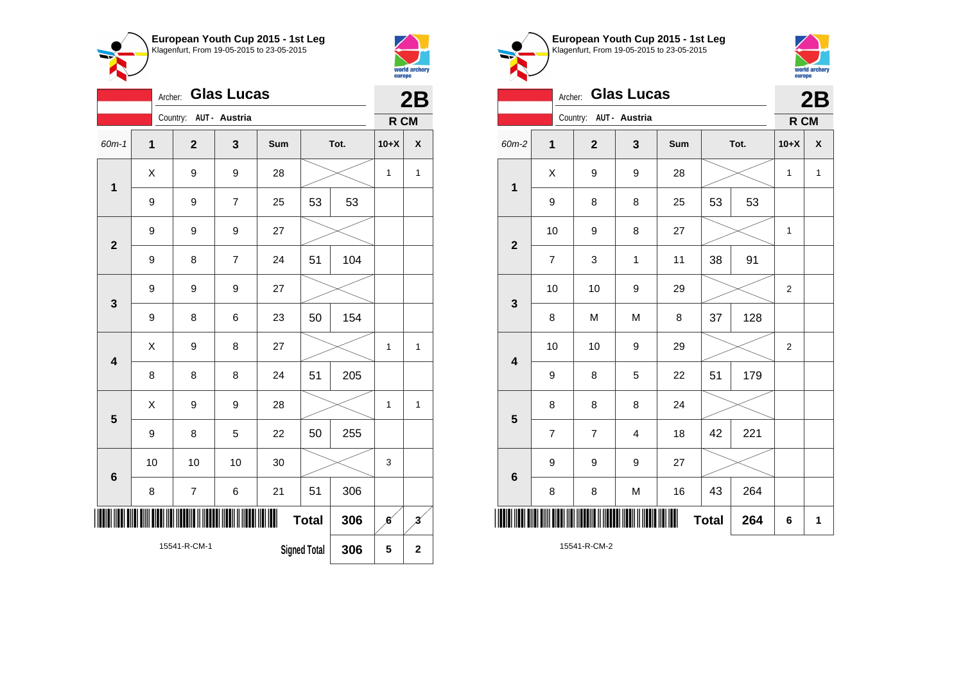



| v.                      | Archer:      |                          |                | 2B  |                     |      |                  |                         |
|-------------------------|--------------|--------------------------|----------------|-----|---------------------|------|------------------|-------------------------|
|                         |              | Country: AUT - Austria   |                |     |                     |      | R CM             |                         |
| 60m-1                   | $\mathbf{1}$ | $\overline{2}$           | 3              | Sum |                     | Tot. | $10+X$           | $\pmb{\mathsf{X}}$      |
| 1                       | Χ            | 9                        | 9              | 28  |                     |      | 1                | $\mathbf{1}$            |
|                         | 9            | 9                        | $\overline{7}$ | 25  | 53                  | 53   |                  |                         |
| $\overline{2}$          | 9            | 9                        | 9              | 27  |                     |      |                  |                         |
|                         | 9            | 8                        | $\overline{7}$ | 24  | 51                  | 104  |                  |                         |
| $\mathbf{3}$            | 9            | 9                        | 9              | 27  |                     |      |                  |                         |
|                         | 9            | 8                        | 6              | 23  | 50                  | 154  |                  |                         |
| $\overline{\mathbf{4}}$ | X            | 9                        | 8              | 27  |                     |      | 1                | 1                       |
|                         | 8            | 8                        | 8              | 24  | 51                  | 205  |                  |                         |
| 5                       | X            | 9                        | 9              | 28  |                     |      | 1                | $\mathbf{1}$            |
|                         | 9            | 8                        | 5              | 22  | 50                  | 255  |                  |                         |
| $6\phantom{1}6$         | 10           | 10                       | 10             | 30  |                     |      | 3                |                         |
|                         | 8            | $\overline{\mathcal{I}}$ | 6              | 21  | 51                  | 306  |                  |                         |
|                         |              |                          |                | Ш   | <b>Total</b>        | 306  | $\boldsymbol{6}$ | $\overline{\mathbf{3}}$ |
|                         |              | 15541-R-CM-1             |                |     | <b>Signed Total</b> | 306  | 5                | $\overline{\mathbf{2}}$ |





|              | <b>Glas Lucas</b><br>Archer: |                         |              |     |              |      |                |                           |  |  |
|--------------|------------------------------|-------------------------|--------------|-----|--------------|------|----------------|---------------------------|--|--|
|              |                              | Country: AUT - Austria  |              |     |              |      |                | R CM                      |  |  |
| 60m-2        | $\mathbf 1$                  | $\mathbf{2}$            | 3            | Sum |              | Tot. | $10+X$         | $\boldsymbol{\mathsf{x}}$ |  |  |
| 1            | X                            | 9                       | 9            | 28  |              |      |                | $\mathbf{1}$              |  |  |
|              | 9                            | 8                       | 8            | 25  | 53           | 53   |                |                           |  |  |
| $\mathbf{2}$ | 10                           | 9                       | 8            | 27  |              |      | $\mathbf 1$    |                           |  |  |
|              | $\overline{7}$               | 3                       | $\mathbf{1}$ | 11  | 38           | 91   |                |                           |  |  |
| 3            | 10                           | 10                      | 9            | 29  |              |      | $\overline{c}$ |                           |  |  |
|              | 8                            | M                       | M            | 8   | 37           | 128  |                |                           |  |  |
| 4            | 10                           | 10                      | 9            | 29  |              |      | $\overline{2}$ |                           |  |  |
|              | 9                            | 8                       | 5            | 22  | 51           | 179  |                |                           |  |  |
| 5            | 8                            | 8                       | 8            | 24  |              |      |                |                           |  |  |
|              | $\overline{\mathbf{7}}$      | $\overline{\mathbf{7}}$ | 4            | 18  | 42           | 221  |                |                           |  |  |
| $\bf 6$      | 9                            | 9                       | 9            | 27  |              |      |                |                           |  |  |
|              | 8                            | 8                       | M            | 16  | 43           | 264  |                |                           |  |  |
|              |                              |                         |              |     | <b>Total</b> | 264  | 6              | 1                         |  |  |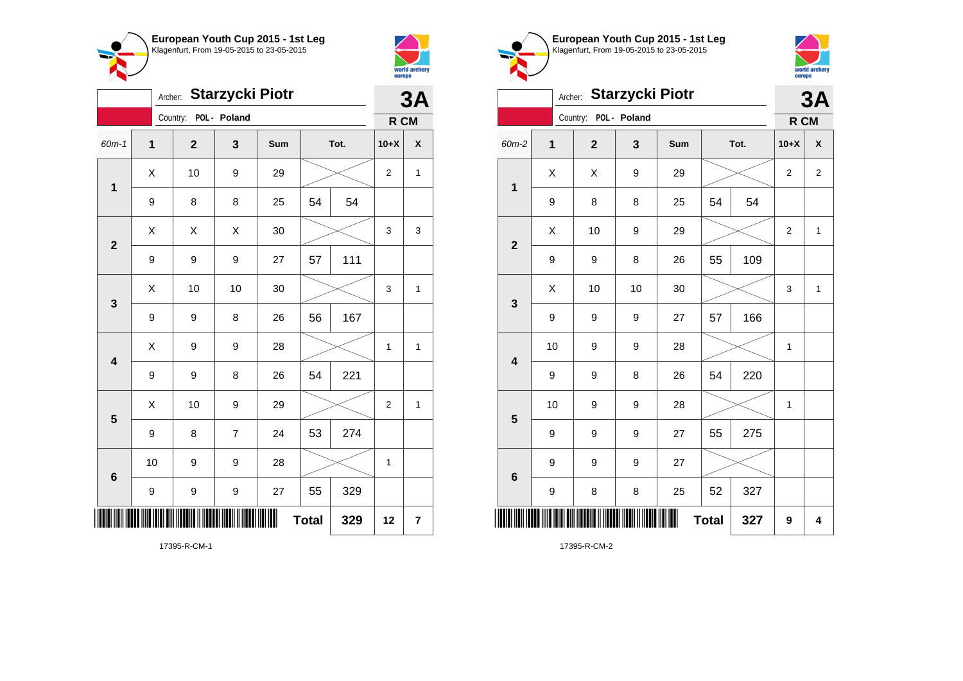



| <b>Starzycki Piotr</b><br>Archer: |              |                         |                |     |              |      |                | 3A                      |
|-----------------------------------|--------------|-------------------------|----------------|-----|--------------|------|----------------|-------------------------|
|                                   |              | Country: POL - Poland   |                |     |              |      | R CM           |                         |
| 60m-1                             | $\mathbf{1}$ | $\overline{\mathbf{2}}$ | 3              | Sum |              | Tot. | $10+X$         | X                       |
| $\mathbf 1$                       | X            | 10                      | 9              | 29  |              |      | $\overline{2}$ | $\mathbf{1}$            |
|                                   | 9            | 8                       | 8              | 25  | 54           | 54   |                |                         |
| $\mathbf{2}$                      | X            | Χ                       | X              | 30  |              |      | 3              | 3                       |
|                                   | 9            | 9                       | 9              | 27  | 57           | 111  |                |                         |
| 3                                 | Χ            | 10                      | 10             | 30  |              |      | 3              | $\mathbf{1}$            |
|                                   | 9            | 9                       | 8              | 26  | 56           | 167  |                |                         |
| $\overline{\mathbf{4}}$           | X            | 9                       | 9              | 28  |              |      | 1              | 1                       |
|                                   | 9            | 9                       | 8              | 26  | 54           | 221  |                |                         |
| 5                                 | Χ            | 10                      | 9              | 29  |              |      | $\overline{2}$ | $\mathbf{1}$            |
|                                   | 9            | 8                       | $\overline{7}$ | 24  | 53           | 274  |                |                         |
| 6                                 | 10           | 9                       | 9              | 28  |              |      | $\mathbf 1$    |                         |
|                                   | 9            | 9                       | 9              | 27  | 55           | 329  |                |                         |
|                                   |              |                         |                |     | <b>Total</b> | 329  | 12             | $\overline{\mathbf{r}}$ |

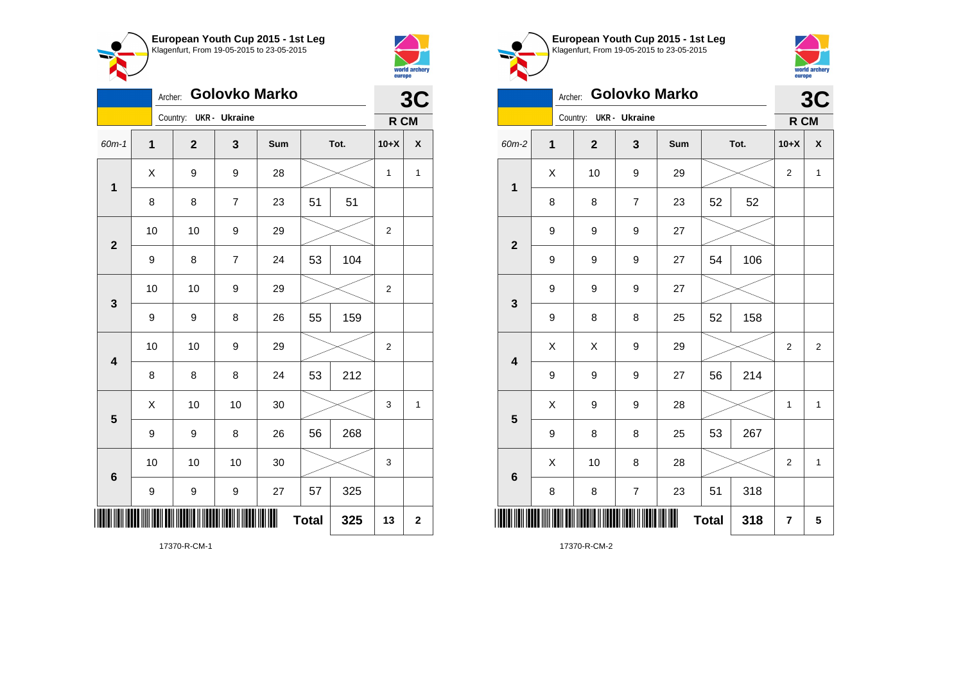



| European Youth Cup 2015 - 1st Leg<br>Klagenfurt, From 19-05-2015 to 23-05-2015 |
|--------------------------------------------------------------------------------|
|                                                                                |
|                                                                                |



## Archer: **Golovko Marko**

| <b>Golovko Marko</b><br>Archer: |              |  |              |                          |     |              |     |                         | 3C               |  |  |
|---------------------------------|--------------|--|--------------|--------------------------|-----|--------------|-----|-------------------------|------------------|--|--|
|                                 |              |  | Country:     | <b>UKR</b> - Ukraine     |     |              |     | R CM                    |                  |  |  |
| 60m-1                           | $\mathbf{1}$ |  | $\mathbf{2}$ | 3                        | Sum | Tot.         |     | $10+X$                  | $\boldsymbol{x}$ |  |  |
|                                 | X            |  | 9            | 9                        | 28  |              |     | $\mathbf 1$             | $\mathbf{1}$     |  |  |
| $\mathbf 1$                     | 8            |  | 8            | $\overline{\mathcal{I}}$ | 23  | 51           | 51  |                         |                  |  |  |
| $\mathbf{2}$                    | 10           |  | 10           | 9                        | 29  |              |     | $\overline{2}$          |                  |  |  |
|                                 | 9            |  | 8            | $\overline{7}$           | 24  | 53           | 104 |                         |                  |  |  |
| 3                               | 10           |  | 10           | 9                        | 29  |              |     | $\overline{\mathbf{c}}$ |                  |  |  |
|                                 | 9            |  | 9            | 8                        | 26  | 159<br>55    |     |                         |                  |  |  |
| $\overline{\mathbf{4}}$         | 10           |  | 10           | 9                        | 29  |              |     | 2                       |                  |  |  |
|                                 | 8            |  | 8            | 8                        | 24  | 53           | 212 |                         |                  |  |  |
| 5                               | X            |  | 10           | 10                       | 30  |              |     | 3                       | 1                |  |  |
|                                 | 9            |  | 9            | 8                        | 26  | 56           | 268 |                         |                  |  |  |
| 6                               | 10           |  | 10           | 10                       | 30  |              |     | 3                       |                  |  |  |
|                                 | 9            |  | 9            | 9                        | 27  | 57           | 325 |                         |                  |  |  |
|                                 |              |  |              |                          | ║║  | <b>Total</b> | 325 | 13                      | $\mathbf 2$      |  |  |

| <b>Golovko Marko</b><br>Archer: |              |                        |                |     |              |      |                | 3C             |  |
|---------------------------------|--------------|------------------------|----------------|-----|--------------|------|----------------|----------------|--|
|                                 |              | Country: UKR - Ukraine |                |     |              |      |                | R CM           |  |
| 60m-2                           | $\mathbf{1}$ | $\mathbf{2}$           | 3              | Sum |              | Tot. | $10+X$         | X              |  |
| $\mathbf 1$                     | Χ            | 10                     | 9              | 29  |              |      | $\overline{c}$ | $\mathbf{1}$   |  |
|                                 | 8            | 8                      | $\overline{7}$ | 23  | 52           | 52   |                |                |  |
| $\overline{\mathbf{2}}$         | 9            | 9                      | 9              | 27  |              |      |                |                |  |
|                                 | 9            | 9                      | 9              | 27  | 54           | 106  |                |                |  |
| 3                               | 9            | 9                      | 9              | 27  |              |      |                |                |  |
|                                 | 9            | 8                      | 8              | 25  | 52           | 158  |                |                |  |
| $\overline{\mathbf{4}}$         | X            | Χ                      | 9              | 29  |              |      | $\overline{2}$ | $\overline{2}$ |  |
|                                 | 9            | 9                      | 9              | 27  | 56           | 214  |                |                |  |
| 5                               | X            | 9                      | 9              | 28  |              |      | 1              | $\mathbf{1}$   |  |
|                                 | 9            | 8                      | 8              | 25  | 53           | 267  |                |                |  |
| $\bf 6$                         | Χ            | 10                     | 8              | 28  |              |      | 2              | $\mathbf{1}$   |  |
|                                 | 8            | 8                      | $\overline{7}$ | 23  | 51           | 318  |                |                |  |
|                                 |              |                        |                |     | <b>Total</b> | 318  | 7              | 5              |  |

17370-R-CM-2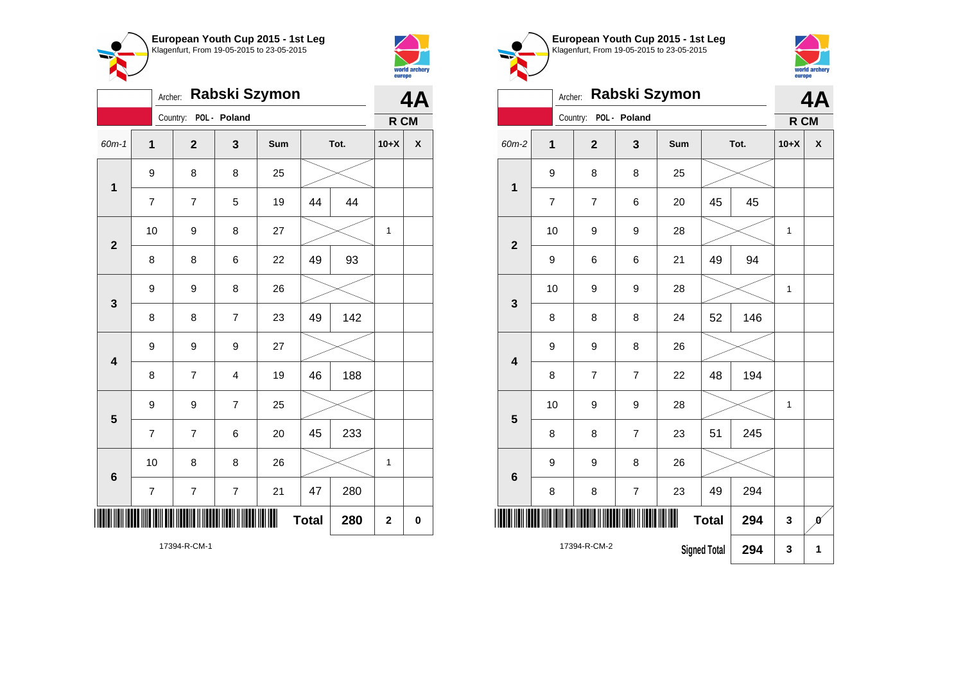



| Rabski Szymon<br>Archer: |                         |                          |                |     |              |      |              | 4A                 |
|--------------------------|-------------------------|--------------------------|----------------|-----|--------------|------|--------------|--------------------|
|                          |                         | Country:                 | POL - Poland   |     |              |      | R CM         |                    |
| 60m-1                    | $\overline{\mathbf{1}}$ | $\overline{\mathbf{2}}$  | 3              | Sum |              | Tot. | $10+X$       | $\pmb{\mathsf{X}}$ |
| $\mathbf 1$              | 9                       | 8                        | 8              | 25  |              |      |              |                    |
|                          | $\overline{7}$          | $\overline{7}$           | 5              | 19  | 44           | 44   |              |                    |
| $\overline{\mathbf{2}}$  | 10                      | 9                        | 8              | 27  |              |      | 1            |                    |
|                          | 8                       | 8                        | 6              | 22  | 49           | 93   |              |                    |
| $\mathbf 3$              | 9                       | 9                        | 8              | 26  |              |      |              |                    |
|                          | 8                       | 8                        | $\overline{7}$ | 23  | 49           | 142  |              |                    |
| $\overline{\mathbf{4}}$  | 9                       | 9                        | 9              | 27  |              |      |              |                    |
|                          | 8                       | $\overline{\mathbf{7}}$  | 4              | 19  | 46           | 188  |              |                    |
| $\overline{\mathbf{5}}$  | 9                       | 9                        | $\overline{7}$ | 25  |              |      |              |                    |
|                          | $\overline{7}$          | $\overline{7}$           | 6              | 20  | 45           | 233  |              |                    |
| $6\phantom{1}6$          | 10                      | 8                        | 8              | 26  |              |      | $\mathbf{1}$ |                    |
|                          | $\boldsymbol{7}$        | $\overline{\mathcal{I}}$ | $\overline{7}$ | 21  | 47           | 280  |              |                    |
|                          |                         |                          |                |     | <b>Total</b> | 280  | $\mathbf 2$  | $\mathbf 0$        |

world archery<br>europe Archer: **Rabski Szymon 4A** Country: **POL - Poland R CM** 60m-2 **1 2 3 Sum Tot. 10+X X** 9 8 8 25 **1** 7 | 7 | 6 | 20 | 45 | 45 10 | 9 | 9 | 28 |  $\times$  | 1 **2** 9 | 6 | 6 | 21 | 49 | 94 10 | 9 | 9 | 28 |  $\times$  | 1 **3** 8 | 8 | 8 | 24 | 52 | 146 9 | 9 | 8 | 26 **4** 8 7 7 22 48 194 10 | 9 | 9 | 28 |  $\times$  | 1 **5** 8 | 8 | 7 | 23 | 51 | 245 9 8 26 **6** 8 | 8 | 7 | 23 | 49 | 294 \*17394-R-CM-2\* **Total** 294  $\begin{array}{|c|c|c|c|} \hline 3 & \hline \end{array}$ 17394-R-CM-2 **Signed Total 294 3 1**

**European Youth Cup 2015 - 1st Leg** Klagenfurt, From 19-05-2015 to 23-05-2015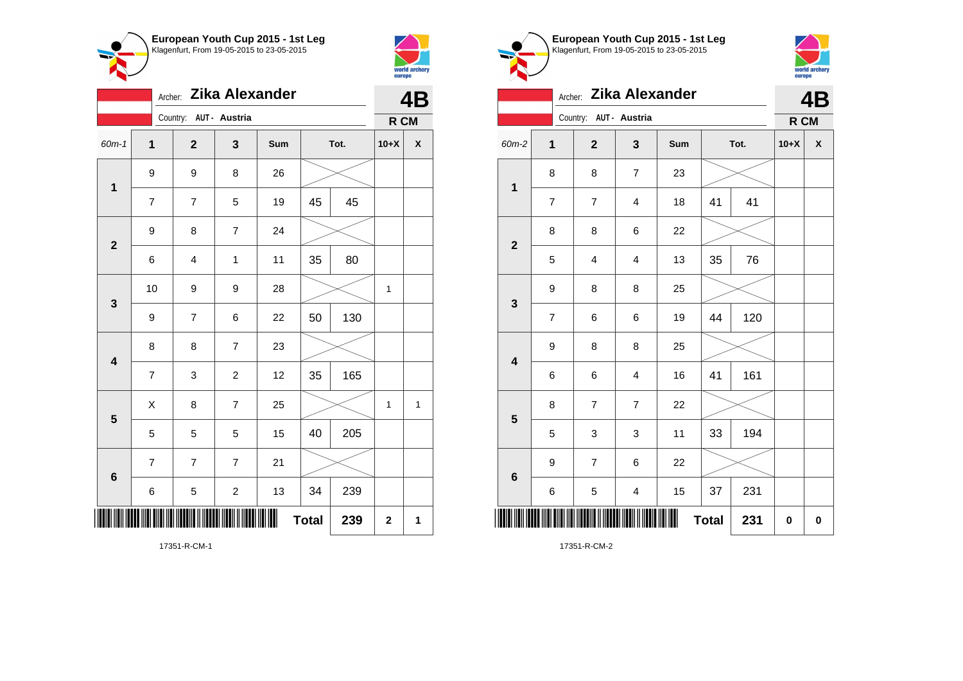



| Zika Alexander<br>Archer: |                |                         |                |     |              |     |             | 4B |  |
|---------------------------|----------------|-------------------------|----------------|-----|--------------|-----|-------------|----|--|
|                           |                | Country: AUT - Austria  |                |     |              |     | R CM        |    |  |
| 60m-1                     | $\mathbf 1$    | $\overline{\mathbf{2}}$ | 3              | Sum | Tot.         |     | $10+X$      | χ  |  |
| $\mathbf 1$               | 9              | 9                       | 8              | 26  |              |     |             |    |  |
|                           | $\overline{7}$ | $\overline{7}$          | 5              | 19  | 45           | 45  |             |    |  |
| $\overline{\mathbf{2}}$   | 9              | 8                       | $\overline{7}$ | 24  |              |     |             |    |  |
|                           | 6              | 4                       | $\mathbf{1}$   | 11  | 35           | 80  |             |    |  |
| $\mathbf 3$               | 10             | 9                       | 9              | 28  |              |     | 1           |    |  |
|                           | 9              | $\overline{7}$          | 6              | 22  | 50           | 130 |             |    |  |
| $\overline{\mathbf{4}}$   | 8              | 8                       | $\overline{7}$ | 23  |              |     |             |    |  |
|                           | $\overline{7}$ | 3                       | $\overline{c}$ | 12  | 35           | 165 |             |    |  |
| 5                         | Χ              | 8                       | $\overline{7}$ | 25  |              |     | 1           | 1  |  |
|                           | 5              | 5                       | 5              | 15  | 40           | 205 |             |    |  |
| $6\phantom{1}6$           | $\overline{7}$ | $\overline{7}$          | $\overline{7}$ | 21  |              |     |             |    |  |
|                           | 6              | 5                       | $\overline{c}$ | 13  | 34           | 239 |             |    |  |
|                           |                |                         |                |     | <b>Total</b> | 239 | $\mathbf 2$ | 1  |  |





## Archer: **Zika Alexander 4B**

|                         | Country: AUT - Austria   |                         |                         |     |              |     |           | R CM               |
|-------------------------|--------------------------|-------------------------|-------------------------|-----|--------------|-----|-----------|--------------------|
| 60m-2                   | $\mathbf 1$              | $\mathbf{2}$            | $\mathbf{3}$            | Sum | Tot.         |     | $10+X$    | $\pmb{\mathsf{X}}$ |
| $\mathbf 1$             | 8                        | 8                       | $\overline{7}$          | 23  |              |     |           |                    |
|                         | $\overline{\mathcal{I}}$ | $\overline{\mathbf{7}}$ | $\overline{\mathbf{4}}$ | 18  | 41           | 41  |           |                    |
| $\mathbf{2}$            | 8                        | 8                       | 6                       | 22  |              |     |           |                    |
|                         | 5                        | 4                       | $\overline{4}$          | 13  | 35           | 76  |           |                    |
| $\mathbf 3$             | 9                        | 8                       | 8                       | 25  |              |     |           |                    |
|                         | $\boldsymbol{7}$         | 6                       | 6                       | 19  | 44           | 120 |           |                    |
| $\overline{\mathbf{4}}$ | 9                        | 8                       | 8                       | 25  |              |     |           |                    |
|                         | 6                        | 6                       | $\overline{\mathbf{4}}$ | 16  | 41           | 161 |           |                    |
| ${\bf 5}$               | 8                        | $\overline{7}$          | $\overline{7}$          | 22  |              |     |           |                    |
|                         | 5                        | 3                       | $\,$ 3 $\,$             | 11  | 33           | 194 |           |                    |
| $\bf 6$                 | 9                        | $\overline{\mathbf{7}}$ | 6                       | 22  |              |     |           |                    |
|                         | 6                        | 5                       | $\overline{\mathbf{4}}$ | 15  | 37           | 231 |           |                    |
|                         |                          |                         |                         |     | <b>Total</b> | 231 | $\pmb{0}$ | $\pmb{0}$          |

17351-R-CM-2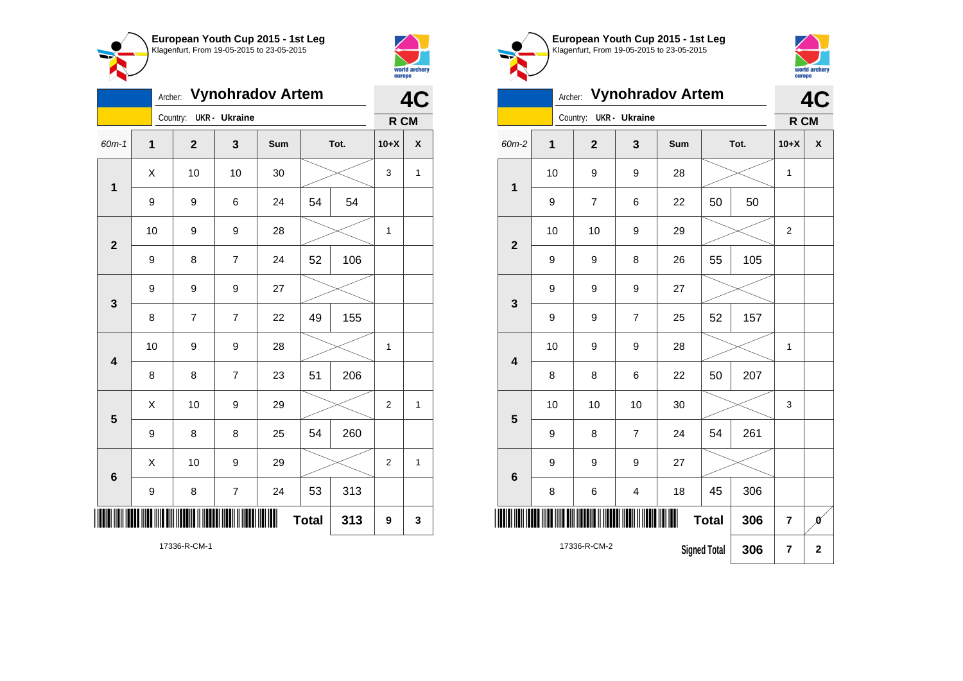

Country: **UKR - Ukraine**

**1**

**2**

**3**

**4**

**5**

**6**

Archer: **Vynohradov Artem**

60m-1 **1 2 3 Sum Tot. 10+X X**

9 | 9 | 6 | 24 | 54 | 54

9 | 8 | 7 | 24 | 52 | 106

8 | 7 | 7 | 22 | 49 | 155

8 | 8 | 7 | 23 | 51 | 206

9 | 8 | 8 | 25 | 54 | 260

9 | 8 | 7 | 24 | 53 | 313

10 | 9 | 9 | 28 |  $\times$  | 1

 $\begin{array}{|c|c|c|c|c|c|}\hline \hspace{.1cm}X & \hspace{.1cm} \text{ 10} & \hspace{.1cm} \text{9} & \hspace{.1cm} \text{29} & \hspace{.1cm} \text{20} & \hspace{.1cm} \text{3} & \hspace{.1cm} \text{2} & \hspace{.1cm} \text{2} & \hspace{.1cm} \text{1} & \hspace{.1cm} \text{2} & \hspace{.1cm} \text{2} & \hspace{.1cm} \text{1} & \hspace{.1cm} \text{2} & \hspace{.1cm} \text{2} & \hspace$ 

 $\begin{array}{|c|c|c|c|c|c|}\hline \hspace{.1cm}X & \hspace{.1cm} \text{ 10} & \hspace{.1cm} \text{9} & \hspace{.1cm} \text{29} & \hspace{.1cm} \text{20} & \hspace{.1cm} \text{3} & \hspace{.1cm} \text{2} & \hspace{.1cm} \text{21} & \hspace{.1cm} \text{11} & \hspace{.1cm} \hline \end{array}$ 

 $Total | 313 | 9 | 3$ 

9 9 9 27

10 | 9 | 9 | 28 |  $\times$  | 1

 $\begin{array}{|c|c|c|c|c|c|}\hline \hspace{.1cm}X & \hspace{.1cm} \text{ 10} & \hspace{.1cm} \text{ 10} & \hspace{.1cm} \text{ 30} & \hspace{.1cm} \end{array} \hspace{.2cm} \begin{array}{|c|c|c|c|c|c|}\hline \hspace{.1cm}X & \hspace{.1cm} \text{ 3} & \hspace{.1cm} \text{ 1} & \hspace{.1cm} \text{ 4} & \hspace{.1cm} \end{array}$ 



**4C**

**R CM**

| European Youth Cup 2015 - 1st Leg<br>Klagenfurt, From 19-05-2015 to 23-05-2015 |
|--------------------------------------------------------------------------------|
|                                                                                |
|                                                                                |



## Archer: **Vynohradov Artem**

|                         |                                            |                | 4C                      |     |    |                |                |              |
|-------------------------|--------------------------------------------|----------------|-------------------------|-----|----|----------------|----------------|--------------|
|                         |                                            | Country:       | <b>UKR</b> - Ukraine    |     |    |                | R CM           |              |
| 60m-2                   | 1                                          | $\overline{2}$ | 3                       | Sum |    | Tot.           | $10+X$         | X            |
| 1                       | 10                                         | 9              | 9                       | 28  |    |                | 1              |              |
|                         | 9                                          | $\overline{7}$ | 6                       | 22  | 50 | 50             |                |              |
| $\overline{\mathbf{2}}$ | 10                                         | 10             | 9                       | 29  |    |                | $\overline{2}$ |              |
|                         | 9                                          | 9              | 8                       | 26  | 55 | 105            |                |              |
| 3                       | 9                                          | 9              | 9                       | 27  |    |                |                |              |
|                         | 9                                          | 9              | $\overline{7}$          | 25  | 52 | 157            |                |              |
| 4                       | 10                                         | 9              | 9                       | 28  |    |                | 1              |              |
|                         | 8                                          | 8              | 6                       | 22  | 50 | 207            |                |              |
| 5                       | 10                                         | 10             | 10                      | 30  |    |                | 3              |              |
|                         | 9                                          | 8              | $\overline{7}$          | 24  | 54 | 261            |                |              |
| $6\phantom{1}6$         | 9                                          | 9              | 9                       | 27  |    |                |                |              |
|                         | 8                                          | 6              | $\overline{\mathbf{4}}$ | 18  | 45 | 306            |                |              |
|                         | IIII<br><b>Total</b><br>306                |                |                         |     |    | $\overline{7}$ | Ø              |              |
|                         | 17336-R-CM-2<br><b>Signed Total</b><br>306 |                |                         |     |    |                | 7              | $\mathbf{2}$ |

\*17336-R-CM-1\* 17336-R-CM-1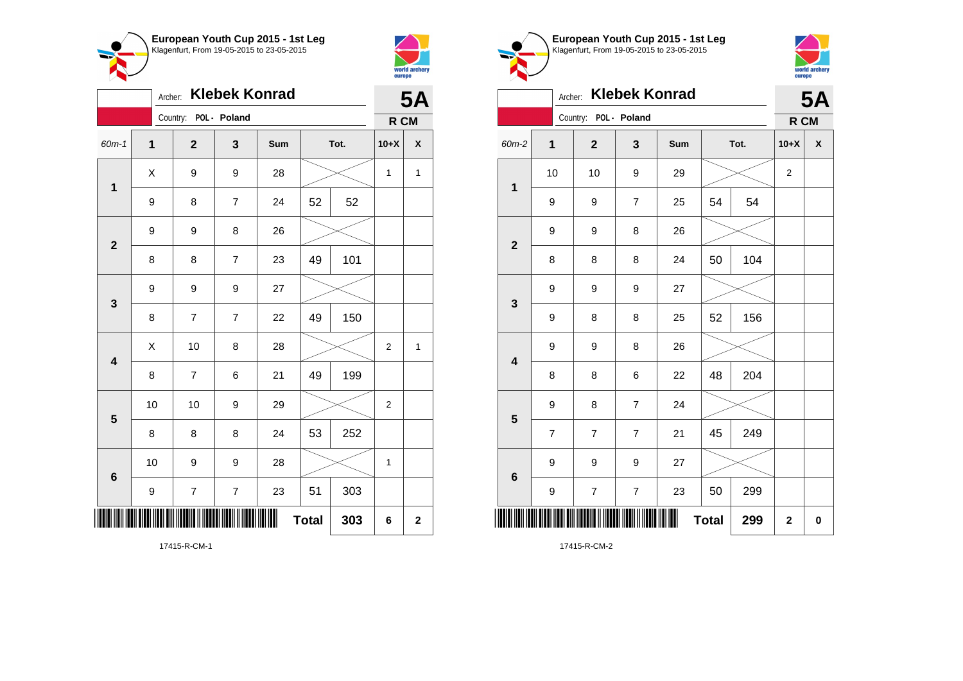



|                         | <b>Klebek Konrad</b><br>Archer: |                         |                          |     |    |      |                |              |
|-------------------------|---------------------------------|-------------------------|--------------------------|-----|----|------|----------------|--------------|
|                         |                                 | Country: POL - Poland   |                          |     |    |      | R CM           |              |
| 60m-1                   | $\mathbf 1$                     | $\overline{\mathbf{2}}$ | 3                        | Sum |    | Tot. | $10+X$         | X            |
| 1                       | Χ                               | 9                       | 9                        | 28  |    |      | $\mathbf{1}$   | $\mathbf{1}$ |
|                         | 9                               | 8                       | $\overline{7}$           | 24  | 52 | 52   |                |              |
| $\overline{\mathbf{2}}$ | 9                               | 9                       | 8                        | 26  |    |      |                |              |
|                         | 8                               | 8                       | $\overline{7}$           | 23  | 49 | 101  |                |              |
| 3                       | 9                               | 9                       | 9                        | 27  |    |      |                |              |
|                         | 8                               | $\overline{7}$          | $\overline{7}$           | 22  | 49 | 150  |                |              |
| $\overline{\mathbf{4}}$ | X                               | 10                      | 8                        | 28  |    |      | $\overline{2}$ | $\mathbf{1}$ |
|                         | 8                               | $\overline{7}$          | 6                        | 21  | 49 | 199  |                |              |
| 5                       | 10                              | 10                      | 9                        | 29  |    |      | $\overline{2}$ |              |
|                         | 8                               | 8                       | 8                        | 24  | 53 | 252  |                |              |
| 6                       | 10                              | 9                       | 9                        | 28  |    |      | $\mathbf{1}$   |              |
|                         | 9                               | $\boldsymbol{7}$        | $\overline{\mathcal{I}}$ | 23  | 51 | 303  |                |              |
|                         | Ш<br><b>Total</b><br>303        |                         |                          |     |    |      | 6              | $\mathbf{2}$ |

**European Youth Cup 2015 - 1st Leg** Klagenfurt, From 19-05-2015 to 23-05-2015



| <b>Klebek Konrad</b><br>Archer: |                         |                       |                          |     |              |     |                  | <b>5A</b>          |  |
|---------------------------------|-------------------------|-----------------------|--------------------------|-----|--------------|-----|------------------|--------------------|--|
|                                 |                         | Country: POL - Poland |                          |     |              |     | R CM             |                    |  |
| 60m-2                           | $\mathbf 1$             | $\mathbf{2}$          | $\mathbf{3}$             | Sum | Tot.         |     | $10+X$           | $\pmb{\mathsf{X}}$ |  |
| $\mathbf 1$                     | 10                      | 10                    | 9                        | 29  |              |     | $\boldsymbol{2}$ |                    |  |
|                                 | 9                       | 9                     | $\overline{7}$           | 25  | 54           | 54  |                  |                    |  |
| $\mathbf{2}$                    | 9                       | 9                     | 8                        | 26  |              |     |                  |                    |  |
|                                 | 8                       | 8                     | 8                        | 24  | 50           | 104 |                  |                    |  |
| 3                               | 9                       | 9                     | 9                        | 27  |              |     |                  |                    |  |
|                                 | 9                       | 8                     | 8                        | 25  | 52           | 156 |                  |                    |  |
| $\overline{\mathbf{4}}$         | 9                       | 9                     | 8                        | 26  |              |     |                  |                    |  |
|                                 | 8                       | 8                     | 6                        | 22  | 48           | 204 |                  |                    |  |
| 5                               | 9                       | 8                     | $\overline{7}$           | 24  |              |     |                  |                    |  |
|                                 | $\overline{\mathbf{7}}$ | $\overline{7}$        | $\overline{7}$           | 21  | 45           | 249 |                  |                    |  |
| $6\phantom{1}6$                 | 9                       | 9                     | 9                        | 27  |              |     |                  |                    |  |
|                                 | 9                       | $\overline{7}$        | $\overline{\mathcal{I}}$ | 23  | 50           | 299 |                  |                    |  |
| ║                               |                         |                       |                          | Ш   | <b>Total</b> | 299 | $\mathbf 2$      | 0                  |  |

17415-R-CM-2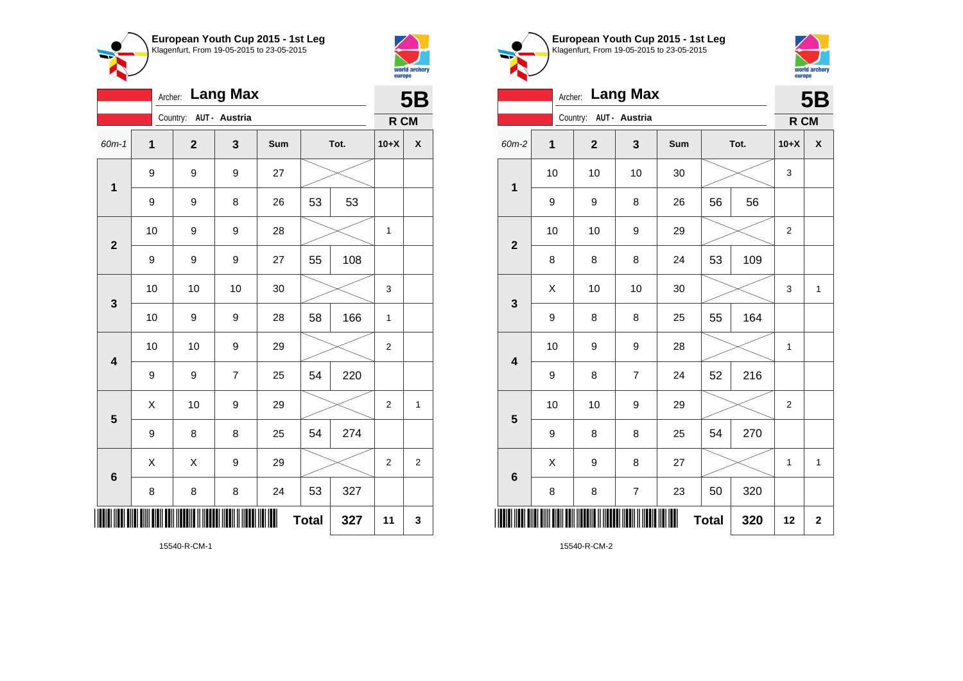



|                         | Archer: Lang Max |                         |                |     |              |     |                | <b>5B</b>      |  |
|-------------------------|------------------|-------------------------|----------------|-----|--------------|-----|----------------|----------------|--|
|                         |                  | Country: AUT - Austria  |                |     |              |     | R CM           |                |  |
| 60m-1                   | 1                | $\overline{\mathbf{2}}$ | 3              | Sum | Tot.         |     | $10+X$         | χ              |  |
| 1                       | 9                | 9                       | 9              | 27  |              |     |                |                |  |
|                         | 9                | 9                       | 8              | 26  | 53           | 53  |                |                |  |
| $\overline{2}$          | 10               | 9                       | 9              | 28  |              |     | 1              |                |  |
|                         | 9                | 9                       | 9              | 27  | 55           | 108 |                |                |  |
| 3                       | 10               | 10                      | 10             | 30  |              |     | 3              |                |  |
|                         | 10               | 9                       | 9              | 28  | 58           | 166 | 1              |                |  |
| $\overline{\mathbf{4}}$ | 10               | 10                      | 9              | 29  |              |     | $\overline{2}$ |                |  |
|                         | 9                | 9                       | $\overline{7}$ | 25  | 54           | 220 |                |                |  |
| 5                       | X                | 10                      | 9              | 29  |              |     | $\overline{2}$ | $\mathbf{1}$   |  |
|                         | 9                | 8                       | 8              | 25  | 54           | 274 |                |                |  |
| $\bf 6$                 | X                | X                       | 9              | 29  |              |     | $\overline{2}$ | $\overline{2}$ |  |
|                         | 8                | 8                       | 8              | 24  | 53           | 327 |                |                |  |
|                         |                  |                         |                |     | <b>Total</b> | 327 | 11             | 3              |  |





|                         | <b>Lang Max</b><br>Archer: |                        |                  |     |              |      |                |              |
|-------------------------|----------------------------|------------------------|------------------|-----|--------------|------|----------------|--------------|
|                         |                            | Country: AUT - Austria |                  |     |              |      | R CM           |              |
| 60m-2                   | 1                          | $\mathbf 2$            | 3                | Sum |              | Tot. | $10+X$         | X            |
| $\mathbf 1$             | 10                         | 10                     | 10               | 30  |              |      | 3              |              |
|                         | 9                          | 9                      | 8                | 26  | 56           | 56   |                |              |
| $\overline{2}$          | 10                         | 10                     | 9                | 29  |              |      | $\overline{2}$ |              |
|                         | 8                          | 8                      | 8                | 24  | 53           | 109  |                |              |
| 3                       | Χ                          | 10                     | 10               | 30  |              |      | 3              | $\mathbf{1}$ |
|                         | 9                          | 8                      | 8                | 25  | 55           | 164  |                |              |
| $\overline{\mathbf{4}}$ | 10                         | 9                      | 9                | 28  |              |      | 1              |              |
|                         | 9                          | 8                      | $\overline{7}$   | 24  | 52           | 216  |                |              |
| 5                       | 10                         | 10                     | 9                | 29  |              |      | $\overline{c}$ |              |
|                         | 9                          | 8                      | 8                | 25  | 54           | 270  |                |              |
| $6\phantom{1}6$         | X                          | 9                      | 8                | 27  |              |      | 1              | $\mathbf{1}$ |
|                         | 8                          | 8                      | $\boldsymbol{7}$ | 23  | 50           | 320  |                |              |
| IIII                    |                            |                        |                  | ║║  | <b>Total</b> | 320  | 12             | $\mathbf 2$  |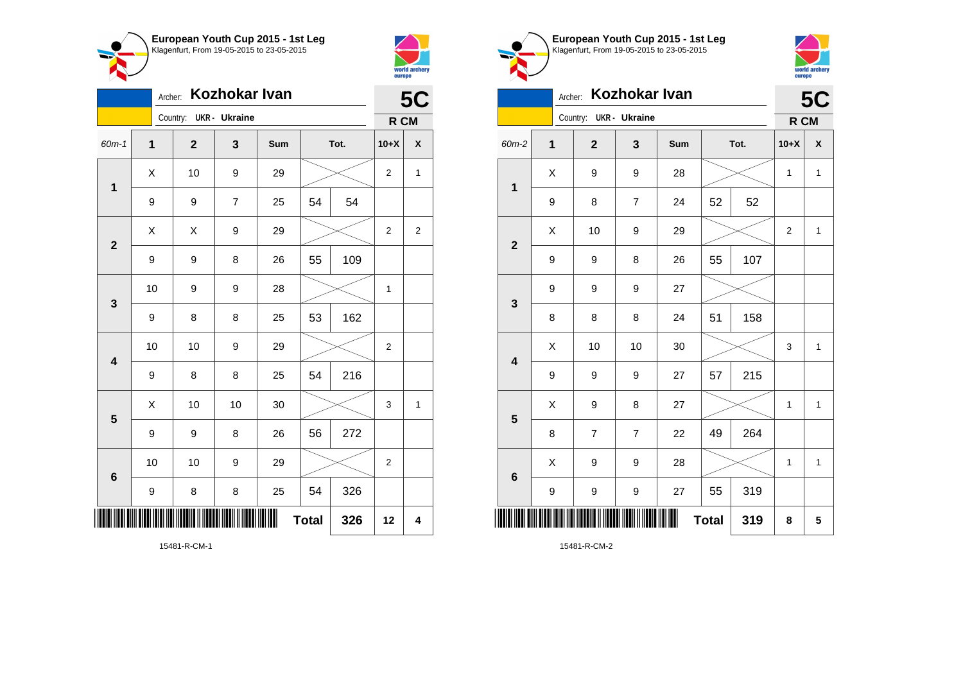

Country: **UKR - Ukraine**

**1**

**2**

**3**

**4**

**5**

**6**

Archer: **Kozhokar Ivan**

60m-1 **1 2 3 Sum Tot. 10+X X**

9 | 9 | 7 | 25 | 54 | 54

9 | 9 | 8 | 26 | 55 | 109

9 | 8 | 8 | 25 | 53 | 162

9 | 8 | 8 | 25 | 54 | 216

9 | 9 | 8 | 26 | 56 | 272

9 | 8 | 8 | 25 | 54 | 326

10 | 10 | 9 | 29 |  $\times$  | 2

10 | 9 | 9 | 28 |  $\times$  | 1

10 | 10 | 9 | 29 |  $\times$  | 2

 $\begin{array}{|c|c|c|c|c|c|}\hline \hspace{.1cm}X & \hspace{.1cm} \text{ 10} & \hspace{.1cm} \text{ 10} & \hspace{.1cm} \text{ 30} & \hspace{.1cm} \end{array} \hspace{.2cm} \begin{array}{|c|c|c|c|c|c|}\hline \hspace{.1cm}X & \hspace{.1cm} \text{ 3} & \hspace{.1cm} \text{ 1} & \hspace{.1cm} \text{ 4} & \hspace{.1cm} \end{array}$ 

**Total 326 12 4**

 $\begin{array}{|c|c|c|c|c|c|}\hline \hspace{.1cm}X & \hspace{.1cm} & \hspace{.1cm} 10 & \hspace{.1cm} & \hspace{.1cm} 9 & \hspace{.1cm} & \hspace{.1cm} 29 & \hspace{.1cm} & \hspace{.1cm}\hline \end{array} \hspace{.2cm} \begin{array}{|c|c|c|c|c|c|}\hline \hspace{.1cm}X & \hspace{.1cm} & \hspace{.1cm} 2 & \hspace{.1cm} & \hspace{.1cm} 1 & \hspace{.1cm} \end{array}$ 

 $X$   $\mid$   $X$   $\mid$   $9$   $\mid$   $29$   $\mid$   $\gg$   $\mid$  2  $\mid$  2



**5C**

**R CM**

| European Youth Cup 2015 - 1st Leg<br>Klagenfurt, From 19-05-2015 to 23-05-2015 |
|--------------------------------------------------------------------------------|
|                                                                                |
|                                                                                |



## Archer: **Kozhokar Ivan**

|                         | Kozhokar Ivan<br>Archer: |                |               |     |    |      |                |              |  |
|-------------------------|--------------------------|----------------|---------------|-----|----|------|----------------|--------------|--|
|                         |                          | Country:       | UKR - Ukraine |     |    |      | R CM           |              |  |
| 60m-2                   | $\overline{\mathbf{1}}$  | $\overline{2}$ | 3             | Sum |    | Tot. | $10+X$         | X            |  |
| $\overline{\mathbf{1}}$ | Χ                        | 9              | 9             | 28  |    |      | 1              | $\mathbf{1}$ |  |
|                         | 9                        | 8              | 7             | 24  | 52 | 52   |                |              |  |
| $\overline{\mathbf{2}}$ | X                        | 10             | 9             | 29  |    |      | $\overline{2}$ | $\mathbf{1}$ |  |
|                         | 9                        | 9              | 8             | 26  | 55 | 107  |                |              |  |
| 3                       | 9                        | 9              | 9             | 27  |    |      |                |              |  |
|                         | 8                        | 8              | 8             | 24  | 51 | 158  |                |              |  |
| $\overline{\mathbf{4}}$ | Χ                        | 10             | 10            | 30  |    |      | 3              | $\mathbf{1}$ |  |
|                         | 9                        | 9              | 9             | 27  | 57 | 215  |                |              |  |
| 5                       | X                        | 9              | 8             | 27  |    |      | 1              | $\mathbf{1}$ |  |
|                         | 8                        | $\overline{7}$ | 7             | 22  | 49 | 264  |                |              |  |
| $6\phantom{1}$          | X                        | 9              | 9             | 28  |    |      | $\mathbf 1$    | $\mathbf{1}$ |  |
|                         | 9                        | 9              | 9             | 27  | 55 | 319  |                |              |  |
|                         | ║<br><b>Total</b><br>319 |                |               |     |    |      |                |              |  |

15481-R-CM-1

\*15481-R-CM-1\*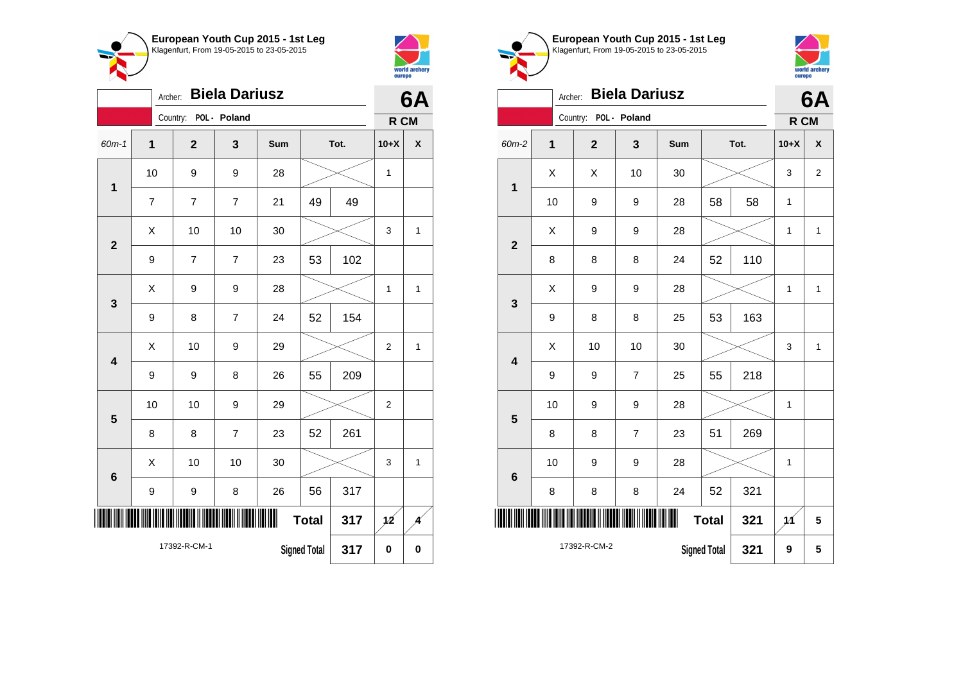



|                         | <b>Biela Dariusz</b><br>Archer:            |          |                |                |     |               |           |                |              |
|-------------------------|--------------------------------------------|----------|----------------|----------------|-----|---------------|-----------|----------------|--------------|
|                         |                                            | Country: |                | POL - Poland   |     |               |           | R CM           |              |
| $60m-1$                 | 1                                          |          | $\overline{2}$ | 3              | Sum |               | Tot.      | $10+X$         | X            |
| $\mathbf 1$             | 10                                         |          | 9              | 9              | 28  |               |           | 1              |              |
|                         | $\overline{7}$                             |          | 7              | $\overline{7}$ | 21  | 49            | 49        |                |              |
| $\overline{2}$          | X                                          |          | 10             | 10             | 30  |               |           | 3              | 1            |
|                         | 9                                          |          | $\overline{7}$ | $\overline{7}$ | 23  | 53            | 102       |                |              |
| 3                       | Χ                                          |          | 9              | 9              | 28  |               |           | 1              | 1            |
|                         | $\boldsymbol{9}$                           |          | 8              | $\overline{7}$ | 24  | 52            | 154       |                |              |
| $\overline{\mathbf{4}}$ | X                                          |          | 10             | 9              | 29  |               |           | $\overline{2}$ | 1            |
|                         | 9                                          |          | 9              | 8              | 26  | 55            | 209       |                |              |
| 5                       | 10                                         |          | 10             | 9              | 29  |               |           | $\overline{2}$ |              |
|                         | 8                                          |          | 8              | $\overline{7}$ | 23  | 52            | 261       |                |              |
| 6                       | Χ                                          |          | 10             | 10             | 30  |               |           | 3              | $\mathbf{1}$ |
|                         | 9                                          |          | 9              | 8              | 26  | 56            | 317       |                |              |
| ║║                      | ∭<br><b>Total</b><br>317                   |          |                |                |     | $\cancel{12}$ |           |                |              |
|                         | 17392-R-CM-1<br><b>Signed Total</b><br>317 |          |                |                |     |               | $\pmb{0}$ | $\bf{0}$       |              |





|                         | 6A                                         |              |                |              |    |      |        |                |
|-------------------------|--------------------------------------------|--------------|----------------|--------------|----|------|--------|----------------|
|                         |                                            | Country:     | POL - Poland   |              |    |      | R CM   |                |
| 60m-2                   | $\mathbf 1$                                | $\mathbf{2}$ | 3              | Sum          |    | Tot. | $10+X$ | X              |
| $\mathbf 1$             | X                                          | Χ            | 10             | 30           |    |      | 3      | $\overline{2}$ |
|                         | 10                                         | 9            | 9              | 28           | 58 | 58   |        |                |
| $\overline{\mathbf{2}}$ | X<br>28<br>9<br>9                          |              | 1              | $\mathbf{1}$ |    |      |        |                |
|                         | 110<br>8<br>8<br>8<br>24<br>52             |              |                |              |    |      |        |                |
| $\mathbf{3}$            | X                                          | 9            | 9              | 28           |    |      | 1      | $\mathbf{1}$   |
|                         | 9                                          | 8            | 8              | 25           | 53 | 163  |        |                |
| $\overline{\mathbf{4}}$ | X                                          | 10           | 10             | 30           |    |      | 3      | $\mathbf{1}$   |
|                         | 9                                          | 9            | $\overline{7}$ | 25           | 55 | 218  |        |                |
| 5                       | 10                                         | 9            | 9              | 28           |    |      | 1      |                |
|                         | 8                                          | 8            | $\overline{7}$ | 23           | 51 | 269  |        |                |
| $6\phantom{1}6$         | 10                                         | 9            | 9              | 28           |    |      | 1      |                |
|                         | 52<br>321<br>8<br>8<br>8<br>24             |              |                |              |    |      |        |                |
|                         | <b>Total</b><br>321                        |              |                |              |    |      |        | 5              |
|                         | 17392-R-CM-2<br><b>Signed Total</b><br>321 |              |                |              |    |      |        | 5              |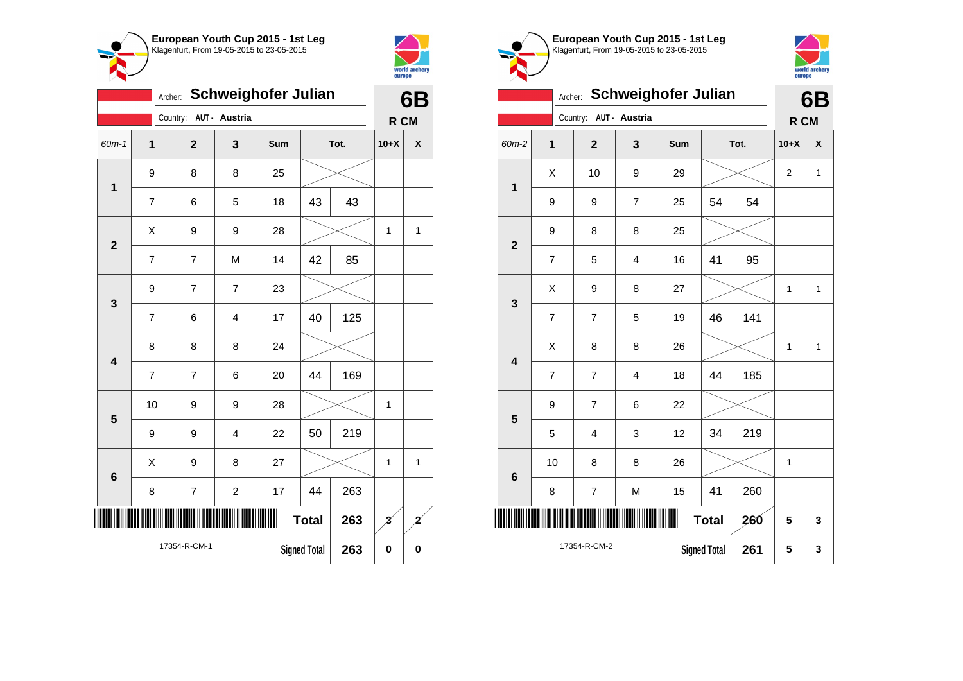



|                         | <b>Schweighofer Julian</b><br>Archer: |                |                  |     |                     |      |                         |                           |
|-------------------------|---------------------------------------|----------------|------------------|-----|---------------------|------|-------------------------|---------------------------|
|                         |                                       | Country:       | AUT - Austria    |     |                     |      | R CM                    |                           |
| 60m-1                   | $\overline{\mathbf{1}}$               | $\overline{2}$ | 3                | Sum |                     | Tot. | $10+X$                  | $\boldsymbol{\mathsf{x}}$ |
| $\mathbf 1$             | 9                                     | 8              | 8                | 25  |                     |      |                         |                           |
|                         | $\overline{7}$                        | 6              | 5                | 18  | 43                  | 43   |                         |                           |
| $\overline{\mathbf{2}}$ | Χ                                     | 9              | 9                | 28  |                     |      | 1                       | $\mathbf{1}$              |
|                         | $\overline{7}$                        | $\overline{7}$ | M                | 14  | 42                  | 85   |                         |                           |
| 3                       | 9                                     | 7              | $\overline{7}$   | 23  |                     |      |                         |                           |
|                         | 7                                     | 6              | 4                | 17  | 40                  | 125  |                         |                           |
| 4                       | 8                                     | 8              | 8                | 24  |                     |      |                         |                           |
|                         | 7                                     | $\overline{7}$ | 6                | 20  | 44                  | 169  |                         |                           |
| 5                       | 10                                    | 9              | 9                | 28  |                     |      | 1                       |                           |
|                         | 9                                     | 9              | 4                | 22  | 50                  | 219  |                         |                           |
| 6                       | X                                     | 9              | 8                | 27  |                     |      | 1                       | 1                         |
|                         | 8                                     | $\overline{7}$ | $\boldsymbol{2}$ | 17  | 44                  | 263  |                         |                           |
|                         |                                       |                |                  |     | <b>Total</b>        | 263  | $\overline{\mathbf{3}}$ | 2                         |
|                         |                                       | 17354-R-CM-1   |                  |     | <b>Signed Total</b> | 263  | $\bf{0}$                | $\bf{0}$                  |





|                         |                                                       | 6B                      |                |             |    |        |                |              |
|-------------------------|-------------------------------------------------------|-------------------------|----------------|-------------|----|--------|----------------|--------------|
|                         |                                                       | Country: AUT - Austria  |                |             |    |        | R CM           |              |
| 60m-2                   | $\mathbf 1$                                           | $\overline{\mathbf{2}}$ | 3              | Sum<br>Tot. |    | $10+X$ | X              |              |
| $\mathbf 1$             | X                                                     | 10                      | 9              | 29          |    |        | $\overline{2}$ | $\mathbf{1}$ |
|                         | 9                                                     | 9                       | $\overline{7}$ | 25          | 54 | 54     |                |              |
| $\overline{\mathbf{2}}$ | 9                                                     | 8                       | 8              | 25          |    |        |                |              |
|                         | $\overline{7}$                                        | 5                       | $\overline{4}$ | 16          | 41 | 95     |                |              |
| 3                       | X                                                     | 9                       | 8              | 27          |    |        | 1              | $\mathbf{1}$ |
|                         | $\overline{7}$                                        | $\overline{7}$          | 5              | 19          | 46 | 141    |                |              |
| $\overline{\mathbf{4}}$ | X                                                     | 8                       | 8              | 26          |    |        | 1              | $\mathbf{1}$ |
|                         | $\overline{7}$                                        | $\overline{7}$          | 4              | 18          | 44 | 185    |                |              |
| 5                       | 9                                                     | $\overline{7}$          | 6              | 22          |    |        |                |              |
|                         | 5                                                     | 4                       | 3              | 12          | 34 | 219    |                |              |
| $6\phantom{1}6$         | 10                                                    | 8                       | 8              | 26          |    |        | 1              |              |
|                         | $\overline{\mathcal{I}}$<br>41<br>260<br>8<br>M<br>15 |                         |                |             |    |        |                |              |
| ║                       | <b>Total</b><br>260                                   |                         |                |             |    |        |                |              |
|                         | 17354-R-CM-2<br>261<br><b>Signed Total</b>            |                         |                |             |    |        |                |              |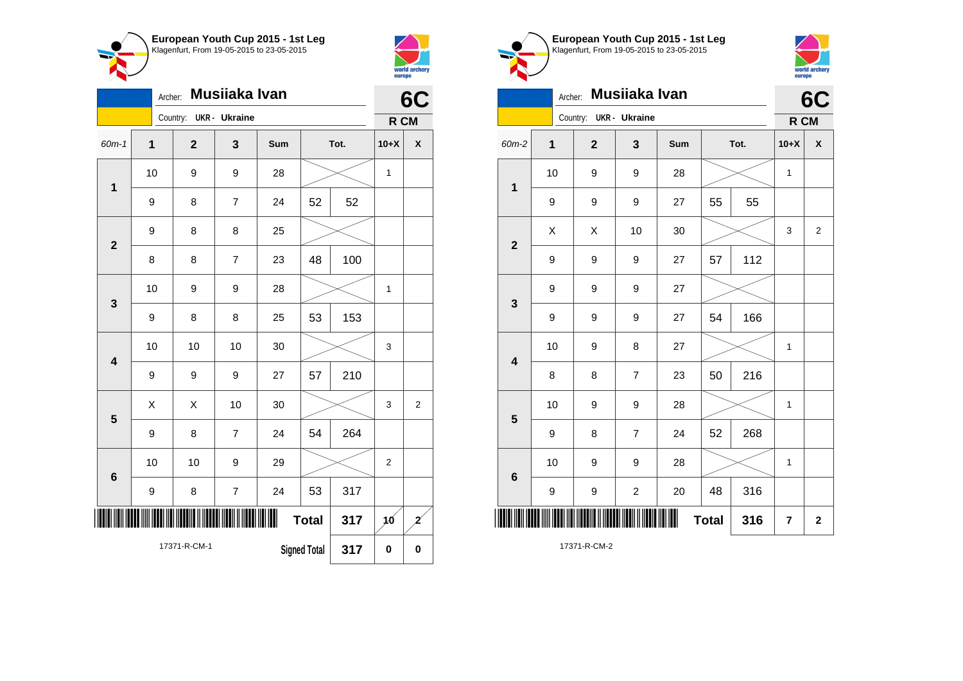



|                         | Musiiaka Ivan<br>Archer: |                |                         |     |    |      |                |                    |  |
|-------------------------|--------------------------|----------------|-------------------------|-----|----|------|----------------|--------------------|--|
|                         |                          | Country:       | <b>UKR</b> - Ukraine    |     |    |      | R CM           |                    |  |
| 60m-1                   | $\overline{1}$           | $\overline{2}$ | 3                       | Sum |    | Tot. | $10+X$         | $\pmb{\mathsf{X}}$ |  |
| $\mathbf{1}$            | 10                       | 9              | 9                       | 28  |    |      | $\mathbf{1}$   |                    |  |
|                         | 9                        | 8              | $\overline{7}$          | 24  | 52 | 52   |                |                    |  |
| $\overline{\mathbf{2}}$ | 9                        | 8              | 8                       | 25  |    |      |                |                    |  |
|                         | 8                        | 8              | $\overline{7}$          | 23  | 48 | 100  |                |                    |  |
| 3                       | 10                       | 9              | 9                       | 28  |    |      | $\mathbf 1$    |                    |  |
|                         | 9                        | 8              | 8                       | 25  | 53 | 153  |                |                    |  |
| $\overline{\mathbf{4}}$ | 10                       | 10             | 10                      | 30  |    |      | 3              |                    |  |
|                         | 9                        | 9              | 9                       | 27  | 57 | 210  |                |                    |  |
| 5                       | X                        | Χ              | 10                      | 30  |    |      | 3              | $\overline{2}$     |  |
|                         | 9                        | 8              | $\overline{7}$          | 24  | 54 | 264  |                |                    |  |
| $6\phantom{a}$          | 10                       | 10             | 9                       | 29  |    |      | $\overline{2}$ |                    |  |
|                         | 9                        | 8              | $\overline{\mathbf{7}}$ | 24  | 53 | 317  |                |                    |  |
|                         | Ш<br><b>Total</b><br>317 |                |                         |     |    |      | 16             | 2                  |  |
|                         |                          | 17371-R-CM-1   | <b>Signed Total</b>     | 317 | 0  | 0    |                |                    |  |





| Musiiaka Ivan<br>Archer: |             |  |                        |                |     |              |      |             | 6C                      |  |
|--------------------------|-------------|--|------------------------|----------------|-----|--------------|------|-------------|-------------------------|--|
|                          |             |  | Country: UKR - Ukraine |                |     |              |      | R CM        |                         |  |
| 60m-2                    | $\mathbf 1$ |  | $\mathbf{2}$           | 3              | Sum |              | Tot. | $10+X$      | χ                       |  |
| $\mathbf 1$              | 10          |  | 9                      | 9              | 28  |              |      | $\mathbf 1$ |                         |  |
|                          | 9           |  | 9                      | 9              | 27  | 55           | 55   |             |                         |  |
| $\overline{\mathbf{2}}$  | X           |  | X                      | 10             | 30  |              |      | 3           | $\overline{2}$          |  |
|                          | 9           |  | 9                      | 9              | 27  | 57           | 112  |             |                         |  |
| 3                        | 9           |  | 9                      | 9              | 27  |              |      |             |                         |  |
|                          | 9           |  | 9                      | 9              | 27  | 54           | 166  |             |                         |  |
| 4                        | 10          |  | 9                      | 8              | 27  |              |      | 1           |                         |  |
|                          | 8           |  | 8                      | $\overline{7}$ | 23  | 50           | 216  |             |                         |  |
| 5                        | 10          |  | 9                      | 9              | 28  |              |      | 1           |                         |  |
|                          | 9           |  | 8                      | $\overline{7}$ | 24  | 52           | 268  |             |                         |  |
| $6\phantom{1}6$          | 10          |  | 9                      | 9              | 28  |              |      | 1           |                         |  |
|                          | 9           |  | 9                      | $\overline{c}$ | 20  | 48           | 316  |             |                         |  |
| $\parallel$              |             |  |                        |                |     | <b>Total</b> | 316  | 7           | $\overline{\mathbf{2}}$ |  |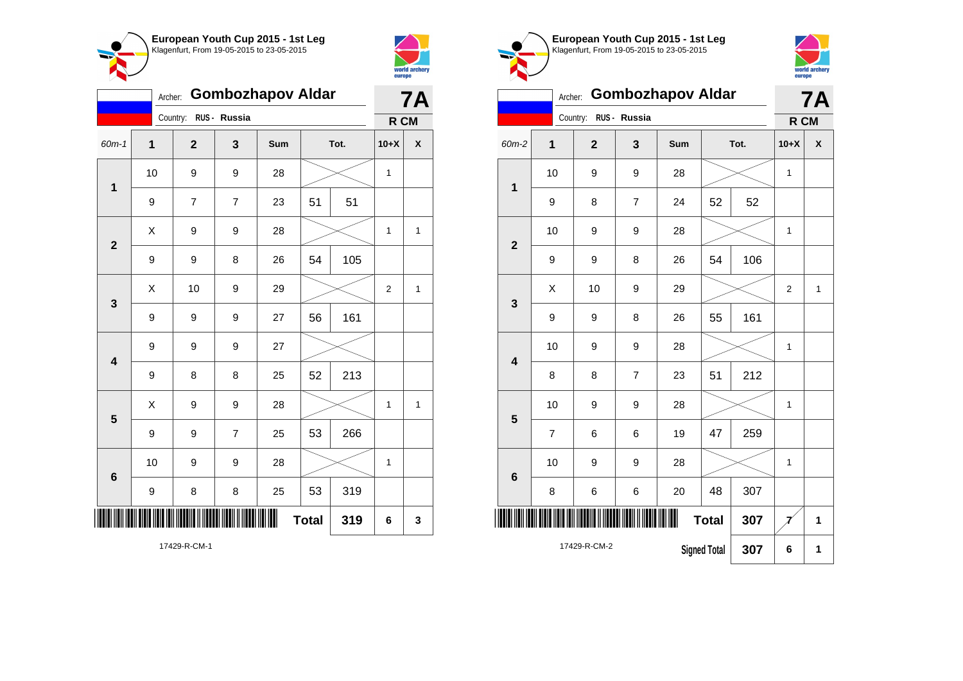



|                         | <b>Gombozhapov Aldar</b><br>Archer: |                |                |     |              |      |                |              |
|-------------------------|-------------------------------------|----------------|----------------|-----|--------------|------|----------------|--------------|
|                         |                                     | Country:       | RUS - Russia   |     |              |      | R CM           |              |
| $60m-1$                 | 1                                   | $\mathbf{2}$   | 3              | Sum |              | Tot. | $10+X$         | χ            |
| $\mathbf{1}$            | 10                                  | 9              | 9              | 28  |              |      | $\mathbf{1}$   |              |
|                         | 9                                   | $\overline{7}$ | $\overline{7}$ | 23  | 51           | 51   |                |              |
| $\overline{\mathbf{2}}$ | X                                   | 9              | 9              | 28  |              |      | $\mathbf{1}$   | $\mathbf{1}$ |
|                         | 9                                   | 9              | 8              | 26  | 54           | 105  |                |              |
| 3                       | X                                   | 10             | 9              | 29  |              |      | $\overline{2}$ | $\mathbf{1}$ |
|                         | 9                                   | 9              | 9              | 27  | 56           | 161  |                |              |
| $\overline{\mathbf{4}}$ | 9                                   | 9              | 9              | 27  |              |      |                |              |
|                         | 9                                   | 8              | 8              | 25  | 52           | 213  |                |              |
| 5                       | X                                   | 9              | 9              | 28  |              |      | 1              | $\mathbf{1}$ |
|                         | 9                                   | 9              | $\overline{7}$ | 25  | 53           | 266  |                |              |
| $6\phantom{1}$          | 10                                  | 9              | 9              | 28  |              |      | $\mathbf 1$    |              |
|                         | 9                                   | 8              | 8              | 25  | 53           | 319  |                |              |
|                         |                                     |                |                |     | <b>Total</b> | 319  | 6              | 3            |

world archery<br>europe Archer: **Gombozhapov Aldar 7A** Country: **RUS - Russia R CM** 60m-2 **1 2 3 Sum Tot. 10+X X** 10 | 9 | 9 | 28 |  $\times$  | 1 **1** 9 | 8 | 7 | 24 | 52 | 52 10 | 9 | 9 | 28 |  $\times$  | 1 **2** 9 | 9 | 8 | 26 | 54 | 106  $\begin{array}{|c|c|c|c|c|c|}\hline \hspace{.1cm}X & \hspace{.1cm} & \textbf{10} & \hspace{.1cm} & \textbf{9} & \hspace{.1cm} & \textbf{29} & \hspace{.1cm} & \hspace{.1cm} & \hspace{.1cm} & \hspace{.1cm} & \hspace{.1cm} & \hspace{.1cm} & \hspace{.1cm} & \hspace{.1cm} & \hspace{.1cm} & \hspace{.1cm} & \hspace{.1cm} & \hspace{.1cm} & \hspace{.1cm} & \hspace{.1cm} & \hspace{.1cm} & \hspace{$ **3** 9 | 9 | 8 | 26 | 55 | 161 10 | 9 | 9 | 28 |  $\times$  | 1 **4** 8 | 8 | 7 | 23 | 51 | 212 10 | 9 | 9 | 28 |  $\times$  | 1 **5** 7 | 6 | 6 | 19 | 47 | 259 10 | 9 | 9 | 28 |  $\times$  | 1 **6** 8 | 6 | 6 | 20 | 48 | 307 \*17429-R-CM-2\* **Total** 307  $\mathcal{I}$  1 17429-R-CM-2 **Signed Total 307 6 1**

**European Youth Cup 2015 - 1st Leg** Klagenfurt, From 19-05-2015 to 23-05-2015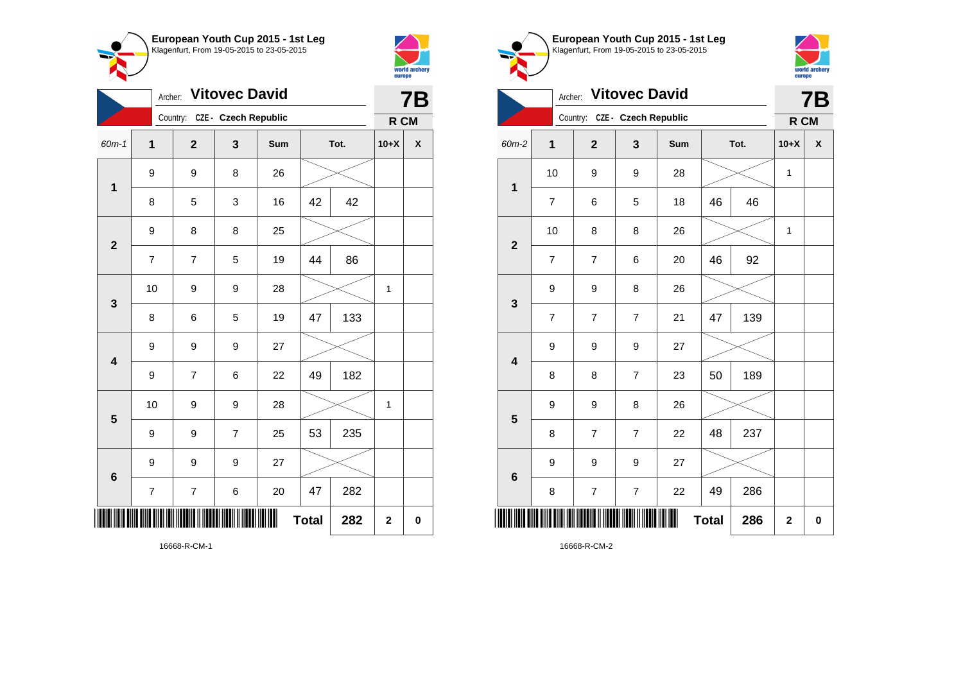



| <b>Vitovec David</b><br>Archer: |                          |                               |                |     |              |      | <b>7B</b>   |   |
|---------------------------------|--------------------------|-------------------------------|----------------|-----|--------------|------|-------------|---|
|                                 |                          | Country: CZE - Czech Republic |                |     |              |      | R CM        |   |
| 60m-1                           | 1                        | $\mathbf{2}$                  | 3              | Sum |              | Tot. | $10+X$      | X |
| 1                               | 9                        | 9                             | 8              | 26  |              |      |             |   |
|                                 | 8                        | 5                             | 3              | 16  | 42           | 42   |             |   |
| $\overline{\mathbf{2}}$         | 9                        | 8                             | 8              | 25  |              |      |             |   |
|                                 | $\overline{7}$           | $\overline{7}$                | 5              | 19  | 44           | 86   |             |   |
| 3                               | 10                       | 9                             | 9              | 28  |              |      | 1           |   |
|                                 | 8                        | 6                             | 5              | 19  | 47           | 133  |             |   |
| $\overline{\mathbf{4}}$         | 9                        | 9                             | 9              | 27  |              |      |             |   |
|                                 | 9                        | $\overline{7}$                | 6              | 22  | 49           | 182  |             |   |
| $\overline{\mathbf{5}}$         | 10                       | 9                             | 9              | 28  |              |      | 1           |   |
|                                 | 9                        | 9                             | $\overline{7}$ | 25  | 53           | 235  |             |   |
| 6                               | 9                        | 9                             | 9              | 27  |              |      |             |   |
|                                 | $\overline{\mathcal{I}}$ | 7                             | 6              | 20  | 47           | 282  |             |   |
|                                 |                          |                               |                |     | <b>Total</b> | 282  | $\mathbf 2$ | 0 |

**European Youth Cup 2015 - 1st Leg** Klagenfurt, From 19-05-2015 to 23-05-2015 world archery<br>europe Archer: **Vitovec David 7B** Country: **CZE - Czech Republic R CM** 60m-2 **1 2 3 Sum Tot. 10+X X** 10 | 9 | 9 | 28 |  $\times$  | 1 **1** 7 | 6 | 5 | 18 | 46 | 46 10 | 8 | 8 | 26 |  $\times$  | 1 **2** 7 | 7 | 6 | 20 | 46 | 92 9 9 8 26 **3** 7 7 7 21 47 139 9 9 9 27 **4** 8 | 8 | 7 | 23 | 50 | 189 9 9 8 26 **5** 8 | 7 | 7 | 22 | 48 | 237 9 9 9 27 **6** 8 | 7 | 7 | 22 | 49 | 286 \*16668-R-CM-2\*  $Total | 286 | 2 | 0$ 

16668-R-CM-2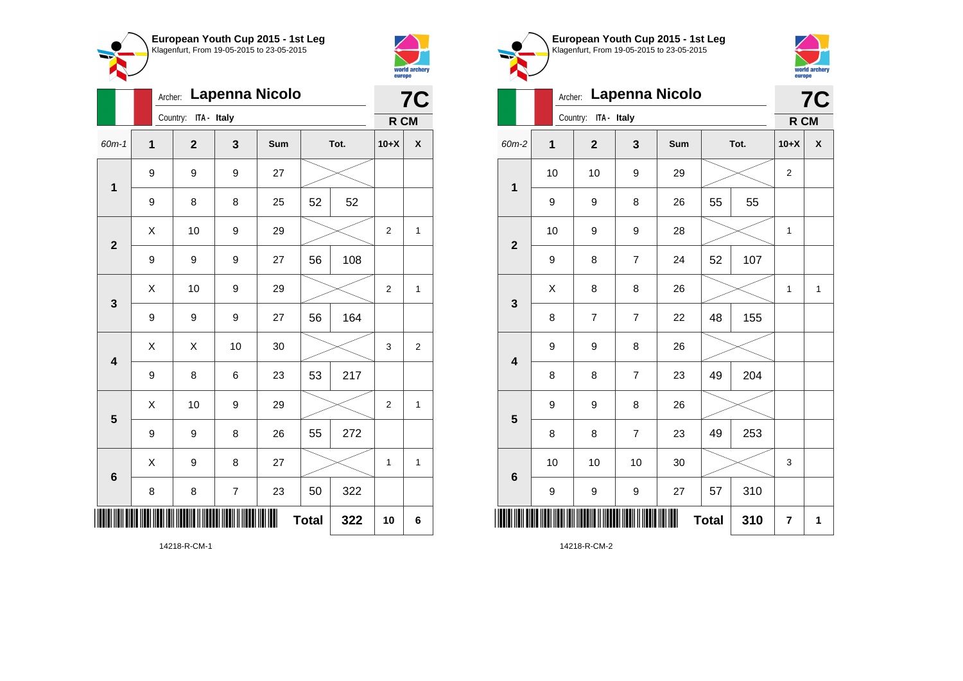



|                         |                  | Lapenna Nicolo<br>Archer: |                |     |              |      |                |                    |  |
|-------------------------|------------------|---------------------------|----------------|-----|--------------|------|----------------|--------------------|--|
|                         |                  | Country: ITA - Italy      |                |     |              |      | R CM           |                    |  |
| 60m-1                   | 1                | $\overline{\mathbf{2}}$   | 3              | Sum |              | Tot. | $10+X$         | $\pmb{\mathsf{X}}$ |  |
| $\mathbf{1}$            | 9                | 9                         | 9              | 27  |              |      |                |                    |  |
|                         | 9                | 8                         | 8              | 25  | 52           | 52   |                |                    |  |
| $\mathbf{2}$            | $\sf X$          | 10                        | 9              | 29  |              |      | $\mathbf{2}$   | $\mathbf{1}$       |  |
|                         | $\boldsymbol{9}$ | 9                         | 9              | 27  | 56           | 108  |                |                    |  |
| 3                       | X                | 10                        | 9              | 29  |              |      | $\overline{2}$ | 1                  |  |
|                         | 9                | 9                         | 9              | 27  | 56           | 164  |                |                    |  |
| $\overline{\mathbf{4}}$ | X                | X                         | 10             | 30  |              |      | 3              | $\overline{c}$     |  |
|                         | $\boldsymbol{9}$ | 8                         | 6              | 23  | 53           | 217  |                |                    |  |
| 5                       | Χ                | 10                        | 9              | 29  |              |      | $\overline{2}$ | 1                  |  |
|                         | 9                | 9                         | 8              | 26  | 55           | 272  |                |                    |  |
| 6                       | X                | 9                         | 8              | 27  |              |      | $\mathbf{1}$   | $\mathbf{1}$       |  |
|                         | 8                | 8                         | $\overline{7}$ | 23  | 50           | 322  |                |                    |  |
| I                       |                  |                           |                |     | <b>Total</b> | 322  | 10             | 6                  |  |

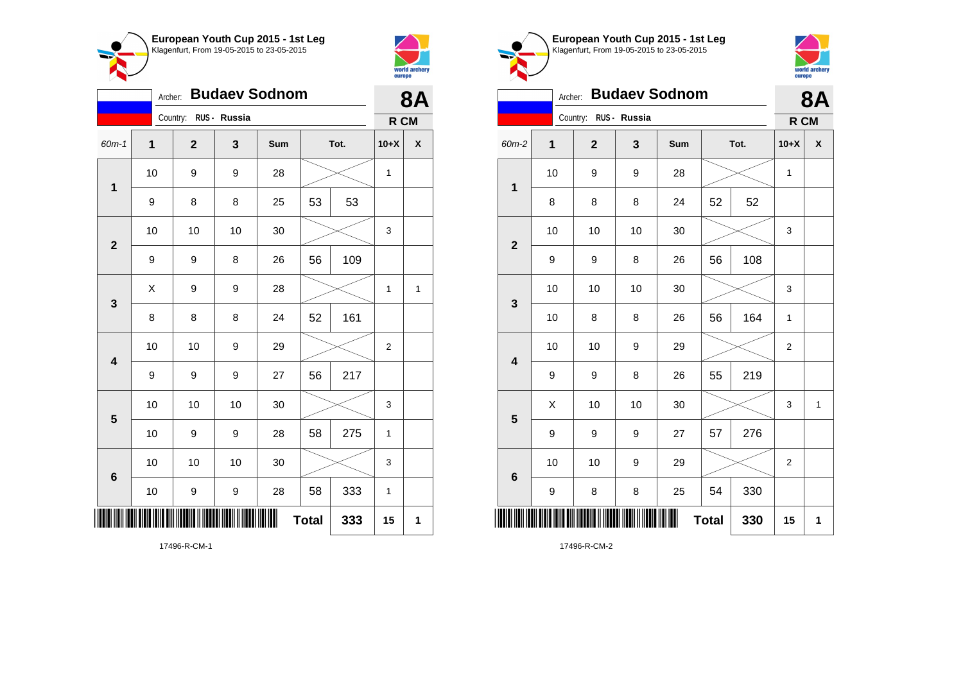



|                               | <b>Budaev Sodnom</b><br>Archer: |              |              |     |    |      |                |              |
|-------------------------------|---------------------------------|--------------|--------------|-----|----|------|----------------|--------------|
|                               |                                 | Country:     | RUS - Russia |     |    |      | R CM           |              |
| 60m-1                         | 1                               | $\mathbf{2}$ | 3            | Sum |    | Tot. | $10+X$         | X            |
| 1                             | 10                              | 9            | 9            | 28  |    |      | 1              |              |
|                               | 9                               | 8            | 8            | 25  | 53 | 53   |                |              |
| $\overline{\mathbf{2}}$       | 10                              | 10           | 10           | 30  |    |      | 3              |              |
|                               | 9                               | 9            | 8            | 26  | 56 | 109  |                |              |
| 3                             | X                               | 9            | 9            | 28  |    |      | 1              | $\mathbf{1}$ |
|                               | 8                               | 8            | 8            | 24  | 52 | 161  |                |              |
| $\overline{\mathbf{4}}$       | 10                              | 10           | 9            | 29  |    |      | $\overline{c}$ |              |
|                               | 9                               | 9            | 9            | 27  | 56 | 217  |                |              |
| $5\phantom{1}$                | 10                              | 10           | 10           | 30  |    |      | 3              |              |
|                               | 10                              | 9            | 9            | 28  | 58 | 275  | $\mathbf{1}$   |              |
| 6                             | 10                              | 10           | 10           | 30  |    |      | 3              |              |
|                               | 10                              | 9            | 9            | 28  | 58 | 333  | 1              |              |
| Ш<br>Ш<br><b>Total</b><br>333 |                                 |              |              |     |    |      | 15             | 1            |

**European Youth Cup 2015 - 1st Leg** Klagenfurt, From 19-05-2015 to 23-05-2015 world archery europe Archer: **Budaev Sodnom 8A** Country: **RUS - Russia R CM** 60m-2 **1 2 3 Sum Tot. 10+X X** 10 | 9 | 9 | 28 |  $\times$  | 1 **1** 8 | 8 | 8 | 24 | 52 | 52 10 | 10 | 10 | 30 |  $\times$  | 3 **2** 9 | 9 | 8 | 26 | 56 | 108 10 | 10 | 10 | 30 |  $\times$  | 3 **3** 10 | 8 | 8 | 26 | 56 | 164 | 1 10 | 10 | 9 | 29 |  $\times$  | 2 **4** 9 | 9 | 8 | 26 | 55 | 219  $\begin{array}{|c|c|c|c|c|c|}\hline \hspace{.1cm}X & \hspace{.1cm} \text{ 10} & \hspace{.1cm} \text{ 10} & \hspace{.1cm} \text{ 30} & \hspace{.1cm} \end{array} \hspace{1.2cm} \begin{array}{|c|c|c|c|c|c|}\hline \hspace{.1cm}X & \hspace{.1cm} \text{ 3} & \hspace{.1cm} \text{ 1} & \hspace{.1cm} \text{ 4} & \hspace{.1cm} \end{array} \hspace{1.2cm}$ **5** 9 | 9 | 9 | 27 | 57 | 276 10 | 10 | 9 | 29 |  $\times$  | 2 **6** 9 | 8 | 8 | 25 | 54 | 330 \*17496-R-CM-2\*  $\textbf{Total}$  330 15 1

17496-R-CM-2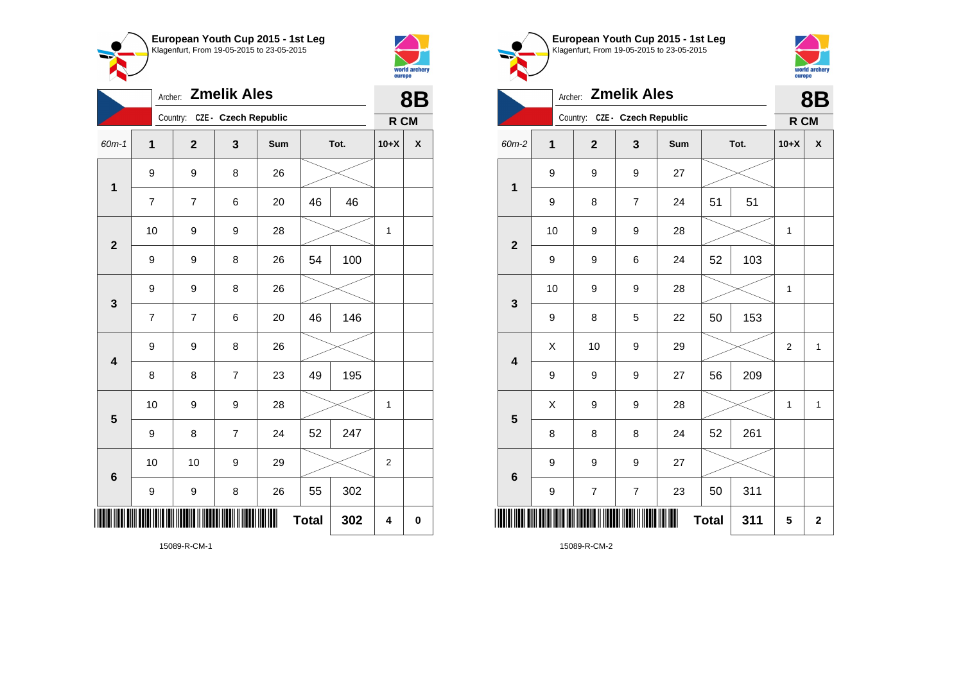



|                         | <b>Zmelik Ales</b><br>Archer: |                               |                |     |              |      |                | <b>8B</b> |  |
|-------------------------|-------------------------------|-------------------------------|----------------|-----|--------------|------|----------------|-----------|--|
|                         |                               | Country: CZE - Czech Republic |                |     |              |      | R CM           |           |  |
| $60m-1$                 | 1                             | $\overline{2}$                | 3              | Sum |              | Tot. | $10+X$         | X         |  |
| $\mathbf 1$             | 9                             | 9                             | 8              | 26  |              |      |                |           |  |
|                         | $\overline{7}$                | $\overline{7}$                | 6              | 20  | 46           | 46   |                |           |  |
| $\overline{2}$          | 10                            | 9                             | 9              | 28  |              |      | 1              |           |  |
|                         | 9                             | 9                             | 8              | 26  | 54           | 100  |                |           |  |
| 3                       | 9                             | 9                             | 8              | 26  |              |      |                |           |  |
|                         | $\overline{7}$                | $\overline{7}$                | 6              | 20  | 46           | 146  |                |           |  |
| $\overline{\mathbf{4}}$ | 9                             | 9                             | 8              | 26  |              |      |                |           |  |
|                         | 8                             | 8                             | $\overline{7}$ | 23  | 49           | 195  |                |           |  |
| 5                       | 10                            | 9                             | 9              | 28  |              |      | 1              |           |  |
|                         | 9                             | 8                             | $\overline{7}$ | 24  | 52           | 247  |                |           |  |
| 6                       | 10                            | 10                            | 9              | 29  |              |      | $\overline{2}$ |           |  |
|                         | 9                             | 9                             | 8              | 26  | 55           | 302  |                |           |  |
|                         |                               |                               |                |     | <b>Total</b> | 302  | 4              | 0         |  |

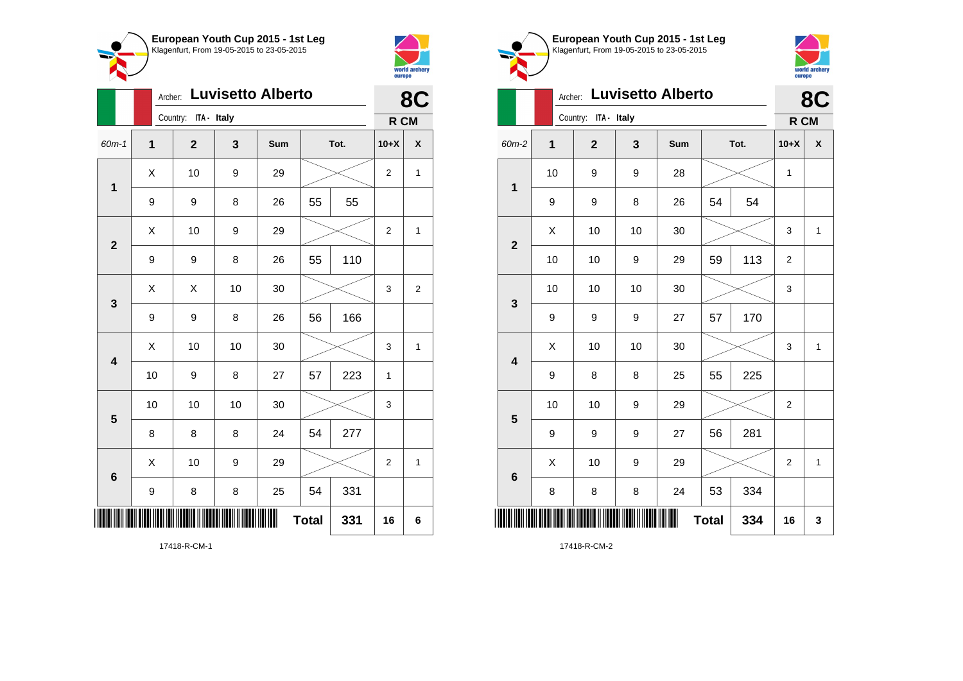



|                         |    | <b>Luvisetto Alberto</b><br>Archer: |    |     | 8C           |      |                |                |
|-------------------------|----|-------------------------------------|----|-----|--------------|------|----------------|----------------|
|                         |    | Country: ITA - Italy                |    |     |              |      | R CM           |                |
| $60m-1$                 | 1  | $\mathbf{2}$                        | 3  | Sum |              | Tot. |                | X              |
| 1                       | X  | 10                                  | 9  | 29  |              |      | $\overline{2}$ | $\mathbf{1}$   |
|                         | 9  | 9                                   | 8  | 26  | 55           | 55   |                |                |
| $\overline{2}$          | X  | 10                                  | 9  | 29  |              |      | $\overline{2}$ | 1              |
|                         | 9  | 9                                   | 8  | 26  | 55           | 110  |                |                |
| 3                       | X  | Χ                                   | 10 | 30  |              |      | 3              | $\overline{2}$ |
|                         | 9  | 9                                   | 8  | 26  | 56           | 166  |                |                |
| $\overline{\mathbf{4}}$ | X  | 10                                  | 10 | 30  |              |      | 3              | 1              |
|                         | 10 | 9                                   | 8  | 27  | 57           | 223  | 1              |                |
| 5                       | 10 | 10                                  | 10 | 30  |              |      | 3              |                |
|                         | 8  | 8                                   | 8  | 24  | 54           | 277  |                |                |
| 6                       | X  | 10                                  | 9  | 29  |              |      | $\overline{2}$ | 1              |
|                         | 9  | 8                                   | 8  | 25  | 54           | 331  |                |                |
|                         |    |                                     |    | III | <b>Total</b> | 331  | 16             | 6              |





|                         |    | <b>Luvisetto Alberto</b><br>Archer: |    |     |              |      |                |              |  |
|-------------------------|----|-------------------------------------|----|-----|--------------|------|----------------|--------------|--|
|                         |    | Country: ITA - Italy                |    |     |              |      | R CM           |              |  |
| 60m-2                   | 1  | $\mathbf 2$                         | 3  | Sum |              | Tot. | $10+X$         | X            |  |
| $\mathbf{1}$            | 10 | 9                                   | 9  | 28  |              |      | 1              |              |  |
|                         | 9  | 9                                   | 8  | 26  | 54           | 54   |                |              |  |
| $\overline{2}$          | X  | 10                                  | 10 | 30  |              |      | 3              | 1            |  |
|                         | 10 | 10                                  | 9  | 29  | 59           | 113  | $\mathbf 2$    |              |  |
| $\mathbf{3}$            | 10 | 10                                  | 10 | 30  |              |      | 3              |              |  |
|                         | 9  | 9                                   | 9  | 27  | 57           | 170  |                |              |  |
| $\overline{\mathbf{4}}$ | X  | 10                                  | 10 | 30  |              |      | 3              | $\mathbf{1}$ |  |
|                         | 9  | 8                                   | 8  | 25  | 55           | 225  |                |              |  |
| 5                       | 10 | 10                                  | 9  | 29  |              |      | 2              |              |  |
|                         | 9  | 9                                   | 9  | 27  | 56           | 281  |                |              |  |
| $6\phantom{1}6$         | X  | 10                                  | 9  | 29  |              |      | $\overline{2}$ | $\mathbf{1}$ |  |
|                         | 8  | 8                                   | 8  | 24  | 53           | 334  |                |              |  |
|                         |    |                                     |    |     | <b>Total</b> | 334  | 16             | 3            |  |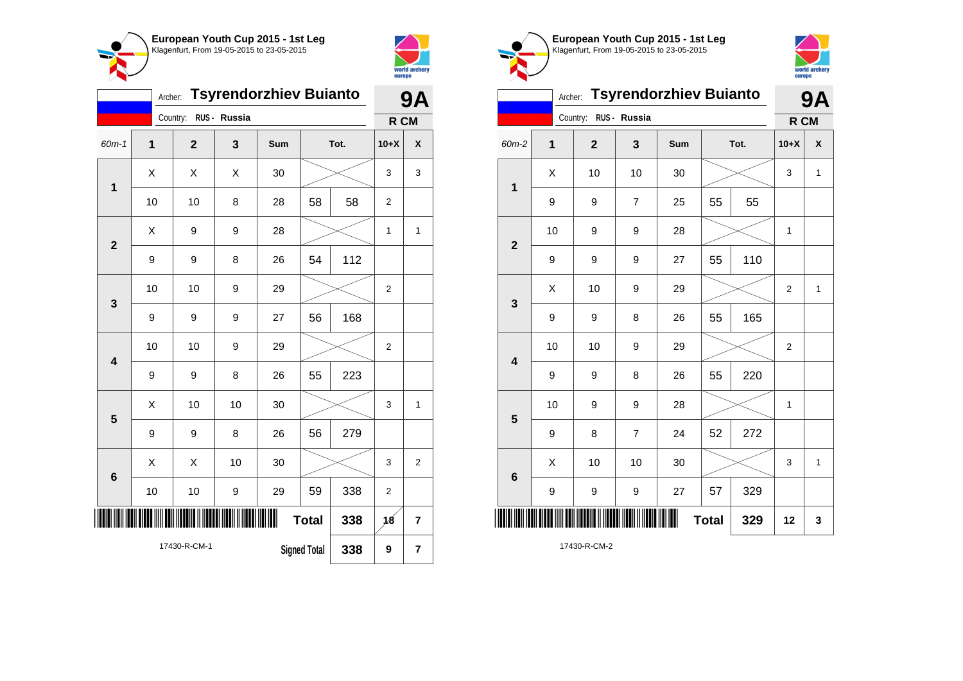



| <b>Tsyrendorzhiev Buianto</b><br>Archer: |                                     |                |              |     |              |      |                | 9Α           |  |
|------------------------------------------|-------------------------------------|----------------|--------------|-----|--------------|------|----------------|--------------|--|
|                                          |                                     | Country:       | RUS - Russia |     |              |      | R CM           |              |  |
| $60m-1$                                  | $\overline{1}$                      | $\overline{2}$ | 3            | Sum |              | Tot. | $10+X$         | X            |  |
| $\mathbf 1$                              | X                                   | X              | Χ            | 30  |              |      | 3              | 3            |  |
|                                          | 10                                  | 10             | 8            | 28  | 58           | 58   | $\overline{2}$ |              |  |
| $\overline{2}$                           | Χ                                   | 9              | 9            | 28  |              |      | $\mathbf 1$    | $\mathbf{1}$ |  |
|                                          | 9                                   | 9              | 8            | 26  | 54           | 112  |                |              |  |
| 3                                        | 10                                  | 10             | 9            | 29  |              |      | $\overline{2}$ |              |  |
|                                          | 9                                   | 9              | 9            | 27  | 56           | 168  |                |              |  |
| $\overline{\mathbf{4}}$                  | 10                                  | 10             | 9            | 29  |              |      | $\overline{2}$ |              |  |
|                                          | 9                                   | 9              | 8            | 26  | 55           | 223  |                |              |  |
| 5                                        | Χ                                   | 10             | 10           | 30  |              |      | 3              | 1            |  |
|                                          | 9                                   | 9              | 8            | 26  | 56           | 279  |                |              |  |
| 6                                        | X                                   | X              | 10           | 30  |              |      | 3              | 2            |  |
|                                          | 10                                  | 10             | 9            | 29  | 59           | 338  | $\overline{c}$ |              |  |
| III                                      |                                     |                |              | III | <b>Total</b> | 338  | 18             | 7            |  |
|                                          | 17430-R-CM-1<br><b>Signed Total</b> |                |              |     |              | 338  | 9              | 7            |  |





|                         | <b>9A</b>   |                         |                  |     |              |      |                |   |
|-------------------------|-------------|-------------------------|------------------|-----|--------------|------|----------------|---|
|                         |             | Country:                | RUS - Russia     |     |              |      | R CM           |   |
| 60m-2                   | $\mathbf 1$ | $\overline{\mathbf{2}}$ | 3                | Sum |              | Tot. | $10+X$         | X |
| $\mathbf 1$             | X           | 10                      | 10               | 30  |              |      | 3              | 1 |
|                         | 9           | 9                       | $\overline{7}$   | 25  | 55           | 55   |                |   |
| $\mathbf{2}$            | 10          | 9                       | 9                | 28  |              |      | $\mathbf 1$    |   |
|                         | 9           | 9                       | 9                | 27  | 55           | 110  |                |   |
| $\mathbf{3}$            | Χ           | 10                      | 9                | 29  |              |      | 2              | 1 |
|                         | 9           | 9                       | 8                | 26  | 55           | 165  |                |   |
| $\overline{\mathbf{4}}$ | 10          | 10                      | 9                | 29  |              |      | $\overline{2}$ |   |
|                         | 9           | 9                       | 8                | 26  | 55           | 220  |                |   |
| 5                       | 10          | 9                       | 9                | 28  |              |      | 1              |   |
|                         | 9           | 8                       | $\boldsymbol{7}$ | 24  | 52           | 272  |                |   |
| $6\phantom{1}6$         | X           | 10                      | 10               | 30  |              |      | 3              | 1 |
|                         | 9           | 9                       | 9                | 27  | 57           | 329  |                |   |
| ║║                      |             |                         |                  | ║║  | <b>Total</b> | 329  | 12             | 3 |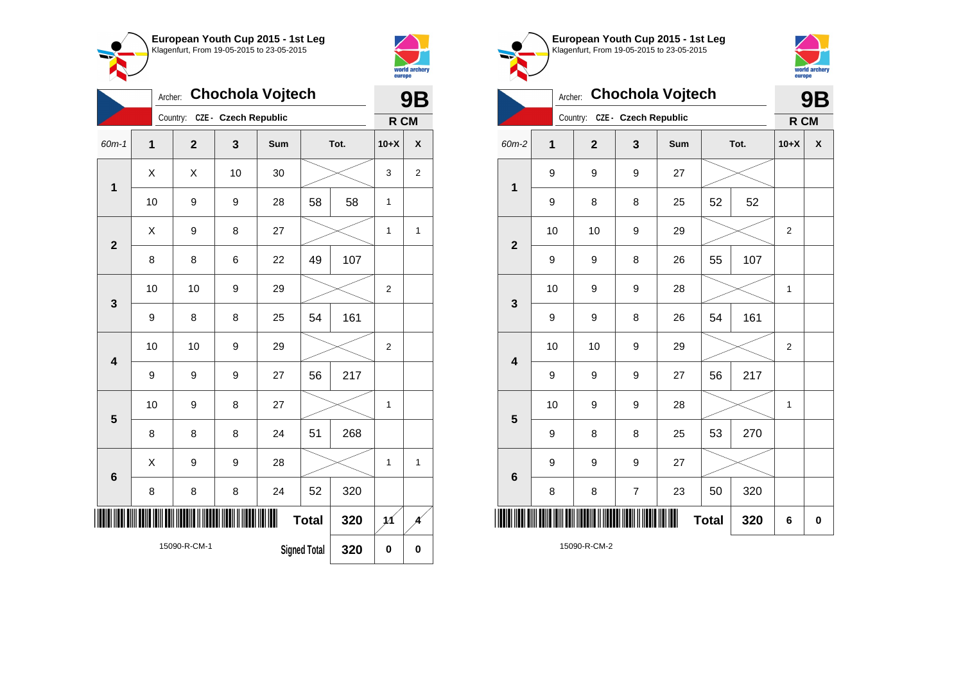



|                | <b>Chochola Vojtech</b><br>Archer:  |  |                |                      |     |              |           |                 | 9Β             |  |  |
|----------------|-------------------------------------|--|----------------|----------------------|-----|--------------|-----------|-----------------|----------------|--|--|
|                |                                     |  | Country:       | CZE - Czech Republic |     |              |           | R CM            |                |  |  |
| $60m-1$        | 1                                   |  | $\overline{2}$ | 3                    | Sum |              | Tot.      | $10+X$          | X              |  |  |
| 1              | X                                   |  | X              | 10                   | 30  |              |           | 3               | $\overline{c}$ |  |  |
|                | 10                                  |  | 9              | 9                    | 28  | 58           | 58        | 1               |                |  |  |
| $\overline{2}$ | X                                   |  | 9              | 8                    | 27  |              |           | 1               | $\mathbf{1}$   |  |  |
|                | 8                                   |  | 8              | 6                    | 22  | 49           | 107       |                 |                |  |  |
| 3              | 10                                  |  | 10             | 9                    | 29  |              |           | $\overline{2}$  |                |  |  |
|                | 9                                   |  | 8              | 8                    | 25  | 54           | 161       |                 |                |  |  |
| 4              | 10                                  |  | 10             | 9                    | 29  |              |           | 2               |                |  |  |
|                | 9                                   |  | 9              | 9                    | 27  | 56           | 217       |                 |                |  |  |
| 5              | 10                                  |  | 9              | 8                    | 27  |              |           | $\mathbf{1}$    |                |  |  |
|                | 8                                   |  | 8              | 8                    | 24  | 51           | 268       |                 |                |  |  |
| 6              | X                                   |  | 9              | 9                    | 28  |              |           | $\mathbf 1$     | $\mathbf{1}$   |  |  |
|                | 8                                   |  | 8              | 8                    | 24  | 52           | 320       |                 |                |  |  |
| Ш              |                                     |  |                |                      | ⊪   | <b>Total</b> | 320       | $\overline{11}$ |                |  |  |
|                | 15090-R-CM-1<br><b>Signed Total</b> |  |                |                      |     | 320          | $\pmb{0}$ | $\bf{0}$        |                |  |  |





|                         |    | 9B             |                      |     |              |      |                |   |
|-------------------------|----|----------------|----------------------|-----|--------------|------|----------------|---|
|                         |    | Country:       | CZE - Czech Republic |     |              |      | R CM           |   |
| 60m-2                   | 1  | $\overline{2}$ | 3                    | Sum |              | Tot. | $10+X$         | X |
|                         | 9  | 9              | 9                    | 27  |              |      |                |   |
| $\mathbf 1$             | 9  | 8              | 8                    | 25  | 52           | 52   |                |   |
|                         | 10 | 10             | 9                    | 29  |              |      | $\overline{2}$ |   |
| $\overline{2}$          | 9  | 9              | 8                    | 26  | 55           | 107  |                |   |
|                         | 10 | 9              | 9                    | 28  |              |      | 1              |   |
| 3                       | 9  | 9              | 8                    | 26  | 54           | 161  |                |   |
| $\overline{\mathbf{4}}$ | 10 | 10             | 9                    | 29  |              |      | $\overline{2}$ |   |
|                         | 9  | 9              | 9                    | 27  | 56           | 217  |                |   |
| 5                       | 10 | 9              | 9                    | 28  |              |      | $\mathbf{1}$   |   |
|                         | 9  | 8              | 8                    | 25  | 53           | 270  |                |   |
| 6                       | 9  | 9              | 9                    | 27  |              |      |                |   |
|                         | 8  | 8              | $\overline{7}$       | 23  | 50           | 320  |                |   |
| ║║                      |    |                |                      |     | <b>Total</b> | 320  | 6              | 0 |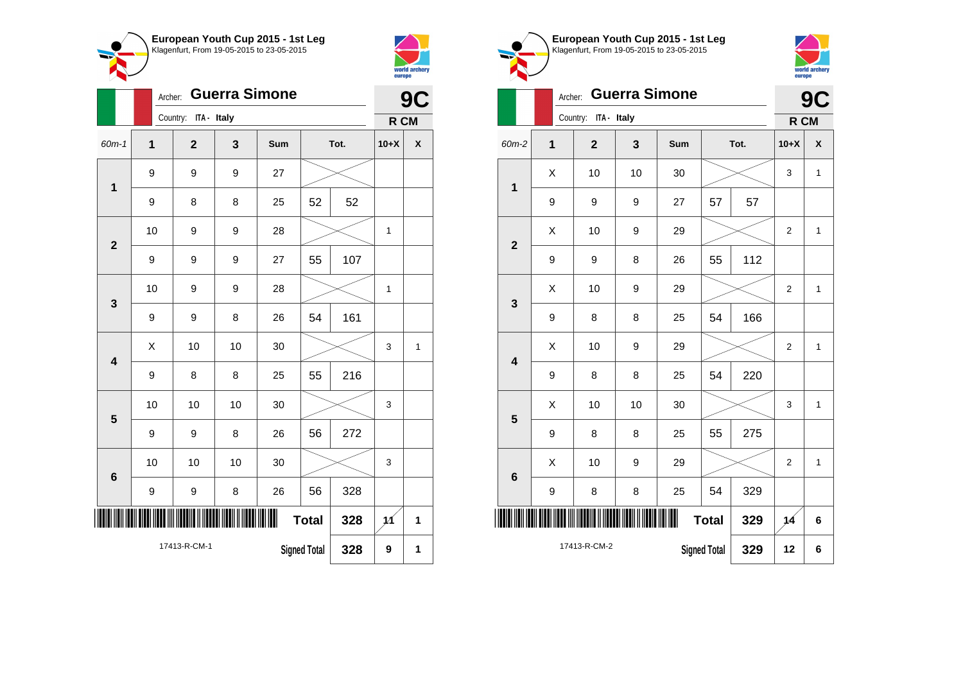



|                         |                | Archer: |                         |    | 9C  |                     |      |              |                    |
|-------------------------|----------------|---------|-------------------------|----|-----|---------------------|------|--------------|--------------------|
|                         |                |         | Country:<br>ITA - Italy |    |     |                     |      | R CM         |                    |
| $60m - 1$               | $\overline{1}$ |         | $\overline{2}$          | 3  | Sum |                     | Tot. | $10+X$       | $\pmb{\mathsf{X}}$ |
| $\mathbf{1}$            | 9              |         | 9                       | 9  | 27  |                     |      |              |                    |
|                         | 9              |         | 8                       | 8  | 25  | 52                  | 52   |              |                    |
| $\overline{\mathbf{2}}$ | 10             |         | 9                       | 9  | 28  |                     |      | 1            |                    |
|                         | 9              |         | 9                       | 9  | 27  | 55                  | 107  |              |                    |
| 3                       | 10             |         | 9                       | 9  | 28  |                     |      | $\mathbf{1}$ |                    |
|                         | 9              |         | 9                       | 8  | 26  | 54                  | 161  |              |                    |
| $\overline{\mathbf{4}}$ | X              |         | 10                      | 10 | 30  |                     |      | 3            | $\mathbf{1}$       |
|                         | 9              |         | 8                       | 8  | 25  | 55                  | 216  |              |                    |
| 5                       | 10             |         | 10                      | 10 | 30  |                     |      | 3            |                    |
|                         | 9              |         | 9                       | 8  | 26  | 56                  | 272  |              |                    |
| $6\phantom{a}$          | 10             |         | 10                      | 10 | 30  |                     |      | 3            |                    |
|                         | 9              |         | 9                       | 8  | 26  | 56                  | 328  |              |                    |
|                         |                |         |                         |    | Ш   | <b>Total</b>        | 328  | 11           | 1                  |
|                         |                |         | 17413-R-CM-1            |    |     | <b>Signed Total</b> | 328  | 9            | 1                  |



 $\begin{array}{|c|c|c|c|c|c|}\hline \hspace{.1cm}X & \hspace{.1cm} \text{ 10} & \hspace{.1cm} \text{9} & \hspace{.1cm} \text{29} & \hspace{.1cm} \text{20} & \hspace{.1cm} \text{3} & \hspace{.1cm} \text{2} & \hspace{.1cm} \text{21} & \hspace{.1cm} \text{11} & \hspace{.1cm} \hline \end{array}$ 

 $\begin{array}{|c|c|c|c|c|c|}\hline \hspace{.1cm}X & \hspace{.1cm} \text{ 10} & \hspace{.1cm} \text{ 10} & \hspace{.1cm} \text{ 30} & \hspace{.1cm} \end{array} \hspace{1.2cm} \begin{array}{|c|c|c|c|c|c|}\hline \hspace{.1cm}X & \hspace{.1cm} \text{ 3} & \hspace{.1cm} \text{ 1} & \hspace{.1cm} \text{ 4} & \hspace{.1cm} \end{array} \hspace{1.2cm}$ 

 $\begin{array}{|c|c|c|c|c|c|}\hline \hspace{.1cm}X & \hspace{.1cm} \text{ 10} & \hspace{.1cm} \text{9} & \hspace{.1cm} \text{29} & \hspace{.1cm} \text{20} & \hspace{.1cm} \text{3} & \hspace{.1cm} \text{2} & \hspace{.1cm} \text{21} & \hspace{.1cm} \text{11} & \hspace{.1cm} \hline \end{array}$ 

9 | 8 | 8 | 25 | 54 | 220

 $9 \mid 8 \mid 8 \mid 25 \mid 55 \mid 275$ 

9 | 8 | 8 | 25 | 54 | 329

\*17413-R-CM-2\*

17413-R-CM-2

**1**

**2**

**3**

**4**

**5**

**6**



|   | Archer: Guerra Simone |    |     |      |     |                | 9C |  |
|---|-----------------------|----|-----|------|-----|----------------|----|--|
|   | Country: ITA - Italy  |    |     |      |     | R CM           |    |  |
| 1 | $\mathbf{2}$          | 3  | Sum | Tot. |     | $10+X$         | X  |  |
| Χ | 10                    | 10 | 30  |      |     | 3              | 1  |  |
| 9 | 9                     | 9  | 27  | 57   | 57  |                |    |  |
| Χ | 10                    | 9  | 29  |      |     | $\overline{2}$ | 1  |  |
| 9 | 9                     | 8  | 26  | 55   | 112 |                |    |  |
| Χ | 10                    | 9  | 29  |      |     | $\overline{2}$ | 1  |  |
| 9 | 8                     | 8  | 25  | 54   | 166 |                |    |  |

**Total 329 14 6**

**Signed Total 329 12 6**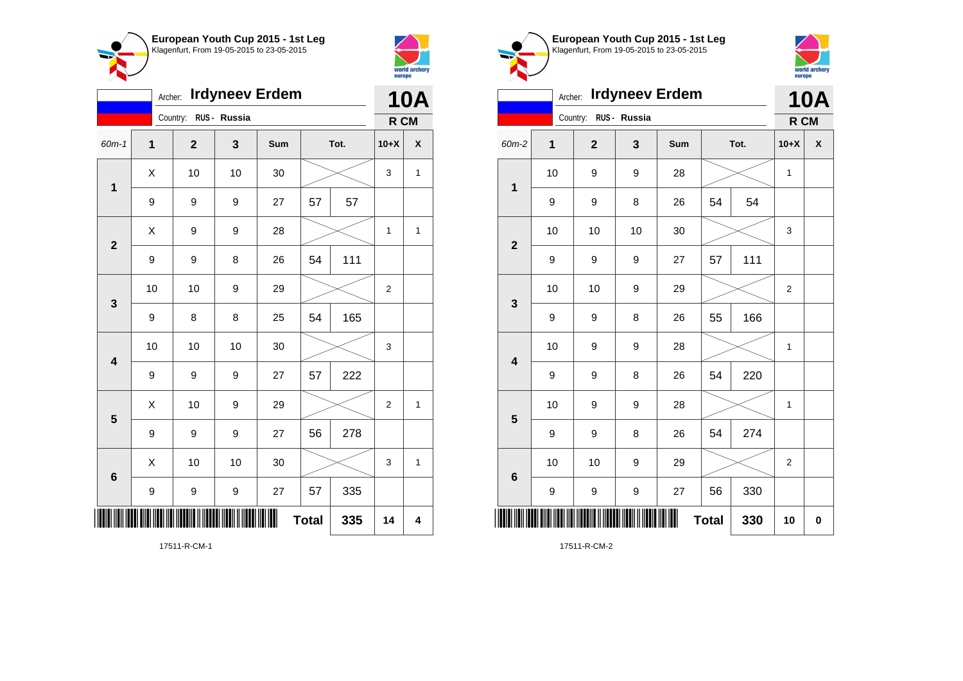



|                         | <b>Irdyneev Erdem</b><br>Archer: |                       |    |     |              |      |                |   |
|-------------------------|----------------------------------|-----------------------|----|-----|--------------|------|----------------|---|
|                         |                                  | Country: RUS - Russia |    |     |              |      | R CM           |   |
| 60m-1                   | 1                                | $\overline{2}$        | 3  | Sum |              | Tot. | $10+X$         | χ |
| $\mathbf 1$             | Χ<br>10                          |                       | 10 | 30  |              |      | 3              | 1 |
|                         | 9                                | 9                     | 9  | 27  | 57<br>57     |      |                |   |
| $\mathbf{2}$            | X                                | 9                     | 9  | 28  |              |      | 1              | 1 |
|                         | 9                                | 9                     | 8  | 26  | 54           | 111  |                |   |
| 3                       | 10                               | 10                    | 9  | 29  |              |      | $\overline{2}$ |   |
|                         | 9                                | 8                     | 8  | 25  | 54           | 165  |                |   |
| $\overline{\mathbf{4}}$ | 10                               | 10                    | 10 | 30  |              |      | 3              |   |
|                         | 9                                | 9                     | 9  | 27  | 57           | 222  |                |   |
| 5                       | X                                | 10                    | 9  | 29  |              |      | $\overline{2}$ | 1 |
|                         | 9                                | 9                     | 9  | 27  | 56           | 278  |                |   |
| 6                       | Χ                                | 10                    | 10 | 30  |              |      | 3              | 1 |
|                         | 9                                | 9                     | 9  | 27  | 57           | 335  |                |   |
| III                     |                                  |                       |    |     | <b>Total</b> | 335  | 14             | 4 |

Klagenfurt, From 19-05-2015 to 23-05-2015 world archery<br>europe Archer: **Irdyneev Erdem 10A** Country: **RUS - Russia R CM** 60m-2 **1 2 3 Sum Tot. 10+X X** 10 | 9 | 9 | 28 |  $\times$  | 1 **1** 9 | 9 | 8 | 26 | 54 | 54 10 | 10 | 10 | 30 |  $\times$  | 3 **2** 9 | 9 | 9 | 27 | 57 | 111 10 | 10 | 9 | 29 |  $\times$  | 2 **3** 9 | 9 | 8 | 26 | 55 | 166 10 | 9 | 9 | 28 |  $\times$  | 1 **4** 9 | 9 | 8 | 26 | 54 | 220 10 | 9 | 9 | 28 |  $\times$  | 1 **5** 9 | 9 | 8 | 26 | 54 | 274 10 | 10 | 9 | 29 |  $\times$  | 2 **6** 9 | 9 | 9 | 27 | 56 | 330 \*17511-R-CM-2\*  $Total | 330 | 10 | 0$ 

**European Youth Cup 2015 - 1st Leg**

17511-R-CM-2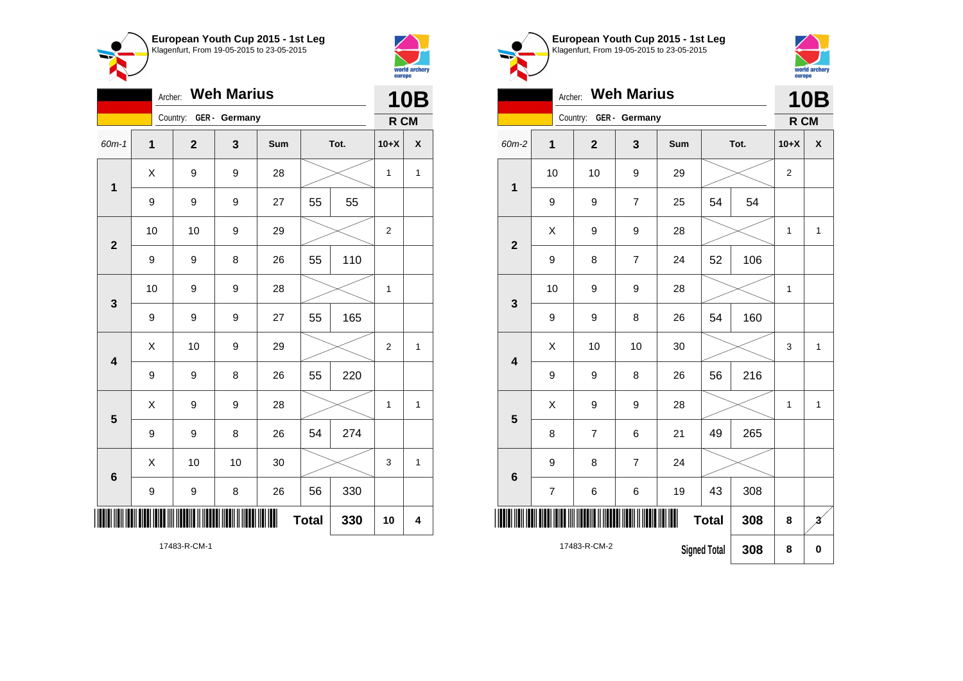

Archer: **Weh Marius**

Country: **GER - Germany**

**1**

**2**

**3**

**4**

**5**

**6**



**10B R CM**

| ◯ European Youth Cup 2015 - 1st Leg<br>Klagenfurt, From 19-05-2015 to 23-05-2015 |
|----------------------------------------------------------------------------------|
|                                                                                  |



|                         | Archer:                  |                | <b>Weh Marius</b> |     |                     |      |                | <b>10B</b>              |  |
|-------------------------|--------------------------|----------------|-------------------|-----|---------------------|------|----------------|-------------------------|--|
|                         |                          | Country:       | GER - Germany     |     |                     |      | R CM           |                         |  |
| 60m-2                   | $\mathbf 1$              | $\mathbf{2}$   | 3                 | Sum |                     | Tot. | $10+X$         | X                       |  |
| $\overline{1}$          | 10                       | 10             | 9                 | 29  |                     |      | $\overline{c}$ |                         |  |
|                         | 9                        | 9              | $\overline{7}$    | 25  | 54                  | 54   |                |                         |  |
| $\overline{2}$          | X                        | 9              | 9                 | 28  |                     |      | 1              | $\mathbf{1}$            |  |
|                         | 9                        | 8              | $\overline{7}$    | 24  | 52                  | 106  |                |                         |  |
| 3                       | 10                       | 9              | 9                 | 28  |                     |      | $\mathbf 1$    |                         |  |
|                         | 9                        | 9              | 8                 | 26  | 54                  | 160  |                |                         |  |
| $\overline{\mathbf{4}}$ | X                        | 10             | 10                | 30  |                     |      | 3              | $\mathbf{1}$            |  |
|                         | 9                        | 9              | 8                 | 26  | 56                  | 216  |                |                         |  |
| 5                       | X                        | 9              | 9                 | 28  |                     |      | 1              | $\mathbf{1}$            |  |
|                         | 8                        | $\overline{7}$ | 6                 | 21  | 49                  | 265  |                |                         |  |
| $6\phantom{1}6$         | 9                        | 8              | 7                 | 24  |                     |      |                |                         |  |
|                         | $\overline{\mathcal{I}}$ | 6              | 6                 | 19  | 43                  | 308  |                |                         |  |
|                         |                          |                |                   |     | <b>Total</b>        | 308  | 8              | $\overline{\mathbf{3}}$ |  |
|                         |                          | 17483-R-CM-2   |                   |     | <b>Signed Total</b> | 308  | 8              | $\bf{0}$                |  |

17483-R-CM-1

\*17483-R-CM-1\*

9 | 9 | 8 | 26 | 55 | 110

10 | 9 | 9 | 28 |  $\times$  | 1

 $\begin{array}{|c|c|c|c|c|c|}\hline \hspace{.1cm}X & \hspace{.1cm} \text{ 10} & \hspace{.1cm} \text{9} & \hspace{.1cm} \text{29} & \hspace{.1cm} \text{20} & \hspace{.1cm} \text{3} & \hspace{.1cm} \text{2} & \hspace{.1cm} \text{2} & \hspace{.1cm} \text{1} & \hspace{.1cm} \text{2} & \hspace{.1cm} \text{2} & \hspace{.1cm} \text{1} & \hspace{.1cm} \text{2} & \hspace{.1cm} \text{2} & \hspace$ 

 $X$  | 9 | 9 | 28 |  $\times$  | 1 | 1

 $\begin{array}{|c|c|c|c|c|c|}\hline \hspace{.1cm}X & \hspace{.1cm} \text{ 10} & \hspace{.1cm} \text{ 10} & \hspace{.1cm} \text{ 30} & \hspace{.1cm} \end{array} \hspace{.2cm} \begin{array}{|c|c|c|c|c|c|}\hline \hspace{.1cm}X & \hspace{.1cm} \text{ 3} & \hspace{.1cm} \text{ 1} & \hspace{.1cm} \text{ 4} & \hspace{.1cm} \end{array}$ 

 $Total | 330 | 10 | 4$ 

9 | 9 | 9 | 27 | 55 | 165

9 | 9 | 8 | 26 | 55 | 220

9 | 9 | 8 | 26 | 54 | 274

9 | 9 | 8 | 26 | 56 | 330

10 | 10 | 9 | 29 |  $\times$  | 2

60m-1 **1 2 3 Sum Tot. 10+X X**

9 | 9 | 27 | 55 | 55

 $X$  | 9 | 9 | 28 |  $\times$  | 1 | 1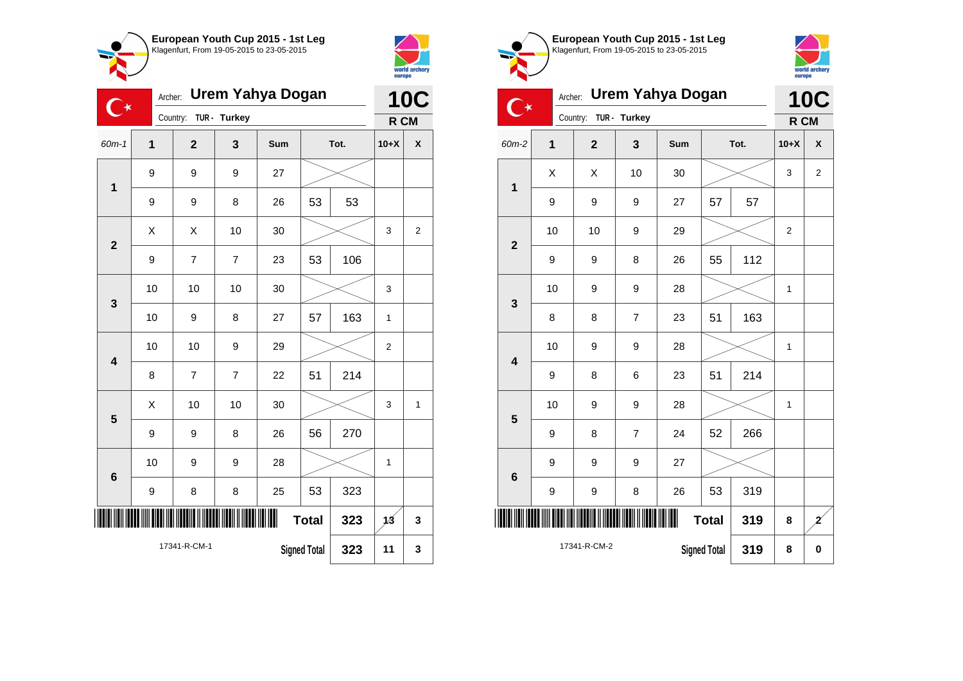

Country: **TUR - Turkey**

9 9 9 27

**1**

 $\overline{C^*}$ 

**2**

**3**

**4**

**5**

**6**

Archer: **Urem Yahya Dogan**

60m-1 **1 2 3 Sum Tot. 10+X X**

9 | 9 | 8 | 26 | 53 | 53

9 | 7 | 7 | 23 | 53 | 106

10 | 10 | 10 | 30 |  $\times$  | 3

10 | 9 | 8 | 27 | 57 | 163 | 1

10 | 10 | 9 | 29 |  $\times$  | 2

 $\begin{array}{|c|c|c|c|c|c|}\hline \hspace{.1cm}X & \hspace{.1cm} \text{ 10} & \hspace{.1cm} \text{ 10} & \hspace{.1cm} \text{ 30} & \hspace{.1cm} \end{array} \hspace{.2cm} \begin{array}{|c|c|c|c|c|c|}\hline \hspace{.1cm}X & \hspace{.1cm} \text{ 3} & \hspace{.1cm} \text{ 1} & \hspace{.1cm} \text{ 4} & \hspace{.1cm} \end{array}$ 

**Total 323 13 3**

**Signed Total 323 11 3**

8 7 7 22 51 214

9 | 9 | 8 | 26 | 56 | 270

9 | 8 | 8 | 25 | 53 | 323

\*17341-R-CM-1\*

17341-R-CM-1

10 | 9 | 9 | 28 |  $\times$  | 1

 $\begin{array}{|c|c|c|c|c|c|}\hline \hspace{.1cm}X & \hspace{.1cm} \hspace{.1cm}X & \hspace{.1cm} \hspace{.1cm}10 & \hspace{.1cm} \hspace{.1cm}30 & \hspace{.1cm}\hline \end{array} \hspace{.2cm} \begin{array}{c} \begin{array}{c} \text{\large $\times$} & \hspace{.1cm}1 & \hspace{.1cm}3 & \hspace{.1cm} \end{array}2 \\ \hline \end{array}$ 



**10C R CM**

| European Youth Cup 2015 - 1st Leg<br>Klagenfurt, From 19-05-2015 to 23-05-2015 |
|--------------------------------------------------------------------------------|
|                                                                                |
|                                                                                |



|                         | <b>10C</b>   |                                            |                |     |              |      |                |                |  |
|-------------------------|--------------|--------------------------------------------|----------------|-----|--------------|------|----------------|----------------|--|
|                         | Country:     |                                            | TUR - Turkey   |     |              |      | R CM           |                |  |
| 60m-2                   | $\mathbf{1}$ | $\overline{2}$                             | 3              | Sum |              | Tot. |                | X              |  |
| 1                       | X            | X                                          | 10             | 30  |              |      | 3              | $\overline{2}$ |  |
|                         | 9            | 9                                          | 9              | 27  | 57           | 57   |                |                |  |
| $\overline{2}$          | 10           | 10                                         | 9              | 29  |              |      | $\overline{2}$ |                |  |
|                         | 9            | 9                                          | 8              | 26  | 55           | 112  |                |                |  |
|                         | 10           | 9                                          | 9              | 28  |              |      | 1              |                |  |
| 3                       | 8            | 8                                          | $\overline{7}$ | 23  | 51           | 163  |                |                |  |
| $\overline{\mathbf{4}}$ | 10           | 9                                          | 9              | 28  |              |      | 1              |                |  |
|                         | 9            | 8                                          | 6              | 23  | 214<br>51    |      |                |                |  |
| 5                       | 10           | 9                                          | 9              | 28  |              |      | 1              |                |  |
|                         | 9            | 8                                          | $\overline{7}$ | 24  | 52           | 266  |                |                |  |
| 6                       | 9            | 9                                          | 9              | 27  |              |      |                |                |  |
|                         | 9            | 9                                          | 8              | 26  | 53           | 319  |                |                |  |
| IIII                    |              |                                            |                | Ш   | <b>Total</b> | 319  | 8              | $\mathbf{z}$   |  |
|                         |              | 17341-R-CM-2<br><b>Signed Total</b><br>319 |                |     |              |      |                |                |  |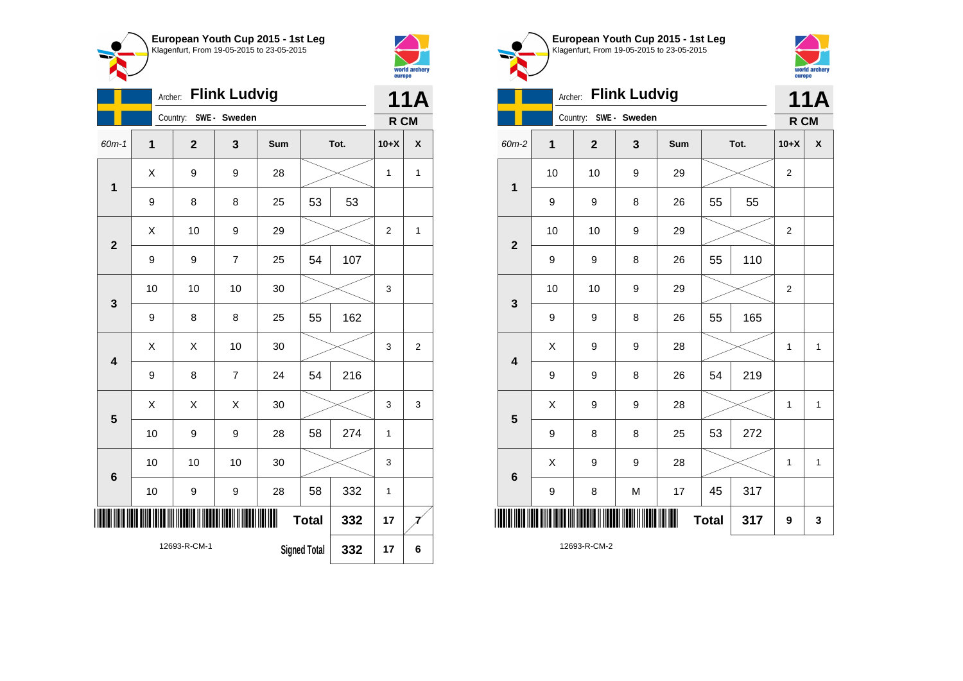



|                         | <b>Flink Ludvig</b><br>Archer: |    |                |                |     |                     |      |                |   |
|-------------------------|--------------------------------|----|----------------|----------------|-----|---------------------|------|----------------|---|
|                         |                                |    | Country:       | SWE - Sweden   |     |                     |      | R CM           |   |
| 60m-1                   | 1                              |    | $\overline{2}$ | 3              | Sum |                     | Tot. | $10+X$         | X |
|                         | X<br>$\mathbf 1$               |    | 9              | 9              | 28  |                     |      | $\mathbf{1}$   | 1 |
|                         | 9                              |    | 8              | 8              | 25  | 53                  | 53   |                |   |
| $\overline{2}$          |                                | X  | 10             | 9              | 29  |                     |      | $\overline{2}$ | 1 |
|                         |                                | 9  | 9              | $\overline{7}$ | 25  | 54                  | 107  |                |   |
| 3                       |                                | 10 | 10             | 10             | 30  |                     |      | 3              |   |
|                         | 9                              |    | 8              | 8              | 25  | 55                  | 162  |                |   |
| $\overline{\mathbf{4}}$ |                                | Χ  | Χ              | 10             | 30  |                     |      | 3              | 2 |
|                         |                                | 9  | 8              | $\overline{7}$ | 24  | 54                  | 216  |                |   |
| 5                       |                                | X  | X              | X              | 30  |                     |      | 3              | 3 |
|                         |                                | 10 | 9              | 9              | 28  | 58                  | 274  | $\mathbf{1}$   |   |
| 6                       |                                | 10 | 10             | 10             | 30  |                     |      | 3              |   |
|                         |                                | 10 | 9              | 9              | 28  | 58                  | 332  | $\mathbf{1}$   |   |
|                         |                                |    |                |                | ∭   | <b>Total</b>        | 332  | 17             |   |
|                         |                                |    | 12693-R-CM-1   |                |     | <b>Signed Total</b> | 332  | 17             | 6 |





|                         | Archer:     |                       | <b>Flink Ludvig</b> |     |              |      |                | <b>11A</b>         |
|-------------------------|-------------|-----------------------|---------------------|-----|--------------|------|----------------|--------------------|
|                         |             | Country: SWE - Sweden |                     |     |              |      | R CM           |                    |
| 60m-2                   | $\mathbf 1$ | $\mathbf{2}$          | 3                   | Sum |              | Tot. | $10+X$         | $\pmb{\mathsf{X}}$ |
| 1                       | 10          | 10                    | 9                   | 29  |              |      | $\overline{c}$ |                    |
|                         | 9           | 9                     | 8                   | 26  | 55           | 55   |                |                    |
| $\overline{\mathbf{2}}$ | 10          | 10                    | 9                   | 29  |              |      | 2              |                    |
|                         | 9           | 9                     | 8                   | 26  | 55           | 110  |                |                    |
| $\mathbf 3$             | 10          | 10                    | 9                   | 29  |              |      | 2              |                    |
|                         | 9           | 9                     | 8                   | 26  | 55           | 165  |                |                    |
| $\overline{\mathbf{4}}$ | X           | 9                     | 9                   | 28  |              |      | $\mathbf{1}$   | $\mathbf{1}$       |
|                         | 9           | 9                     | 8                   | 26  | 54           | 219  |                |                    |
| 5                       | X           | 9                     | 9                   | 28  |              |      | $\mathbf{1}$   | $\mathbf{1}$       |
|                         | 9           | 8                     | 8                   | 25  | 53           | 272  |                |                    |
| $6\phantom{1}6$         | X           | 9                     | 9                   | 28  |              |      | $\mathbf{1}$   | $\mathbf{1}$       |
|                         | 9           | 8                     | M                   | 17  | 45           | 317  |                |                    |
|                         |             |                       |                     |     | <b>Total</b> | 317  | 9              | 3                  |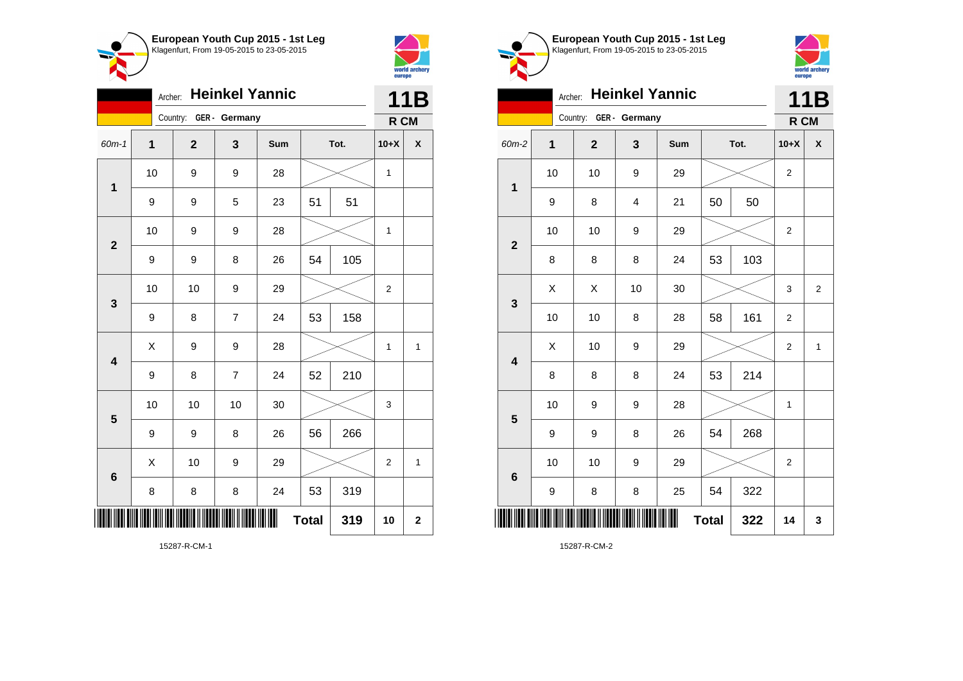



|                         | <b>Heinkel Yannic</b><br>Archer: |                        |                |     |              |     |                |              |
|-------------------------|----------------------------------|------------------------|----------------|-----|--------------|-----|----------------|--------------|
|                         |                                  | Country: GER - Germany |                |     |              |     | R CM           |              |
| 60m-1                   | 1                                | $\overline{2}$         | 3              | Sum | Tot.         |     | $10+X$         | χ            |
| $\mathbf 1$             | 10                               | 9                      | 9              | 28  |              |     | $\mathbf{1}$   |              |
|                         | 9                                | 9                      | 5              | 23  | 51           | 51  |                |              |
| $\mathbf{2}$            | 10                               | 9                      | 9              | 28  |              |     | $\mathbf 1$    |              |
|                         | 9                                | 9                      | 8              | 26  | 54           | 105 |                |              |
| 3                       | 10                               | 10                     | 9              | 29  |              |     | $\overline{2}$ |              |
|                         | 9                                | 8                      | $\overline{7}$ | 24  | 53           | 158 |                |              |
| $\overline{\mathbf{4}}$ | X                                | 9                      | 9              | 28  |              |     | 1              | $\mathbf{1}$ |
|                         | 9                                | 8                      | $\overline{7}$ | 24  | 52           | 210 |                |              |
| 5                       | 10                               | 10                     | 10             | 30  |              |     | 3              |              |
|                         | 9                                | 9                      | 8              | 26  | 56           | 266 |                |              |
| $6\phantom{1}6$         | Χ                                | 10                     | 9              | 29  |              |     | $\overline{2}$ | $\mathbf{1}$ |
|                         | 8                                | 8                      | 8              | 24  | 53           | 319 |                |              |
| ║║║                     |                                  |                        |                |     | <b>Total</b> | 319 | 10             | $\mathbf 2$  |





|                         | Archer: Heinkel Yannic |                        |                         |     |              |      |                  |                    |  |  |
|-------------------------|------------------------|------------------------|-------------------------|-----|--------------|------|------------------|--------------------|--|--|
|                         |                        | Country: GER - Germany |                         |     |              |      |                  | R CM               |  |  |
| 60m-2                   | $\mathbf 1$            | $\mathbf{2}$           | 3                       | Sum |              | Tot. | $10+X$           | $\pmb{\mathsf{X}}$ |  |  |
| $\mathbf 1$             | 10                     | 10                     | 9                       | 29  |              |      | $\boldsymbol{2}$ |                    |  |  |
|                         | 9                      | 8                      | $\overline{\mathbf{4}}$ | 21  | 50<br>50     |      |                  |                    |  |  |
| $\overline{\mathbf{2}}$ | 10                     | 10                     | 9                       | 29  |              |      | $\boldsymbol{2}$ |                    |  |  |
|                         | 8                      | 8                      | 8                       | 24  | 53           | 103  |                  |                    |  |  |
| 3                       | X                      | X                      | 10                      | 30  |              |      | 3                | $\overline{2}$     |  |  |
|                         | 10                     | 10                     | 8                       | 28  | 58           | 161  | $\overline{2}$   |                    |  |  |
| $\overline{\mathbf{4}}$ | X                      | 10                     | 9                       | 29  |              |      | $\mathbf 2$      | $\mathbf{1}$       |  |  |
|                         | 8                      | 8                      | 8                       | 24  | 53           | 214  |                  |                    |  |  |
| 5                       | 10                     | 9                      | 9                       | 28  |              |      | 1                |                    |  |  |
|                         | 9                      | 9                      | 8                       | 26  | 54           | 268  |                  |                    |  |  |
| 6                       | 10                     | 10                     | 9                       | 29  |              |      | $\overline{2}$   |                    |  |  |
|                         | 9                      | 8                      | 8                       | 25  | 54           | 322  |                  |                    |  |  |
| III                     |                        |                        |                         |     | <b>Total</b> | 322  | 14               | 3                  |  |  |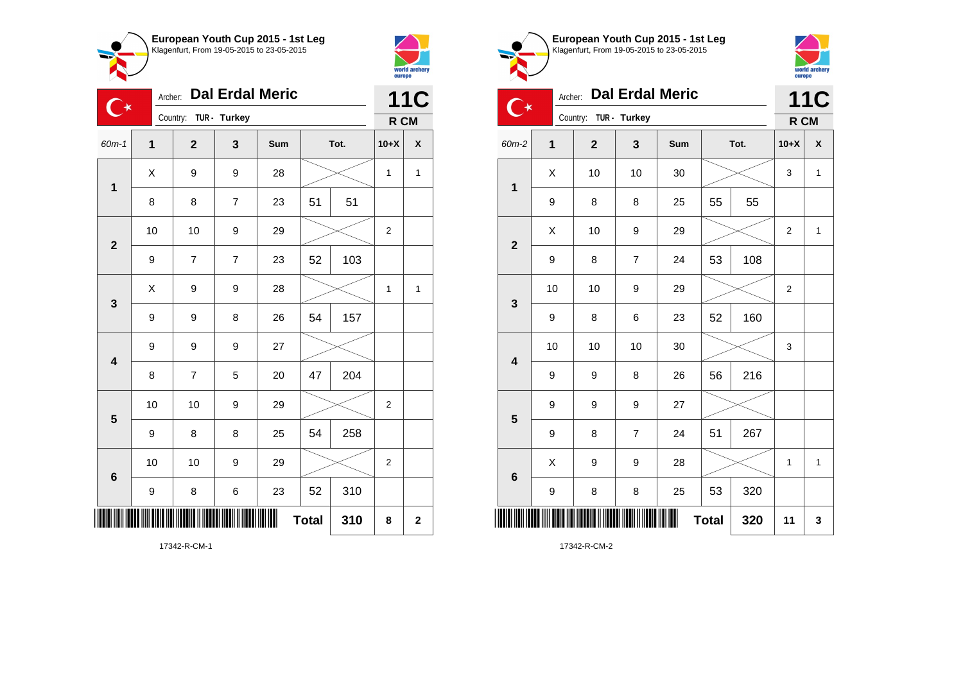



|                         |             | <b>11C</b>     |                |     |              |     |                |             |  |
|-------------------------|-------------|----------------|----------------|-----|--------------|-----|----------------|-------------|--|
|                         |             | Country:       | TUR - Turkey   |     |              |     | R CM           |             |  |
| 60m-1                   | $\mathbf 1$ | $\mathbf{2}$   | 3              | Sum | Tot.         |     | $10+X$         | X           |  |
| $\mathbf{1}$            | X           | 9              | 9              | 28  |              |     | 1              | 1           |  |
|                         | 8           | 8              | 7              | 23  | 51<br>51     |     |                |             |  |
| $\overline{\mathbf{2}}$ | 10          | 10             | 9              | 29  |              |     | $\overline{2}$ |             |  |
|                         | 9           | $\overline{7}$ | $\overline{7}$ | 23  | 52           | 103 |                |             |  |
| 3                       | Χ           | 9              | 9              | 28  |              |     | 1              | 1           |  |
|                         | 9           | 9              | 8              | 26  | 54           | 157 |                |             |  |
| $\overline{\mathbf{4}}$ | 9           | 9              | 9              | 27  |              |     |                |             |  |
|                         | 8           | 7              | 5              | 20  | 47           | 204 |                |             |  |
| 5                       | 10          | 10             | 9              | 29  |              |     | $\overline{2}$ |             |  |
|                         | 9           | 8              | 8              | 25  | 54           | 258 |                |             |  |
| 6                       | 10          | 10             | 9              | 29  |              |     | $\overline{2}$ |             |  |
|                         | 9           | 8              | 6              | 23  | 52           | 310 |                |             |  |
| IIII                    |             |                |                | Ш   | <b>Total</b> | 310 | 8              | $\mathbf 2$ |  |

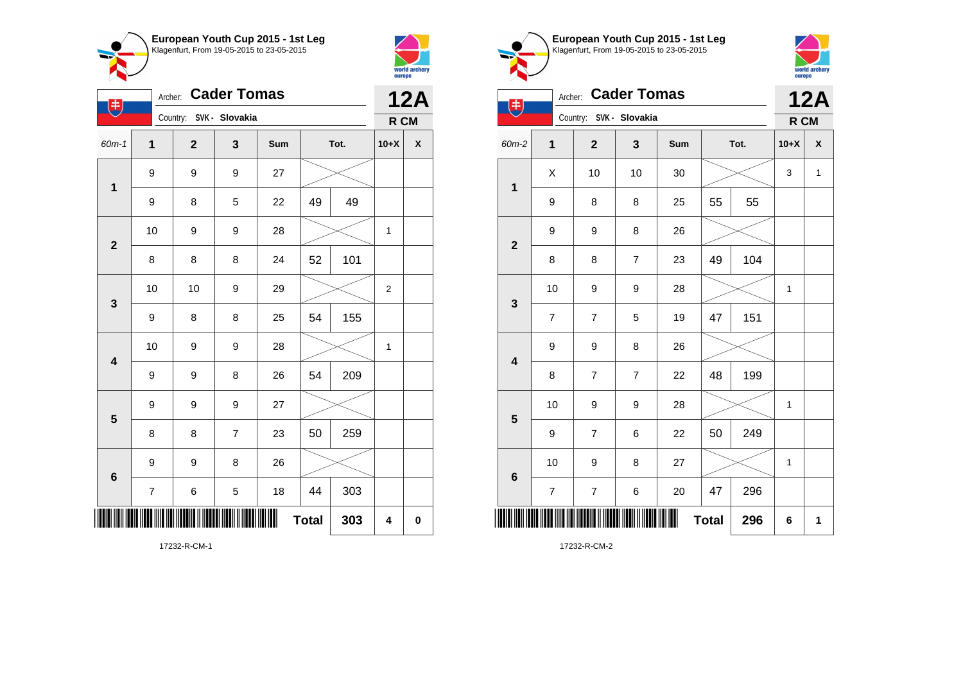



| $(\ddag)$               | Archer:          |                         | <b>Cader Tomas</b> |     |              |      | <b>12A</b>     |   |
|-------------------------|------------------|-------------------------|--------------------|-----|--------------|------|----------------|---|
|                         |                  | Country: SVK - Slovakia |                    |     |              |      | R CM           |   |
| $60m-1$                 | 1                | $\overline{2}$          | 3                  | Sum |              | Tot. | $10+X$         | X |
| $\mathbf 1$             | 9                | 9                       | 9                  | 27  |              |      |                |   |
|                         | 9                | 8                       | 5                  | 22  | 49           | 49   |                |   |
| $\mathbf{2}$            | 10               | 9                       | 9                  | 28  |              |      | $\mathbf 1$    |   |
|                         | 8                | 8                       | 8                  | 24  | 52           | 101  |                |   |
| $\mathbf 3$             | 10               | 10                      | 9                  | 29  |              |      | $\overline{2}$ |   |
|                         | 9                | 8                       | 8                  | 25  | 54           | 155  |                |   |
| $\overline{\mathbf{4}}$ | 10               | 9                       | 9                  | 28  |              |      | 1              |   |
|                         | 9                | 9                       | 8                  | 26  | 54           | 209  |                |   |
| $\overline{\mathbf{5}}$ | 9                | 9                       | 9                  | 27  |              |      |                |   |
|                         | 8                | 8                       | 7                  | 23  | 50           | 259  |                |   |
| $\bf 6$                 | 9                | 9                       | 8                  | 26  |              |      |                |   |
|                         | $\boldsymbol{7}$ | 6                       | 5                  | 18  | 44           | 303  |                |   |
|                         |                  |                         |                    |     | <b>Total</b> | 303  | 4              | 0 |

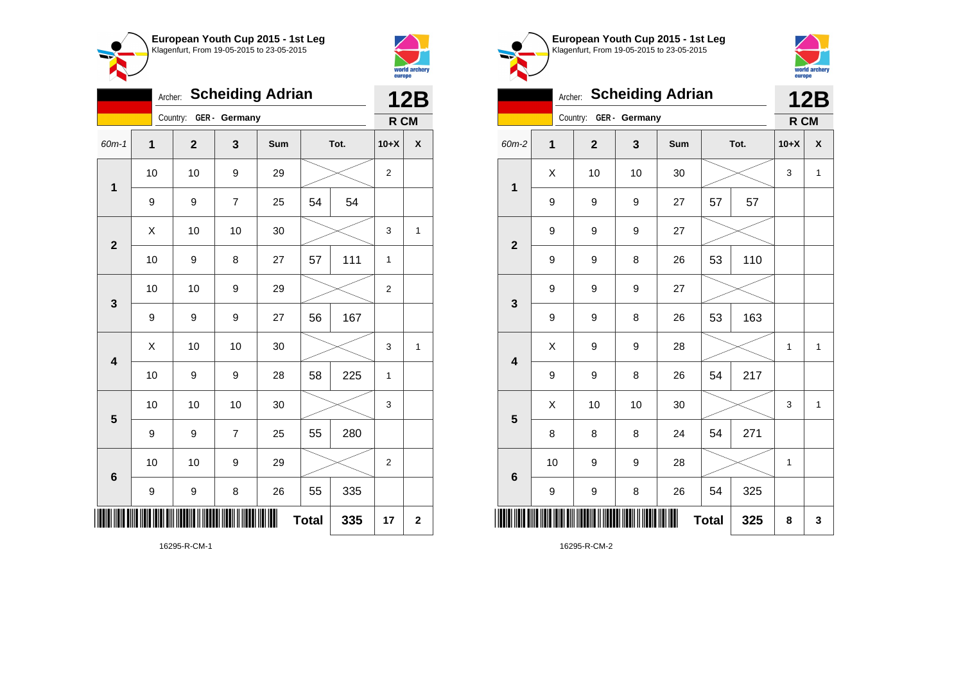

Country: **GER - Germany**

**1**

**2**

**3**

**4**

**5**

**6**

Archer: **Scheiding Adrian**

60m-1 **1 2 3 Sum Tot. 10+X X**

9 | 9 | 7 | 25 | 54 | 54

10 | 10 | 9 | 29 |  $\times$  | 2

10 | 9 | 8 | 27 | 57 | 111 | 1

10 | 10 | 9 | 29 |  $\times$  | 2

10 | 9 | 9 | 28 | 58 | 225 | 1

10 | 10 | 10 | 30 |  $\times$  | 3

10 | 10 | 9 | 29 |  $\times$  | 2

**Total 335 17 2**

9 | 9 | 7 | 25 | 55 | 280

9 | 9 | 8 | 26 | 55 | 335

9 | 9 | 9 | 27 | 56 | 167

 $\begin{array}{|c|c|c|c|c|c|}\hline \hspace{.1cm}X & \hspace{.1cm} \text{ 10} & \hspace{.1cm} \text{ 10} & \hspace{.1cm} \text{ 30} & \hspace{.1cm} \end{array} \hspace{.2cm} \begin{array}{|c|c|c|c|c|c|}\hline \hspace{.1cm}X & \hspace{.1cm} \text{ 3} & \hspace{.1cm} \text{ 1} & \hspace{.1cm} \text{ 4} & \hspace{.1cm} \end{array}$ 

 $\textsf{X}$  | 10 | 10 | 30 |  $\textcolor{blue}{\swarrow}$  | 3 | 1



**12B R CM**

| European Youth Cup 2015 - 1st Leg<br>Klagenfurt, From 19-05-2015 to 23-05-2015 |
|--------------------------------------------------------------------------------|
|                                                                                |
|                                                                                |



|                         | Archer: |                |               | <b>Scheiding Adrian</b> |              |      |        | <b>12B</b>         |
|-------------------------|---------|----------------|---------------|-------------------------|--------------|------|--------|--------------------|
|                         |         | Country:       | GER - Germany |                         |              |      | R CM   |                    |
| 60m-2                   | 1       | $\overline{2}$ | 3             | Sum                     |              | Tot. | $10+X$ | $\pmb{\mathsf{X}}$ |
|                         | X       | 10             | 10            | 30                      |              |      | 3      | $\mathbf{1}$       |
| 1                       | 9       | 9              | 9             | 27                      | 57           | 57   |        |                    |
| $\overline{\mathbf{2}}$ | 9       | 9              | 9             | 27                      |              |      |        |                    |
|                         | 9       | 9              | 8             | 26                      | 53           | 110  |        |                    |
| 3                       | 9       | 9              | 9             | 27                      |              |      |        |                    |
|                         | 9       | 9              | 8             | 26                      | 53           | 163  |        |                    |
| $\overline{\mathbf{4}}$ | X       | 9              | 9             | 28                      |              |      | 1      | $\mathbf{1}$       |
|                         | 9       | 9              | 8             | 26                      | 54           | 217  |        |                    |
| 5                       | X       | 10             | 10            | 30                      |              |      | 3      | $\mathbf{1}$       |
|                         | 8       | 8              | 8             | 24                      | 54           | 271  |        |                    |
|                         | 10      | 9              | 9             | 28                      |              |      | 1      |                    |
| 6                       | 9       | 9              | 8             | 26                      | 54           | 325  |        |                    |
|                         |         |                |               |                         | <b>Total</b> | 325  | 8      | 3                  |

16295-R-CM-1

\*16295-R-CM-1\*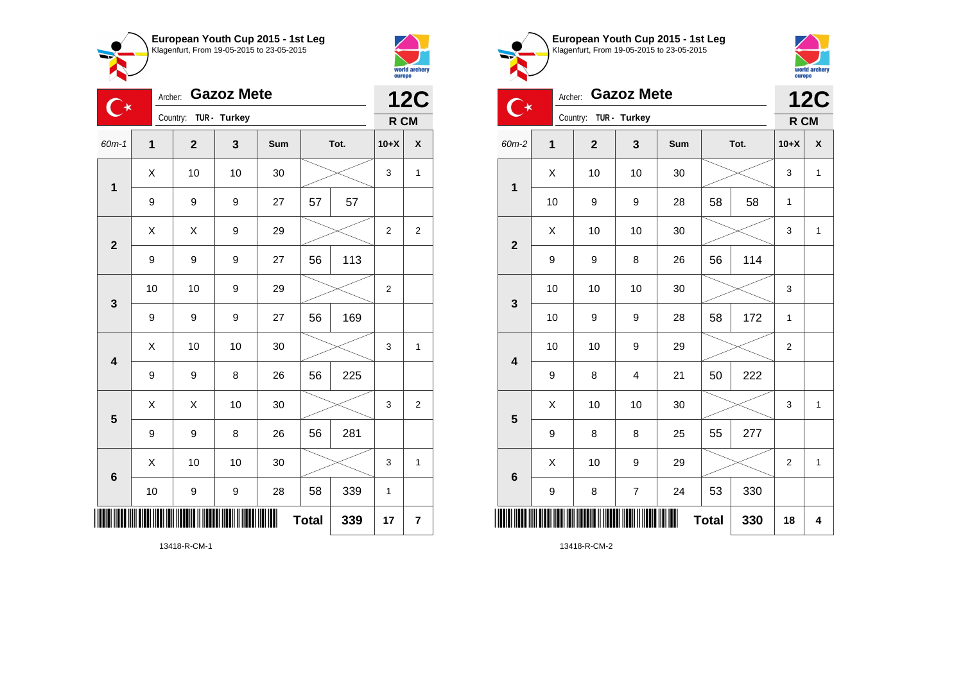



| ⊽ ∠⊽ ເ |    |      | europe         | world archery  |
|--------|----|------|----------------|----------------|
|        |    |      | R CM           | <b>12C</b>     |
| m      |    | Tot. | $10+X$         | X              |
| )      |    |      | 3              | 1              |
| 7      | 57 | 57   |                |                |
| J      |    |      |                | $\overline{c}$ |
| 7      | 56 | 113  |                |                |
| €      |    |      | $\overline{2}$ |                |

| 、★                      | Archer: |                | <b>Gazoz Mete</b> |     |              |      |                | <b>12C</b>     |
|-------------------------|---------|----------------|-------------------|-----|--------------|------|----------------|----------------|
|                         |         | Country:       | TUR - Turkey      |     |              |      | R CM           |                |
| $60m-1$                 | 1       | $\overline{2}$ | 3                 | Sum |              | Tot. | $10+X$         | X              |
| $\mathbf 1$             | Χ       | 10             | 10                | 30  |              |      | 3              | 1              |
|                         | 9       | 9              | 9                 | 27  | 57           | 57   |                |                |
| $\overline{2}$          | X       | X              | 9                 | 29  |              |      | $\overline{2}$ | $\overline{2}$ |
|                         | 9       | 9              | 9                 | 27  | 56           | 113  |                |                |
| 3                       | 10      | 10             | 9                 | 29  |              |      | 2              |                |
|                         | 9       | 9              | 9                 | 27  | 56           | 169  |                |                |
| $\overline{\mathbf{4}}$ | X       | 10             | 10                | 30  |              |      | 3              | 1              |
|                         | 9       | 9              | 8                 | 26  | 56           | 225  |                |                |
| 5                       | X       | X              | 10                | 30  |              |      | 3              | $\overline{2}$ |
|                         | 9       | 9              | 8                 | 26  | 56           | 281  |                |                |
| $\bf 6$                 | X       | 10             | 10                | 30  |              |      | 3              | 1              |
|                         | 10      | 9              | 9                 | 28  | 58           | 339  | $\mathbf{1}$   |                |
|                         |         |                |                   |     | <b>Total</b> | 339  | 17             | 7              |

**European Youth Cup 2015 - 1st Leg**  $\overline{\phantom{a}}$ Klagenfurt, From 19-05-2015 to 23-05-2015



| ਿਂ★                     | Archer:     |                | <b>Gazoz Mete</b>       |     |              |      | <b>12C</b> |              |
|-------------------------|-------------|----------------|-------------------------|-----|--------------|------|------------|--------------|
|                         |             | Country:       | TUR - Turkey            |     |              |      | R CM       |              |
| 60m-2                   | $\mathbf 1$ | $\overline{2}$ | 3                       | Sum |              | Tot. | $10+X$     | X            |
| $\mathbf 1$             | X           | 10             | 10                      | 30  |              |      | 3          | $\mathbf{1}$ |
|                         | 10          | 9              | 9                       | 28  | 58           | 58   | 1          |              |
| $\mathbf{2}$            | X           | 10             | 10                      | 30  |              |      | 3          | 1            |
|                         | 9           | 9              | 8                       | 26  | 56           | 114  |            |              |
| $\mathbf{3}$            | 10          | 10             | 10                      | 30  |              |      | 3          |              |
|                         | 10          | 9              | 9                       | 28  | 58           | 172  | 1          |              |
| $\overline{\mathbf{4}}$ | 10          | 10             | $\boldsymbol{9}$        | 29  |              |      | 2          |              |
|                         | 9           | 8              | $\overline{\mathbf{4}}$ | 21  | 50           | 222  |            |              |
| 5                       | X           | 10             | 10                      | 30  |              |      | 3          | $\mathbf{1}$ |
|                         | 9           | 8              | 8                       | 25  | 55           | 277  |            |              |
| $6\phantom{1}6$         | X           | 10             | 9                       | 29  |              |      | 2          | 1            |
|                         | 9           | 8              | $\overline{7}$          | 24  | 53           | 330  |            |              |
| ║                       |             |                |                         |     | <b>Total</b> | 330  | 18         | 4            |

13418-R-CM-2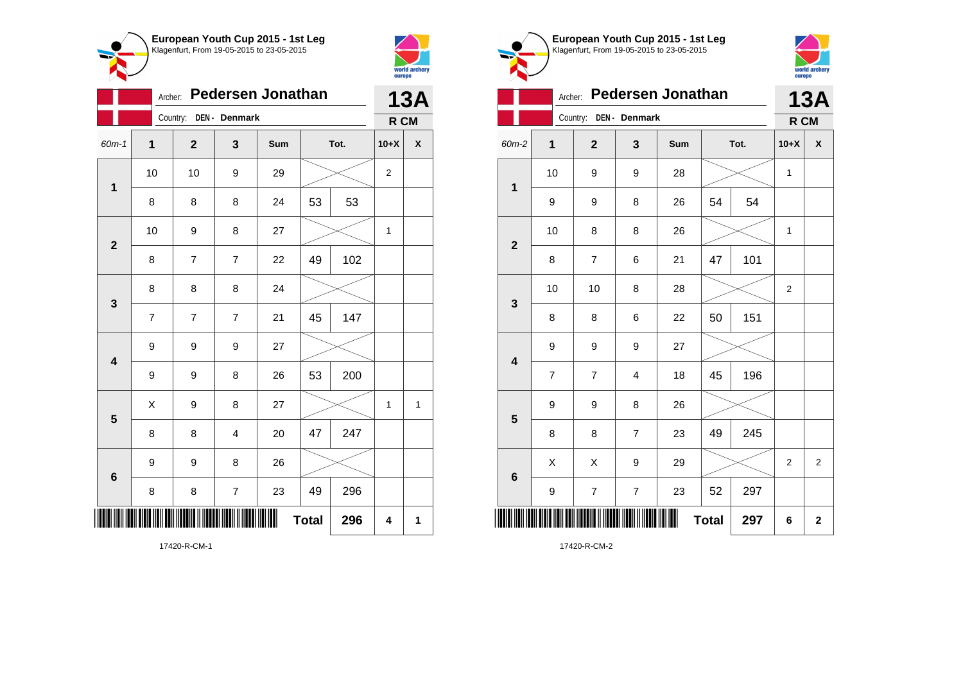



|                         | Archer:        |                |                         | <b>Pedersen Jonathan</b> |              |      |                | <b>13A</b> |
|-------------------------|----------------|----------------|-------------------------|--------------------------|--------------|------|----------------|------------|
|                         |                | Country:       | DEN - Denmark           |                          |              |      | R CM           |            |
| $60m-1$                 | 1              | $\overline{2}$ | 3                       | Sum                      |              | Tot. | $10+X$         | X          |
| $\mathbf{1}$            | 10             | 10             | 9                       | 29                       |              |      | $\overline{2}$ |            |
|                         | 8              | 8              | 8                       | 24                       | 53           | 53   |                |            |
| $\overline{\mathbf{2}}$ | 10             | 9              | 8                       | 27                       |              |      | 1              |            |
|                         | 8              | 7              | $\overline{7}$          | 22                       | 49           | 102  |                |            |
| $\mathbf{3}$            | 8              | 8              | 8                       | 24                       |              |      |                |            |
|                         | $\overline{7}$ | 7              | $\overline{7}$          | 21                       | 45           | 147  |                |            |
| $\overline{\mathbf{4}}$ | 9              | 9              | 9                       | 27                       |              |      |                |            |
|                         | 9              | 9              | 8                       | 26                       | 53           | 200  |                |            |
| 5                       | X              | 9              | 8                       | 27                       |              |      | 1              | 1          |
|                         | 8              | 8              | $\overline{\mathbf{4}}$ | 20                       | 47           | 247  |                |            |
| 6                       | 9              | 9              | 8                       | 26                       |              |      |                |            |
|                         | 8              | 8              | $\overline{\mathbf{7}}$ | 23                       | 49           | 296  |                |            |
| ∭                       |                |                |                         |                          | <b>Total</b> | 296  | 4              | 1          |

**European Youth Cup 2015 - 1st Leg** Klagenfurt, From 19-05-2015 to 23-05-2015 world archery<br>europe Archer: **Pedersen Jonathan 13A** Country: **DEN - Denmark R CM** 60m-2 **1 2 3 Sum Tot. 10+X X** 10 | 9 | 9 | 28 |  $\times$  | 1 **1** 9 | 9 | 8 | 26 | 54 | 54 10 | 8 | 8 | 26 |  $\times$  | 1 **2** 8 | 7 | 6 | 21 | 47 | 101 10 | 10 | 8 | 28 |  $\times$  | 2 **3** 8 | 8 | 6 | 22 | 50 | 151 9 9 9 27 **4** 7 | 7 | 4 | 18 | 45 | 196 9 9 8 26 **5** 8 | 8 | 7 | 23 | 49 | 245  $\begin{array}{|c|c|c|c|c|c|}\hline \hspace{.1cm}X & \hspace{.1cm} & \hspace{.1cm}3 & \hspace{.1cm} & \hspace{.1cm}29 & \hspace{.1cm} & \hspace{.1cm}\hline \end{array} \hspace{.2cm} \begin{array}{c|c|c|c|c|c|c|c|c} \hline \hspace{.1cm} & \hspace{.1cm} & \hspace{.1cm} & \hspace{.1cm} & \hspace{.1cm} & \hspace{.1cm} & \hspace{.1cm} & \hspace{.1cm} & \hspace{.1cm} & \hspace{.1cm} & \hs$ **6** 9 | 7 | 7 | 23 | 52 | 297 \*17420-R-CM-2\* **Total 297 6 2**

17420-R-CM-2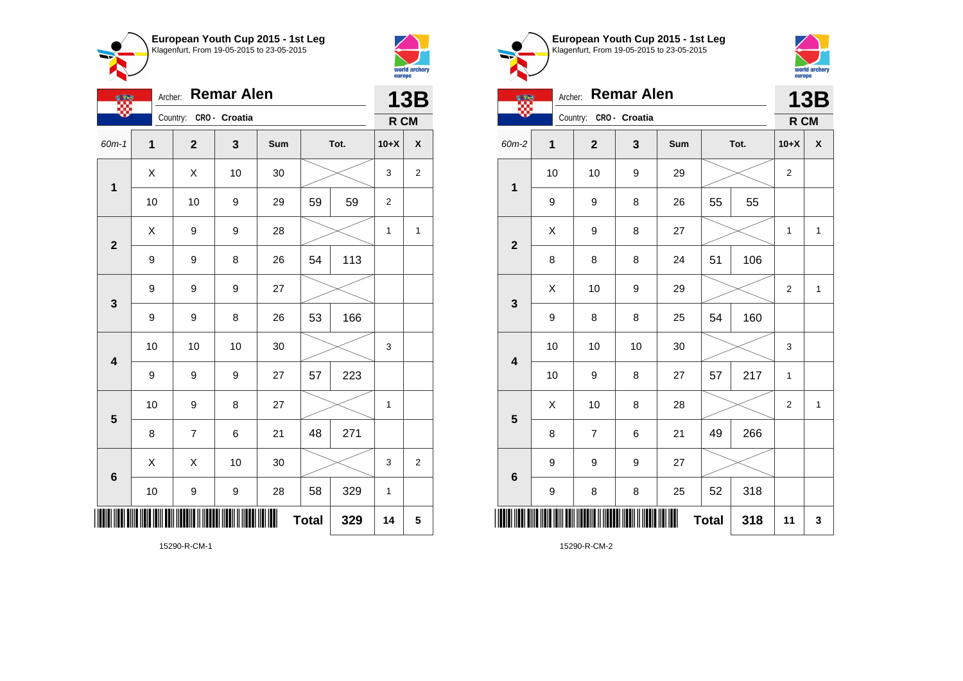



 $\bullet$ 

| <u>othe</u>             | Archer: |                        | <b>Remar Alen</b> |     |              |      |                | <b>13B</b>     |
|-------------------------|---------|------------------------|-------------------|-----|--------------|------|----------------|----------------|
|                         |         | Country: CRO - Croatia |                   |     |              |      | R CM           |                |
| $60m-1$                 | 1       | $\mathbf{2}$           | 3                 | Sum |              | Tot. | $10+X$         | X              |
| $\mathbf 1$             | Χ       | Χ                      | 10                | 30  |              |      | 3              | $\overline{2}$ |
|                         | 10      | 10                     | 9                 | 29  | 59           | 59   | $\overline{2}$ |                |
| $\mathbf{2}$            | Χ       | 9                      | 9                 | 28  |              |      | 1              | 1              |
|                         | 9       | 9                      | 8                 | 26  | 54           | 113  |                |                |
| 3                       | 9       | 9                      | 9                 | 27  |              |      |                |                |
|                         | 9       | 9                      | 8                 | 26  | 53           | 166  |                |                |
| $\overline{\mathbf{4}}$ | 10      | 10                     | 10                | 30  |              |      | 3              |                |
|                         | 9       | 9                      | 9                 | 27  | 57           | 223  |                |                |
| 5                       | 10      | 9                      | 8                 | 27  |              |      | $\mathbf 1$    |                |
|                         | 8       | 7                      | 6                 | 21  | 48           | 271  |                |                |
| 6                       | X       | X                      | 10                | 30  |              |      | 3              | $\overline{c}$ |
|                         | 10      | 9                      | 9                 | 28  | 58           | 329  | $\mathbf{1}$   |                |
|                         |         |                        |                   |     | <b>Total</b> | 329  | 14             | 5              |

**European Youth Cup 2015 - 1st Leg** Klagenfurt, From 19-05-2015 to 23-05-2015 Archer: **Remar Alen** ₩. Country: **CRO - Croatia** 60m-2 **1 2 3 Sum Tot. 10+X X**

**13B**

world archery<br>europe

**R CM**



15290-R-CM-2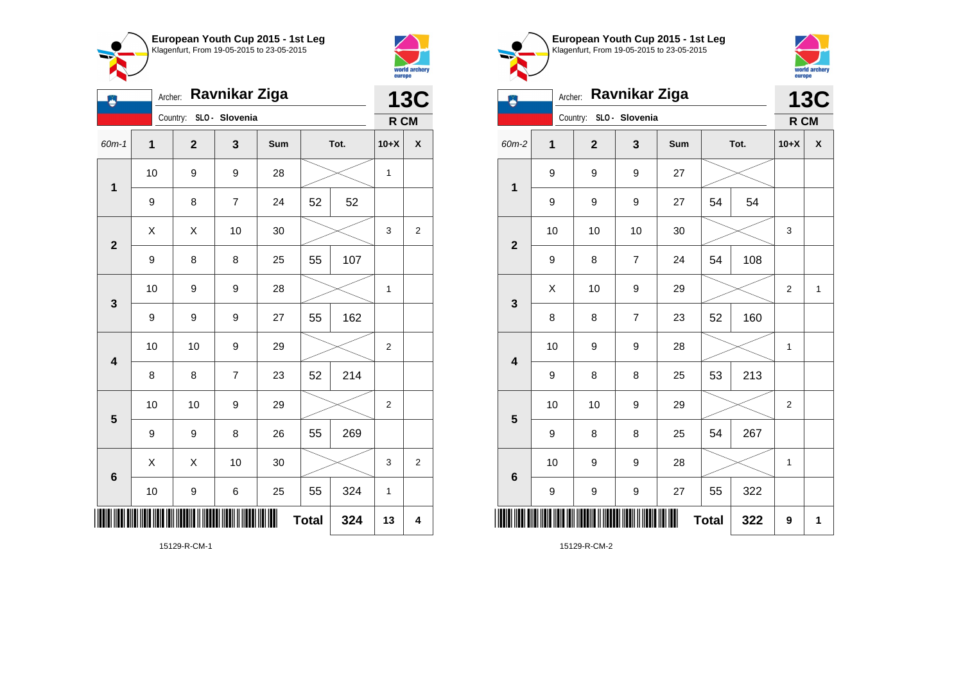

Country: **SLO - Slovenia**

**1**

Ð

**2**

**3**

**4**

**5**

**6**

Archer: **Ravnikar Ziga**

60m-1 **1 2 3 Sum Tot. 10+X X**

9 | 8 | 7 | 24 | 52 | 52

9 | 8 | 8 | 25 | 55 | 107

9 | 9 | 9 | 27 | 55 | 162

8 | 8 | 7 | 23 | 52 | 214

9 | 9 | 8 | 26 | 55 | 269

10 | 9 | 9 | 28 |  $\times$  | 1

10 | 10 | 9 | 29 |  $\times$  | 2

10 | 10 | 9 | 29 |  $\times$  | 2

10 | 9 | 6 | 25 | 55 | 324 | 1

 $\begin{array}{|c|c|c|c|c|}\hline \hspace{0.8cm}X & X & 10 & 30 & X \ \hline \end{array} \hspace{0.2cm} \begin{array}{|c|c|c|c|c|}\hline \hspace{0.8cm}3 & 3 & 2 \ \hline \end{array}$ 

**Total**  $324$   $13$   $4$ 

10 | 9 | 9 | 28 |  $\times$  | 1

 $\begin{array}{|c|c|c|c|c|c|}\hline \hspace{.1cm}X & \hspace{.1cm} \hspace{.1cm}X & \hspace{.1cm} \hspace{.1cm}10 & \hspace{.1cm} \hspace{.1cm}30 & \hspace{.1cm}\hline \end{array} \hspace{.2cm} \begin{array}{c} \begin{array}{c} \text{\large $\times$} & \hspace{.1cm}1 & \hspace{.1cm}3 & \hspace{.1cm} \end{array}2 \\ \hline \end{array}$ 



**13C**

**R CM**

| European Youth Cup 2015 - 1st Leg<br>Klagenfurt, From 19-05-2015 to 23-05-2015 |
|--------------------------------------------------------------------------------|
| Archer: Ravnikar Ziga                                                          |
| SLO - Slovenia                                                                 |



| Ä                       | <b>Ravnikar Ziga</b><br>Archer: |              |                  |     |              |      |                  |   |  |  |
|-------------------------|---------------------------------|--------------|------------------|-----|--------------|------|------------------|---|--|--|
|                         |                                 | Country:     | SLO - Slovenia   |     |              |      | R CM             |   |  |  |
| 60m-2                   | $\mathbf{1}$                    | $\mathbf{2}$ | 3                | Sum |              | Tot. | $10+X$           | χ |  |  |
| $\mathbf{1}$            | 9                               | 9            | 9                | 27  |              |      |                  |   |  |  |
|                         | 9                               | 9            | 9                | 27  | 54           | 54   |                  |   |  |  |
| $\overline{\mathbf{2}}$ | 10                              | 10           | 10               | 30  |              |      | 3                |   |  |  |
|                         | 9                               | 8            | 7                | 24  | 54           | 108  |                  |   |  |  |
| 3                       | X                               | 10           | 9                | 29  |              |      | $\boldsymbol{2}$ | 1 |  |  |
|                         | 8                               | 8            | $\boldsymbol{7}$ | 23  | 52           | 160  |                  |   |  |  |
| $\overline{\mathbf{4}}$ | 10                              | 9            | 9                | 28  |              |      | 1                |   |  |  |
|                         | 9                               | 8            | 8                | 25  | 53           | 213  |                  |   |  |  |
| 5                       | 10                              | 10           | 9                | 29  |              |      | 2                |   |  |  |
|                         | 9                               | 8            | 8                | 25  | 54           | 267  |                  |   |  |  |
| $6\phantom{1}6$         | 10                              | 9            | 9                | 28  |              |      | $\mathbf{1}$     |   |  |  |
|                         | 9                               | 9            | 9                | 27  | 55           | 322  |                  |   |  |  |
|                         |                                 |              |                  |     | <b>Total</b> | 322  | 9                | 1 |  |  |

15129-R-CM-1

\*15129-R-CM-1\*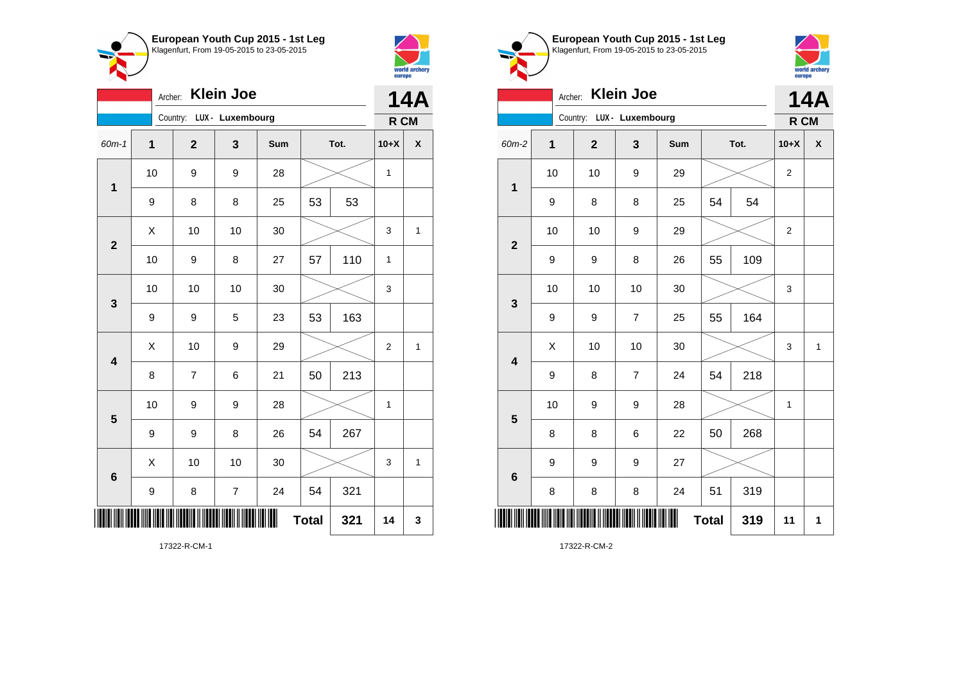



|                         |                  | Archer:                   | <b>Klein Joe</b> |     |              |      | <b>14A</b>   |                    |
|-------------------------|------------------|---------------------------|------------------|-----|--------------|------|--------------|--------------------|
|                         |                  | Country: LUX - Luxembourg |                  |     |              |      | R CM         |                    |
| 60m-1                   | $\overline{1}$   | $\overline{2}$            | 3                | Sum |              | Tot. | $10+X$       | $\pmb{\mathsf{X}}$ |
| $\mathbf 1$             | 10               | 9                         | 9                | 28  |              |      | 1            |                    |
|                         | 9                | 8                         | 8                | 25  | 53           | 53   |              |                    |
| $\overline{\mathbf{2}}$ | X                | 10                        | 10               | 30  |              |      | 3            | $\mathbf{1}$       |
|                         | 10               | 9                         | 8                | 27  | 57           | 110  | $\mathbf{1}$ |                    |
| 3                       | 10               | 10                        | 10               | 30  |              |      | 3            |                    |
|                         | 9                | 9                         | 5                | 23  | 53           | 163  |              |                    |
| $\overline{\mathbf{4}}$ | X                | 10                        | 9                | 29  |              |      | 2            | $\mathbf{1}$       |
|                         | 8                | $\overline{7}$            | 6                | 21  | 50           | 213  |              |                    |
| 5                       | 10               | 9                         | 9                | 28  |              |      | 1            |                    |
|                         | 9                | 9                         | 8                | 26  | 54           | 267  |              |                    |
| 6                       | X                | 10                        | 10               | 30  |              |      | 3            | $\mathbf{1}$       |
|                         | $\boldsymbol{9}$ | 8                         | $\overline{7}$   | 24  | 54           | 321  |              |                    |
|                         |                  |                           |                  |     | <b>Total</b> | 321  | 14           | 3                  |

**European Youth Cup 2015 - 1st Leg** Klagenfurt, From 19-05-2015 to 23-05-2015



|                 |    | Archer:                   | <b>Klein Joe</b> |     |              |      | <b>14A</b>       |              |
|-----------------|----|---------------------------|------------------|-----|--------------|------|------------------|--------------|
|                 |    | Country: LUX - Luxembourg |                  |     |              |      | R CM             |              |
| 60m-2           | 1  | $\mathbf 2$               | 3                | Sum |              | Tot. | $10+X$           | X            |
| $\mathbf 1$     | 10 | 10                        | 9                | 29  |              |      | $\overline{2}$   |              |
|                 | 9  | 8                         | 8                | 25  | 54           | 54   |                  |              |
| $\overline{2}$  | 10 | 10                        | 9                | 29  |              |      | $\boldsymbol{2}$ |              |
|                 | 9  | 9                         | 8                | 26  | 55           | 109  |                  |              |
| 3               | 10 | 10                        | 10               | 30  |              |      | 3                |              |
|                 | 9  | 9                         | $\overline{7}$   | 25  | 55           | 164  |                  |              |
| 4               | X  | 10                        | 10               | 30  |              |      | 3                | $\mathbf{1}$ |
|                 | 9  | 8                         | $\overline{7}$   | 24  | 54           | 218  |                  |              |
| 5               | 10 | 9                         | 9                | 28  |              |      | 1                |              |
|                 | 8  | 8                         | 6                | 22  | 50           | 268  |                  |              |
| $6\phantom{1}6$ | 9  | 9                         | 9                | 27  |              |      |                  |              |
|                 | 8  | 8                         | 8                | 24  | 51           | 319  |                  |              |
|                 |    |                           |                  | ║║  | <b>Total</b> | 319  | 11               | 1            |

17322-R-CM-1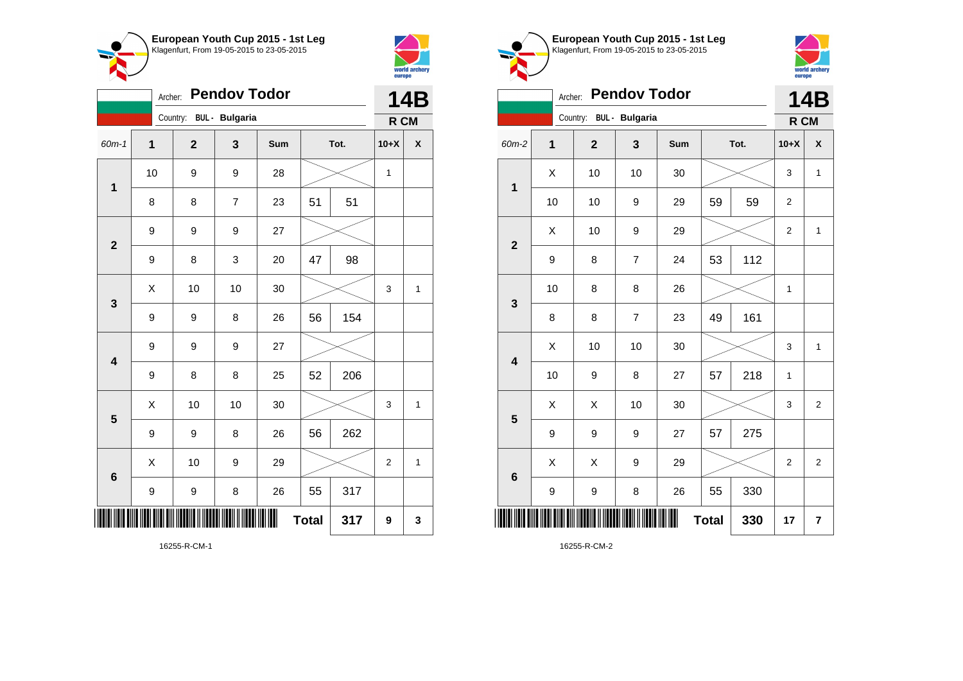



| <b>Pendov Todor</b><br>Archer: |                  |                         |                |     |      |      | <b>14B</b>     |              |
|--------------------------------|------------------|-------------------------|----------------|-----|------|------|----------------|--------------|
| Country: BUL - Bulgaria        |                  |                         |                |     |      | R CM |                |              |
| 60m-1                          | 1                | $\overline{\mathbf{2}}$ | $\mathbf 3$    | Sum | Tot. |      | $10+X$         | χ            |
| $\mathbf 1$                    | 10               | 9                       | 9              | 28  |      |      | $\mathbf{1}$   |              |
|                                | 8                | 8                       | $\overline{7}$ | 23  | 51   | 51   |                |              |
| $\overline{\mathbf{2}}$        | 9                | 9                       | 9              | 27  |      |      |                |              |
|                                | 9                | 8                       | 3              | 20  | 47   | 98   |                |              |
| 3                              | $\sf X$          | 10                      | 10             | 30  |      |      | 3              | $\mathbf{1}$ |
|                                | 9                | 9                       | 8              | 26  | 56   | 154  |                |              |
| $\overline{\mathbf{4}}$        | $\boldsymbol{9}$ | 9                       | 9              | 27  |      |      |                |              |
|                                | 9                | 8                       | 8              | 25  | 52   | 206  |                |              |
| $\overline{\mathbf{5}}$        | Χ                | 10                      | 10             | 30  |      |      | 3              | 1            |
|                                | 9                | 9                       | 8              | 26  | 56   | 262  |                |              |
| 6                              | X                | 10                      | 9              | 29  |      |      | $\overline{2}$ | $\mathbf{1}$ |
|                                | 9                | 9                       | 8              | 26  | 55   | 317  |                |              |
| <b>Total</b><br>317            |                  |                         |                |     |      |      | 9              | 3            |

world archery<br>europe Archer: **Pendov Todor 14B** Country: **BUL - Bulgaria R CM** 60m-2 **1 2 3 Sum Tot. 10+X X**  $\begin{array}{|c|c|c|c|c|c|}\hline \hspace{.1cm}X & \hspace{.1cm} \text{ 10} & \hspace{.1cm} \text{ 10} & \hspace{.1cm} \text{ 30} & \hspace{.1cm} \end{array} \hspace{.2cm} \begin{array}{|c|c|c|c|c|c|}\hline \hspace{.1cm}X & \hspace{.1cm} \text{ 3} & \hspace{.1cm} \text{ 1} & \hspace{.1cm} \text{ 4} & \hspace{.1cm} \end{array}$ **1** 10 | 10 | 9 | 29 | 59 | 59 | 2  $\begin{array}{|c|c|c|c|c|c|}\hline \hspace{.1cm}X & \hspace{.1cm} & \textbf{10} & \hspace{.1cm} & \textbf{9} & \hspace{.1cm} & \textbf{29} & \hspace{.1cm} & \hspace{.1cm} & \hspace{.1cm} & \hspace{.1cm} & \hspace{.1cm} & \hspace{.1cm} & \hspace{.1cm} & \hspace{.1cm} & \hspace{.1cm} & \hspace{.1cm} & \hspace{.1cm} & \hspace{.1cm} & \hspace{.1cm} & \hspace{.1cm} & \hspace{.1cm} & \hspace{$ **2** 9 | 8 | 7 | 24 | 53 | 112 10 | 8 | 8 | 26 |  $\times$  | 1 **3** 8 8 7 23 49 161  $\begin{array}{|c|c|c|c|c|c|}\hline \hspace{.1cm}X & \hspace{.1cm} \text{ 10} & \hspace{.1cm} \text{ 10} & \hspace{.1cm} \text{ 30} & \hspace{.1cm} \end{array} \hspace{1.2cm} \begin{array}{|c|c|c|c|c|c|}\hline \hspace{.1cm}X & \hspace{.1cm} \text{ 3} & \hspace{.1cm} \text{ 1} & \hspace{.1cm} \text{ 4} & \hspace{.1cm} \end{array} \hspace{1.2cm}$ **4** 10 | 9 | 8 | 27 | 57 | 218 | 1  $\begin{array}{|c|c|c|c|c|}\hline \text{X} & \text{X} & \text{10} & \text{30} & \text{\hspace{1em}}\hline \end{array} \hspace{.1cm} \begin{array}{|c|c|c|c|c|}\hline \text{3} & \text{3} & \text{2} & \text{3} & \text{2} \\\hline \end{array}$ **5** 9 | 9 | 9 | 27 | 57 | 275  $\begin{array}{|c|c|c|c|c|c|}\hline \hspace{.1cm}X & \hspace{.1cm} & \hspace{.1cm}3 & \hspace{.1cm} & \hspace{.1cm}29 & \hspace{.1cm} & \hspace{.1cm}\hline \end{array} \hspace{.2cm} \begin{array}{c|c|c|c|c|c|c|c|c} \hline \hspace{.1cm} & \hspace{.1cm} & \hspace{.1cm} & \hspace{.1cm} & \hspace{.1cm} & \hspace{.1cm} & \hspace{.1cm} & \hspace{.1cm} & \hspace{.1cm} & \hspace{.1cm} & \hs$ **6** 9 | 9 | 8 | 26 | 55 | 330 \*16255-R-CM-2\* **Total 330 17 7**

**European Youth Cup 2015 - 1st Leg** Klagenfurt, From 19-05-2015 to 23-05-2015

16255-R-CM-2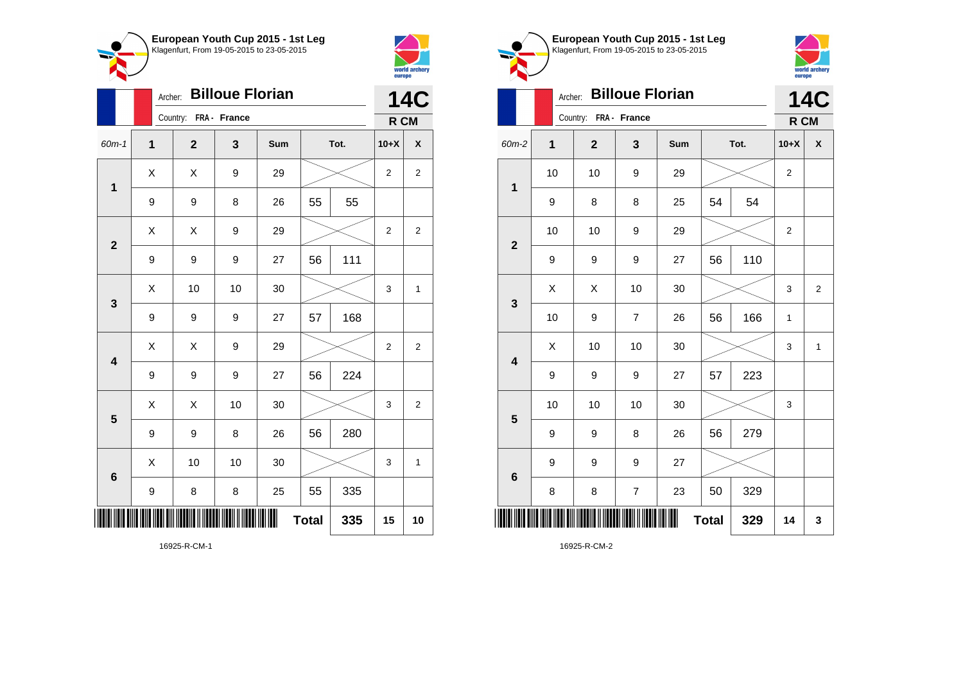



|                         |              | <b>Billoue Florian</b><br>Archer: |              |     | <b>14C</b>   |      |                         |                         |
|-------------------------|--------------|-----------------------------------|--------------|-----|--------------|------|-------------------------|-------------------------|
|                         |              | Country:                          | FRA - France |     |              |      | R CM                    |                         |
| 60m-1                   | $\mathbf{1}$ | $\overline{\mathbf{2}}$           | 3            | Sum |              | Tot. | $10+X$                  | χ                       |
| $\mathbf{1}$            | Χ            | X                                 | 9            | 29  |              |      | $\overline{2}$          | $\mathbf{2}$            |
|                         | 9            | 9                                 | 8            | 26  | 55           | 55   |                         |                         |
| $\mathbf{2}$            | X            | Χ                                 | 9            | 29  |              |      | $\overline{\mathbf{c}}$ | $\overline{\mathbf{c}}$ |
|                         | 9            | 9                                 | 9            | 27  | 56           | 111  |                         |                         |
| $\mathbf{3}$            | X            | 10                                | 10           | 30  |              |      | 3                       | $\mathbf 1$             |
|                         | 9            | 9                                 | 9            | 27  | 57           | 168  |                         |                         |
| $\overline{\mathbf{4}}$ | X            | X                                 | 9            | 29  |              |      | $\overline{2}$          | $\overline{2}$          |
|                         | 9            | 9                                 | 9            | 27  | 56           | 224  |                         |                         |
| 5                       | Χ            | Χ                                 | 10           | 30  |              |      | 3                       | $\overline{c}$          |
|                         | 9            | 9                                 | 8            | 26  | 56           | 280  |                         |                         |
| $6\phantom{1}$          | X            | 10                                | 10           | 30  |              |      | 3                       | 1                       |
|                         | 9            | 8                                 | 8            | 25  | 55           | 335  |                         |                         |
| ║║                      |              |                                   |              |     | <b>Total</b> | 335  | 15                      | 10                      |



16925-R-CM-2

16925-R-CM-1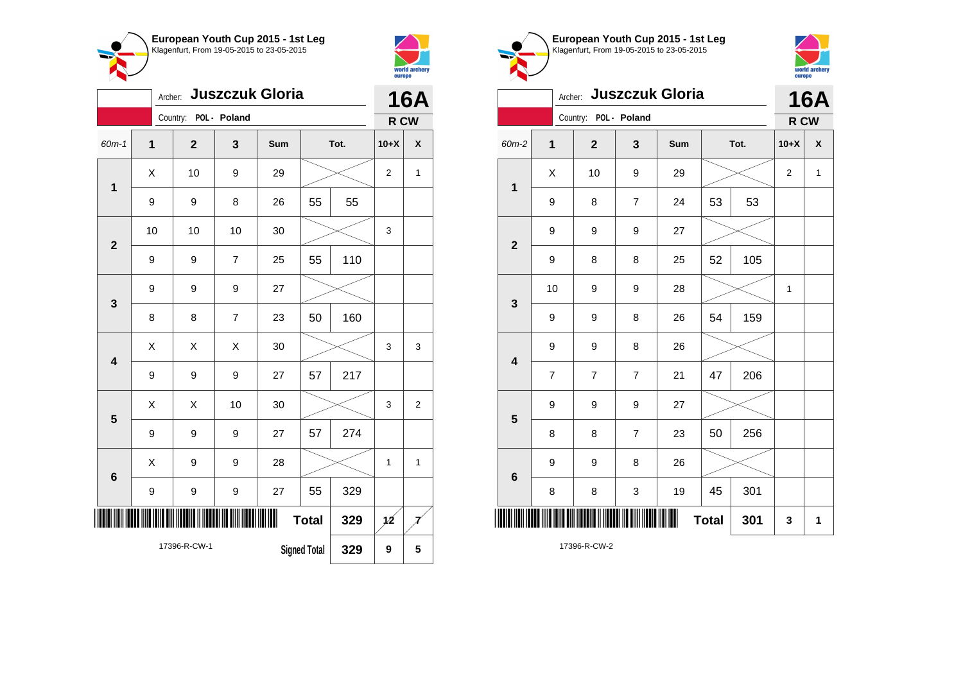



|                         | <b>Juszczuk Gloria</b><br>Archer:<br>Country: |  |                |                |     |              |      | 16A            |                |
|-------------------------|-----------------------------------------------|--|----------------|----------------|-----|--------------|------|----------------|----------------|
|                         |                                               |  |                | POL - Poland   |     |              |      | R CW           |                |
| $60m-1$                 | 1                                             |  | $\overline{2}$ | 3              | Sum |              | Tot. | $10+X$         | X              |
| 1                       | Χ                                             |  | 10             | 9              | 29  |              |      | $\overline{2}$ | 1              |
|                         | 9                                             |  | 9              | 8              | 26  | 55           | 55   |                |                |
| $\overline{\mathbf{2}}$ | 10                                            |  | 10             | 10             | 30  |              |      | 3              |                |
|                         | 9                                             |  | 9              | $\overline{7}$ | 25  | 55           | 110  |                |                |
| 3                       | 9                                             |  | 9              | 9              | 27  |              |      |                |                |
|                         | 8                                             |  | 8              | $\overline{7}$ | 23  | 50           | 160  |                |                |
| $\overline{\mathbf{4}}$ | X                                             |  | X              | Χ              | 30  |              |      | 3              | 3              |
|                         | 9                                             |  | 9              | 9              | 27  | 57           | 217  |                |                |
| 5                       | Χ                                             |  | Χ              | 10             | 30  |              |      | 3              | $\overline{2}$ |
|                         | 9                                             |  | 9              | $\mathsf g$    | 27  | 57           | 274  |                |                |
| $6\phantom{1}6$         | X                                             |  | 9              | 9              | 28  |              |      | 1              | 1              |
|                         | 9                                             |  | 9              | 9              | 27  | 55           | 329  |                |                |
|                         |                                               |  |                |                | ║   | <b>Total</b> | 329  | $\mathbf{12}$  |                |
|                         | 17396-R-CW-1<br><b>Signed Total</b><br>329    |  |                |                |     | 9            | 5    |                |                |





|                         |                | Archer:               |                           | <b>Juszczuk Gloria</b> |              |      | <b>16A</b>     |                    |
|-------------------------|----------------|-----------------------|---------------------------|------------------------|--------------|------|----------------|--------------------|
|                         |                | Country: POL - Poland |                           |                        |              |      | R CW           |                    |
| 60m-2                   | $\overline{1}$ | $\mathbf{2}$          | 3                         | Sum                    |              | Tot. | $10+X$         | $\pmb{\mathsf{X}}$ |
| $\mathbf{1}$            | X              | 10                    | 9                         | 29                     |              |      | $\overline{2}$ | $\mathbf{1}$       |
|                         | 9              | 8                     | $\boldsymbol{7}$          | 24                     | 53           | 53   |                |                    |
| $\overline{\mathbf{2}}$ | 9              | 9                     | 9                         | 27                     |              |      |                |                    |
|                         | 9              | 8                     | 8                         | 25                     | 52           | 105  |                |                    |
| 3                       | 10             | 9                     | 9                         | 28                     |              |      | 1              |                    |
|                         | 9              | 9                     | 8                         | 26                     | 54           | 159  |                |                    |
| $\overline{\mathbf{4}}$ | 9              | 9                     | 8                         | 26                     |              |      |                |                    |
|                         | 7              | $\overline{7}$        | $\overline{7}$            | 21                     | 47           | 206  |                |                    |
| 5                       | 9              | 9                     | 9                         | 27                     |              |      |                |                    |
|                         | 8              | 8                     | $\overline{7}$            | 23                     | 50           | 256  |                |                    |
| $6\phantom{1}6$         | 9              | 9                     | 8                         | 26                     |              |      |                |                    |
|                         | 8              | 8                     | $\ensuremath{\mathsf{3}}$ | 19                     | 45           | 301  |                |                    |
| I                       |                |                       |                           | Ⅲ                      | <b>Total</b> | 301  | 3              | 1                  |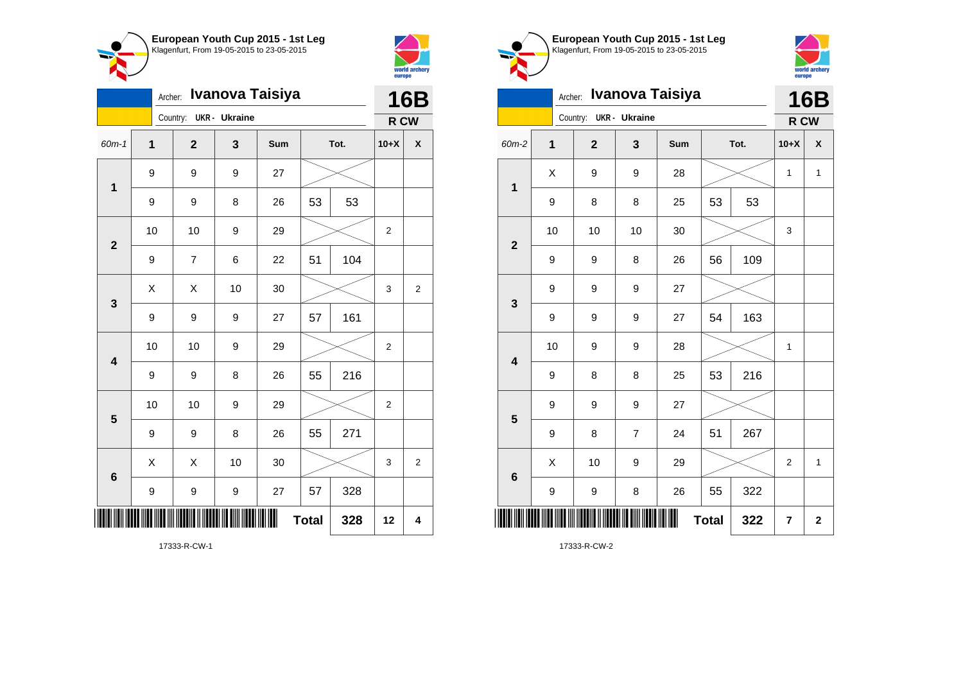



|                         |    | Archer:                 |                      | Ivanova Taisiya |              |      |                  | <b>16B</b>     |
|-------------------------|----|-------------------------|----------------------|-----------------|--------------|------|------------------|----------------|
|                         |    | Country:                | <b>UKR</b> - Ukraine |                 |              |      | R CW             |                |
| 60m-1                   | 1  | $\overline{\mathbf{2}}$ | 3                    | Sum             |              | Tot. | $10+X$           | χ              |
| $\mathbf{1}$            | 9  | 9                       | 9                    | 27              |              |      |                  |                |
|                         | 9  | 9                       | 8                    | 26              | 53           | 53   |                  |                |
| $\mathbf{2}$            | 10 | 10                      | 9                    | 29              |              |      | $\boldsymbol{2}$ |                |
|                         | 9  | $\overline{7}$          | 6                    | 22              | 51           | 104  |                  |                |
| 3                       | Χ  | Χ                       | 10                   | 30              |              |      | 3                | $\overline{c}$ |
|                         | 9  | 9                       | 9                    | 27              | 57           | 161  |                  |                |
| $\overline{\mathbf{4}}$ | 10 | 10                      | 9                    | 29              |              |      | $\overline{2}$   |                |
|                         | 9  | 9                       | 8                    | 26              | 55           | 216  |                  |                |
| 5                       | 10 | 10                      | 9                    | 29              |              |      | $\overline{2}$   |                |
|                         | 9  | 9                       | 8                    | 26              | 55           | 271  |                  |                |
| $6\phantom{1}6$         | X  | X                       | 10                   | 30              |              |      | 3                | 2              |
|                         | 9  | 9                       | 9                    | 27              | 57           | 328  |                  |                |
| ║║                      |    |                         |                      | Ш               | <b>Total</b> | 328  | 12               | 4              |





| $\sim$ $\sim$           |         |                |                      |                 |              |      |                |                         |
|-------------------------|---------|----------------|----------------------|-----------------|--------------|------|----------------|-------------------------|
|                         | Archer: |                |                      | Ivanova Taisiya |              |      |                | <b>16B</b>              |
|                         |         | Country:       | <b>UKR</b> - Ukraine |                 |              |      | R CW           |                         |
| 60m-2                   | 1       | $\overline{2}$ | 3                    | Sum             |              | Tot. | $10+X$         | X                       |
| 1                       | X       | 9              | 9                    | 28              |              |      | $\mathbf{1}$   | $\mathbf{1}$            |
|                         | 9       | 8              | 8                    | 25              | 53           | 53   |                |                         |
| $\overline{2}$          | 10      | 10             | 10                   | 30              |              |      | 3              |                         |
|                         | 9       | 9              | 8                    | 26              | 56           | 109  |                |                         |
| 3                       | 9       | 9              | 9                    | 27              |              |      |                |                         |
|                         | 9       | 9              | 9                    | 27              | 54           | 163  |                |                         |
| $\overline{\mathbf{4}}$ | 10      | 9              | 9                    | 28              |              |      | 1              |                         |
|                         | 9       | 8              | 8                    | 25              | 53           | 216  |                |                         |
| 5                       | 9       | 9              | 9                    | 27              |              |      |                |                         |
|                         | 9       | 8              | $\overline{7}$       | 24              | 51           | 267  |                |                         |
| $6\phantom{1}6$         | Χ       | 10             | 9                    | 29              |              |      | $\overline{2}$ | $\mathbf{1}$            |
|                         | 9       | 9              | 8                    | 26              | 55           | 322  |                |                         |
|                         |         |                |                      |                 | <b>Total</b> | 322  | $\overline{7}$ | $\overline{\mathbf{2}}$ |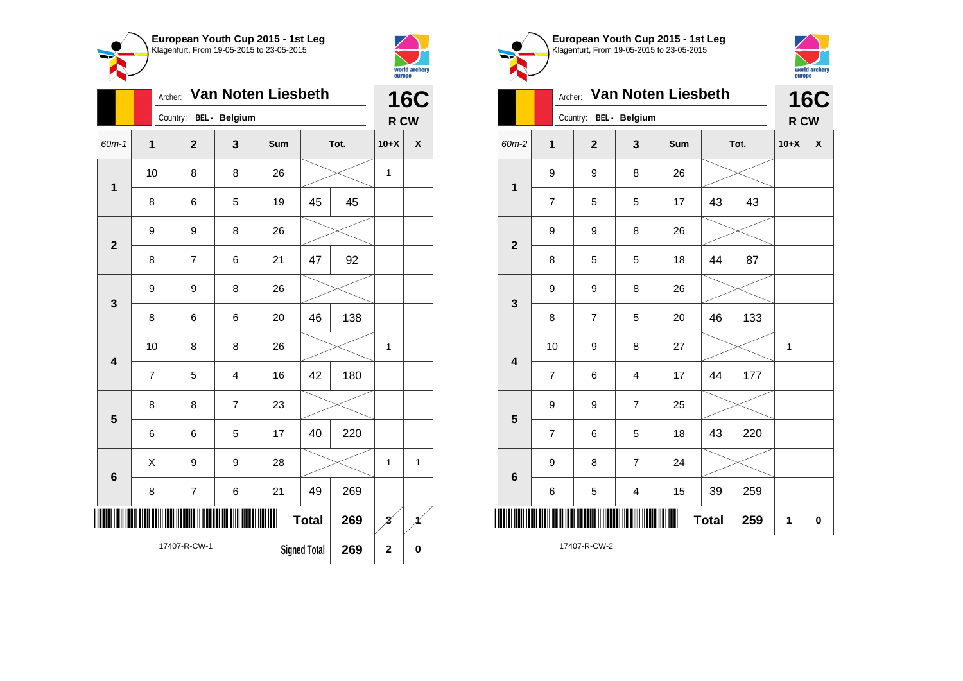



|                | Van Noten Liesbeth<br>Archer:<br>Country:<br>BEL - Belgium |                |                |     |              |      |                          | <b>16C</b> |  |
|----------------|------------------------------------------------------------|----------------|----------------|-----|--------------|------|--------------------------|------------|--|
|                |                                                            |                |                |     |              |      | R CW                     |            |  |
| $60m - 1$      | 1                                                          | $\overline{2}$ | 3              | Sum |              | Tot. | $10+X$                   | X          |  |
| $\mathbf{1}$   | 10                                                         | 8              | 8              | 26  |              |      | 1                        |            |  |
|                | 8                                                          | 6              | 5              | 19  | 45           | 45   |                          |            |  |
| $\overline{2}$ | 9                                                          | 9              | 8              | 26  |              |      |                          |            |  |
|                | 8                                                          | $\overline{7}$ | 6              | 21  | 47           | 92   |                          |            |  |
| 3              | 9                                                          | 9              | 8              | 26  |              |      |                          |            |  |
|                | 8                                                          | 6              | 6              | 20  | 46           | 138  |                          |            |  |
| 4              | 10                                                         | 8              | 8              | 26  |              |      | 1                        |            |  |
|                | $\overline{7}$                                             | 5              | 4              | 16  | 42           | 180  |                          |            |  |
| 5              | 8                                                          | 8              | $\overline{7}$ | 23  |              |      |                          |            |  |
|                | 6                                                          | 6              | 5              | 17  | 40           | 220  |                          |            |  |
| $6\phantom{a}$ | X                                                          | 9              | 9              | 28  |              |      | 1                        | 1          |  |
|                | 8                                                          | 7              | 6              | 21  | 49           | 269  |                          |            |  |
|                |                                                            |                |                | ║   | <b>Total</b> | 269  | $\overline{\mathcal{Z}}$ | Ħ          |  |
|                | 17407-R-CW-1<br><b>Signed Total</b><br>269                 |                |                |     |              |      | $\mathbf 2$              | $\bf{0}$   |  |





| BEL - Belgium<br>Country:<br>60m-2<br>$\overline{\mathbf{1}}$<br>$\overline{2}$<br>3<br>Sum<br>9<br>26<br>9<br>8<br>$\mathbf 1$<br>$\overline{7}$<br>5<br>5<br>17<br>9<br>9<br>8<br>26<br>$\overline{2}$<br>8<br>5<br>5<br>18<br>9<br>9<br>8<br>26<br>3<br>$\overline{7}$<br>8<br>5<br>20<br>10<br>27<br>9<br>8 | 43           | Tot. | R CW<br>$10+X$ | <b>16C</b><br>$\pmb{\mathsf{X}}$ |
|-----------------------------------------------------------------------------------------------------------------------------------------------------------------------------------------------------------------------------------------------------------------------------------------------------------------|--------------|------|----------------|----------------------------------|
|                                                                                                                                                                                                                                                                                                                 |              |      |                |                                  |
|                                                                                                                                                                                                                                                                                                                 |              |      |                |                                  |
|                                                                                                                                                                                                                                                                                                                 |              |      |                |                                  |
|                                                                                                                                                                                                                                                                                                                 | 43           |      |                |                                  |
|                                                                                                                                                                                                                                                                                                                 |              |      |                |                                  |
|                                                                                                                                                                                                                                                                                                                 | 44           | 87   |                |                                  |
|                                                                                                                                                                                                                                                                                                                 |              |      |                |                                  |
|                                                                                                                                                                                                                                                                                                                 | 46           | 133  |                |                                  |
| $\overline{\mathbf{4}}$                                                                                                                                                                                                                                                                                         |              |      | 1              |                                  |
| $\overline{7}$<br>6<br>4<br>17                                                                                                                                                                                                                                                                                  | 44           | 177  |                |                                  |
| 9<br>9<br>$\overline{7}$<br>25<br>5                                                                                                                                                                                                                                                                             |              |      |                |                                  |
| $\overline{7}$<br>6<br>5<br>18                                                                                                                                                                                                                                                                                  | 43           | 220  |                |                                  |
| 9<br>$\overline{7}$<br>24<br>8<br>$6\phantom{1}6$                                                                                                                                                                                                                                                               |              |      |                |                                  |
| 5<br>6<br>$\overline{\mathbf{4}}$<br>15                                                                                                                                                                                                                                                                         | 39           | 259  |                |                                  |
| ║                                                                                                                                                                                                                                                                                                               | <b>Total</b> | 259  | 1              | 0                                |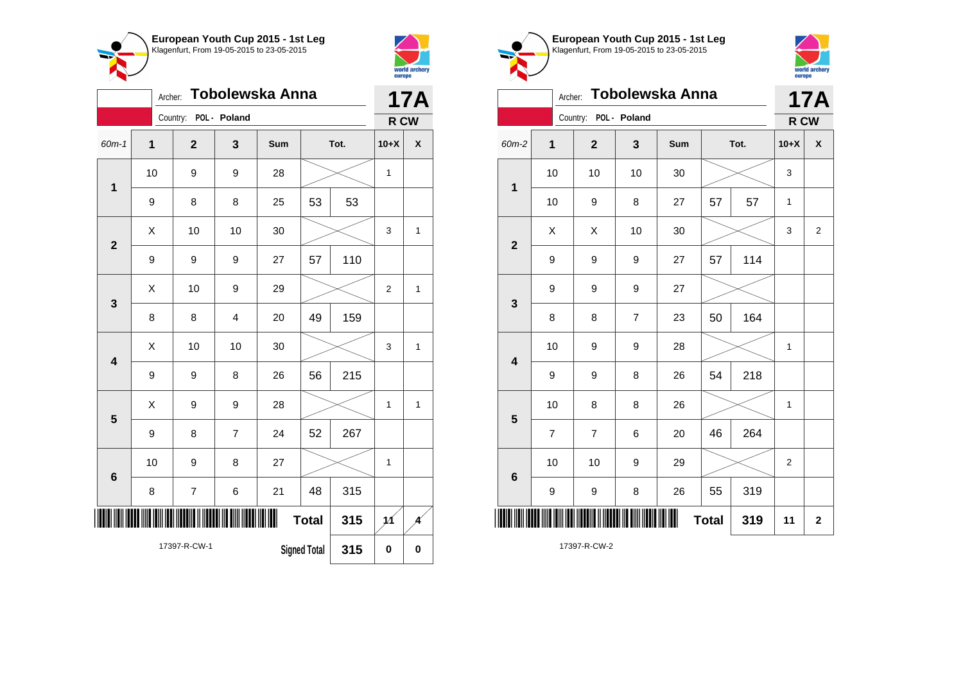



|                         |                                            | Archer:        |                         | Tobolewska Anna |              |      | <b>17A</b>     |              |
|-------------------------|--------------------------------------------|----------------|-------------------------|-----------------|--------------|------|----------------|--------------|
|                         |                                            | Country:       | POL - Poland            |                 |              |      | R CW           |              |
| 60m-1                   | $\overline{1}$                             | $\overline{2}$ | 3                       | Sum             |              | Tot. | $10+X$         | χ            |
| 1                       | 10                                         | 9              | 9                       | 28              |              |      | 1              |              |
|                         | 9                                          | 8              | 8                       | 25              | 53           | 53   |                |              |
| $\overline{\mathbf{2}}$ | X                                          | 10             | 10                      | 30              |              |      | 3              | 1            |
|                         | 9                                          | 9              | 9                       | 27              | 57           | 110  |                |              |
| 3                       | X                                          | 10             | 9                       | 29              |              |      | $\overline{2}$ | $\mathbf{1}$ |
|                         | 8                                          | 8              | $\overline{\mathbf{4}}$ | 20              | 49           | 159  |                |              |
| $\overline{\mathbf{4}}$ | X                                          | 10             | 10                      | 30              |              |      | 3              | $\mathbf{1}$ |
|                         | 9                                          | 9              | 8                       | 26              | 56           | 215  |                |              |
| 5                       | Χ                                          | 9              | 9                       | 28              |              |      | 1              | 1            |
|                         | 9                                          | 8              | $\overline{7}$          | 24              | 52           | 267  |                |              |
| 6                       | 10                                         | 9              | 8                       | 27              |              |      | $\mathbf 1$    |              |
|                         | 8                                          | 7              | 6                       | 21              | 48           | 315  |                |              |
| IIII                    |                                            |                |                         | ∭               | <b>Total</b> | 315  | 11             |              |
|                         | 17397-R-CW-1<br><b>Signed Total</b><br>315 |                |                         |                 |              |      | 0              | $\mathbf 0$  |





|                         |                | Archer:                 |                | Tobolewska Anna |    |      |              | <b>17A</b>         |
|-------------------------|----------------|-------------------------|----------------|-----------------|----|------|--------------|--------------------|
|                         |                | Country: POL - Poland   |                |                 |    |      | R CW         |                    |
| 60m-2                   | $\mathbf{1}$   | $\overline{\mathbf{2}}$ | 3              | Sum             |    | Tot. | $10+X$       | $\pmb{\mathsf{X}}$ |
| $\mathbf 1$             | 10             | 10                      | 10             | 30              |    |      | 3            |                    |
|                         | 10             | 9                       | 8              | 27              | 57 | 57   | $\mathbf{1}$ |                    |
| $\mathbf{2}$            | X              | X                       | 10             | 30              |    |      | 3            | $\overline{2}$     |
|                         | 9              | 9                       | 9              | 27              | 57 | 114  |              |                    |
| 3                       | 9              | 9                       | 9              | 27              |    |      |              |                    |
|                         | 8              | 8                       | $\overline{7}$ | 23              | 50 | 164  |              |                    |
| $\overline{\mathbf{4}}$ | 10             | 9                       | 9              | 28              |    |      | 1            |                    |
|                         | 9              | 9                       | 8              | 26              | 54 | 218  |              |                    |
| 5                       | 10             | 8                       | 8              | 26              |    |      | $\mathbf{1}$ |                    |
|                         | $\overline{7}$ | 7                       | 6              | 20              | 46 | 264  |              |                    |
| $6\phantom{1}6$         | 10             | 10                      | 9              | 29              |    |      | 2            |                    |
|                         | 9              | 9                       | 8              | 26              | 55 | 319  |              |                    |
| <b>Total</b><br>319     |                |                         |                |                 |    |      |              | $\mathbf{2}$       |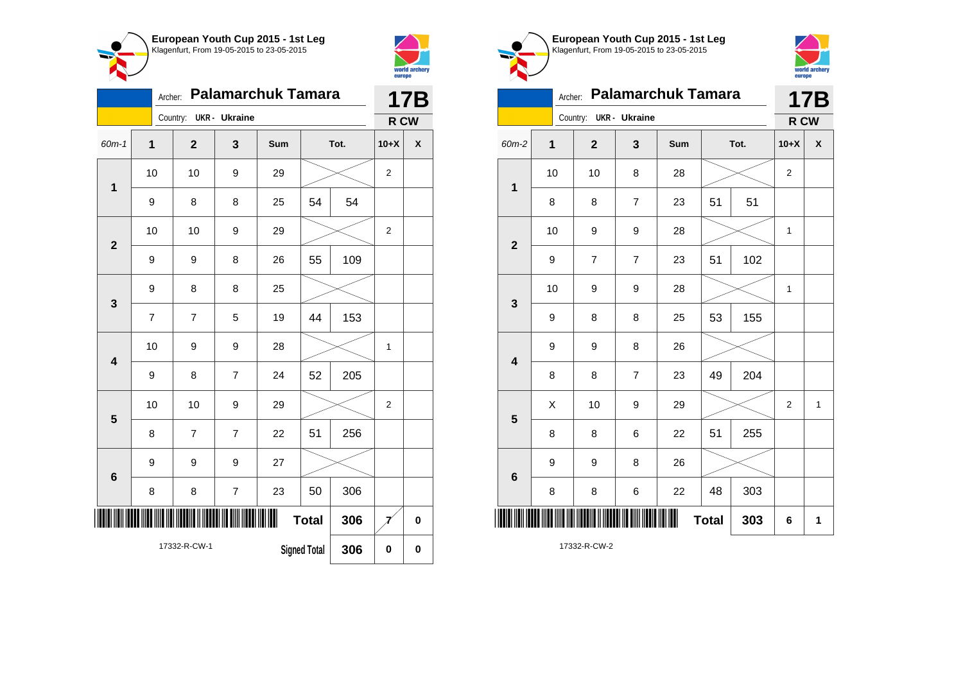



|                         |                  | Archer: |                |                          | <b>Palamarchuk Tamara</b> |                     |      |                | <b>17B</b> |
|-------------------------|------------------|---------|----------------|--------------------------|---------------------------|---------------------|------|----------------|------------|
|                         |                  |         | Country:       | <b>UKR</b> - Ukraine     |                           |                     |      | R CW           |            |
| 60m-1                   | 1                |         | $\overline{2}$ | 3                        | Sum                       |                     | Tot. | $10+X$         | X          |
| $\overline{\mathbf{1}}$ | 10               |         | 10             | 9                        | 29                        |                     |      | $\overline{2}$ |            |
|                         | $\boldsymbol{9}$ |         | 8              | 8                        | 25                        | 54                  | 54   |                |            |
| $\overline{2}$          | 10               |         | 10             | 9                        | 29                        |                     |      | $\overline{2}$ |            |
|                         | 9                |         | 9              | 8                        | 26                        | 55                  | 109  |                |            |
| 3                       | 9                |         | 8              | 8                        | 25                        |                     |      |                |            |
|                         | $\overline{7}$   |         | $\overline{7}$ | 5                        | 19                        | 44                  | 153  |                |            |
| $\overline{\mathbf{4}}$ | 10               |         | 9              | 9                        | 28                        |                     |      | $\mathbf{1}$   |            |
|                         | 9                |         | 8              | $\overline{7}$           | 24                        | 52                  | 205  |                |            |
| 5                       | 10               |         | 10             | 9                        | 29                        |                     |      | $\overline{2}$ |            |
|                         | 8                |         | $\overline{7}$ | $\overline{7}$           | 22                        | 51                  | 256  |                |            |
| 6                       | 9                |         | 9              | 9                        | 27                        |                     |      |                |            |
|                         | 8                |         | 8              | $\overline{\mathcal{I}}$ | 23                        | 50                  | 306  |                |            |
| ║║║                     |                  |         |                |                          | I                         | <b>Total</b>        | 306  |                | $\bf{0}$   |
|                         |                  |         | 17332-R-CW-1   |                          |                           | <b>Signed Total</b> | 306  | 0              | $\bf{0}$   |





## Archer: **Palamarchuk Tamara** Country: **UKR - Ukraine 17B**  $R$  **D** CW

| 3<br>60m-2<br>1<br>$\mathbf{2}$<br>Sum<br>$10+X$<br>$\pmb{\mathsf{X}}$<br>Tot.<br>10<br>10<br>8<br>28<br>$\sqrt{2}$<br>$\mathbf 1$<br>51<br>8<br>51<br>8<br>$\boldsymbol{7}$<br>23<br>10<br>9<br>9<br>28<br>$\mathbf{1}$<br>$\mathbf 2$<br>23<br>51<br>102<br>9<br>$\boldsymbol{7}$<br>$\boldsymbol{7}$<br>10<br>9<br>9<br>28<br>$\mathbf{1}$<br>3<br>155<br>8<br>53<br>9<br>8<br>25<br>9<br>9<br>8<br>26<br>$\overline{\mathbf{4}}$<br>204<br>49<br>8<br>8<br>$\boldsymbol{7}$<br>23<br>X<br>10<br>9<br>29<br>$\mathbf{1}$<br>$\overline{2}$<br>$5\phantom{1}$<br>8<br>255<br>8<br>22<br>51<br>6<br>9<br>9<br>26<br>8<br>$\bf 6$<br>8<br>303<br>8<br>6<br>22<br>48 | ------- <sub>1</sub> .<br> |  |  |  |   |              |     |   | <b>K CM</b> |
|---------------------------------------------------------------------------------------------------------------------------------------------------------------------------------------------------------------------------------------------------------------------------------------------------------------------------------------------------------------------------------------------------------------------------------------------------------------------------------------------------------------------------------------------------------------------------------------------------------------------------------------------------------------------|----------------------------|--|--|--|---|--------------|-----|---|-------------|
|                                                                                                                                                                                                                                                                                                                                                                                                                                                                                                                                                                                                                                                                     |                            |  |  |  |   |              |     |   |             |
|                                                                                                                                                                                                                                                                                                                                                                                                                                                                                                                                                                                                                                                                     |                            |  |  |  |   |              |     |   |             |
|                                                                                                                                                                                                                                                                                                                                                                                                                                                                                                                                                                                                                                                                     |                            |  |  |  |   |              |     |   |             |
|                                                                                                                                                                                                                                                                                                                                                                                                                                                                                                                                                                                                                                                                     |                            |  |  |  |   |              |     |   |             |
|                                                                                                                                                                                                                                                                                                                                                                                                                                                                                                                                                                                                                                                                     |                            |  |  |  |   |              |     |   |             |
|                                                                                                                                                                                                                                                                                                                                                                                                                                                                                                                                                                                                                                                                     |                            |  |  |  |   |              |     |   |             |
|                                                                                                                                                                                                                                                                                                                                                                                                                                                                                                                                                                                                                                                                     |                            |  |  |  |   |              |     |   |             |
|                                                                                                                                                                                                                                                                                                                                                                                                                                                                                                                                                                                                                                                                     |                            |  |  |  |   |              |     |   |             |
|                                                                                                                                                                                                                                                                                                                                                                                                                                                                                                                                                                                                                                                                     |                            |  |  |  |   |              |     |   |             |
|                                                                                                                                                                                                                                                                                                                                                                                                                                                                                                                                                                                                                                                                     |                            |  |  |  |   |              |     |   |             |
|                                                                                                                                                                                                                                                                                                                                                                                                                                                                                                                                                                                                                                                                     |                            |  |  |  |   |              |     |   |             |
|                                                                                                                                                                                                                                                                                                                                                                                                                                                                                                                                                                                                                                                                     |                            |  |  |  |   |              |     |   |             |
|                                                                                                                                                                                                                                                                                                                                                                                                                                                                                                                                                                                                                                                                     |                            |  |  |  |   |              |     |   |             |
|                                                                                                                                                                                                                                                                                                                                                                                                                                                                                                                                                                                                                                                                     | ║                          |  |  |  | Ⅲ | <b>Total</b> | 303 | 6 | $\mathbf 1$ |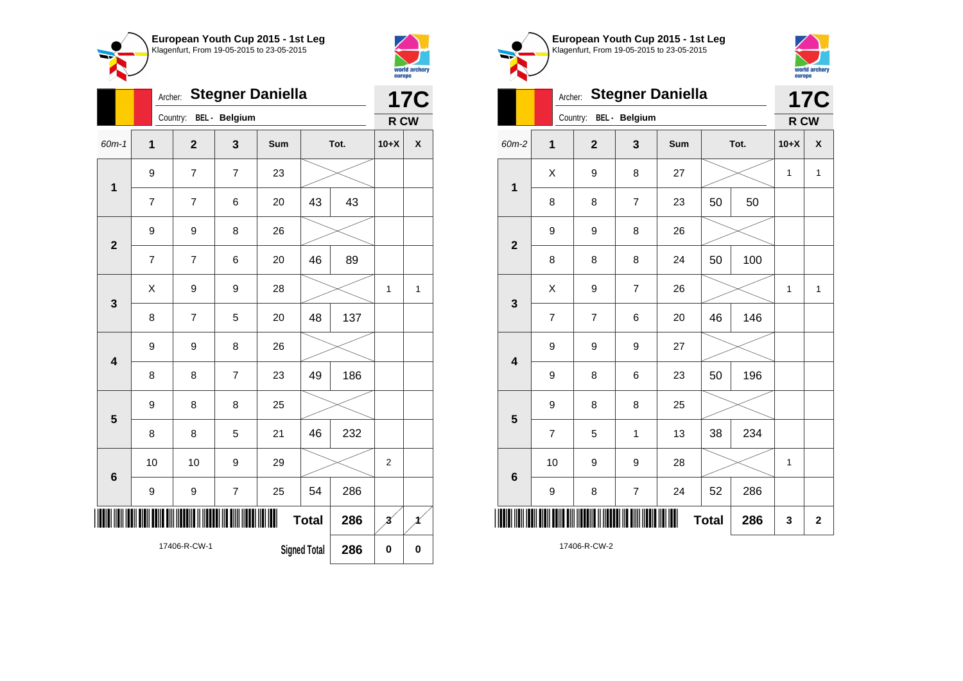



|                         | Archer:        |                |                      | <b>Stegner Daniella</b> |                     |      |                         | <b>17C</b> |
|-------------------------|----------------|----------------|----------------------|-------------------------|---------------------|------|-------------------------|------------|
|                         |                | Country:       | <b>BEL</b> - Belgium |                         |                     |      | R CW                    |            |
| 60m-1                   | $\overline{1}$ | $\overline{2}$ | 3                    | Sum                     |                     | Tot. | $10+X$                  | X          |
| $\mathbf 1$             | 9              | 7              | $\overline{7}$       | 23                      |                     |      |                         |            |
|                         | $\overline{7}$ | 7              | 6                    | 20                      | 43                  | 43   |                         |            |
| $\mathbf{2}$            | 9              | 9              | 8                    | 26                      |                     |      |                         |            |
|                         | 7              | 7              | 6                    | 20                      | 46                  | 89   |                         |            |
| $\mathbf{3}$            | X              | 9              | 9                    | 28                      |                     |      | 1                       | 1          |
|                         | 8              | $\overline{7}$ | 5                    | 20                      | 48                  | 137  |                         |            |
| $\overline{\mathbf{4}}$ | 9              | 9              | 8                    | 26                      |                     |      |                         |            |
|                         | 8              | 8              | $\overline{7}$       | 23                      | 49                  | 186  |                         |            |
| 5                       | 9              | 8              | 8                    | 25                      |                     |      |                         |            |
|                         | 8              | 8              | 5                    | 21                      | 46                  | 232  |                         |            |
| $6\phantom{1}$          | 10             | 10             | 9                    | 29                      |                     |      | $\overline{2}$          |            |
|                         | 9              | 9              | $\overline{7}$       | 25                      | 54                  | 286  |                         |            |
| ∭                       |                |                |                      |                         | <b>Total</b>        | 286  | $\overline{\mathbf{3}}$ | 1          |
|                         |                | 17406-R-CW-1   |                      |                         | <b>Signed Total</b> | 286  | $\pmb{0}$               | $\bf{0}$   |





|                         | Archer:        |                | <b>17C</b>     |     |              |      |        |              |
|-------------------------|----------------|----------------|----------------|-----|--------------|------|--------|--------------|
|                         |                | Country:       | BEL - Belgium  |     |              |      | R CW   |              |
| 60m-2                   | $\mathbf{1}$   | $\mathbf{2}$   | 3              | Sum |              | Tot. | $10+X$ | X            |
| $\mathbf 1$             | X              | 9              | 8              | 27  |              |      | 1      | $\mathbf{1}$ |
|                         | 8              | 8              | 7              | 23  | 50           | 50   |        |              |
| $\overline{2}$          | 9              | 9              | 8              | 26  |              |      |        |              |
|                         | 8              | 8              | 8              | 24  | 50           | 100  |        |              |
| $\mathbf{3}$            | X              | 9              | $\overline{7}$ | 26  |              |      | 1      | 1            |
|                         | $\overline{7}$ | $\overline{7}$ | 6              | 20  | 46           | 146  |        |              |
| $\overline{\mathbf{4}}$ | 9              | 9              | 9              | 27  |              |      |        |              |
|                         | 9              | 8              | 6              | 23  | 50           | 196  |        |              |
| 5                       | 9              | 8              | 8              | 25  |              |      |        |              |
|                         | $\overline{7}$ | 5              | 1              | 13  | 38           | 234  |        |              |
| 6                       | 10             | 9              | 9              | 28  |              |      | 1      |              |
|                         | 9              | 8              | $\overline{7}$ | 24  | 52           | 286  |        |              |
| ║║║                     |                |                |                | ║║  | <b>Total</b> | 286  | 3      | $\mathbf 2$  |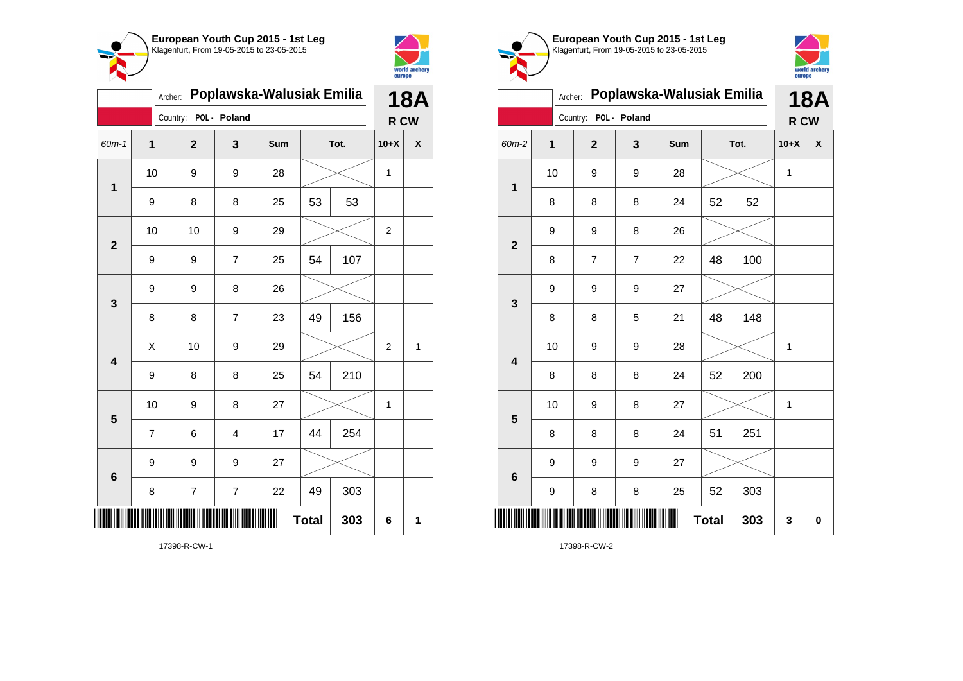



| Poplawska-Walusiak Emilia<br>Archer: |                |                |                         |     |              |     |                | <b>18A</b> |  |
|--------------------------------------|----------------|----------------|-------------------------|-----|--------------|-----|----------------|------------|--|
|                                      |                | Country:       | POL - Poland            |     |              |     | R CW           |            |  |
| 60m-1                                | $\mathbf{1}$   | $\overline{2}$ | 3                       | Sum | Tot.         |     | $10+X$         | X          |  |
| $\mathbf 1$                          | 10             | 9              | 9                       | 28  |              |     | 1              |            |  |
|                                      | 9              | 8              | 8                       | 25  | 53           | 53  |                |            |  |
| $\overline{\mathbf{2}}$              | 10             | 10             | 9                       | 29  |              |     | $\overline{2}$ |            |  |
|                                      | 9              | 9              | $\overline{7}$          | 25  | 54           | 107 |                |            |  |
| 3                                    | 9              | 9              | 8                       | 26  |              |     |                |            |  |
|                                      | 8              | 8              | $\overline{7}$          | 23  | 49           | 156 |                |            |  |
| $\overline{\mathbf{4}}$              | Χ              | 10             | 9                       | 29  |              |     | 2              | 1          |  |
|                                      | 9              | 8              | 8                       | 25  | 54           | 210 |                |            |  |
| 5                                    | 10             | 9              | 8                       | 27  |              |     | 1              |            |  |
|                                      | $\overline{7}$ | 6              | $\overline{\mathbf{4}}$ | 17  | 44           | 254 |                |            |  |
| $6\phantom{1}$                       | 9              | 9              | 9                       | 27  |              |     |                |            |  |
|                                      | 8              | 7              | $\overline{7}$          | 22  | 49           | 303 |                |            |  |
|                                      |                |                |                         |     | <b>Total</b> | 303 | 6              | 1          |  |

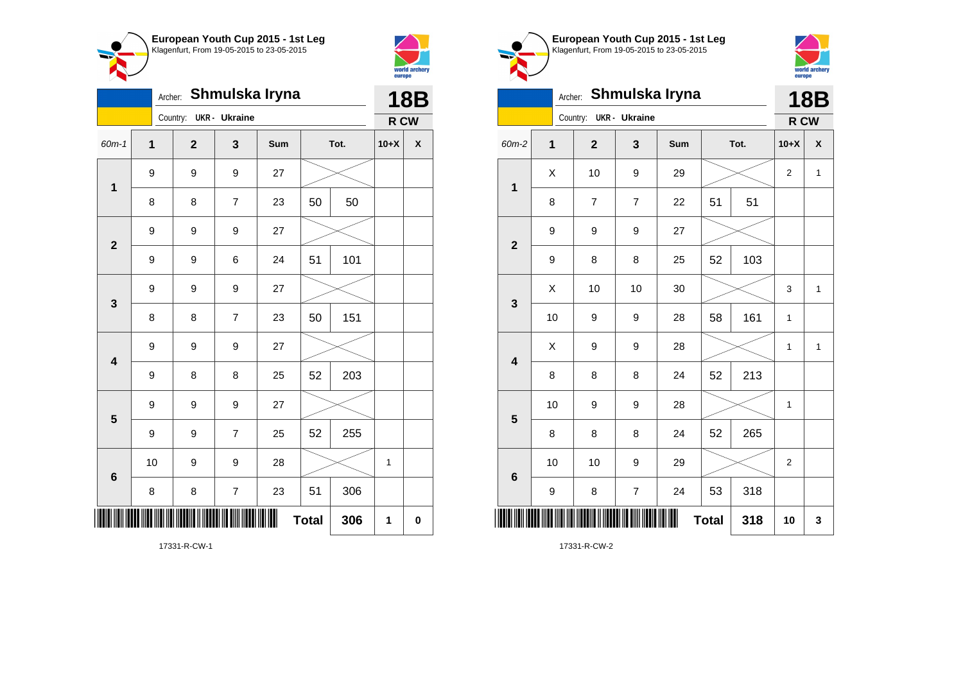



| Shmulska Iryna<br>Archer: |             |                         |                          |     |              |     | <b>18B</b> |          |  |
|---------------------------|-------------|-------------------------|--------------------------|-----|--------------|-----|------------|----------|--|
|                           |             | Country:                | <b>UKR</b> - Ukraine     |     |              |     | R CW       |          |  |
| 60m-1                     | $\mathbf 1$ | $\overline{\mathbf{2}}$ | 3                        | Sum | Tot.         |     | $10+X$     | χ        |  |
| $\mathbf 1$               | 9           | 9                       | 9                        | 27  |              |     |            |          |  |
|                           | 8           | 8                       | $\overline{7}$           | 23  | 50<br>50     |     |            |          |  |
| $\mathbf{2}$              | 9           | 9                       | 9                        | 27  |              |     |            |          |  |
|                           | 9           | 9                       | 6                        | 24  | 51           | 101 |            |          |  |
| 3                         | 9           | 9                       | 9                        | 27  |              |     |            |          |  |
|                           | 8           | 8                       | $\overline{7}$           | 23  | 50           | 151 |            |          |  |
| $\overline{\mathbf{4}}$   | 9           | 9                       | 9                        | 27  |              |     |            |          |  |
|                           | 9           | 8                       | 8                        | 25  | 52           | 203 |            |          |  |
| $\overline{\mathbf{5}}$   | 9           | 9                       | 9                        | 27  |              |     |            |          |  |
|                           | 9           | 9                       | $\overline{7}$           | 25  | 52           | 255 |            |          |  |
| $6\phantom{1}6$           | 10          | 9                       | 9                        | 28  |              |     | 1          |          |  |
|                           | 8           | 8                       | $\overline{\mathcal{I}}$ | 23  | 51           | 306 |            |          |  |
| ║║                        |             |                         |                          |     | <b>Total</b> | 306 | 1          | $\bf{0}$ |  |

**European Youth Cup 2015 - 1st Leg** Klagenfurt, From 19-05-2015 to 23-05-2015



|                         | Shmulska Iryna<br>Archer: |                |                          |     |              |      |                | <b>18B</b> |  |
|-------------------------|---------------------------|----------------|--------------------------|-----|--------------|------|----------------|------------|--|
|                         |                           | Country:       | <b>UKR</b> - Ukraine     |     |              |      | R CW           |            |  |
| 60m-2                   | $\mathbf{1}$              | $\mathbf{2}$   | 3                        | Sum |              | Tot. | $10+X$         | X          |  |
| $\mathbf 1$             | X                         | 10             | 9                        | 29  |              |      | $\overline{2}$ | 1          |  |
|                         | 8                         | $\overline{7}$ | $\overline{7}$           | 22  | 51           | 51   |                |            |  |
| $\overline{\mathbf{2}}$ | 9                         | 9              | $\boldsymbol{9}$         | 27  |              |      |                |            |  |
|                         | 9                         | 8              | 8                        | 25  | 52           | 103  |                |            |  |
| 3                       | X                         | 10             | 10                       | 30  |              |      | 3              | 1          |  |
|                         | 10                        | 9              | 9                        | 28  | 58           | 161  | 1              |            |  |
| 4                       | X                         | 9              | 9                        | 28  |              |      | 1              | 1          |  |
|                         | 8                         | 8              | 8                        | 24  | 52           | 213  |                |            |  |
| 5                       | 10                        | 9              | 9                        | 28  |              |      | 1              |            |  |
|                         | 8                         | 8              | 8                        | 24  | 52           | 265  |                |            |  |
| $6\phantom{1}6$         | 10                        | 10             | $\boldsymbol{9}$         | 29  |              |      | $\overline{2}$ |            |  |
|                         | 9                         | 8              | $\overline{\mathcal{I}}$ | 24  | 53           | 318  |                |            |  |
| ║║║                     |                           |                |                          | Ш   | <b>Total</b> | 318  | 10             | 3          |  |

17331-R-CW-1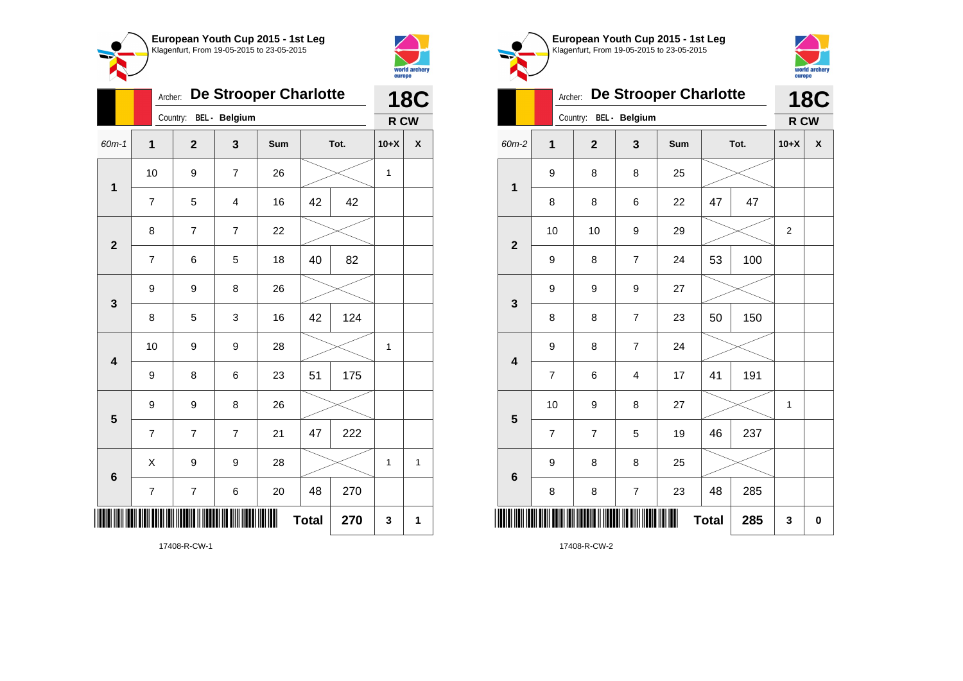



|                         |                          | <b>De Strooper Charlotte</b><br>Archer: |                         |     |              |      |             |                    |
|-------------------------|--------------------------|-----------------------------------------|-------------------------|-----|--------------|------|-------------|--------------------|
|                         |                          | Country: BEL - Belgium                  |                         |     |              |      | R CW        |                    |
| 60m-1                   | 1                        | $\overline{2}$                          | 3                       | Sum |              | Tot. | $10+X$      | $\pmb{\mathsf{X}}$ |
| $\mathbf 1$             | 10                       | 9                                       | $\overline{7}$          | 26  |              |      | $\mathbf 1$ |                    |
|                         | $\overline{7}$           | 5                                       | $\overline{\mathbf{4}}$ | 16  | 42           | 42   |             |                    |
| $\overline{2}$          | 8                        | $\overline{7}$                          | $\overline{7}$          | 22  |              |      |             |                    |
|                         | $\overline{7}$           | 6                                       | 5                       | 18  | 40           | 82   |             |                    |
| 3                       | 9                        | 9                                       | 8                       | 26  |              |      |             |                    |
|                         | 8                        | 5                                       | 3                       | 16  | 42           | 124  |             |                    |
| $\overline{\mathbf{4}}$ | 10                       | 9                                       | 9                       | 28  |              |      | $\mathbf 1$ |                    |
|                         | 9                        | 8                                       | 6                       | 23  | 51           | 175  |             |                    |
| 5                       | 9                        | 9                                       | 8                       | 26  |              |      |             |                    |
|                         | $\overline{7}$           | $\overline{7}$                          | $\overline{7}$          | 21  | 47           | 222  |             |                    |
| 6                       | X                        | 9                                       | 9                       | 28  |              |      | 1           | 1                  |
|                         | $\overline{\mathcal{I}}$ | 7                                       | 6                       | 20  | 48           | 270  |             |                    |
|                         |                          |                                         |                         |     | <b>Total</b> | 270  | 3           | 1                  |



**European Youth Cup 2015 - 1st Leg**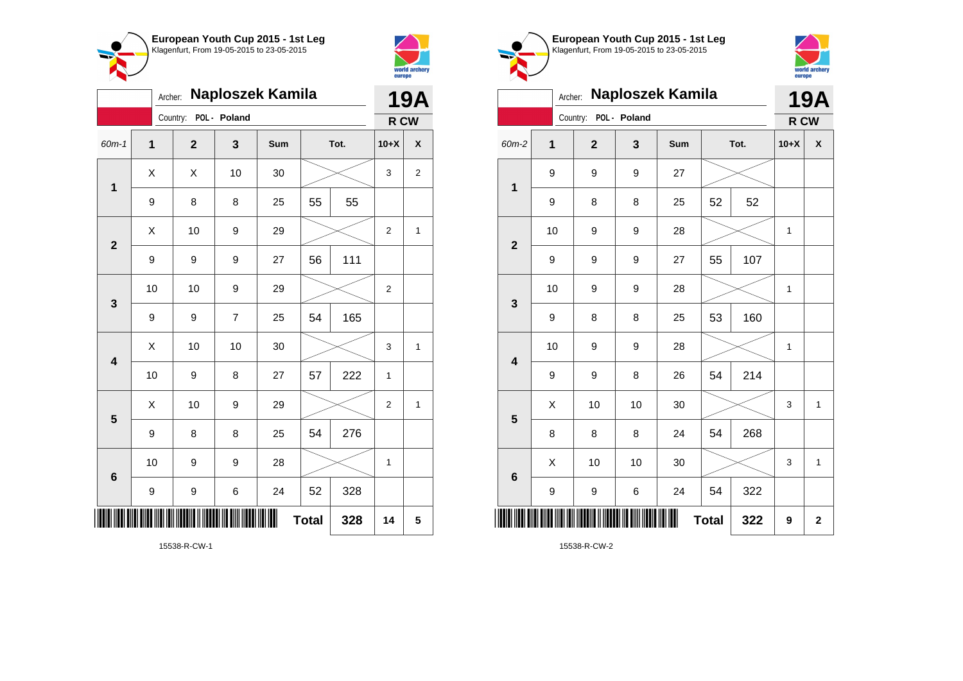



| Naploszek Kamila<br>Archer: |             |                |                |     |              |      |                | <b>19A</b>         |  |
|-----------------------------|-------------|----------------|----------------|-----|--------------|------|----------------|--------------------|--|
|                             |             | Country:       | POL - Poland   |     |              |      | R CW           |                    |  |
| 60m-1                       | $\mathbf 1$ | $\overline{2}$ | 3              | Sum |              | Tot. | $10+X$         | $\pmb{\mathsf{X}}$ |  |
| $\mathbf 1$                 | X           | X              | 10             | 30  |              |      | 3              | 2                  |  |
|                             | 9           | 8              | 8              | 25  | 55           | 55   |                |                    |  |
| $\overline{\mathbf{2}}$     | X           | 10             | 9              | 29  |              |      | 2              | 1                  |  |
|                             | 9           | 9              | 9              | 27  | 56           | 111  |                |                    |  |
| 3                           | 10          | 10             | 9              | 29  |              |      | $\overline{c}$ |                    |  |
|                             | 9           | 9              | $\overline{7}$ | 25  | 54           | 165  |                |                    |  |
| $\overline{\mathbf{4}}$     | X           | 10             | 10             | 30  |              |      | 3              | 1                  |  |
|                             | 10          | 9              | 8              | 27  | 57           | 222  | $\mathbf 1$    |                    |  |
| 5                           | X           | 10             | 9              | 29  |              |      | 2              | 1                  |  |
|                             | 9           | 8              | 8              | 25  | 54           | 276  |                |                    |  |
| 6                           | 10          | 9              | 9              | 28  |              |      | 1              |                    |  |
|                             | 9           | 9              | 6              | 24  | 52           | 328  |                |                    |  |
| III                         |             |                |                |     | <b>Total</b> | 328  | 14             | 5                  |  |

world archery<br>europe Archer: **Naploszek Kamila 19A** Country: **POL - Poland R CW** 60m-2 **1 2 3 Sum Tot. 10+X X** 9 9 9 27 **1** 9 | 8 | 8 | 25 | 52 | 52 10 | 9 | 9 | 28 |  $\times$  | 1 **2** 9 | 9 | 9 | 27 | 55 | 107 10 | 9 | 9 | 28 |  $\times$  | 1 **3** 9 | 8 | 8 | 25 | 53 | 160 10 | 9 | 9 | 28 |  $\times$  | 1 **4** 9 | 9 | 8 | 26 | 54 | 214  $\begin{array}{|c|c|c|c|c|c|}\hline \hspace{.1cm}X & \hspace{.1cm} \text{ 10} & \hspace{.1cm} \text{ 10} & \hspace{.1cm} \text{ 30} & \hspace{.1cm} \end{array} \hspace{1.2cm} \begin{array}{|c|c|c|c|c|c|}\hline \hspace{.1cm}X & \hspace{.1cm} \text{ 3} & \hspace{.1cm} \text{ 1} & \hspace{.1cm} \text{ 4} & \hspace{.1cm} \end{array} \hspace{1.2cm}$ **5** 8 | 8 | 8 | 24 | 54 | 268  $\begin{array}{|c|c|c|c|c|c|}\hline \hspace{.1cm}X & \hspace{.1cm} \text{ 10} & \hspace{.1cm} \text{ 10} & \hspace{.1cm} \text{ 30} & \hspace{.1cm} \end{array} \hspace{.2cm} \begin{array}{|c|c|c|c|c|c|}\hline \hspace{.1cm}X & \hspace{.1cm} \text{ 3} & \hspace{.1cm} \text{ 1} & \hspace{.1cm} \text{ 4} & \hspace{.1cm} \end{array}$ **6** 9 | 9 | 6 | 24 | 54 | 322 \*15538-R-CW-2\*  $Total \, | \, 322 \, | \, 9 \, | \, 2$ 

**European Youth Cup 2015 - 1st Leg** Klagenfurt, From 19-05-2015 to 23-05-2015

15538-R-CW-2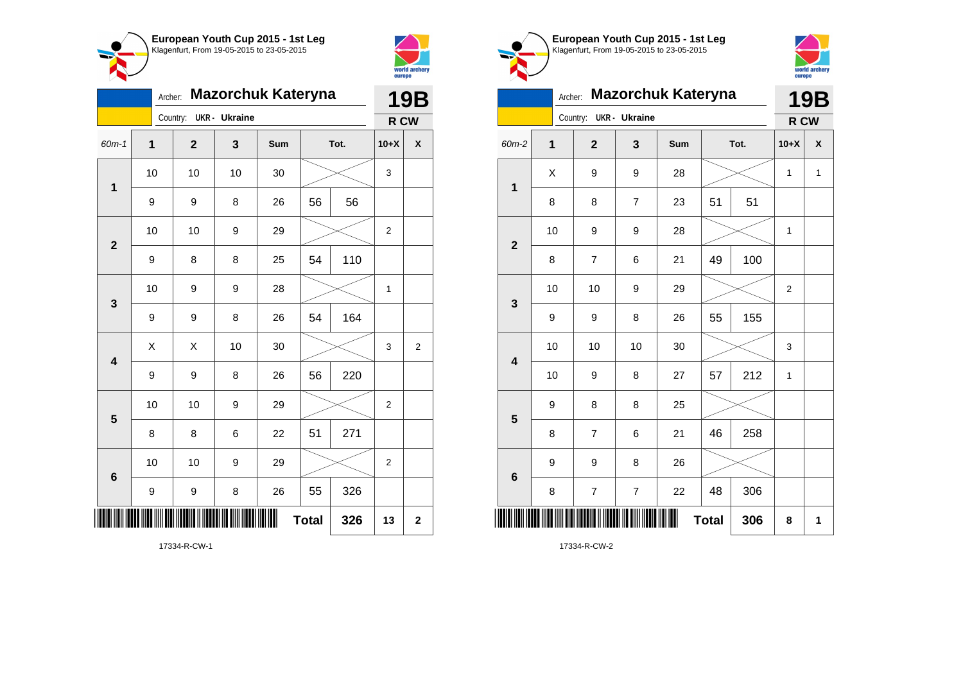



|                         | <b>Mazorchuk Kateryna</b><br>Archer: |              |                      |     |              |      |                |                         |
|-------------------------|--------------------------------------|--------------|----------------------|-----|--------------|------|----------------|-------------------------|
|                         |                                      | Country:     | <b>UKR</b> - Ukraine |     |              |      | R CW           |                         |
| 60m-1                   | 1                                    | $\mathbf{2}$ | 3                    | Sum |              | Tot. | $10+X$         | $\pmb{\mathsf{X}}$      |
| $\mathbf 1$             | 10                                   | 10           | 10                   | 30  |              |      | 3              |                         |
|                         | 9                                    | 9            | 8                    | 26  | 56           | 56   |                |                         |
| $\mathbf{2}$            | 10                                   | 10           | 9                    | 29  |              |      | $\overline{2}$ |                         |
|                         | 9                                    | 8            | 8                    | 25  | 54           | 110  |                |                         |
| 3                       | 10                                   | 9            | 9                    | 28  |              |      | 1              |                         |
|                         | $\boldsymbol{9}$                     | 9            | 8                    | 26  | 54           | 164  |                |                         |
| $\overline{\mathbf{4}}$ | X                                    | X            | 10                   | 30  |              |      | 3              | $\overline{c}$          |
|                         | 9                                    | 9            | 8                    | 26  | 56           | 220  |                |                         |
| 5                       | 10                                   | 10           | 9                    | 29  |              |      | $\overline{2}$ |                         |
|                         | 8                                    | 8            | 6                    | 22  | 51           | 271  |                |                         |
| $6\phantom{1}6$         | 10                                   | 10           | 9                    | 29  |              |      | $\overline{2}$ |                         |
|                         | 9                                    | 9            | 8                    | 26  | 55           | 326  |                |                         |
| IIII                    |                                      |              |                      |     | <b>Total</b> | 326  | 13             | $\overline{\mathbf{2}}$ |

**European Youth Cup 2015 - 1st Leg** Klagenfurt, From 19-05-2015 to 23-05-2015



Archer: **Mazorchuk Kateryna** Country: **UKR - Ukraine 19B R CW** 60m-2 **1 2 3 Sum Tot. 10+X X 1**  $X$  | 9 | 9 | 28 |  $\times$  | 1 | 1 8 | 8 | 7 | 23 | 51 | 51 **2** 10 | 9 | 9 | 28 |  $\times$  | 1 8 | 7 | 6 | 21 | 49 | 100 **3** 10 | 10 | 9 | 29 |  $\times$  | 2 9 | 9 | 8 | 26 | 55 | 155 **4** 10 | 10 | 10 | 30 |  $\times$  | 3 10 | 9 | 8 | 27 | 57 | 212 | 1 **5** 9 8 8 25 8 | 7 | 6 | 21 | 46 | 258 **6** 9 | 9 | 8 | 26 8 | 7 | 7 | 22 | 48 | 306 \*17334-R-CW-2\* **Total 306 8 1**

17334-R-CW-2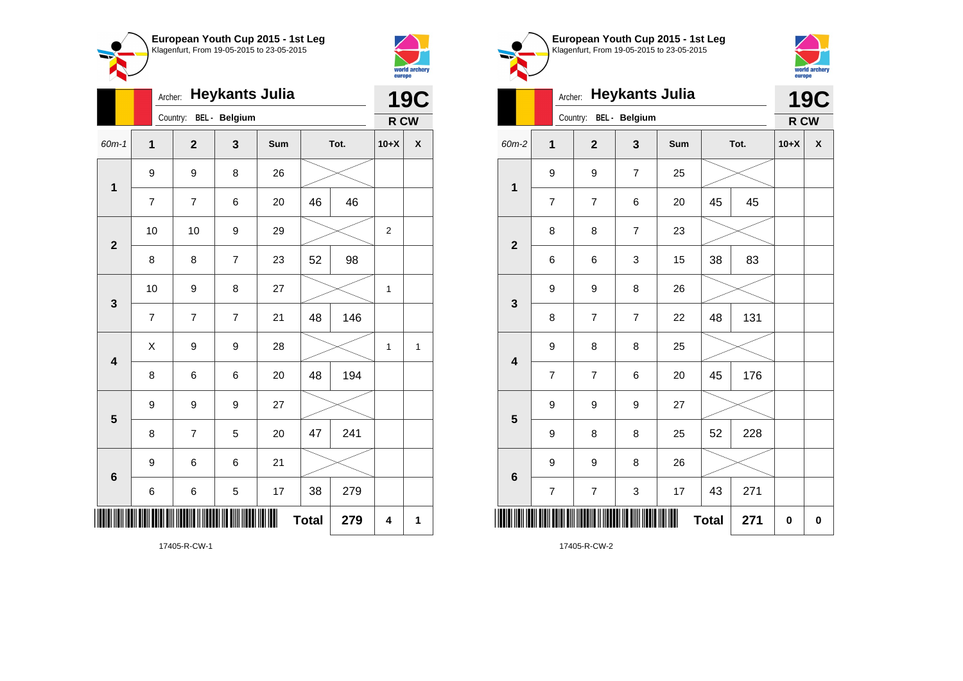



|                         |                | <b>Heykants Julia</b><br>Archer: |                |     |              |      |                  |   |
|-------------------------|----------------|----------------------------------|----------------|-----|--------------|------|------------------|---|
|                         |                | Country:                         | BEL - Belgium  |     |              |      | R CW             |   |
| 60m-1                   | $\overline{1}$ | $\overline{\mathbf{2}}$          | 3              | Sum |              | Tot. | $10+X$           | χ |
| 1                       | 9              | 9                                | 8              | 26  |              |      |                  |   |
|                         | $\overline{7}$ | $\overline{7}$                   | 6              | 20  | 46           | 46   |                  |   |
| $\overline{\mathbf{2}}$ | 10             | 10                               | 9              | 29  |              |      | $\boldsymbol{2}$ |   |
|                         | 8              | 8                                | $\overline{7}$ | 23  | 52           | 98   |                  |   |
| 3                       | 10             | 9                                | 8              | 27  |              |      | 1                |   |
|                         | $\overline{7}$ | $\overline{7}$                   | $\overline{7}$ | 21  | 48           | 146  |                  |   |
| $\overline{\mathbf{4}}$ | Χ              | 9                                | 9              | 28  |              |      | $\mathbf{1}$     | 1 |
|                         | 8              | 6                                | 6              | 20  | 48           | 194  |                  |   |
| 5                       | 9              | 9                                | 9              | 27  |              |      |                  |   |
|                         | 8              | 7                                | 5              | 20  | 47           | 241  |                  |   |
| 6                       | 9              | 6                                | 6              | 21  |              |      |                  |   |
|                         | 6              | 6                                | 5              | 17  | 38           | 279  |                  |   |
| ∭                       |                |                                  |                |     | <b>Total</b> | 279  | 4                | 1 |

**European Youth Cup 2015 - 1st Leg** Klagenfurt, From 19-05-2015 to 23-05-2015 world archery<br>europe Archer: **Heykants Julia 19C** Country: **BEL - Belgium R CW** 60m-2 **1 2 3 Sum Tot. 10+X X** 9 9 7 25 **1** 7 | 7 | 6 | 20 | 45 | 45 8 8 7 23 **2** 6 6 3 15 38 83 9 9 8 26 **3** 8 | 7 | 7 | 22 | 48 | 131 9 8 8 25 **4** 7 | 7 | 6 | 20 | 45 | 176

7 | 7 | 3 | 17 | 43 | 271 \*17405-R-CW-2\*

9 9 9 27

9 | 9 | 8 | 26

9 | 8 | 8 | 25 | 52 | 228

 $Total | 271 | 0 | 0$ 

17405-R-CW-2

**5**

**6**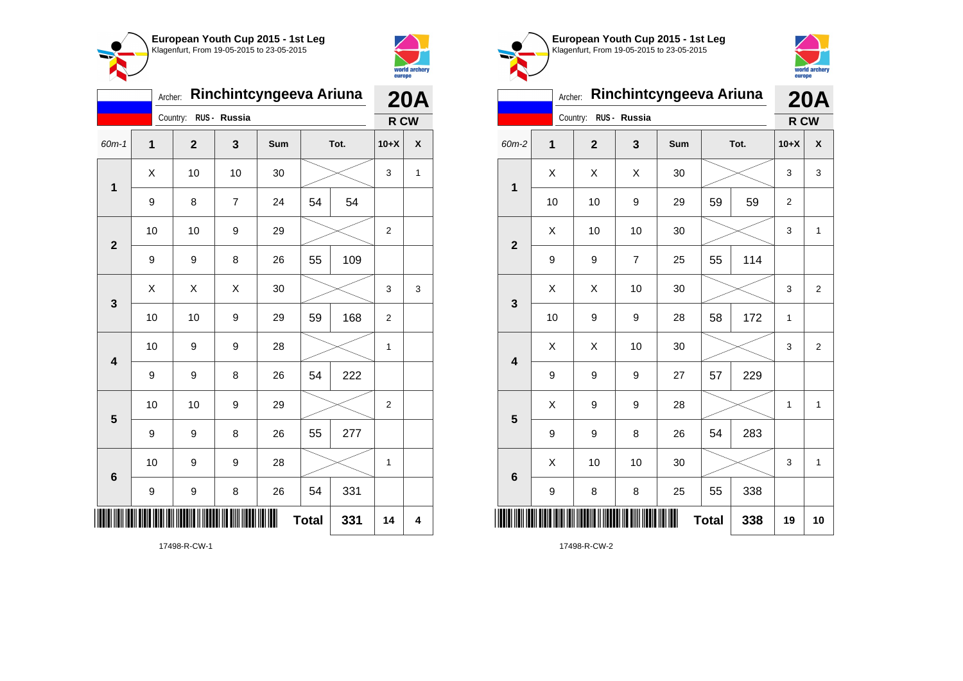



|                         | Rinchintcyngeeva Ariuna<br>Archer: |             |              |     |              |      |                  |            |  |
|-------------------------|------------------------------------|-------------|--------------|-----|--------------|------|------------------|------------|--|
|                         |                                    | Country:    | RUS - Russia |     |              |      | R CW             | <b>20A</b> |  |
| $60m-1$                 | 1                                  | $\mathbf 2$ | 3            | Sum |              | Tot. | $10+X$           | X          |  |
| $\mathbf{1}$            | X                                  | 10          | 10           | 30  |              |      | 3                | 1          |  |
|                         | 9                                  | 8           | 7            | 24  | 54           | 54   |                  |            |  |
| $\overline{2}$          | 10                                 | 10          | 9            | 29  |              |      | $\boldsymbol{2}$ |            |  |
|                         | 9                                  | 9           | 8            | 26  | 55           | 109  |                  |            |  |
| 3                       | Χ                                  | X           | X            | 30  |              |      | 3                | 3          |  |
|                         | 10                                 | 10          | 9            | 29  | 59           | 168  | $\overline{2}$   |            |  |
| $\overline{\mathbf{4}}$ | 10                                 | 9           | 9            | 28  |              |      | $\mathbf{1}$     |            |  |
|                         | 9                                  | 9           | 8            | 26  | 54           | 222  |                  |            |  |
| 5                       | 10                                 | 10          | 9            | 29  |              |      | $\overline{2}$   |            |  |
|                         | 9                                  | 9           | 8            | 26  | 55           | 277  |                  |            |  |
| $6\phantom{1}6$         | 10                                 | 9           | 9            | 28  |              |      | $\mathbf{1}$     |            |  |
|                         | 9                                  | 9           | 8            | 26  | 54           | 331  |                  |            |  |
| III                     |                                    |             |              |     | <b>Total</b> | 331  | 14               | 4          |  |

world archery<br>europe Archer: **Rinchintcyngeeva Ariuna 20A** Country: **RUS - Russia R CW** 60m-2 **1 2 3 Sum Tot. 10+X X**  $X \quad | \quad X \quad | \quad X \quad | \quad 30 \quad | \quad \textcolor{red}{\textbf{3}} \textcolor{red}{\textbf{2}} \sim \quad | \quad 3 \quad | \quad 3$ **1** 10 | 10 | 9 | 29 | 59 | 59 | 2  $\begin{array}{|c|c|c|c|c|c|}\hline \hspace{.1cm}X & \hspace{.1cm} \text{ 10} & \hspace{.1cm} \text{ 10} & \hspace{.1cm} \text{ 30} & \hspace{.1cm} \end{array} \hspace{.2cm} \begin{array}{|c|c|c|c|c|c|}\hline \hspace{.1cm}X & \hspace{.1cm} \text{ 3} & \hspace{.1cm} \text{ 1} & \hspace{.1cm} \text{ 4} & \hspace{.1cm} \end{array}$ **2** 9 | 9 | 7 | 25 | 55 | 114 X X 10 30 3 2 **3** 10 | 9 | 9 | 28 | 58 | 172 | 1  $\begin{array}{|c|c|c|c|c|}\hline \hspace{0.8cm}X & \hspace{0.8cm}X & \hspace{0.8cm}10 & \hspace{0.8cm}30 & \hspace{0.8cm}\hline \end{array} \hspace{0.2cm}\rightarrow \hspace{0.2cm}\begin{array}{|c|c|c|c|c|}\hline \hspace{0.8cm}X & \hspace{0.8cm}3 & \hspace{0.8cm}2 & \hspace{0.8cm}\hline \end{array}$ **4** 9 9 9 27 57 229  $X$  | 9 | 9 | 28 |  $\times$  | 1 | 1 **5** 9 | 9 | 8 | 26 | 54 | 283  $\begin{array}{|c|c|c|c|c|c|}\hline \hspace{.1cm}X & \hspace{.1cm} \text{ 10} & \hspace{.1cm} \text{ 10} & \hspace{.1cm} \text{ 30} & \hspace{.1cm} \end{array} \hspace{.2cm} \begin{array}{|c|c|c|c|c|c|}\hline \hspace{.1cm}X & \hspace{.1cm} \text{ 3} & \hspace{.1cm} \text{ 1} & \hspace{.1cm} \text{ 4} & \hspace{.1cm} \end{array}$ **6** 9 | 8 | 8 | 25 | 55 | 338 \*17498-R-CW-2\* **Total 338 19 10**

**European Youth Cup 2015 - 1st Leg** Klagenfurt, From 19-05-2015 to 23-05-2015

17498-R-CW-1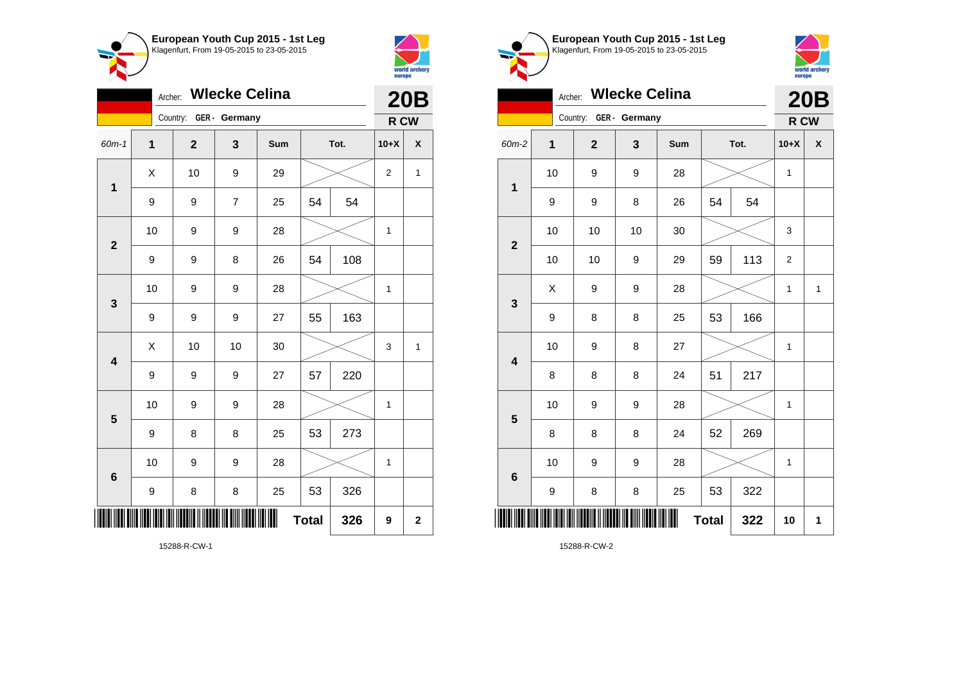



| <b>Expertise Service</b> |    |                        |                |     |    |      | europe         |              |  |
|--------------------------|----|------------------------|----------------|-----|----|------|----------------|--------------|--|
|                          |    | Archer: Wlecke Celina  |                |     |    |      |                | <b>20B</b>   |  |
|                          |    | Country: GER - Germany |                |     |    |      |                | R CW         |  |
| $60m-1$                  | 1  | $\overline{2}$         | 3              | Sum |    | Tot. | $10+X$         | X            |  |
| $\mathbf{1}$             | X  | 10                     | 9              | 29  |    |      | $\overline{2}$ | $\mathbf{1}$ |  |
|                          | 9  | 9                      | $\overline{7}$ | 25  | 54 | 54   |                |              |  |
|                          | 10 | 9                      | 9              | 28  |    |      | 1              |              |  |
| $\mathbf{2}$             | 9  | 9                      | 8              | 26  | 54 | 108  |                |              |  |
|                          | 10 | 9                      | 9              | 28  |    |      | 1              |              |  |
| 3                        | 9  | 9                      | 9              | 27  | 55 | 163  |                |              |  |
|                          | X  | 10                     | 10             | 30  |    |      | 3              | $\mathbf{1}$ |  |
| $\overline{\mathbf{4}}$  | 9  | 9                      | 9              | 27  | 57 | 220  |                |              |  |
|                          | 10 | 9                      | 9              | 28  |    |      | $\mathbf{1}$   |              |  |
| 5                        | 9  | 8                      | 8              | 25  | 53 | 273  |                |              |  |
|                          | 10 | 9                      | 9              | 28  |    |      | 1              |              |  |
| $\bf 6$                  | 9  | 8                      | 8              | 25  | 53 | 326  |                |              |  |

 $Total | 326 | 9 | 2$ 

**European Youth Cup 2015 - 1st Leg** Klagenfurt, From 19-05-2015 to 23-05-2015



|                         | <b>Wlecke Celina</b><br>Archer: |             |               |     |              |      |              |              |
|-------------------------|---------------------------------|-------------|---------------|-----|--------------|------|--------------|--------------|
|                         |                                 | Country:    | GER - Germany |     |              |      | R CW         | 20B          |
| 60m-2                   | 1                               | $\mathbf 2$ | 3             | Sum |              | Tot. | $10+X$       | X            |
| $\mathbf 1$             | 10                              | 9           | 9             | 28  |              |      | 1            |              |
|                         | 9                               | 9           | 8             | 26  | 54           | 54   |              |              |
| $\overline{2}$          | 10                              | 10          | 10            | 30  |              |      | 3            |              |
|                         | 10                              | 10          | 9             | 29  | 59           | 113  | 2            |              |
| 3                       | X                               | 9           | 9             | 28  |              |      | 1            | $\mathbf{1}$ |
|                         | 9                               | 8           | 8             | 25  | 53           | 166  |              |              |
| $\overline{\mathbf{4}}$ | 10                              | 9           | 8             | 27  |              |      | $\mathbf{1}$ |              |
|                         | 8                               | 8           | 8             | 24  | 51           | 217  |              |              |
| 5                       | 10                              | 9           | 9             | 28  |              |      | $\mathbf{1}$ |              |
|                         | 8                               | 8           | 8             | 24  | 52           | 269  |              |              |
| 6                       | 10                              | 9           | 9             | 28  |              |      | 1            |              |
|                         | 9                               | 8           | 8             | 25  | 53           | 322  |              |              |
| ║║║                     |                                 |             |               |     | <b>Total</b> | 322  | 10           | 1            |

15288-R-CW-1

\*1<mark>.11288-R-CW-1\*11288-R-CW-1\*11288-R-CW-1\*11288-R-CW-1\*1288-R-CW-1\*1288-R-CW-1\*1288-R-CW-1\*288-R-CW-1\*288-R-CW-</mark>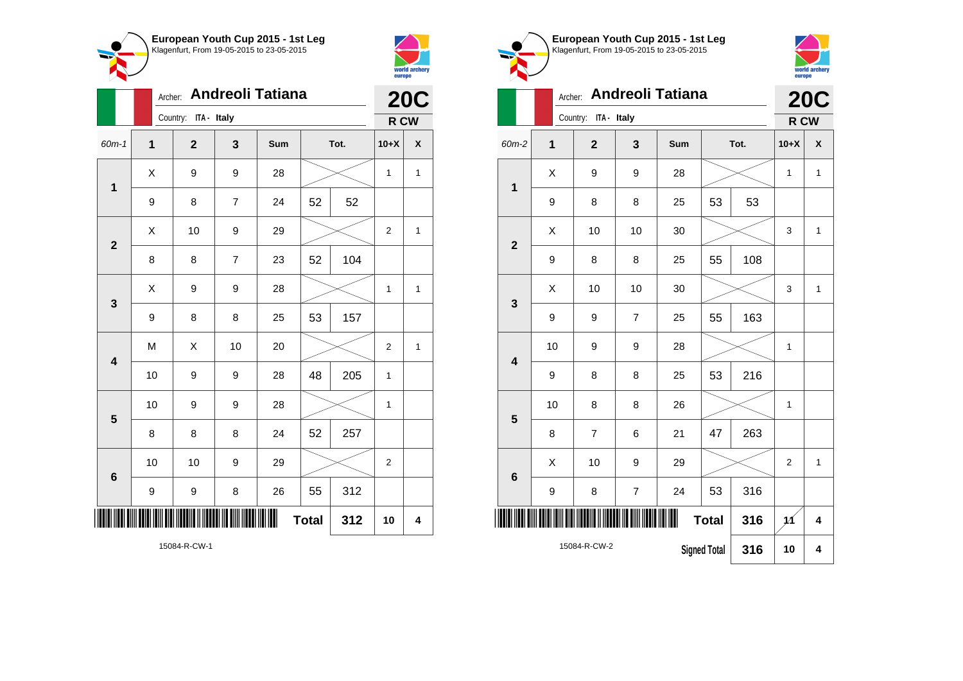



**1**

**2**

**3**

|                         |   |    | Archer: Andreoli Tatiana |                |     | <b>20C</b>   |     |                |             |
|-------------------------|---|----|--------------------------|----------------|-----|--------------|-----|----------------|-------------|
|                         |   |    | Country: ITA - Italy     |                |     |              |     | R CW           |             |
| 60m-1                   | 1 |    | $\mathbf{2}$             | $\mathbf{3}$   | Sum | Tot.         |     | $10+X$         | χ           |
| $\mathbf 1$             |   | X  | 9                        | 9              | 28  |              |     | $\mathbf{1}$   | $\mathbf 1$ |
|                         |   | 9  | 8                        | $\overline{7}$ | 24  | 52           | 52  |                |             |
| $\overline{\mathbf{2}}$ |   | Χ  | 10                       | 9              | 29  |              |     | $\overline{2}$ | $\mathbf 1$ |
|                         |   | 8  | 8                        | $\overline{7}$ | 23  | 52           | 104 |                |             |
| 3                       |   | Χ  | 9                        | 9              | 28  |              |     | 1              | 1           |
|                         |   | 9  | 8                        | 8              | 25  | 53           | 157 |                |             |
| $\overline{\mathbf{4}}$ |   | M  | X                        | 10             | 20  |              |     | $\overline{2}$ | $\mathbf 1$ |
|                         |   | 10 | 9                        | 9              | 28  | 48           | 205 | $\mathbf{1}$   |             |
| 5                       |   | 10 | 9                        | 9              | 28  |              |     | $\mathbf{1}$   |             |
|                         |   | 8  | 8                        | 8              | 24  | 52           | 257 |                |             |
| $6\phantom{1}$          |   | 10 | 10                       | 9              | 29  |              |     | $\mathbf 2$    |             |
|                         | 9 |    | 9                        | 8              | 26  | 55           | 312 |                |             |
|                         |   |    |                          |                |     | <b>Total</b> | 312 | 10             | 4           |

Klagenfurt, From 19-05-2015 to 23-05-2015 world archery<br>europe Archer: **Andreoli Tatiana 20C** Country: **ITA - Italy R CW** 60m-2 **1 2 3 Sum Tot. 10+X X**  $X$  | 9 | 9 | 28 |  $\times$  | 1 | 1 9 | 8 | 8 | 25 | 53 | 53  $\begin{array}{|c|c|c|c|c|c|}\hline \hspace{.1cm}X & \hspace{.1cm} \text{ 10} & \hspace{.1cm} \text{ 10} & \hspace{.1cm} \text{ 30} & \hspace{.1cm} \end{array} \hspace{.2cm} \begin{array}{|c|c|c|c|c|c|}\hline \hspace{.1cm}X & \hspace{.1cm} \text{ 3} & \hspace{.1cm} \text{ 1} & \hspace{.1cm} \text{ 4} & \hspace{.1cm} \end{array}$ 9 | 8 | 8 | 25 | 55 | 108  $\textsf{X}$  | 10 | 10 | 30 |  $\textcolor{blue}{\swarrow}$  | 3 | 1 9 | 9 | 7 | 25 | 55 | 163 10 | 9 | 9 | 28 |  $\times$  | 1 9 | 8 | 8 | 25 | 53 | 216

**European Youth Cup 2015 - 1st Leg**

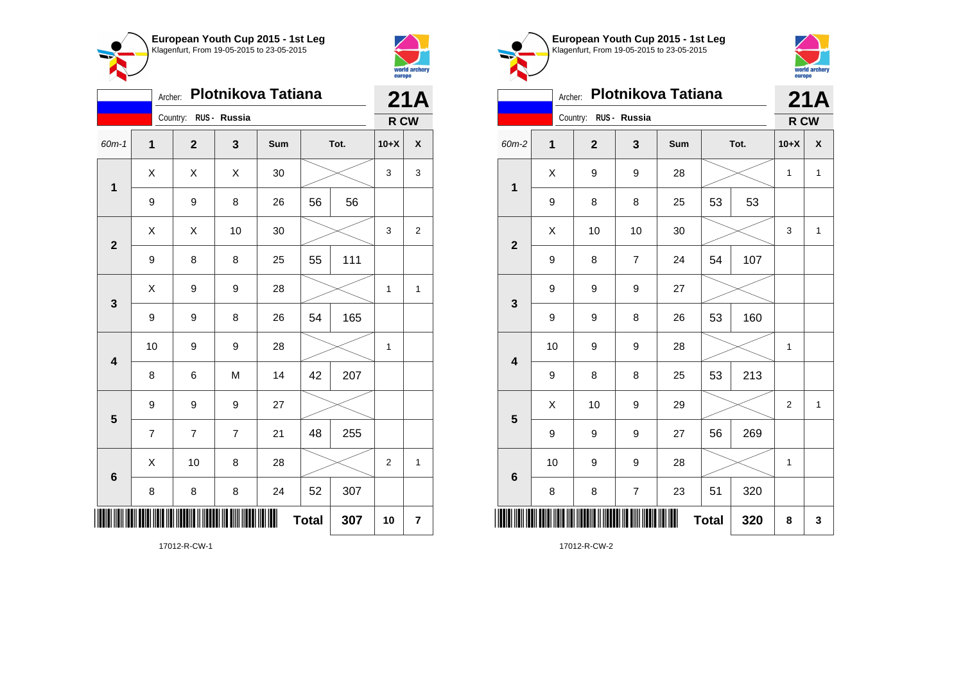



|                           |                | 21A                   |                |     |    |      |                |                         |
|---------------------------|----------------|-----------------------|----------------|-----|----|------|----------------|-------------------------|
|                           |                | Country: RUS - Russia |                |     |    |      | R CW           |                         |
| $60m-1$                   | 1              | $\mathbf{2}$          | 3              | Sum |    | Tot. | $10+X$         | X                       |
| $\mathbf{1}$              | X              | X                     | X              | 30  |    |      | 3              | 3                       |
|                           | 9              | 9                     | 8              | 26  | 56 | 56   |                |                         |
| $\overline{\mathbf{2}}$   | X              | Χ                     | 10             | 30  |    |      | 3              | $\overline{\mathbf{c}}$ |
|                           | 9              | 8                     | 8              | 25  | 55 | 111  |                |                         |
| 3                         | Χ              | 9                     | 9              | 28  |    |      | 1              | $\mathbf{1}$            |
|                           | 9              | 9                     | 8              | 26  | 54 | 165  |                |                         |
| $\overline{\mathbf{4}}$   | 10             | 9                     | 9              | 28  |    |      | 1              |                         |
|                           | 8              | 6                     | M              | 14  | 42 | 207  |                |                         |
| 5                         | 9              | 9                     | 9              | 27  |    |      |                |                         |
|                           | $\overline{7}$ | $\overline{7}$        | $\overline{7}$ | 21  | 48 | 255  |                |                         |
| $6\phantom{1}6$           | X              | 10                    | 8              | 28  |    |      | $\overline{2}$ | 1                       |
|                           | 8              | 8                     | 8              | 24  | 52 | 307  |                |                         |
| <b>Total</b><br>307<br>10 |                |                       |                |     |    |      |                | 7                       |

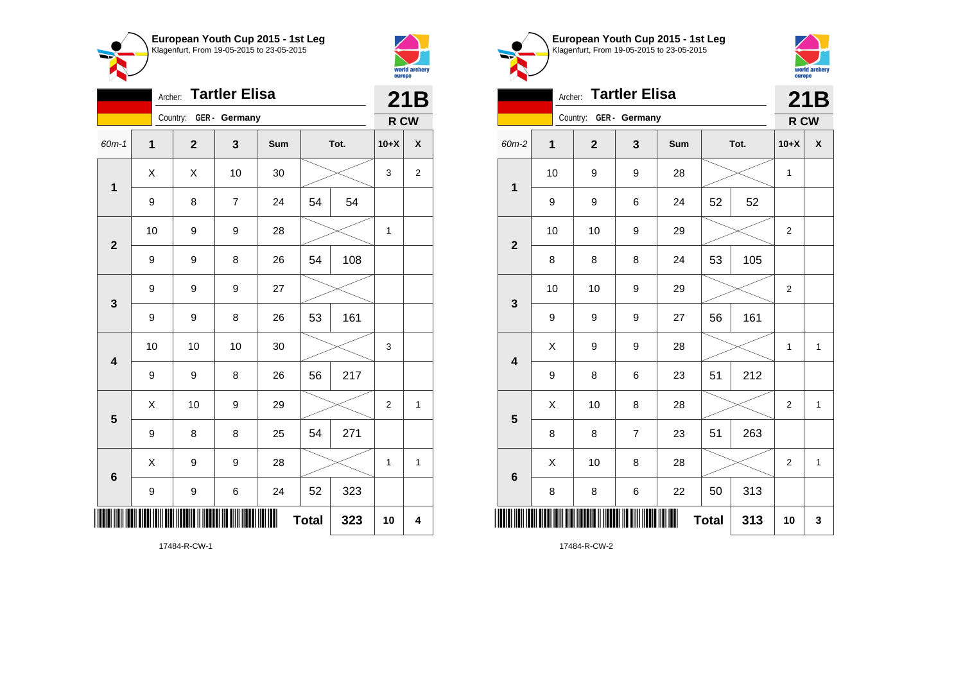



|                                |                | 21B                     |                |     |    |      |                |                |
|--------------------------------|----------------|-------------------------|----------------|-----|----|------|----------------|----------------|
|                                |                | Country: GER - Germany  |                |     |    |      | R CW           |                |
| 60m-1                          | $\overline{1}$ | $\overline{\mathbf{2}}$ | 3              | Sum |    | Tot. | $10+X$         | X              |
| $\mathbf 1$                    | X              | X                       | 10             | 30  |    |      | 3              | $\overline{c}$ |
|                                | 9              | 8                       | $\overline{7}$ | 24  | 54 | 54   |                |                |
| $\overline{2}$                 | 10             | 9                       | 9              | 28  |    |      | $\mathbf{1}$   |                |
|                                | 9              | 9                       | 8              | 26  | 54 | 108  |                |                |
| $\mathbf{3}$                   | 9              | 9                       | 9              | 27  |    |      |                |                |
|                                | 9              | 9                       | 8              | 26  | 53 | 161  |                |                |
| $\overline{\mathbf{4}}$        | 10             | 10                      | 10             | 30  |    |      | 3              |                |
|                                | 9              | 9                       | 8              | 26  | 56 | 217  |                |                |
| 5                              | X              | 10                      | 9              | 29  |    |      | $\overline{2}$ | $\mathbf{1}$   |
|                                | 9              | 8                       | 8              | 25  | 54 | 271  |                |                |
| $6\phantom{1}6$                | X              | 9                       | 9              | 28  |    |      | 1              | $\mathbf{1}$   |
|                                | 9              | 9                       | 6              | 24  | 52 | 323  |                |                |
| Ш<br><b>Total</b><br>323<br>10 |                |                         |                |     |    |      |                | 4              |





|                         | <b>Tartler Elisa</b><br>Archer: |                        |                |     |              |     |                |              |  |  |
|-------------------------|---------------------------------|------------------------|----------------|-----|--------------|-----|----------------|--------------|--|--|
|                         |                                 | Country: GER - Germany |                |     |              |     | R CW           |              |  |  |
| 60m-2                   | 1                               | $\overline{2}$         | 3              | Sum | Tot.         |     | $10+X$         | X            |  |  |
| 1                       | 10                              | 9                      | 9              | 28  |              |     | 1              |              |  |  |
|                         | 9                               | 9                      | 6              | 24  | 52           | 52  |                |              |  |  |
| $\overline{2}$          | 10                              | 10                     | 9              | 29  |              |     | $\overline{2}$ |              |  |  |
|                         | 8                               | 8                      | 8              | 24  | 53           | 105 |                |              |  |  |
| $\mathbf{3}$            | 10                              | 10                     | 9              | 29  |              |     | $\overline{2}$ |              |  |  |
|                         | 9                               | 9                      | 9              | 27  | 56           | 161 |                |              |  |  |
| $\overline{\mathbf{4}}$ | X                               | 9                      | 9              | 28  |              |     | 1              | $\mathbf 1$  |  |  |
|                         | 9                               | 8                      | 6              | 23  | 51           | 212 |                |              |  |  |
| 5                       | X                               | 10                     | 8              | 28  |              |     | $\overline{2}$ | $\mathbf{1}$ |  |  |
|                         | 8                               | 8                      | $\overline{7}$ | 23  | 51           | 263 |                |              |  |  |
| $6\phantom{1}6$         | X                               | 10                     | 8              | 28  |              |     | $\overline{2}$ | 1            |  |  |
|                         | 8                               | 8                      | 6              | 22  | 50           | 313 |                |              |  |  |
|                         |                                 |                        |                |     | <b>Total</b> | 313 | 10             | 3            |  |  |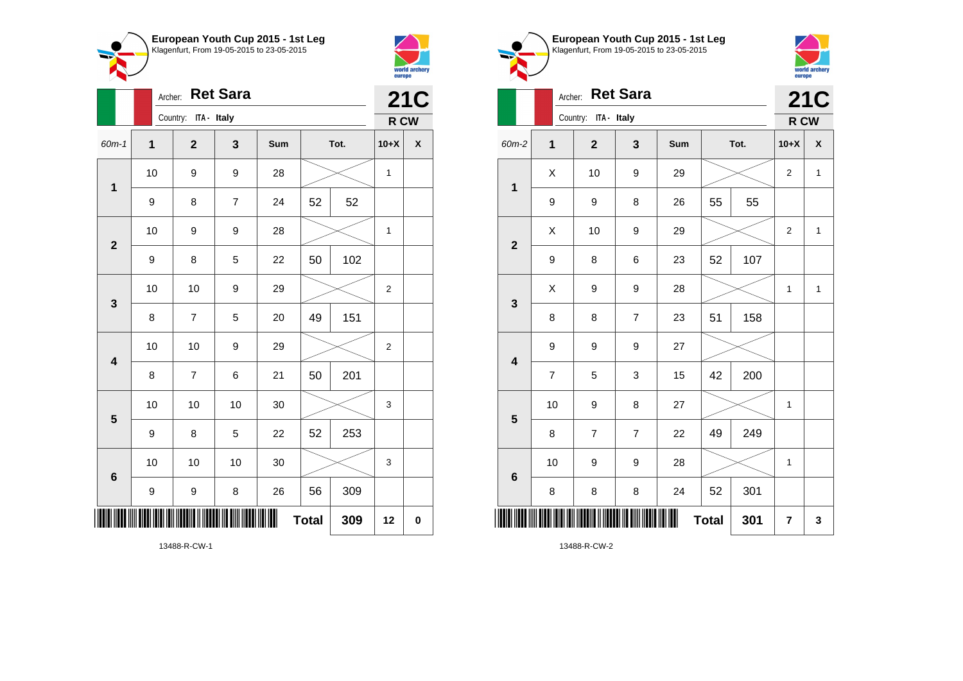



|                         |              | <b>Ret Sara</b><br>Archer: |                |     |              |      |                |             |  |
|-------------------------|--------------|----------------------------|----------------|-----|--------------|------|----------------|-------------|--|
|                         |              | Country: ITA - Italy       |                |     |              |      | R CW           |             |  |
| $60m-1$                 | $\mathbf{1}$ | $\overline{\mathbf{2}}$    | 3              | Sum |              | Tot. | $10+X$         | X           |  |
| $\mathbf{1}$            | 10           | 9                          | 9              | 28  |              |      | $\mathbf{1}$   |             |  |
|                         | 9            | 8                          | $\overline{7}$ | 24  | 52           | 52   |                |             |  |
| $\overline{2}$          | 10           | 9                          | 9              | 28  |              |      | 1              |             |  |
|                         | 9            | 8                          | 5              | 22  | 50           | 102  |                |             |  |
| 3                       | 10           | 10                         | 9              | 29  |              |      | $\overline{2}$ |             |  |
|                         | 8            | $\overline{\mathbf{7}}$    | 5              | 20  | 49           | 151  |                |             |  |
| $\overline{\mathbf{4}}$ | 10           | 10                         | 9              | 29  |              |      | $\overline{2}$ |             |  |
|                         | 8            | 7                          | 6              | 21  | 50           | 201  |                |             |  |
| 5                       | 10           | 10                         | 10             | 30  |              |      | 3              |             |  |
|                         | 9            | 8                          | 5              | 22  | 52           | 253  |                |             |  |
| $\bf 6$                 | 10           | 10                         | 10             | 30  |              |      | 3              |             |  |
|                         | 9            | 9                          | 8              | 26  | 56           | 309  |                |             |  |
| I                       |              |                            |                |     | <b>Total</b> | 309  | 12             | $\mathbf 0$ |  |

world archery<br>europe **21C** Archer: **Ret Sara** Country: **ITA - Italy R CW** 60m-2 **1 2 3 Sum Tot. 10+X X**  $\begin{array}{|c|c|c|c|c|c|}\hline \hspace{.1cm}X & \hspace{.1cm} & \textbf{10} & \hspace{.1cm} & \textbf{9} & \hspace{.1cm} & \textbf{29} & \hspace{.1cm} & \hspace{.1cm} & \hspace{.1cm} & \hspace{.1cm} & \hspace{.1cm} & \hspace{.1cm} & \hspace{.1cm} & \hspace{.1cm} & \hspace{.1cm} & \hspace{.1cm} & \hspace{.1cm} & \hspace{.1cm} & \hspace{.1cm} & \hspace{.1cm} & \hspace{.1cm} & \hspace{$ **1** 9 | 9 | 8 | 26 | 55 | 55  $\begin{array}{|c|c|c|c|c|c|}\hline \hspace{.1cm}X & \hspace{.1cm} & \textbf{10} & \hspace{.1cm} & \textbf{9} & \hspace{.1cm} & \textbf{29} & \hspace{.1cm} & \hspace{.1cm} & \hspace{.1cm} & \hspace{.1cm} & \hspace{.1cm} & \hspace{.1cm} & \hspace{.1cm} & \hspace{.1cm} & \hspace{.1cm} & \hspace{.1cm} & \hspace{.1cm} & \hspace{.1cm} & \hspace{.1cm} & \hspace{.1cm} & \hspace{.1cm} & \hspace{$ **2** 9 | 8 | 6 | 23 | 52 | 107  $\begin{array}{|c|c|c|c|c|c|}\hline \hspace{.1cm}X & \hspace{.1cm} 9 & \hspace{.1cm} 9 & \hspace{.1cm} 28 & \hspace{.1cm} 28 & \hspace{.1cm} & \hline \end{array} \hspace{.2cm} \begin{array}{c} \hline \hspace{.1cm}X & \hspace{.1cm} 1 & \hspace{.1cm} 1 & \hspace{.1cm} 1 \hspace{.1cm} \end{array}$ **3** 8 | 8 | 7 | 23 | 51 | 158 9 9 9 27 **4** 7 | 5 | 3 | 15 | 42 | 200 10 | 9 | 8 | 27 |  $\times$  | 1 **5** 8 | 7 | 7 | 22 | 49 | 249 10 | 9 | 9 | 28 |  $\times$  | 1 **6** 8 | 8 | 8 | 24 | 52 | 301 \*13488-R-CW-2\* **Total**  $301 \mid 7 \mid 3$ 

**European Youth Cup 2015 - 1st Leg** Klagenfurt, From 19-05-2015 to 23-05-2015

13488-R-CW-2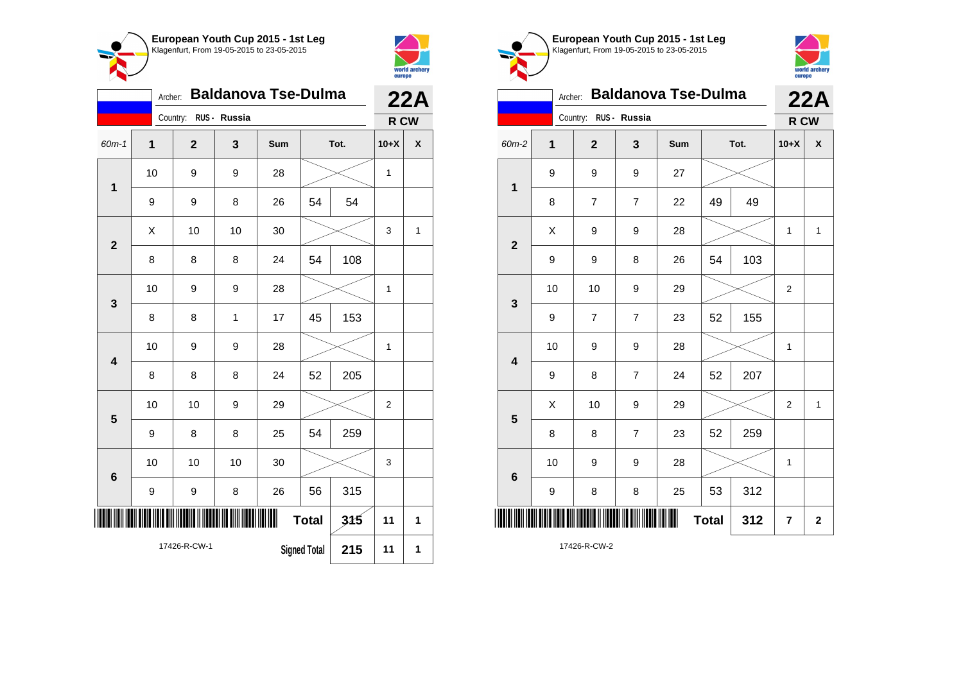



|                         | <b>Baldanova Tse-Dulma</b>                 | 22A            |              |     |              |      |                |                           |
|-------------------------|--------------------------------------------|----------------|--------------|-----|--------------|------|----------------|---------------------------|
|                         |                                            | Country:       | RUS - Russia |     |              |      | R CW           |                           |
| 60m-1                   | 1                                          | $\overline{2}$ | 3            | Sum |              | Tot. | $10+X$         | $\boldsymbol{\mathsf{x}}$ |
| $\mathbf 1$             | 10                                         | 9              | 9            | 28  |              |      | 1              |                           |
|                         | 9                                          | 9              | 8            | 26  | 54           | 54   |                |                           |
| $\overline{2}$          | X                                          | 10             | 10           | 30  |              |      | 3              | 1                         |
|                         | 8                                          | 8              | 8            | 24  | 54           | 108  |                |                           |
| 3                       | 10                                         | 9              | 9            | 28  |              |      | 1              |                           |
|                         | 8                                          | 8              | $\mathbf{1}$ | 17  | 45           | 153  |                |                           |
| $\overline{\mathbf{4}}$ | 10                                         | 9              | 9            | 28  |              |      | 1              |                           |
|                         | 8                                          | 8              | 8            | 24  | 52           | 205  |                |                           |
| 5                       | 10                                         | 10             | 9            | 29  |              |      | $\overline{2}$ |                           |
|                         | 9                                          | 8              | 8            | 25  | 54           | 259  |                |                           |
| 6                       | 10                                         | 10             | 10           | 30  |              |      | 3              |                           |
|                         | 9                                          | 9              | 8            | 26  | 56           | 315  |                |                           |
|                         |                                            |                |              |     | <b>Total</b> | 315  | 11             | 1                         |
|                         | 17426-R-CW-1<br><b>Signed Total</b><br>215 |                |              |     |              |      | 11             | 1                         |

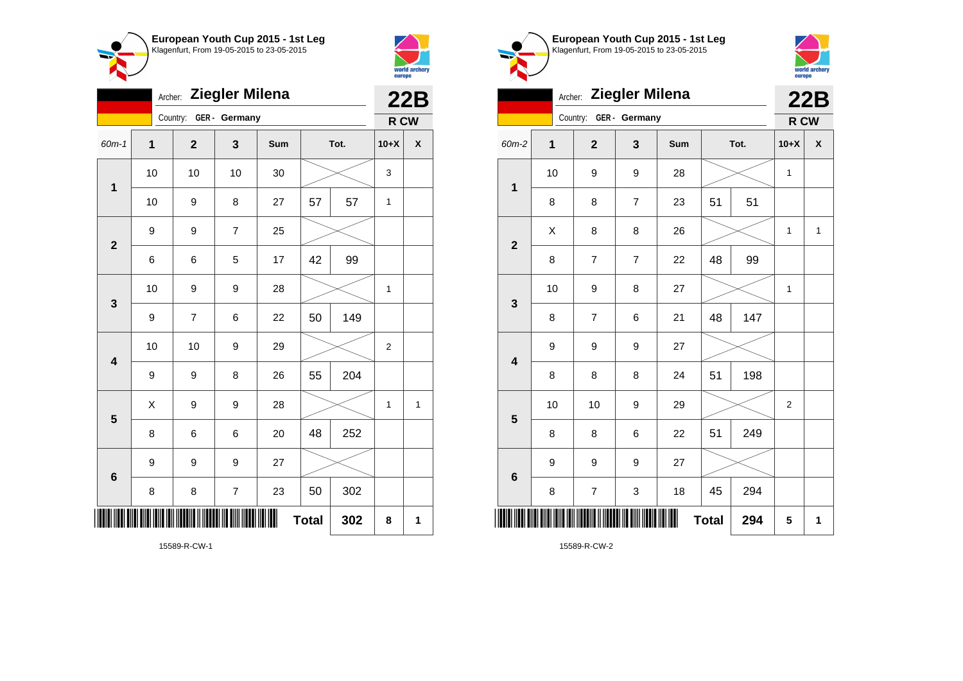



|                         | Archer: Ziegler Milena   |                         |                |     |    |      |                |   |  |
|-------------------------|--------------------------|-------------------------|----------------|-----|----|------|----------------|---|--|
|                         |                          | Country: GER - Germany  |                |     |    |      | R CW           |   |  |
| $60m-1$                 | $\mathbf 1$              | $\overline{\mathbf{2}}$ | 3              | Sum |    | Tot. | $10+X$         | χ |  |
| $\mathbf 1$             | 10                       | 10                      | 10             | 30  |    |      | 3              |   |  |
|                         | 10                       | 9                       | 8              | 27  | 57 | 57   | 1              |   |  |
| $\mathbf{2}$            | 9                        | 9                       | $\overline{7}$ | 25  |    |      |                |   |  |
|                         | 6                        | 6                       | 5              | 17  | 42 | 99   |                |   |  |
| $\mathbf{3}$            | 10                       | 9                       | 9              | 28  |    |      | 1              |   |  |
|                         | 9                        | $\overline{7}$          | 6              | 22  | 50 | 149  |                |   |  |
| $\overline{\mathbf{4}}$ | 10                       | 10                      | 9              | 29  |    |      | $\overline{c}$ |   |  |
|                         | 9                        | 9                       | 8              | 26  | 55 | 204  |                |   |  |
| 5                       | X                        | 9                       | 9              | 28  |    |      | 1              | 1 |  |
|                         | 8                        | 6                       | 6              | 20  | 48 | 252  |                |   |  |
| 6                       | 9                        | 9                       | 9              | 27  |    |      |                |   |  |
|                         | 8                        | 8                       | 7              | 23  | 50 | 302  |                |   |  |
| ║║                      | ║<br><b>Total</b><br>302 |                         |                |     |    |      |                | 1 |  |





|                          |              | Archer: Ziegler Milena   |                |     |    |      |              | 22B          |
|--------------------------|--------------|--------------------------|----------------|-----|----|------|--------------|--------------|
|                          |              | Country: GER - Germany   |                |     |    |      | R CW         |              |
| 60m-2                    | $\mathbf{1}$ | $\mathbf{2}$             | 3              | Sum |    | Tot. | $10+X$       | X            |
| $\mathbf{1}$             | 10           | 9                        | 9              | 28  |    |      | $\mathbf{1}$ |              |
|                          | 8            | 8                        | 7              | 23  | 51 | 51   |              |              |
| $\overline{2}$           | Χ            | 8                        | 8              | 26  |    |      | 1            | $\mathbf{1}$ |
|                          | 8            | $\overline{7}$           | $\overline{7}$ | 22  | 48 | 99   |              |              |
| $\overline{\mathbf{3}}$  | 10           | 9                        | 8              | 27  |    |      | $\mathbf{1}$ |              |
|                          | 8            | $\overline{7}$           | 6              | 21  | 48 | 147  |              |              |
| $\overline{\mathbf{4}}$  | 9            | 9                        | 9              | 27  |    |      |              |              |
|                          | 8            | 8                        | 8              | 24  | 51 | 198  |              |              |
| 5                        | 10           | 10                       | 9              | 29  |    |      | 2            |              |
|                          | 8            | 8                        | 6              | 22  | 51 | 249  |              |              |
| 6                        | 9            | 9                        | 9              | 27  |    |      |              |              |
|                          | 8            | $\overline{\mathcal{I}}$ | 3              | 18  | 45 | 294  |              |              |
| <b>Total</b><br>294<br>5 |              |                          |                |     |    |      |              | 1            |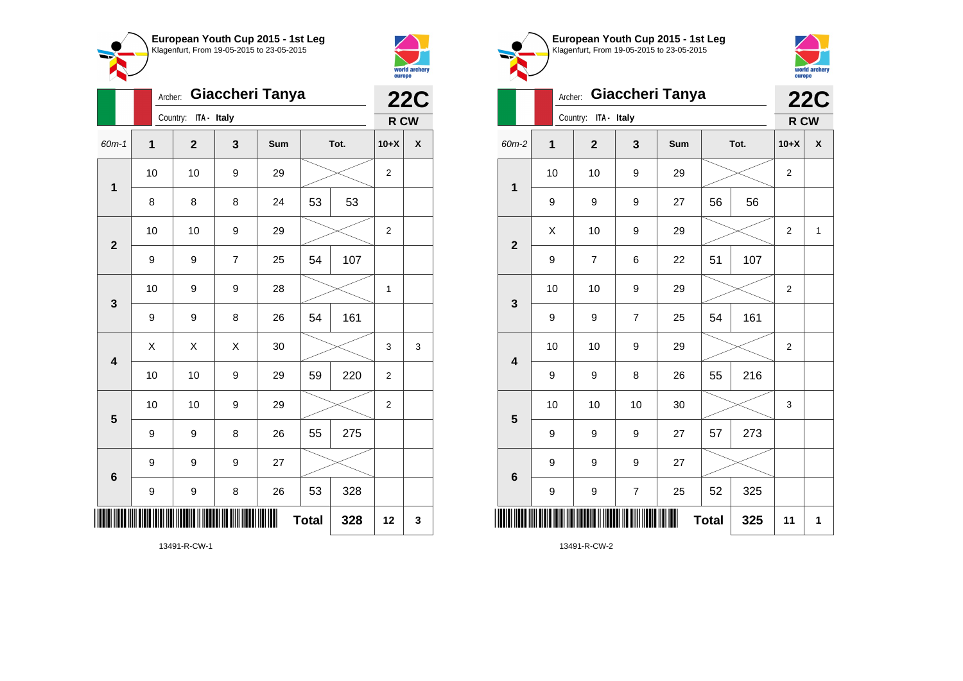



|                         |                | Giaccheri Tanya<br>Archer: |                |     | <b>22C</b>   |      |                |   |
|-------------------------|----------------|----------------------------|----------------|-----|--------------|------|----------------|---|
|                         |                | Country:<br>ITA - Italy    |                |     |              |      | R CW           |   |
| 60m-1                   | $\overline{1}$ | $\mathbf{2}$               | 3              | Sum |              | Tot. | $10+X$         | X |
| 1                       | 10             | 10                         | 9              | 29  |              |      | $\overline{c}$ |   |
|                         | 8              | 8                          | 8              | 24  | 53           | 53   |                |   |
| $\overline{2}$          | 10             | 10                         | 9              | 29  |              |      | $\overline{2}$ |   |
|                         | 9              | 9                          | $\overline{7}$ | 25  | 54           | 107  |                |   |
| 3                       | 10             | 9                          | 9              | 28  |              |      | $\mathbf{1}$   |   |
|                         | 9              | 9                          | 8              | 26  | 54           | 161  |                |   |
| $\overline{\mathbf{4}}$ | X              | X                          | X              | 30  |              |      | 3              | 3 |
|                         | 10             | 10                         | 9              | 29  | 59           | 220  | 2              |   |
| 5                       | 10             | 10                         | 9              | 29  |              |      | $\overline{2}$ |   |
|                         | 9              | 9                          | 8              | 26  | 55           | 275  |                |   |
| 6                       | 9              | 9                          | 9              | 27  |              |      |                |   |
|                         | 9              | 9                          | 8              | 26  | 53           | 328  |                |   |
|                         |                |                            |                | ∭   | <b>Total</b> | 328  | 12             | 3 |

world archery<br>europe Archer: **Giaccheri Tanya 22C** Country: **ITA - Italy R CW** 60m-2 **1 2 3 Sum Tot. 10+X X** 10 | 10 | 9 | 29 |  $\times$  | 2 **1** 9 9 9 27 56 56  $\begin{array}{|c|c|c|c|c|c|}\hline \hspace{.1cm}X & \hspace{.1cm} & \textbf{10} & \hspace{.1cm} & \textbf{9} & \hspace{.1cm} & \textbf{29} & \hspace{.1cm} & \hspace{.1cm} & \hspace{.1cm} & \hspace{.1cm} & \hspace{.1cm} & \hspace{.1cm} & \hspace{.1cm} & \hspace{.1cm} & \hspace{.1cm} & \hspace{.1cm} & \hspace{.1cm} & \hspace{.1cm} & \hspace{.1cm} & \hspace{.1cm} & \hspace{.1cm} & \hspace{$ **2** 9 | 7 | 6 | 22 | 51 | 107 10 | 10 | 9 | 29 |  $\times$  | 2 **3** 9 9 7 25 54 161 10 | 10 | 9 | 29 |  $\times$  | 2 **4** 9 | 9 | 8 | 26 | 55 | 216 10 | 10 | 10 | 30 |  $\times$  | 3 **5** 9 | 9 | 9 | 27 | 57 | 273 9 9 9 27 **6** 9 | 9 | 7 | 25 | 52 | 325 \*13491-R-CW-2\* **Total 325 11 1**

**European Youth Cup 2015 - 1st Leg** Klagenfurt, From 19-05-2015 to 23-05-2015

13491-R-CW-2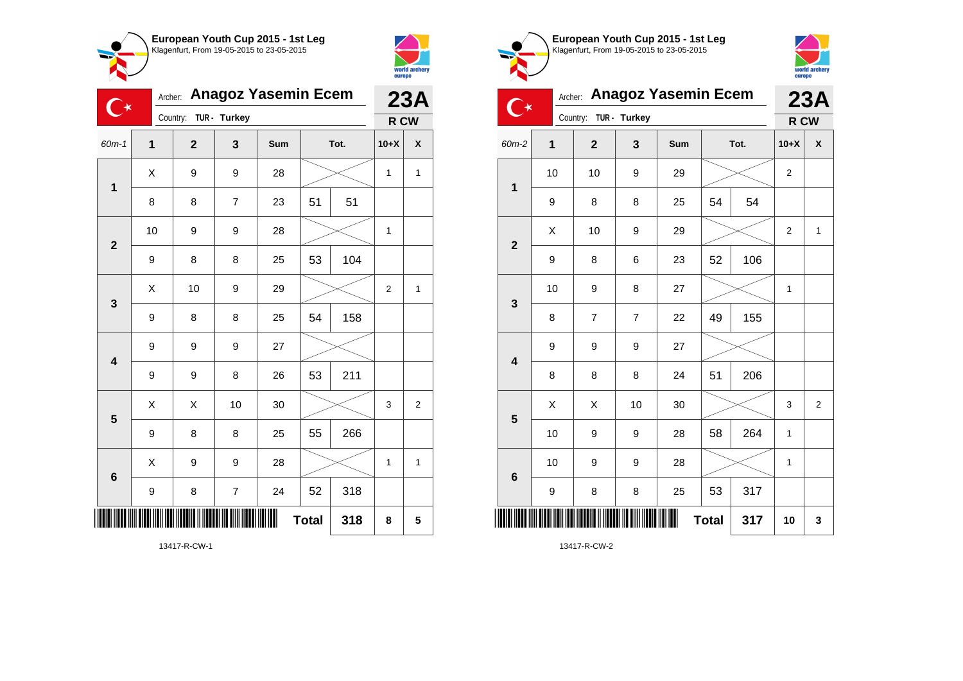



≂

| 〔 ★                     | Archer: | <b>Anagoz Yasemin Ecem</b> | 23A                      |     |              |      |              |                    |
|-------------------------|---------|----------------------------|--------------------------|-----|--------------|------|--------------|--------------------|
|                         |         | Country: TUR - Turkey      |                          |     |              |      | R CW         |                    |
| 60m-1                   | 1       | $\overline{2}$             | 3                        | Sum |              | Tot. | $10+X$       | $\pmb{\mathsf{X}}$ |
| $\mathbf 1$             | X       | 9                          | 9                        | 28  |              |      | $\mathbf{1}$ | $\mathbf{1}$       |
|                         | 8       | 8                          | $\overline{7}$           | 23  | 51           | 51   |              |                    |
| $\overline{\mathbf{2}}$ | 10      | 9                          | 9                        | 28  |              |      | 1            |                    |
|                         | 9       | 8                          | 8                        | 25  | 53           | 104  |              |                    |
|                         | X       | 10                         | 9                        | 29  |              |      | 2            | 1                  |
| $\mathbf{3}$            | 9       | 8                          | 8                        | 25  | 54           | 158  |              |                    |
| $\overline{\mathbf{4}}$ | 9       | 9                          | 9                        | 27  |              |      |              |                    |
|                         | 9       | 9                          | 8                        | 26  | 53           | 211  |              |                    |
| 5                       | X       | X                          | 10                       | 30  |              |      | 3            | $\overline{2}$     |
|                         | 9       | 8                          | 8                        | 25  | 55           | 266  |              |                    |
| $\bf 6$                 | X       | 9                          | 9                        | 28  |              |      | $\mathbf{1}$ | $\mathbf{1}$       |
|                         | 9       | 8                          | $\overline{\mathcal{I}}$ | 24  | 52           | 318  |              |                    |
|                         |         |                            |                          |     | <b>Total</b> | 318  | 8            | 5                  |

world archery<br>europe Archer: **Anagoz Yasemin Ecem 23A**  $\overline{\mathbf{C}}$ Country: **TUR - Turkey R CW** 60m-2 **1 2 3 Sum Tot. 10+X X** 10 | 10 | 9 | 29 |  $\times$  | 2 **1** 9 | 8 | 8 | 25 | 54 | 54  $\begin{array}{|c|c|c|c|c|c|}\hline \hspace{.1cm}X & \hspace{.1cm} & \textbf{10} & \hspace{.1cm} & \textbf{9} & \hspace{.1cm} & \textbf{29} & \hspace{.1cm} & \hspace{.1cm} & \hspace{.1cm} & \hspace{.1cm} & \hspace{.1cm} & \hspace{.1cm} & \hspace{.1cm} & \hspace{.1cm} & \hspace{.1cm} & \hspace{.1cm} & \hspace{.1cm} & \hspace{.1cm} & \hspace{.1cm} & \hspace{.1cm} & \hspace{.1cm} & \hspace{$ **2** 9 | 8 | 6 | 23 | 52 | 106 10 | 9 | 8 | 27 |  $\times$  | 1 **3** 8 | 7 | 7 | 22 | 49 | 155 9 9 9 27 **4** 8 8 8 24 51 206  $\begin{array}{|c|c|c|c|c|}\hline \text{X} & \text{X} & \text{10} & \text{30} & \text{\hspace{1em}}\hline \end{array} \hspace{.1cm} \begin{array}{|c|c|c|c|c|}\hline \text{3} & \text{3} & \text{2} & \text{3} & \text{2} \\\hline \end{array}$ **5** 10 | 9 | 9 | 28 | 58 | 264 | 1 10 | 9 | 9 | 28 |  $\times$  | 1 **6** 9 | 8 | 8 | 25 | 53 | 317 \*13417-R-CW-2\* **Total 317 10 3**

**European Youth Cup 2015 - 1st Leg** Klagenfurt, From 19-05-2015 to 23-05-2015

13417-R-CW-2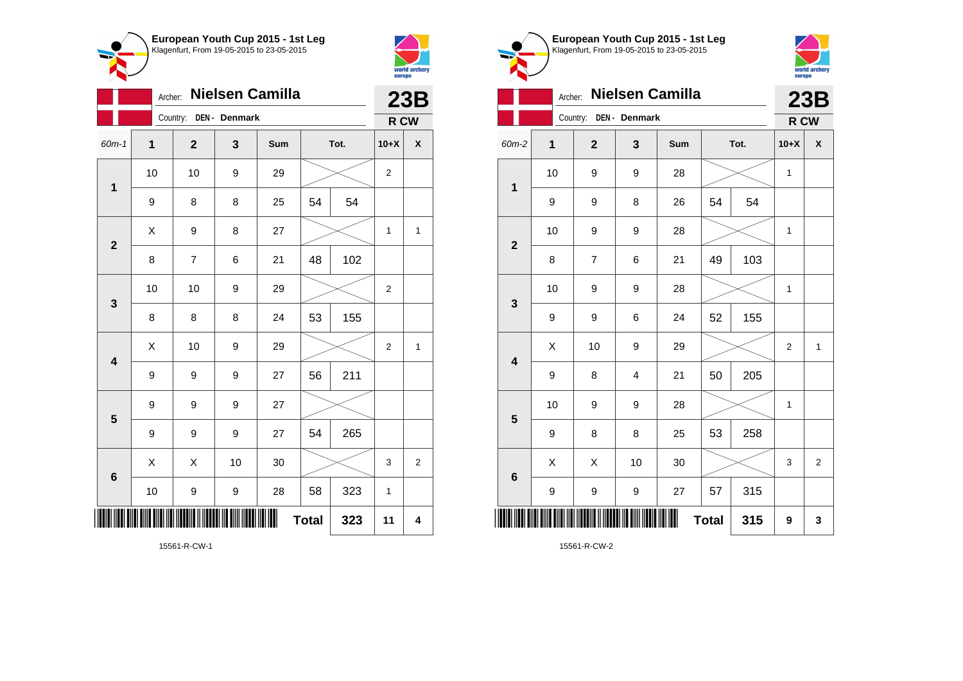



|                         |                     | 23B                      |               |     |    |      |                |                |
|-------------------------|---------------------|--------------------------|---------------|-----|----|------|----------------|----------------|
|                         |                     | Country:                 | DEN - Denmark |     |    |      | R CW           |                |
| 60m-1                   | 1                   | $\overline{2}$           | 3             | Sum |    | Tot. | $10+X$         | χ              |
| $\mathbf 1$             | 10                  | 10                       | 9             | 29  |    |      | 2              |                |
|                         | 9                   | 8                        | 8             | 25  | 54 | 54   |                |                |
| $\mathbf{2}$            | Χ                   | 9                        | 8             | 27  |    |      | 1              | 1              |
|                         | 8                   | $\overline{\mathcal{I}}$ | 6             | 21  | 48 | 102  |                |                |
| 3                       | 10                  | 10                       | 9             | 29  |    |      | $\overline{2}$ |                |
|                         | 8                   | 8                        | 8             | 24  | 53 | 155  |                |                |
| $\overline{\mathbf{4}}$ | Χ                   | 10                       | 9             | 29  |    |      | $\overline{2}$ | $\mathbf{1}$   |
|                         | 9                   | 9                        | 9             | 27  | 56 | 211  |                |                |
| 5                       | 9                   | 9                        | 9             | 27  |    |      |                |                |
|                         | 9                   | 9                        | 9             | 27  | 54 | 265  |                |                |
| $6\phantom{1}6$         | Χ                   | Χ                        | 10            | 30  |    |      | 3              | $\overline{c}$ |
|                         | 10                  | 9                        | 9             | 28  | 58 | 323  | 1              |                |
|                         | <b>Total</b><br>323 |                          |               |     |    |      |                | 4              |



**European Youth Cup 2015 - 1st Leg**

15561-R-CW-1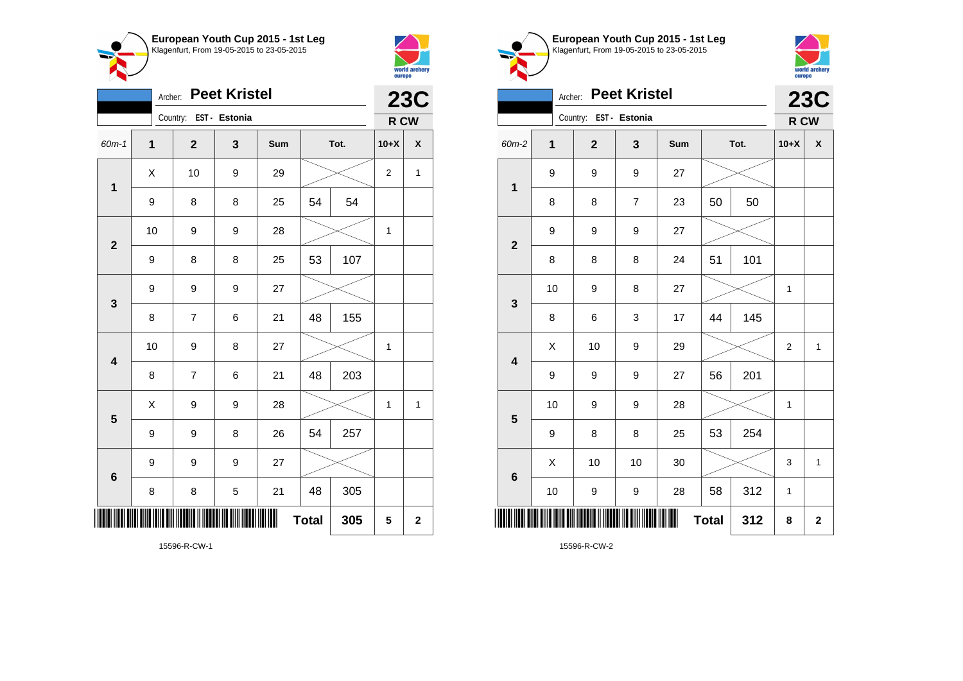



|                         | <b>Peet Kristel</b><br>Archer: |                        |   |     |              |      |                  |             |  |
|-------------------------|--------------------------------|------------------------|---|-----|--------------|------|------------------|-------------|--|
|                         |                                | Country: EST - Estonia |   |     |              |      | R CW             |             |  |
| $60m - 1$               | $\mathbf 1$                    | $\mathbf{2}$           | 3 | Sum |              | Tot. | $10+X$           | X           |  |
| $\mathbf{1}$            | X                              | 10                     | 9 | 29  |              |      | $\boldsymbol{2}$ | 1           |  |
|                         | $\boldsymbol{9}$               | 8                      | 8 | 25  | 54           | 54   |                  |             |  |
| $\mathbf{2}$            | 10                             | 9                      | 9 | 28  |              |      | $\mathbf{1}$     |             |  |
|                         | 9                              | 8                      | 8 | 25  | 53           | 107  |                  |             |  |
| 3                       | 9                              | 9                      | 9 | 27  |              |      |                  |             |  |
|                         | 8                              | 7                      | 6 | 21  | 48           | 155  |                  |             |  |
| $\overline{\mathbf{4}}$ | 10                             | 9                      | 8 | 27  |              |      | 1                |             |  |
|                         | 8                              | 7                      | 6 | 21  | 48           | 203  |                  |             |  |
| 5                       | X                              | 9                      | 9 | 28  |              |      | $\mathbf{1}$     | 1           |  |
|                         | 9                              | 9                      | 8 | 26  | 54           | 257  |                  |             |  |
| 6                       | 9                              | 9                      | 9 | 27  |              |      |                  |             |  |
|                         | 8                              | 8                      | 5 | 21  | 48           | 305  |                  |             |  |
|                         |                                |                        |   | III | <b>Total</b> | 305  | 5                | $\mathbf 2$ |  |





|                         | <b>Peet Kristel</b><br>Archer: |                        |                |     |              |      |                |              |  |
|-------------------------|--------------------------------|------------------------|----------------|-----|--------------|------|----------------|--------------|--|
|                         |                                | Country: EST - Estonia |                |     |              |      | R CW           |              |  |
| 60m-2                   | 1                              | $\overline{2}$         | 3              | Sum |              | Tot. | $10+X$         | χ            |  |
| $\mathbf 1$             | 9                              | 9                      | 9              | 27  |              |      |                |              |  |
|                         | 8                              | 8                      | $\overline{7}$ | 23  | 50           | 50   |                |              |  |
| $\overline{2}$          | 9                              | 9                      | 9              | 27  |              |      |                |              |  |
|                         | 8                              | 8                      | 8              | 24  | 51           | 101  |                |              |  |
| $\mathbf{3}$            | 10                             | 9                      | 8              | 27  |              |      | 1              |              |  |
|                         | 8                              | 6                      | 3              | 17  | 44           | 145  |                |              |  |
| $\overline{\mathbf{4}}$ | X                              | 10                     | 9              | 29  |              |      | $\overline{2}$ | $\mathbf{1}$ |  |
|                         | 9                              | 9                      | 9              | 27  | 56           | 201  |                |              |  |
| 5                       | 10                             | 9                      | 9              | 28  |              |      | 1              |              |  |
|                         | 9                              | 8                      | 8              | 25  | 53           | 254  |                |              |  |
| $6\phantom{1}$          | X                              | 10                     | 10             | 30  |              |      | 3              | $\mathbf{1}$ |  |
|                         | 10                             | 9                      | 9              | 28  | 58           | 312  | 1              |              |  |
|                         |                                |                        |                |     | <b>Total</b> | 312  | 8              | $\mathbf 2$  |  |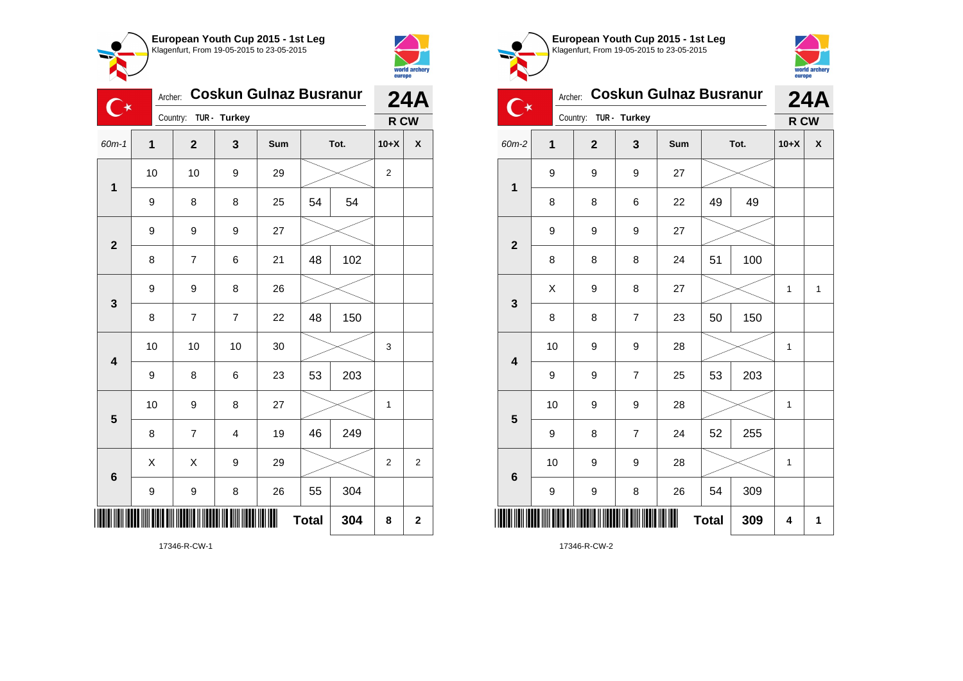



| $\mathbb{C}^\star$      | Archer:     | <b>Coskun Gulnaz Busranur</b> |                         | <b>24A</b> |              |      |                |                |
|-------------------------|-------------|-------------------------------|-------------------------|------------|--------------|------|----------------|----------------|
|                         |             | Country: TUR - Turkey         |                         |            |              |      | R CW           |                |
| $60m-1$                 | $\mathbf 1$ | $\mathbf{2}$                  | 3                       | Sum        |              | Tot. | $10+X$         | X              |
| $\mathbf 1$             | 10          | 10                            | 9                       | 29         |              |      | $\overline{2}$ |                |
|                         | 9           | 8                             | 8                       | 25         | 54           | 54   |                |                |
| $\overline{\mathbf{2}}$ | 9           | 9                             | 9                       | 27         |              |      |                |                |
|                         | 8           | $\overline{\mathbf{7}}$       | 6                       | 21         | 48           | 102  |                |                |
| 3                       | 9           | 9                             | 8                       | 26         |              |      |                |                |
|                         | 8           | $\overline{7}$                | $\overline{7}$          | 22         | 48           | 150  |                |                |
| $\overline{\mathbf{4}}$ | 10          | 10                            | 10                      | 30         |              |      | 3              |                |
|                         | 9           | 8                             | 6                       | 23         | 53           | 203  |                |                |
| $\overline{\mathbf{5}}$ | 10          | 9                             | 8                       | 27         |              |      | 1              |                |
|                         | 8           | $\overline{7}$                | $\overline{\mathbf{4}}$ | 19         | 46           | 249  |                |                |
| $6\phantom{1}6$         | X           | X                             | 9                       | 29         |              |      | $\overline{2}$ | $\overline{c}$ |
|                         | 9           | 9                             | 8                       | 26         | 55           | 304  |                |                |
|                         |             |                               |                         | ║          | <b>Total</b> | 304  | 8              | $\mathbf 2$    |

world archery<br>europe Archer: **Coskun Gulnaz Busranur 24A**  $\mathbb{C}^*$ Country: **TUR - Turkey R CW** 60m-2 **1 2 3 Sum Tot. 10+X X** 9 9 9 27 **1** 8 8 6 22 49 49 9 9 9 27 **2** 8 | 8 | 8 | 24 | 51 | 100  $\begin{array}{|c|c|c|c|c|c|}\hline \hspace{.1cm}X & \hspace{.1cm}9 & \hspace{.1cm}8 & \hspace{.1cm}27 & \hspace{.1cm}1&\hspace{.1cm}\hline \end{array}$ **3** 8 | 8 | 7 | 23 | 50 | 150 10 | 9 | 9 | 28 |  $\times$  | 1 **4** 9 9 7 25 53 203 10 | 9 | 9 | 28 |  $\times$  | 1 **5** 9 | 8 | 7 | 24 | 52 | 255 10 | 9 | 9 | 28 |  $\times$  | 1 **6** 9 | 9 | 8 | 26 | 54 | 309 \*17346-R-CW-2\*  $Total | 309 | 4 | 1$ 

**European Youth Cup 2015 - 1st Leg** Klagenfurt, From 19-05-2015 to 23-05-2015

17346-R-CW-2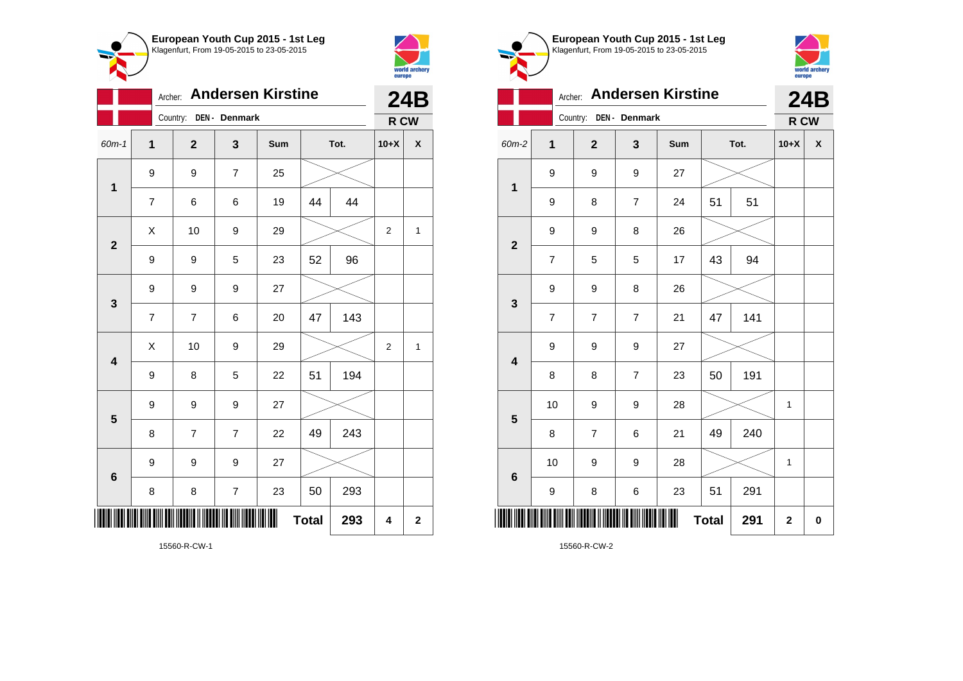



|                         | Archer: Andersen Kirstine |                        |                | <b>24B</b> |              |      |                |                |
|-------------------------|---------------------------|------------------------|----------------|------------|--------------|------|----------------|----------------|
|                         |                           | Country: DEN - Denmark |                |            |              |      | R CW           |                |
| $60m-1$                 | $\mathbf 1$               | $\mathbf{2}$           | 3              | Sum        |              | Tot. | $10+X$         | X              |
| $\mathbf 1$             | 9                         | 9                      | $\overline{7}$ | 25         |              |      |                |                |
|                         | 7                         | 6                      | 6              | 19         | 44           | 44   |                |                |
| $\mathbf{2}$            | X                         | 10                     | 9              | 29         |              |      | $\overline{2}$ | $\mathbf{1}$   |
|                         | 9                         | 9                      | 5              | 23         | 52           | 96   |                |                |
| 3                       | 9                         | 9                      | 9              | 27         |              |      |                |                |
|                         | $\overline{7}$            | $\overline{7}$         | 6              | 20         | 47           | 143  |                |                |
| $\overline{\mathbf{4}}$ | Χ                         | 10                     | 9              | 29         |              |      | 2              | 1              |
|                         | 9                         | 8                      | 5              | 22         | 51           | 194  |                |                |
| $5\phantom{1}$          | 9                         | 9                      | 9              | 27         |              |      |                |                |
|                         | 8                         | 7                      | 7              | 22         | 49           | 243  |                |                |
| 6                       | 9                         | 9                      | 9              | 27         |              |      |                |                |
|                         | 8                         | 8                      | $\overline{7}$ | 23         | 50           | 293  |                |                |
|                         |                           |                        |                |            | <b>Total</b> | 293  | 4              | $\overline{2}$ |

**European Youth Cup 2015 - 1st Leg** Klagenfurt, From 19-05-2015 to 23-05-2015 world archery<br>europe Archer: **Andersen Kirstine 24B** Country: **DEN - Denmark R CW** 60m-2 **1 2 3 Sum Tot. 10+X X** 9 9 9 27 **1** 9 | 8 | 7 | 24 | 51 | 51 9 | 9 | 8 | 26 **2** 7 | 5 | 5 | 17 | 43 | 94 9 9 8 26 **3** 7 7 7 21 47 141 9 9 9 27 **4** 8 | 8 | 7 | 23 | 50 | 191 10 | 9 | 9 | 28 |  $\times$  | 1 **5** 8 | 7 | 6 | 21 | 49 | 240 10 | 9 | 9 | 28 |  $\times$  | 1 **6** 9 | 8 | 6 | 23 | 51 | 291 \*15560-R-CW-2\*  $Total | 291 | 2 | 0$ 

15560-R-CW-2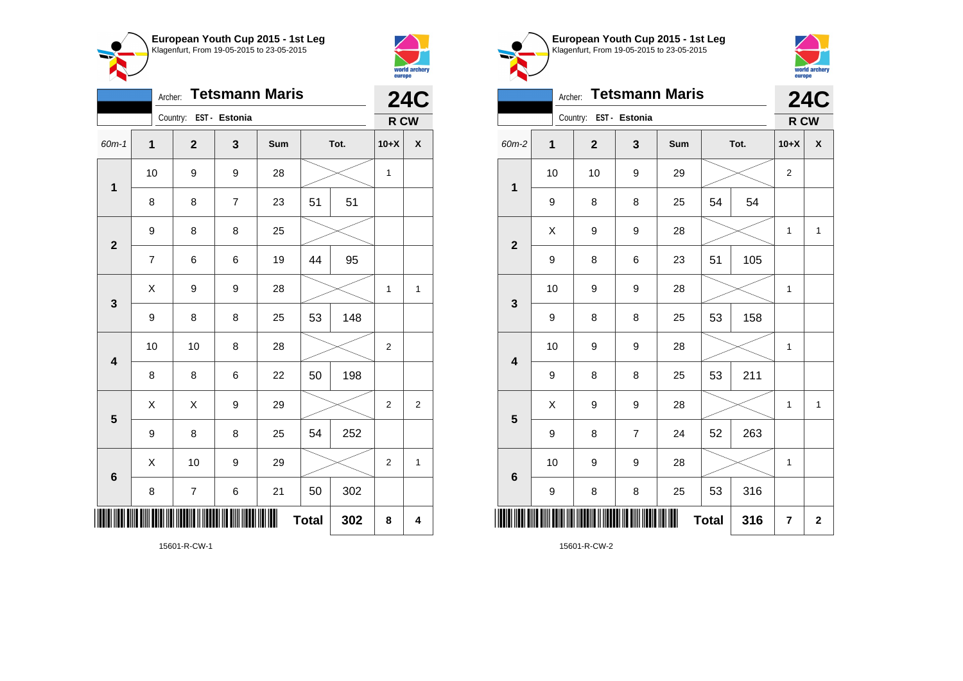



|                         | <b>24C</b>               |                          |                |     |              |     |                |              |
|-------------------------|--------------------------|--------------------------|----------------|-----|--------------|-----|----------------|--------------|
|                         |                          | Country: EST - Estonia   |                |     |              |     | R CW           |              |
| 60m-1                   | $\mathbf{1}$             | $\overline{\mathbf{2}}$  | 3              | Sum | Tot.         |     | $10+X$         | X            |
| $\mathbf 1$             | 10                       | 9                        | 9              | 28  |              |     | 1              |              |
|                         | 8                        | 8                        | $\overline{7}$ | 23  | 51           | 51  |                |              |
| $\mathbf{2}$            | 9                        | 8                        | 8              | 25  |              |     |                |              |
|                         | $\overline{\mathcal{I}}$ | 6                        | 6              | 19  | 44           | 95  |                |              |
| 3                       | Χ                        | 9                        | 9              | 28  |              |     | 1              | 1            |
|                         | 9                        | 8                        | 8              | 25  | 53           | 148 |                |              |
| $\overline{\mathbf{4}}$ | 10                       | 10                       | 8              | 28  |              |     | $\overline{2}$ |              |
|                         | 8                        | 8                        | 6              | 22  | 50           | 198 |                |              |
| 5                       | X                        | X                        | 9              | 29  |              |     | 2              | 2            |
|                         | 9                        | 8                        | 8              | 25  | 54           | 252 |                |              |
| $6\phantom{1}6$         | X                        | 10                       | 9              | 29  |              |     | 2              | $\mathbf{1}$ |
|                         | 8                        | $\overline{\mathcal{I}}$ | 6              | 21  | 50           | 302 |                |              |
| ║                       |                          |                          |                |     | <b>Total</b> | 302 | 8              | 4            |





|                         | <b>Tetsmann Maris</b><br>Archer: |                        |                |     |              |      |                |                    |  |
|-------------------------|----------------------------------|------------------------|----------------|-----|--------------|------|----------------|--------------------|--|
|                         |                                  | Country: EST - Estonia |                |     |              |      | R CW           |                    |  |
| 60m-2                   | $\mathbf 1$                      | $\overline{2}$         | 3              | Sum |              | Tot. | $10+X$         | $\pmb{\mathsf{X}}$ |  |
| $\mathbf 1$             | 10                               | 10                     | 9              | 29  |              |      | $\overline{2}$ |                    |  |
|                         | 9                                | 8                      | 8              | 25  | 54           | 54   |                |                    |  |
| $\overline{2}$          | Χ                                | 9                      | 9              | 28  |              |      | $\mathbf{1}$   | $\mathbf{1}$       |  |
|                         | 9                                | 8                      | 6              | 23  | 51           | 105  |                |                    |  |
| 3                       | 10                               | 9                      | 9              | 28  |              |      | $\mathbf{1}$   |                    |  |
|                         | 9                                | 8                      | 8              | 25  | 53           | 158  |                |                    |  |
| $\overline{\mathbf{4}}$ | 10                               | 9                      | 9              | 28  |              |      | $\mathbf{1}$   |                    |  |
|                         | 9                                | 8                      | 8              | 25  | 53           | 211  |                |                    |  |
| 5                       | X                                | 9                      | 9              | 28  |              |      | $\mathbf{1}$   | $\mathbf{1}$       |  |
|                         | 9                                | 8                      | $\overline{7}$ | 24  | 52           | 263  |                |                    |  |
| $6\phantom{1}$          | 10                               | 9                      | 9              | 28  |              |      | $\mathbf{1}$   |                    |  |
|                         | 9                                | 8                      | 8              | 25  | 53           | 316  |                |                    |  |
| Ш                       |                                  |                        |                |     | <b>Total</b> | 316  | 7              | $\mathbf{2}$       |  |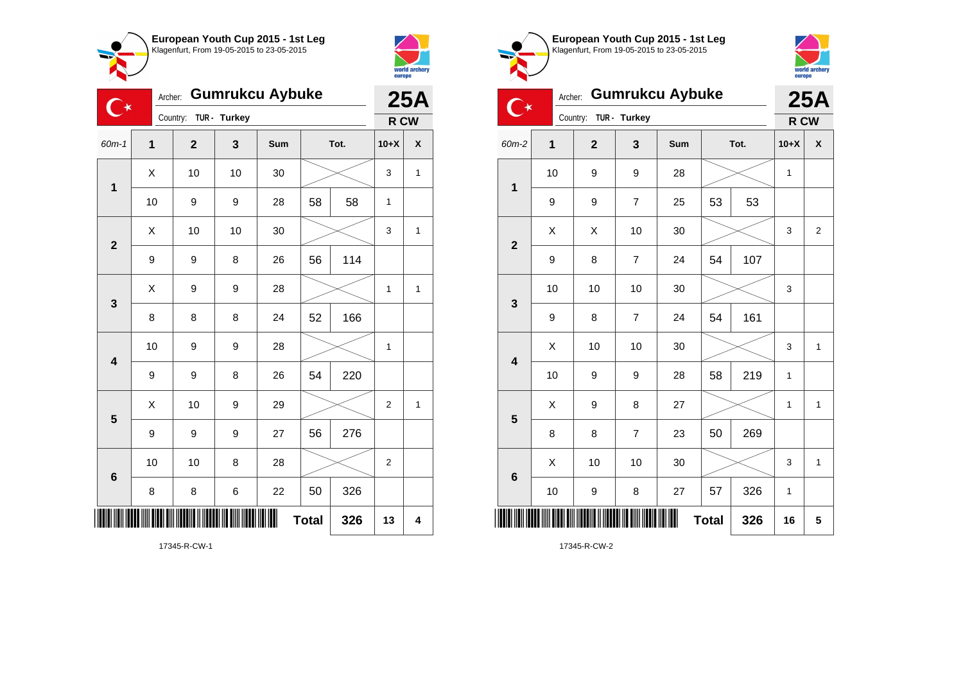



| <b>Gumrukcu Aybuke</b><br>Archer:<br>( ★ |                  |              |              |     |    |      | <b>25A</b>     |   |
|------------------------------------------|------------------|--------------|--------------|-----|----|------|----------------|---|
|                                          |                  | Country:     | TUR - Turkey |     |    |      | R CW           |   |
| $60m-1$                                  | $\mathbf{1}$     | $\mathbf{2}$ | 3            | Sum |    | Tot. | $10+X$         | χ |
| $\mathbf 1$                              | X                | 10           | 10           | 30  |    |      | 3              | 1 |
|                                          | 10               | 9            | 9            | 28  | 58 | 58   | $\mathbf{1}$   |   |
| $\overline{\mathbf{2}}$                  | Χ                | 10           | 10           | 30  |    |      | 3              | 1 |
|                                          | $\boldsymbol{9}$ | 9            | 8            | 26  | 56 | 114  |                |   |
| 3                                        | X                | 9            | 9            | 28  |    |      | 1              | 1 |
|                                          | 8                | 8            | 8            | 24  | 52 | 166  |                |   |
| $\overline{\mathbf{4}}$                  | 10               | 9            | 9            | 28  |    |      | 1              |   |
|                                          | $\boldsymbol{9}$ | 9            | 8            | 26  | 54 | 220  |                |   |
| 5                                        | Χ                | 10           | 9            | 29  |    |      | $\overline{2}$ | 1 |
|                                          | 9                | 9            | 9            | 27  | 56 | 276  |                |   |
| 6                                        | 10               | 10           | 8            | 28  |    |      | $\overline{2}$ |   |
|                                          | 8                | 8            | 6            | 22  | 50 | 326  |                |   |
| <b>Total</b><br>326<br>13                |                  |              |              |     |    |      |                | 4 |







| $\tilde{\phantom{a}}$   | Country:<br>TUR - Turkey |              |                |     |              |     |              | R CW                    |
|-------------------------|--------------------------|--------------|----------------|-----|--------------|-----|--------------|-------------------------|
| 60m-2                   | 1                        | $\mathbf{2}$ | 3              | Sum | Tot.         |     | $10+X$       | χ                       |
| $\mathbf{1}$            | 10                       | 9            | 9              | 28  |              |     | $\mathbf 1$  |                         |
|                         | 9                        | 9            | 7              | 25  | 53           | 53  |              |                         |
| $\overline{\mathbf{2}}$ | Χ                        | X            | 10             | 30  |              |     | 3            | $\overline{\mathbf{c}}$ |
|                         | 9                        | 8            | 7              | 24  | 54           | 107 |              |                         |
| 3                       | 10                       | 10           | 10             | 30  |              |     | 3            |                         |
|                         | 9                        | 8            | 7              | 24  | 54           | 161 |              |                         |
| $\overline{\mathbf{4}}$ | X                        | 10           | 10             | 30  |              |     | 3            | $\mathbf{1}$            |
|                         | 10                       | 9            | 9              | 28  | 58           | 219 | $\mathbf{1}$ |                         |
| $5\phantom{1}$          | Χ                        | 9            | 8              | 27  |              |     | $\mathbf{1}$ | $\mathbf{1}$            |
|                         | 8                        | 8            | $\overline{7}$ | 23  | 50           | 269 |              |                         |
| $\bf 6$                 | X                        | 10           | 10             | 30  |              |     | 3            | $\mathbf 1$             |
|                         | 10                       | 9            | 8              | 27  | 57           | 326 | $\mathbf{1}$ |                         |
|                         |                          |              |                | Ш   | <b>Total</b> | 326 | 16           | 5                       |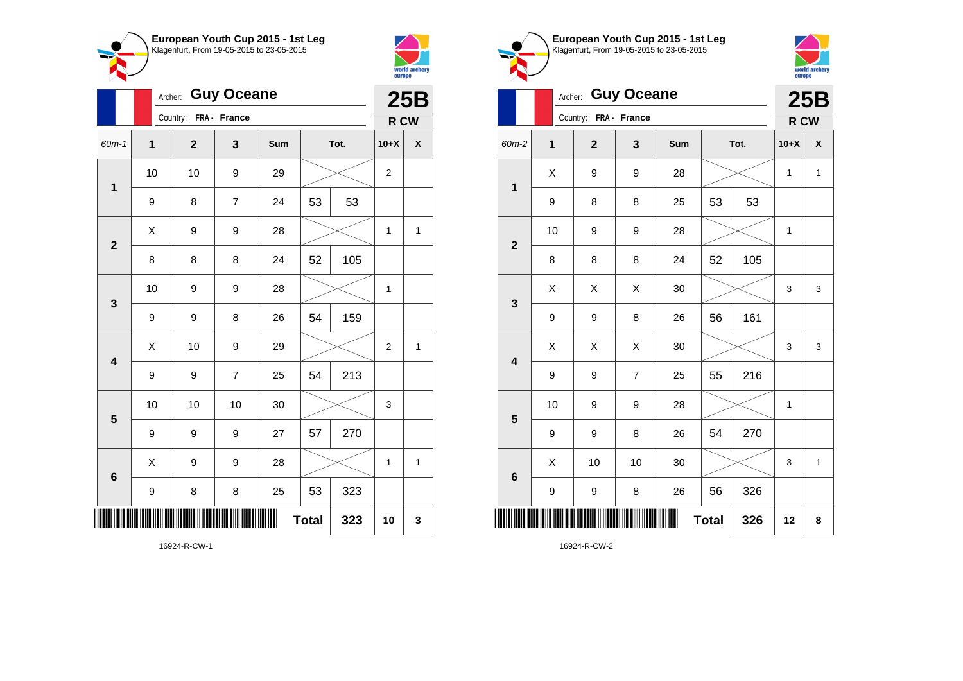



**1**

**2**

**3**

|                         |             | <b>Guy Oceane</b><br>Archer:     |                       |                |                    |              |     |                  |              |  |  |
|-------------------------|-------------|----------------------------------|-----------------------|----------------|--------------------|--------------|-----|------------------|--------------|--|--|
|                         |             |                                  | Country: FRA - France |                |                    |              |     | R CW             |              |  |  |
| 60m-1                   | $\mathbf 1$ | $\mathbf{2}$<br>3<br>Sum<br>Tot. |                       | $10+X$         | $\pmb{\mathsf{X}}$ |              |     |                  |              |  |  |
| $\mathbf 1$             | 10          |                                  | 10                    | 9              | 29                 |              |     | $\boldsymbol{2}$ |              |  |  |
|                         | 9           |                                  | 8                     | $\overline{7}$ | 24                 | 53           | 53  |                  |              |  |  |
| $\mathbf{2}$            | X           |                                  | 9                     | 9              | 28                 |              |     | 1                | 1            |  |  |
|                         | 8           |                                  | 8                     | 8              | 24                 | 52           | 105 |                  |              |  |  |
| $\mathbf{3}$            | 10          |                                  | 9                     | 9              | 28                 |              |     | $\mathbf{1}$     |              |  |  |
|                         | 9           |                                  | 9                     | 8              | 26                 | 54           | 159 |                  |              |  |  |
| $\overline{\mathbf{4}}$ | Χ           |                                  | 10                    | 9              | 29                 |              |     | 2                | $\mathbf{1}$ |  |  |
|                         | 9           |                                  | 9                     | $\overline{7}$ | 25                 | 54           | 213 |                  |              |  |  |
| 5                       | 10          |                                  | 10                    | 10             | 30                 |              |     | 3                |              |  |  |
|                         | 9           |                                  | 9                     | 9              | 27                 | 57           | 270 |                  |              |  |  |
| $6\phantom{1}$          | Χ           |                                  | 9                     | 9              | 28                 |              |     | 1                | 1            |  |  |
|                         | 9           |                                  | 8                     | 8              | 25                 | 53           | 323 |                  |              |  |  |
| ║║                      |             |                                  |                       |                |                    | <b>Total</b> | 323 | 10               | 3            |  |  |

**European Youth Cup 2015 - 1st Leg** Klagenfurt, From 19-05-2015 to 23-05-2015 world archery<br>europe Archer: **Guy Oceane 25B** Country: **FRA - France R CW** 60m-2 **1 2 3 Sum Tot. 10+X X**  $X$  | 9 | 9 | 28 |  $\times$  | 1 | 1 9 | 8 | 8 | 25 | 53 | 53 10 | 9 | 9 | 28 |  $\times$  | 1 8 | 8 | 8 | 24 | 52 | 105  $\begin{array}{|c|c|c|c|c|}\hline \text{X} & \text{X} & \text{X} & \text{30} & \text{X} & \text{X} & \text{3} & \text{3} \ \hline \end{array}$  $9 \mid 9 \mid 8 \mid 26 \mid 56 \mid 161$ 

| Ш |                         |                  |    |                  |    | <b>Total</b> | 326 | 12 | 8 |
|---|-------------------------|------------------|----|------------------|----|--------------|-----|----|---|
|   |                         | $\boldsymbol{9}$ | 9  | 8                | 26 | 56           | 326 |    |   |
|   | $\bf 6$                 | X                | 10 | 10               | 30 |              |     | 3  | 1 |
|   |                         | $\boldsymbol{9}$ | 9  | 8                | 26 | 54           | 270 |    |   |
|   | $\overline{\mathbf{5}}$ | 10               | 9  | $\boldsymbol{9}$ | 28 |              |     | 1  |   |
|   |                         | $\boldsymbol{9}$ | 9  | $\overline{7}$   | 25 | 55           | 216 |    |   |
|   | $\overline{\mathbf{4}}$ | Χ                | Χ  | Χ                | 30 |              |     | 3  | 3 |
|   |                         |                  |    |                  |    |              |     |    |   |

16924-R-CW-1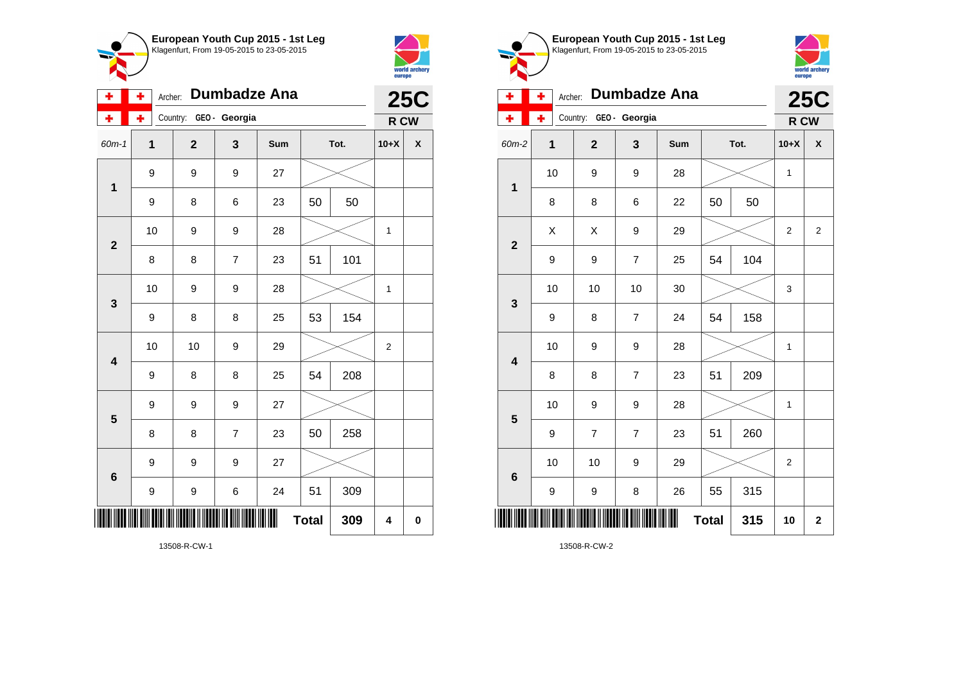



| ÷                       | ÷<br>Archer: |                        | <b>25C</b>     |     |              |      |                |   |
|-------------------------|--------------|------------------------|----------------|-----|--------------|------|----------------|---|
| ÷                       | ÷            | Country: GEO - Georgia |                |     |              |      | R CW           |   |
| 60m-1                   | 1            | $\overline{2}$         | 3              | Sum |              | Tot. | $10+X$         | χ |
| $\mathbf{1}$            | 9            | 9                      | 9              | 27  |              |      |                |   |
|                         | 9            | 8                      | 6              | 23  | 50           | 50   |                |   |
| $\overline{\mathbf{2}}$ | 10           | 9                      | 9              | 28  |              |      | 1              |   |
|                         | 8            | 8                      | $\overline{7}$ | 23  | 51           | 101  |                |   |
| 3                       | 10           | 9                      | 9              | 28  |              |      | 1              |   |
|                         | 9            | 8                      | 8              | 25  | 53           | 154  |                |   |
| $\overline{\mathbf{4}}$ | 10           | 10                     | 9              | 29  |              |      | $\overline{c}$ |   |
|                         | 9            | 8                      | 8              | 25  | 54           | 208  |                |   |
| 5                       | 9            | 9                      | 9              | 27  |              |      |                |   |
|                         | 8            | 8                      | $\overline{7}$ | 23  | 50           | 258  |                |   |
| $\bf 6$                 | 9            | 9                      | 9              | 27  |              |      |                |   |
|                         | 9            | 9                      | 6              | 24  | 51           | 309  |                |   |
|                         |              |                        |                |     | <b>Total</b> | 309  | 4              | 0 |

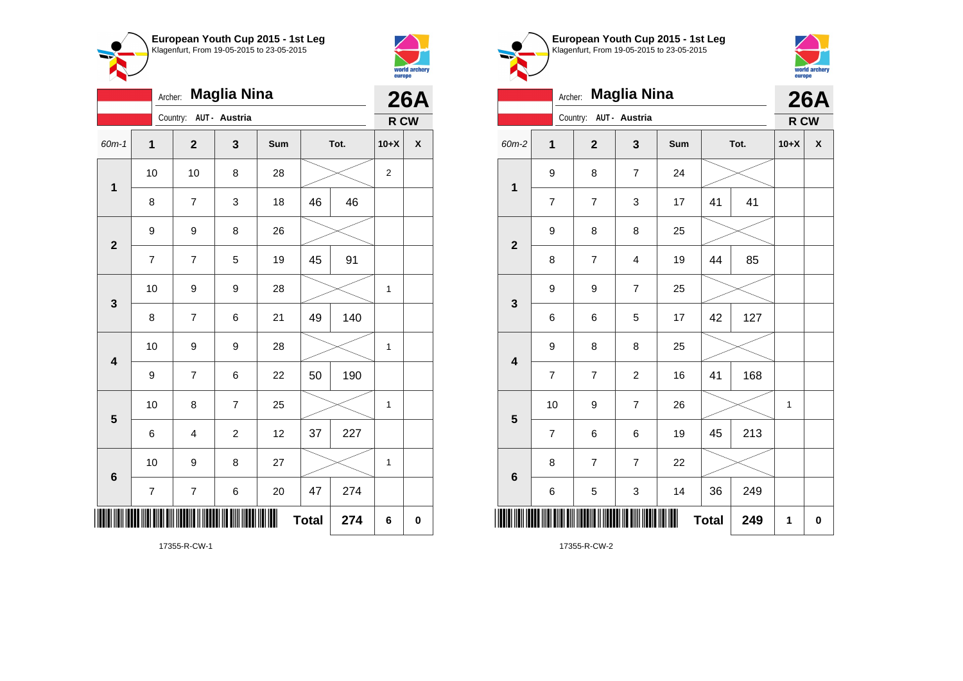



|                         | <b>Maglia Nina</b><br>Archer: |                         |                         |     |              |      |                | <b>26A</b>         |  |
|-------------------------|-------------------------------|-------------------------|-------------------------|-----|--------------|------|----------------|--------------------|--|
|                         |                               | Country:                | AUT - Austria           |     |              |      | R CW           |                    |  |
| $60m-1$                 | $\overline{1}$                | $\overline{\mathbf{2}}$ | 3                       | Sum |              | Tot. | $10+X$         | $\pmb{\mathsf{X}}$ |  |
| $\mathbf{1}$            | 10                            | 10                      | 8                       | 28  |              |      | $\overline{2}$ |                    |  |
|                         | 8                             | $\overline{7}$          | 3                       | 18  | 46           | 46   |                |                    |  |
| $\overline{2}$          | 9                             | 9                       | 8                       | 26  |              |      |                |                    |  |
|                         | $\overline{7}$                | $\overline{\mathbf{7}}$ | 5                       | 19  | 45           | 91   |                |                    |  |
| 3                       | 10                            | 9                       | 9                       | 28  |              |      | 1              |                    |  |
|                         | 8                             | $\overline{7}$          | 6                       | 21  | 49           | 140  |                |                    |  |
| $\overline{\mathbf{4}}$ | 10                            | 9                       | 9                       | 28  |              |      | 1              |                    |  |
|                         | 9                             | $\overline{\mathbf{7}}$ | 6                       | 22  | 50           | 190  |                |                    |  |
| 5                       | 10                            | 8                       | $\overline{7}$          | 25  |              |      | 1              |                    |  |
|                         | 6                             | 4                       | $\overline{\mathbf{c}}$ | 12  | 37           | 227  |                |                    |  |
| $\boldsymbol{6}$        | 10                            | 9                       | 8                       | 27  |              |      | $\mathbf{1}$   |                    |  |
|                         | $\overline{\mathbf{7}}$       | $\boldsymbol{7}$        | 6                       | 20  | 47           | 274  |                |                    |  |
|                         |                               |                         |                         |     | <b>Total</b> | 274  | 6              | $\mathbf 0$        |  |

Klagenfurt, From 19-05-2015 to 23-05-2015 world archery<br>europe Archer: **Maglia Nina 26A** Country: **AUT - Austria R CW** 60m-2 **1 2 3 Sum Tot. 10+X X** 9 8 7 24 **1** 7 | 7 | 3 | 17 | 41 | 41 9 8 8 25 **2** 8 | 7 | 4 | 19 | 44 | 85 9 9 7 25 **3** 6 6 5 17 42 127 9 8 8 25 **4** 7 | 7 | 2 | 16 | 41 | 168 10 | 9 | 7 | 26 |  $\times$  | 1 **5**  $7 \mid 6 \mid 6 \mid 19 \mid 45 \mid 213$ 8 7 7 22 **6** 6 | 5 | 3 | 14 | 36 | 249 \*17355-R-CW-2\*  $Total | 249 | 1 | 0$ 

17355-R-CW-2

**European Youth Cup 2015 - 1st Leg**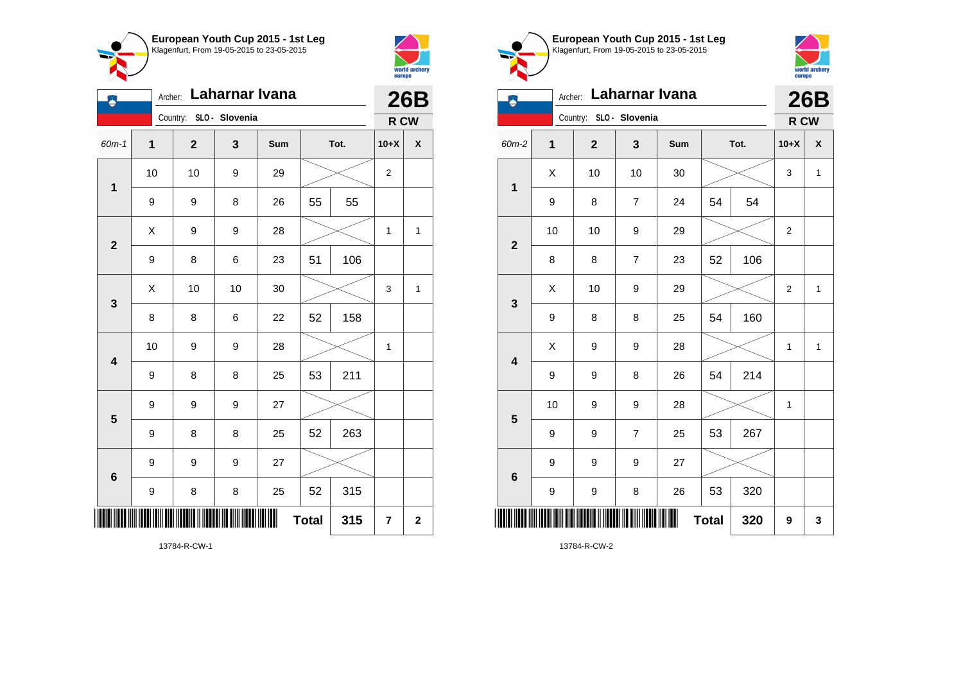

Country: **SLO - Slovenia**

**1**

Ő

**2**

**3**

**4**

**5**

**6**

Archer: **Laharnar Ivana**

60m-1 **1 2 3 Sum Tot. 10+X X**

9 | 9 | 8 | 26 | 55 | 55

9 | 8 | 6 | 23 | 51 | 106

8 | 8 | 6 | 22 | 52 | 158

9 | 8 | 8 | 25 | 53 | 211

9 | 8 | 8 | 25 | 52 | 263

9 | 8 | 8 | 25 | 52 | 315

**Total**  $315$   $7$   $2$ 

9 9 9 27

9 9 9 27

10 | 9 | 9 | 28 |  $\times$  | 1

10 | 10 | 9 | 29 |  $\times$  | 2

 $X$  | 9 | 9 | 28 |  $\times$  | 1 | 1

 $\textsf{X}$  | 10 | 10 | 30 |  $\textcolor{blue}{\swarrow}$  | 3 | 1



**26B R CW**

| European Youth Cup 2015 - 1st Leg<br>Klagenfurt, From 19-05-2015 to 23-05-2015 |
|--------------------------------------------------------------------------------|
|                                                                                |



| لغه                     | Laharnar Ivana<br>Archer:<br>Country: SLO - Slovenia |              |                |     |              |      |                |              |  |  |
|-------------------------|------------------------------------------------------|--------------|----------------|-----|--------------|------|----------------|--------------|--|--|
| 60m-2                   | 1                                                    | $\mathbf{2}$ | 3              | Sum |              | Tot. | R CW<br>$10+X$ | X            |  |  |
|                         |                                                      |              |                |     |              |      |                |              |  |  |
| $\overline{\mathbf{1}}$ | X                                                    | 10           | 10             | 30  |              |      | 3              | $\mathbf{1}$ |  |  |
|                         | 9                                                    | 8            | $\overline{7}$ | 24  | 54           | 54   |                |              |  |  |
| $\overline{2}$          | 10                                                   | 10           | 9              | 29  |              |      | 2              |              |  |  |
|                         | 8                                                    | 8            | $\overline{7}$ | 23  | 52           | 106  |                |              |  |  |
| 3                       | X                                                    | 10           | 9              | 29  |              |      | 2              | 1            |  |  |
|                         | 9                                                    | 8            | 8              | 25  | 54           | 160  |                |              |  |  |
| $\overline{\mathbf{4}}$ | Χ                                                    | 9            | 9              | 28  |              |      | 1              | $\mathbf{1}$ |  |  |
|                         | 9                                                    | 9            | 8              | 26  | 54           | 214  |                |              |  |  |
| 5                       | 10                                                   | 9            | 9              | 28  |              |      | 1              |              |  |  |
|                         | 9                                                    | 9            | $\overline{7}$ | 25  | 53           | 267  |                |              |  |  |
| $6\phantom{1}6$         | 9                                                    | 9            | 9              | 27  |              |      |                |              |  |  |
|                         | 9                                                    | 9            | 8              | 26  | 53           | 320  |                |              |  |  |
|                         |                                                      |              |                |     | <b>Total</b> | 320  | 9              | 3            |  |  |

13784-R-CW-1

\*13784-R-CW-1\*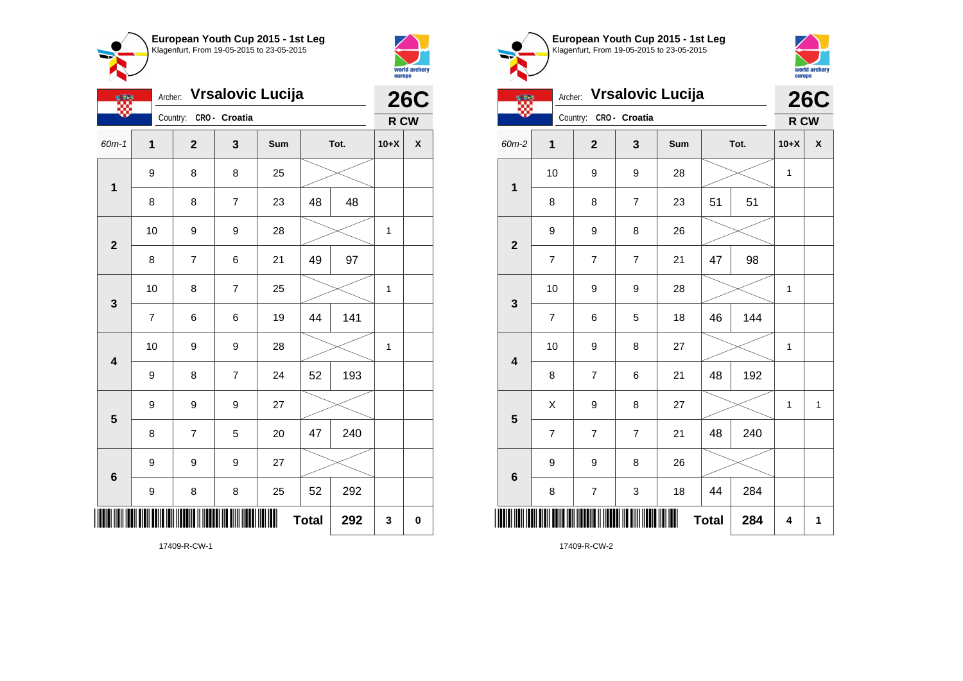



|                         | <b>Vrsalovic Lucija</b><br>Archer: |                |                |     | <b>26C</b> |     |              |   |
|-------------------------|------------------------------------|----------------|----------------|-----|------------|-----|--------------|---|
|                         |                                    | Country:       | CRO- Croatia   |     |            |     | R CW         |   |
| $60m-1$                 | 1                                  | $\mathbf{2}$   | 3              | Sum | Tot.       |     | $10+X$       | χ |
| $\mathbf{1}$            | 9                                  | 8              | 8              | 25  |            |     |              |   |
|                         | 8                                  | 8              | $\overline{7}$ | 23  | 48         | 48  |              |   |
| $\overline{\mathbf{2}}$ | 10                                 | 9              | 9              | 28  |            |     | $\mathbf{1}$ |   |
|                         | 8                                  | $\overline{7}$ | 6              | 21  | 49         | 97  |              |   |
| 3                       | 10                                 | 8              | $\overline{7}$ | 25  |            |     |              |   |
|                         | $\overline{7}$                     | 6              | 6              | 19  | 44         | 141 |              |   |
| $\overline{\mathbf{4}}$ | 10                                 | 9              | 9              | 28  |            |     | 1            |   |
|                         | 9                                  | 8              | $\overline{7}$ | 24  | 52         | 193 |              |   |
| 5                       | 9                                  | 9              | 9              | 27  |            |     |              |   |
|                         | 8                                  | $\overline{7}$ | 5              | 20  | 47         | 240 |              |   |
| $6\phantom{1}6$         | 9                                  | 9              | 9              | 27  |            |     |              |   |
|                         | 9                                  | 8              | 8              | 25  | 52         | 292 |              |   |
| <b>Total</b><br>292     |                                    |                |                |     |            |     | 3            | 0 |





| <b>Vrsalovic Lucija</b><br>Archer: |                         |  |                          |                |     |              |     | <b>26C</b> |                    |  |
|------------------------------------|-------------------------|--|--------------------------|----------------|-----|--------------|-----|------------|--------------------|--|
|                                    |                         |  | Country:                 | CRO- Croatia   |     |              |     | R CW       |                    |  |
| 60m-2                              | 1                       |  | $\overline{2}$           | 3              | Sum | Tot.         |     | $10+X$     | $\pmb{\mathsf{X}}$ |  |
| $\mathbf{1}$                       | 10                      |  | 9                        | 9              | 28  |              |     | 1          |                    |  |
|                                    | 8                       |  | 8                        | $\overline{7}$ | 23  | 51<br>51     |     |            |                    |  |
| $\mathbf{2}$                       | 9                       |  | 9                        | 8              | 26  |              |     |            |                    |  |
|                                    | $\overline{7}$          |  | $\overline{7}$           | $\overline{7}$ | 21  | 47           | 98  |            |                    |  |
| $\mathbf{3}$                       | 10                      |  | 9                        | 9              | 28  |              |     | 1          |                    |  |
|                                    | $\overline{\mathbf{7}}$ |  | 6                        | 5              | 18  | 46           | 144 |            |                    |  |
| $\overline{\mathbf{4}}$            | 10                      |  | 9                        | 8              | 27  |              |     | 1          |                    |  |
|                                    | 8                       |  | $\overline{7}$           | 6              | 21  | 48           | 192 |            |                    |  |
| 5                                  | X                       |  | 9                        | 8              | 27  |              |     | 1          | $\mathbf{1}$       |  |
|                                    | $\overline{7}$          |  | $\overline{7}$           | $\overline{7}$ | 21  | 48           | 240 |            |                    |  |
| $6\phantom{1}6$                    | 9                       |  | 9                        | 8              | 26  |              |     |            |                    |  |
|                                    | 8                       |  | $\overline{\mathcal{I}}$ | 3              | 18  | 44<br>284    |     |            |                    |  |
| II                                 |                         |  |                          |                |     | <b>Total</b> | 284 | 4          | 1                  |  |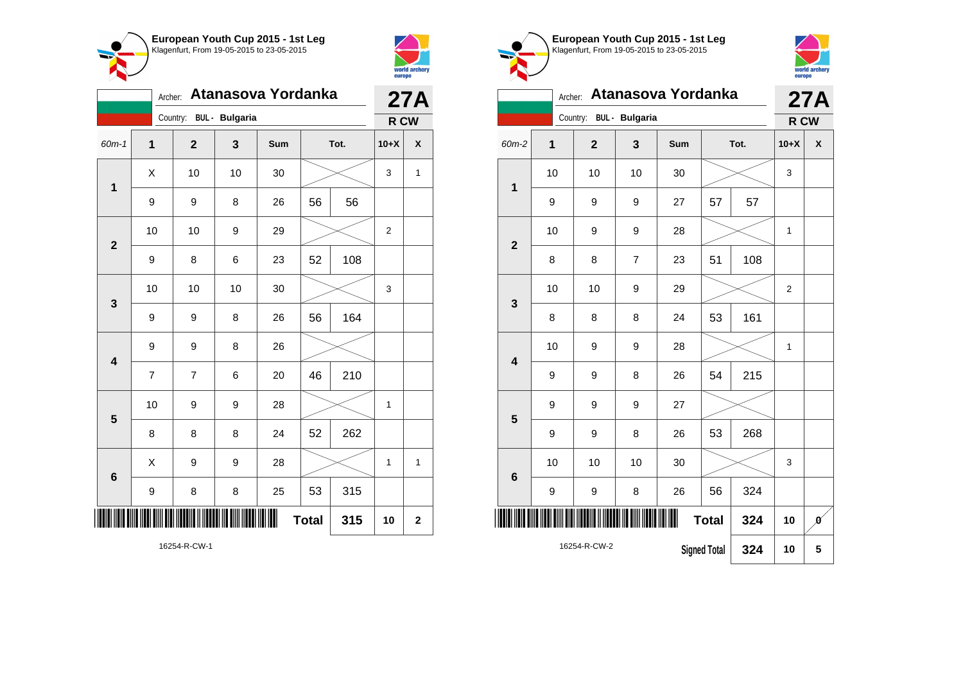



|                         | Atanasova Yordanka<br>Archer: |                         |    |     |              |     | 27A            |                    |  |  |
|-------------------------|-------------------------------|-------------------------|----|-----|--------------|-----|----------------|--------------------|--|--|
|                         |                               | Country: BUL - Bulgaria |    |     |              |     |                | R CW               |  |  |
| 60m-1                   | 1                             | $\overline{2}$          | 3  | Sum | Tot.         |     | $10+X$         | $\pmb{\mathsf{X}}$ |  |  |
| 1                       | X                             | 10                      | 10 | 30  |              |     | 3              | 1                  |  |  |
|                         | 9                             | 9                       | 8  | 26  | 56           | 56  |                |                    |  |  |
| $\overline{\mathbf{2}}$ | 10                            | 10                      | 9  | 29  |              |     | $\overline{2}$ |                    |  |  |
|                         | 9                             | 8                       | 6  | 23  | 52           | 108 |                |                    |  |  |
| 3                       | 10                            | 10                      | 10 | 30  |              |     | 3              |                    |  |  |
|                         | 9                             | 9                       | 8  | 26  | 56           | 164 |                |                    |  |  |
| $\overline{\mathbf{4}}$ | 9                             | 9                       | 8  | 26  |              |     |                |                    |  |  |
|                         | $\overline{7}$                | $\overline{7}$          | 6  | 20  | 46           | 210 |                |                    |  |  |
| 5                       | 10                            | 9                       | 9  | 28  |              |     | $\mathbf 1$    |                    |  |  |
|                         | 8                             | 8                       | 8  | 24  | 52           | 262 |                |                    |  |  |
| $\boldsymbol{6}$        | X                             | 9                       | 9  | 28  |              |     |                | 1                  |  |  |
|                         | 9                             | 8                       | 8  | 25  | 53           | 315 |                |                    |  |  |
|                         |                               |                         |    |     | <b>Total</b> | 315 | 10             | $\mathbf 2$        |  |  |

world archery<br>europe Archer: **Atanasova Yordanka 27A** Country: **BUL - Bulgaria R CW** 60m-2 **1 2 3 Sum Tot. 10+X X** 10 | 10 | 10 | 30 |  $\times$  | 3 **1** 9 | 9 | 9 | 27 | 57 | 57 10 | 9 | 9 | 28 |  $\times$  | 1 **2** 8 | 8 | 7 | 23 | 51 | 108 10 | 10 | 9 | 29 |  $\times$  | 2 **3** 8 8 8 24 53 161 10 | 9 | 9 | 28 |  $\times$  | 1 **4** 9 | 9 | 8 | 26 | 54 | 215 9 9 9 27 **5** 9 | 9 | 8 | 26 | 53 | 268 10 | 10 | 10 | 30 |  $\times$  | 3 **6** 9 | 9 | 8 | 26 | 56 | 324 \*16254-R-CW-2\* **Total** 324 10  $\theta$ 16254-R-CW-2 **Signed Total 324 10 5**

**European Youth Cup 2015 - 1st Leg** Klagenfurt, From 19-05-2015 to 23-05-2015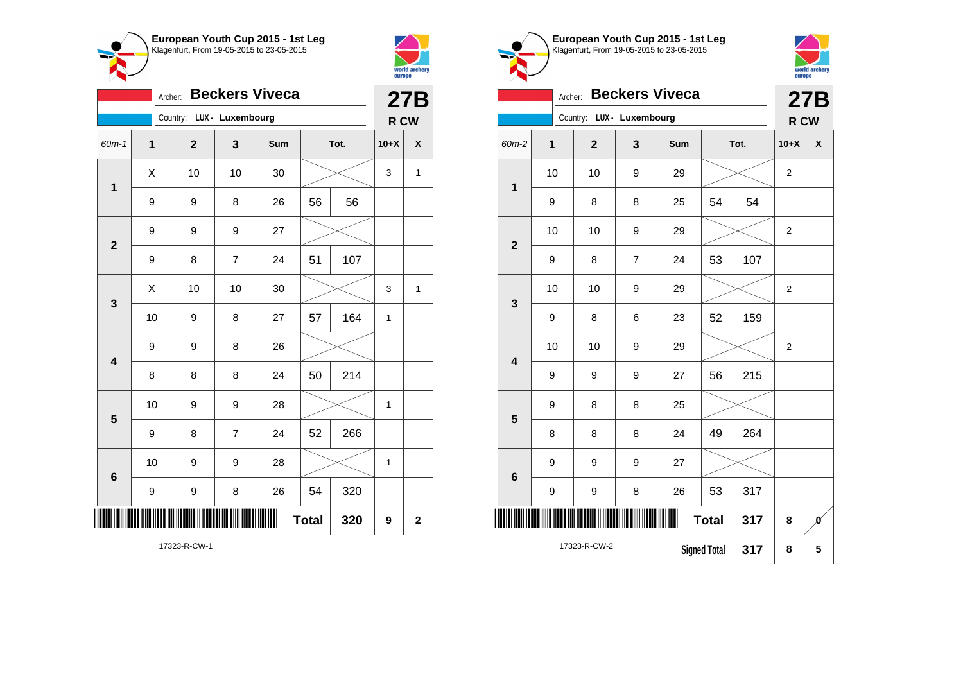



**1**

|                         | <b>Beckers Viveca</b><br>Archer: |  |              |                           |     |    | <b>27B</b> |                                                 |                           |
|-------------------------|----------------------------------|--|--------------|---------------------------|-----|----|------------|-------------------------------------------------|---------------------------|
|                         |                                  |  |              | Country: LUX - Luxembourg |     |    |            | R CW                                            |                           |
| 60m-1                   | $\overline{1}$                   |  | $\mathbf{2}$ | 3                         | Sum |    | Tot.       |                                                 | $\boldsymbol{\mathsf{x}}$ |
| $\mathbf 1$             | Χ                                |  | 10           | 10                        | 30  |    |            |                                                 | $\mathbf{1}$              |
|                         | 9                                |  | 9            | 8                         | 26  | 56 | 56         |                                                 |                           |
| $\overline{\mathbf{2}}$ | 9                                |  | 9<br>9       |                           | 27  |    |            |                                                 |                           |
|                         | 9                                |  | 8            | $\overline{7}$            | 24  | 51 | 107        |                                                 |                           |
| $\mathbf{3}$            | X                                |  | 10           | 10                        | 30  |    |            | 3                                               | $\mathbf{1}$              |
|                         | 10                               |  | 9            | 8                         | 27  | 57 | 164        | $\mathbf{1}$                                    |                           |
| $\overline{\mathbf{4}}$ | 9                                |  | 9            | 8                         | 26  |    |            |                                                 |                           |
|                         | 8                                |  | 8            | 8                         | 24  | 50 | 214        | $10+X$<br>3<br>$\mathbf 1$<br>$\mathbf{1}$<br>9 |                           |
| 5                       | 10                               |  | 9            | 9                         | 28  |    |            |                                                 |                           |
|                         | 9                                |  | 8            | $\overline{7}$            | 24  | 52 | 266        |                                                 |                           |
| 6                       | 10                               |  | 9            | 9                         | 28  |    |            |                                                 |                           |
|                         | 9                                |  | 9            | 8                         | 26  | 54 | 320        |                                                 |                           |
| <b>Total</b><br>320     |                                  |  |              |                           |     |    |            |                                                 | $\mathbf 2$               |

**European Youth Cup 2015 - 1st Leg** Klagenfurt, From 19-05-2015 to 23-05-2015 Archer: **Beckers Viveca** Country: **LUX - Luxembourg** 60m-2 **1 2 3 Sum Tot. 10+X X** 10 | 10 | 9 | 29 |  $\times$  | 2 9 | 8 | 8 | 25 | 54 | 54 10 | 10 | 9 | 29 |  $\times$  | 2 9 | 8 | 7 | 24 | 53 | 107 10 | 10 | 9 | 29 |  $\times$  | 2 9 | 8 | 6 | 23 | 52 | 159



**27B R CW**

| $\overline{2}$          |    |              |                          |     |                     |     |                  |                              |
|-------------------------|----|--------------|--------------------------|-----|---------------------|-----|------------------|------------------------------|
|                         | 9  | 8            | $\overline{\mathcal{I}}$ | 24  | 53                  | 107 |                  |                              |
|                         | 10 | 10           | 9                        | 29  |                     |     | $\boldsymbol{2}$ |                              |
| $\mathbf{3}$            | 9  | 8            | 6                        | 23  | 52                  | 159 |                  |                              |
| $\overline{\mathbf{4}}$ | 10 | 10           | 9                        | 29  |                     |     | $\overline{2}$   |                              |
|                         | 9  | 9            | 9                        | 27  | 56                  | 215 |                  |                              |
| $5\phantom{1}$          | 9  | 8            | 8                        | 25  |                     |     |                  |                              |
|                         | 8  | 8            | 8                        | 24  | 49                  | 264 |                  |                              |
|                         | 9  | 9            | $\boldsymbol{9}$         | 27  |                     |     |                  |                              |
| $\bf 6$                 | 9  | 9            | 8                        | 26  | 53                  | 317 |                  |                              |
| I                       |    |              |                          | III | <b>Total</b>        | 317 | 8                | $\boldsymbol{\mathfrak{g}}'$ |
|                         |    | 17323-R-CW-2 |                          |     | <b>Signed Total</b> | 317 | 8                | 5                            |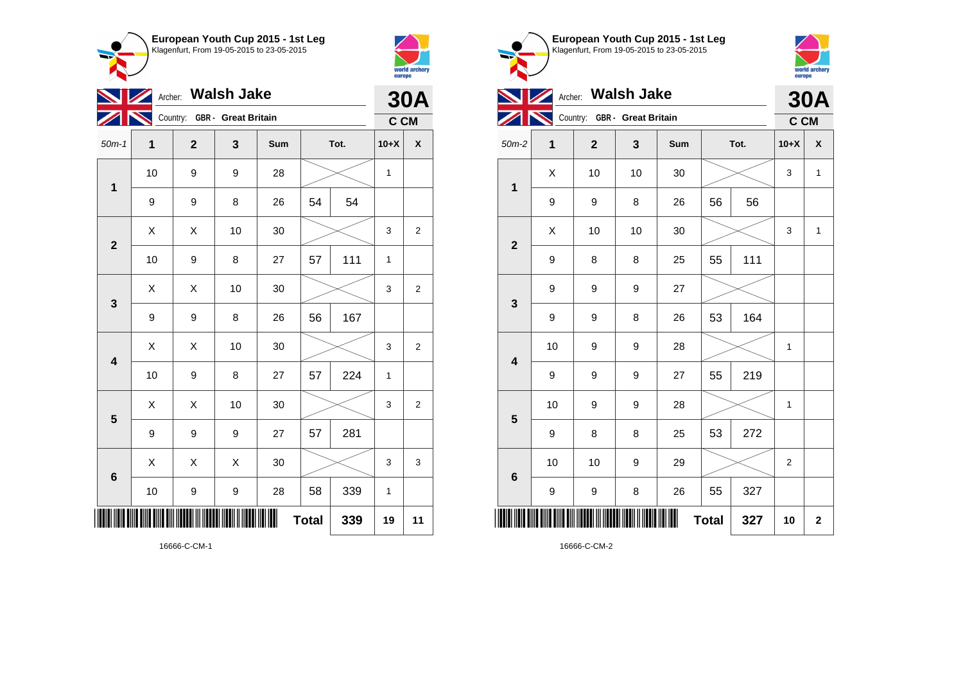



| $\boldsymbol{\mathscr{D}}$ | <b>30A</b> |                              |    |     |    |      |              |                |
|----------------------------|------------|------------------------------|----|-----|----|------|--------------|----------------|
|                            |            | Country: GBR - Great Britain |    |     |    |      | C CM         |                |
| $50m-1$                    | 1          | $\mathbf 2$                  | 3  | Sum |    | Tot. | $10+X$       | χ              |
| $\mathbf{1}$               | 10         | 9                            | 9  | 28  |    |      | $\mathbf 1$  |                |
|                            | 9          | 9                            | 8  | 26  | 54 | 54   |              |                |
| $\overline{\mathbf{2}}$    | X          | Χ                            | 10 | 30  |    |      | 3            | $\overline{2}$ |
|                            | 10         | 9                            | 8  | 27  | 57 | 111  | $\mathbf{1}$ |                |
| 3                          | X          | X                            | 10 | 30  |    |      | 3            | 2              |
|                            | 9          | 9                            | 8  | 26  | 56 | 167  |              |                |
| $\overline{\mathbf{4}}$    | Χ          | Χ                            | 10 | 30  |    |      | 3            | 2              |
|                            | 10         | 9                            | 8  | 27  | 57 | 224  | $\mathbf{1}$ |                |
| 5                          | X          | Χ                            | 10 | 30  |    |      | 3            | $\overline{2}$ |
|                            | 9          | 9                            | 9  | 27  | 57 | 281  |              |                |
| $\boldsymbol{6}$           | X          | Χ                            | X  | 30  |    |      | 3            | 3              |
|                            | 10         | 9                            | 9  | 28  | 58 | 339  | $\mathbf{1}$ |                |
| <b>Total</b><br>339        |            |                              |    |     |    |      |              | 11             |

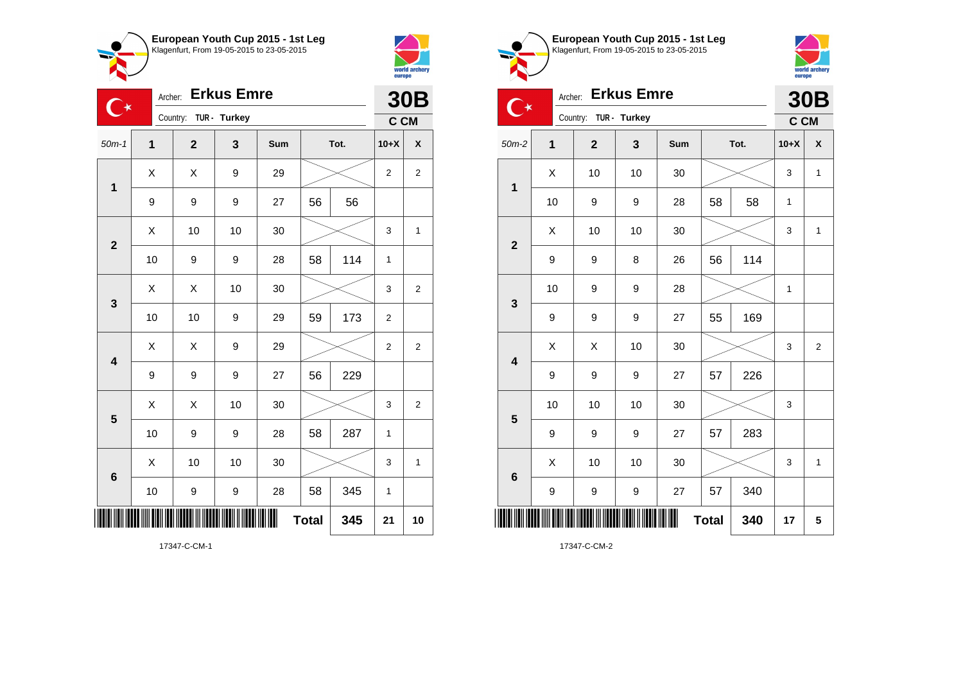



| $\mathsf{C}^\star$      | <b>30B</b>     |                       |    |     |              |      |                |                    |
|-------------------------|----------------|-----------------------|----|-----|--------------|------|----------------|--------------------|
|                         |                | Country: TUR - Turkey |    |     |              |      | C CM           |                    |
| $50m-1$                 | $\overline{1}$ | $\overline{2}$        | 3  | Sum |              | Tot. | $10+X$         | $\pmb{\mathsf{X}}$ |
| $\mathbf 1$             | X              | Χ                     | 9  | 29  |              |      | $\overline{c}$ | $\overline{2}$     |
|                         | 9              | 9                     | 9  | 27  | 56           | 56   |                |                    |
| $\overline{2}$          | X              | 10                    | 10 | 30  |              |      | 3              | 1                  |
|                         | 10             | 9                     | 9  | 28  | 58           | 114  | 1              |                    |
| 3                       | X              | Χ                     | 10 | 30  |              |      | 3              | $\overline{2}$     |
|                         | 10             | 10                    | 9  | 29  | 59           | 173  | $\mathbf 2$    |                    |
| $\overline{\mathbf{4}}$ | X              | Χ                     | 9  | 29  |              |      | $\overline{2}$ | $\overline{2}$     |
|                         | 9              | 9                     | 9  | 27  | 56           | 229  |                |                    |
| 5                       | Χ              | Χ                     | 10 | 30  |              |      | 3              | $\overline{2}$     |
|                         | 10             | 9                     | 9  | 28  | 58           | 287  | 1              |                    |
| $\bf 6$                 | X              | 10                    | 10 | 30  |              |      | 3              | 1                  |
|                         | 10             | 9                     | 9  | 28  | 58           | 345  | 1              |                    |
|                         |                |                       |    |     | <b>Total</b> | 345  | 21             | 10                 |





|                         | <b>Erkus Emre</b><br>Archer:<br>$\mathsf{C}^\star$ |             |              |     |              |      |              | <b>30B</b>   |
|-------------------------|----------------------------------------------------|-------------|--------------|-----|--------------|------|--------------|--------------|
|                         |                                                    | Country:    | TUR - Turkey |     |              |      | C CM         |              |
| $50m-2$                 | $\mathbf{1}$                                       | $\mathbf 2$ | 3            | Sum |              | Tot. | $10+X$       | χ            |
| $\overline{\mathbf{1}}$ | X                                                  | 10          | 10           | 30  |              |      | 3            | 1            |
|                         | 10                                                 | 9           | 9            | 28  | 58           | 58   | 1            |              |
| $\overline{\mathbf{2}}$ | X                                                  | 10          | 10           | 30  |              |      | 3            | 1            |
|                         | 9                                                  | 9           | 8            | 26  | 56           | 114  |              |              |
| 3                       | 10                                                 | 9           | 9            | 28  |              |      | $\mathbf{1}$ |              |
|                         | 9                                                  | 9           | 9            | 27  | 55           | 169  |              |              |
| $\overline{\mathbf{4}}$ | X                                                  | Χ           | 10           | 30  |              |      | 3            | 2            |
|                         | 9                                                  | 9           | 9            | 27  | 57           | 226  |              |              |
| $\overline{\mathbf{5}}$ | 10                                                 | 10          | 10           | 30  |              |      | 3            |              |
|                         | 9                                                  | 9           | 9            | 27  | 57           | 283  |              |              |
|                         | X                                                  | 10          | 10           | 30  |              |      | 3            | $\mathbf{1}$ |
| $\bf 6$                 | 9                                                  | 9           | 9            | 27  | 57           | 340  |              |              |
|                         |                                                    |             |              |     | <b>Total</b> | 340  | 17           | 5            |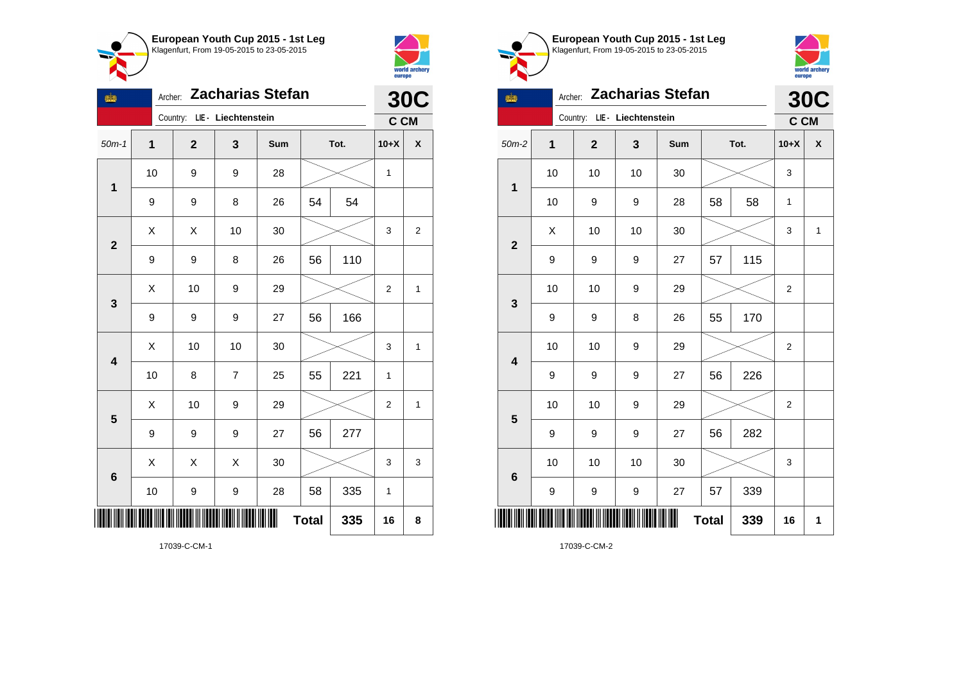



| tid.                    | <b>Zacharias Stefan</b><br>Archer: |                              |                |     |              |      |                | <b>30C</b>   |
|-------------------------|------------------------------------|------------------------------|----------------|-----|--------------|------|----------------|--------------|
|                         |                                    | Country: LIE - Liechtenstein |                |     |              |      | C CM           |              |
| $50m-1$                 | $\mathbf{1}$                       | $\overline{\mathbf{2}}$      | 3              | Sum |              | Tot. | $10+X$         | χ            |
| 1                       | 10                                 | 9                            | 9              | 28  |              |      | $\mathbf{1}$   |              |
|                         | 9                                  | 9                            | 8              | 26  | 54           | 54   |                |              |
| $\overline{\mathbf{2}}$ | Χ                                  | Χ                            | 10             | 30  |              |      | 3              | 2            |
|                         | 9                                  | 9                            | 8              | 26  | 56           | 110  |                |              |
| 3                       | Χ                                  | 10                           | 9              | 29  |              |      | $\overline{2}$ | $\mathbf{1}$ |
|                         | 9                                  | 9                            | 9              | 27  | 56           | 166  |                |              |
| $\overline{\mathbf{4}}$ | X                                  | 10                           | 10             | 30  |              |      | 3              | $\mathbf{1}$ |
|                         | 10                                 | 8                            | $\overline{7}$ | 25  | 55           | 221  | $\mathbf{1}$   |              |
| 5                       | X                                  | 10                           | 9              | 29  |              |      | 2              | 1            |
|                         | 9                                  | 9                            | 9              | 27  | 56           | 277  |                |              |
| 6                       | $\sf X$                            | X                            | X              | 30  |              |      | 3              | 3            |
|                         | 10                                 | 9                            | 9              | 28  | 58           | 335  | 1              |              |
|                         |                                    |                              |                |     | <b>Total</b> | 335  | 16             | 8            |

**European Youth Cup 2015 - 1st Leg** Klagenfurt, From 19-05-2015 to 23-05-2015 Country: **LIE - Liechtenstein**



| tid.                    | Archer: Zacharias Stefan |                              |    |     |              |      |                |            |  |  |
|-------------------------|--------------------------|------------------------------|----|-----|--------------|------|----------------|------------|--|--|
|                         |                          | Country: LIE - Liechtenstein |    |     |              |      | C CM           | <b>30C</b> |  |  |
| $50m-2$                 | 1                        | $\mathbf{2}$                 | 3  | Sum |              | Tot. | $10+X$         | χ          |  |  |
| $\mathbf{1}$            | 10                       | 10                           | 10 | 30  |              |      | 3              |            |  |  |
|                         | 10                       | 9                            | 9  | 28  | 58           | 58   | 1              |            |  |  |
| $\mathbf{2}$            | X                        | 10                           | 10 | 30  |              |      | 3              | 1          |  |  |
|                         | 9                        | 9                            | 9  | 27  | 57           | 115  |                |            |  |  |
| 3                       | 10                       | 10                           | 9  | 29  |              |      | $\overline{2}$ |            |  |  |
|                         | 9                        | 9                            | 8  | 26  | 55           | 170  |                |            |  |  |
| $\overline{\mathbf{4}}$ | 10                       | 10                           | 9  | 29  |              |      | $\overline{2}$ |            |  |  |
|                         | 9                        | 9                            | 9  | 27  | 56           | 226  |                |            |  |  |
| 5                       | 10                       | 10                           | 9  | 29  |              |      | $\overline{2}$ |            |  |  |
|                         | 9                        | 9                            | 9  | 27  | 56           | 282  |                |            |  |  |
| $6\phantom{1}6$         | 10                       | 10                           | 10 | 30  |              |      | 3              |            |  |  |
|                         | 9                        | 9                            | 9  | 27  | 57           | 339  |                |            |  |  |
| ║║║                     |                          |                              |    | Ш   | <b>Total</b> | 339  | 16             | 1          |  |  |

17039-C-CM-2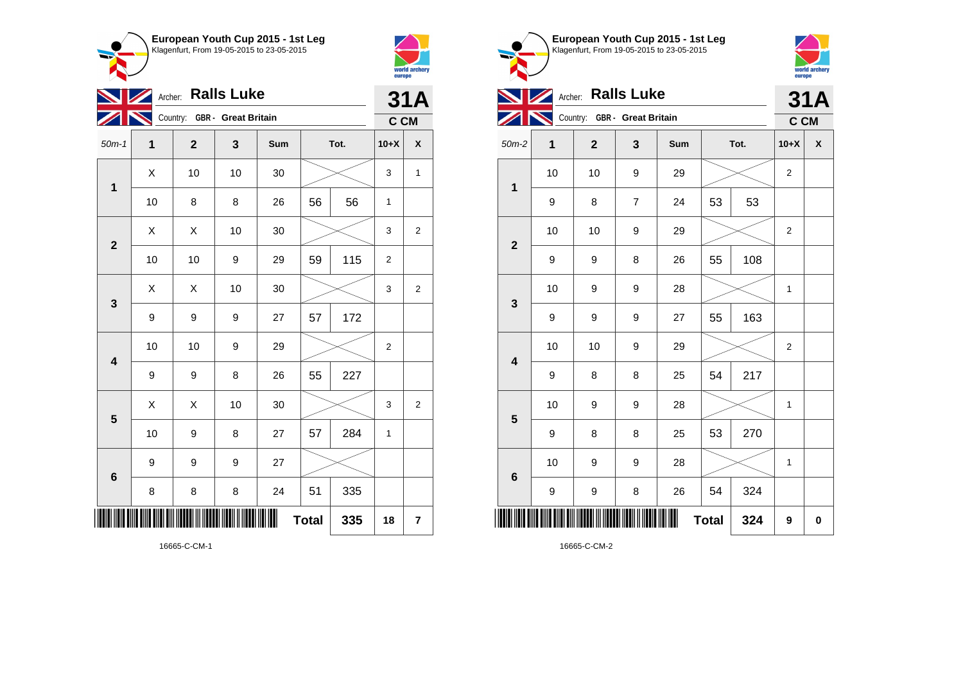



| $\mathbb{Z}$            |    | <b>31A</b>                   |    |     |              |      |              |                    |
|-------------------------|----|------------------------------|----|-----|--------------|------|--------------|--------------------|
|                         |    | Country: GBR - Great Britain |    |     |              |      | C CM         |                    |
| $50m-1$                 | 1  | $\overline{2}$               | 3  | Sum |              | Tot. | $10+X$       | $\pmb{\mathsf{X}}$ |
| $\mathbf 1$             | X  | 10                           | 10 | 30  |              |      | 3            | $\mathbf{1}$       |
|                         | 10 | 8                            | 8  | 26  | 56           | 56   | $\mathbf 1$  |                    |
| $\overline{2}$          | X  | X                            | 10 | 30  |              |      | 3            | $\overline{2}$     |
|                         | 10 | 10                           | 9  | 29  | 59           | 115  | 2            |                    |
| 3                       | X  | X                            | 10 | 30  |              |      | 3            | $\overline{2}$     |
|                         | 9  | 9                            | 9  | 27  | 57           | 172  |              |                    |
| $\overline{\mathbf{4}}$ | 10 | 10                           | 9  | 29  |              |      | 2            |                    |
|                         | 9  | 9                            | 8  | 26  | 55           | 227  |              |                    |
| 5                       | Χ  | X                            | 10 | 30  |              |      | 3            | $\overline{2}$     |
|                         | 10 | 9                            | 8  | 27  | 57           | 284  | $\mathbf{1}$ |                    |
| $6\phantom{1}6$         | 9  | 9                            | 9  | 27  |              |      |              |                    |
|                         | 8  | 8                            | 8  | 24  | 51           | 335  |              |                    |
|                         |    |                              |    |     | <b>Total</b> | 335  | 18           | 7                  |

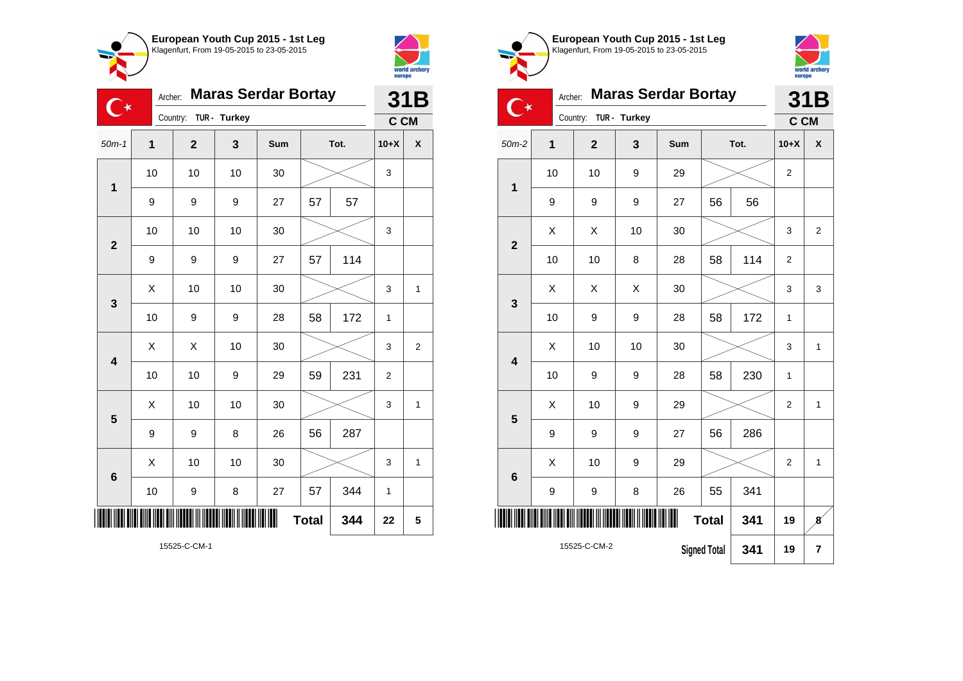



\*15525-C-CM-2\*

|                         | <b>Maras Serdar Bortay</b><br>Archer:<br>$\mathsf{C}^\star$ |                |              |     |              |      |                |                         |  |
|-------------------------|-------------------------------------------------------------|----------------|--------------|-----|--------------|------|----------------|-------------------------|--|
|                         |                                                             | Country:       | TUR - Turkey |     |              |      | C CM           |                         |  |
| $50m-1$                 | 1                                                           | $\overline{2}$ | 3            | Sum |              | Tot. | $10+X$         | X                       |  |
| $\mathbf 1$             | 10                                                          | 10             | 10           | 30  |              |      | 3              |                         |  |
|                         | 9                                                           | 9              | 9            | 27  | 57           | 57   |                |                         |  |
| $\overline{2}$          | 10                                                          | 10             | 10           | 30  |              |      | 3              |                         |  |
|                         | 9                                                           | 9              | 9            | 27  | 57           | 114  |                |                         |  |
| 3                       | X                                                           | 10             | 10           | 30  |              |      | 3              | $\mathbf{1}$            |  |
|                         | 10                                                          | 9              | 9            | 28  | 58           | 172  | $\mathbf{1}$   |                         |  |
| $\overline{\mathbf{4}}$ | X                                                           | Χ              | 10           | 30  |              |      | 3              | $\overline{\mathbf{c}}$ |  |
|                         | 10                                                          | 10             | 9            | 29  | 59           | 231  | $\overline{2}$ |                         |  |
| 5                       | Χ                                                           | 10             | 10           | 30  |              |      | 3              | 1                       |  |
|                         | 9                                                           | 9              | 8            | 26  | 56           | 287  |                |                         |  |
| $6\phantom{1}$          | Χ                                                           | 10             | 10           | 30  |              |      | 3              | 1                       |  |
|                         | 10                                                          | 9              | 8            | 27  | 57           | 344  | 1              |                         |  |
|                         |                                                             |                |              |     | <b>Total</b> | 344  | 22             | 5                       |  |

**European Youth Cup 2015 - 1st Leg** Klagenfurt, From 19-05-2015 to 23-05-2015 Archer: **Maras Serdar Bortay**  $\mathbb{C}^*$ Country: **TUR - Turkey** 9 9 9 27 56 56



|                         |  | <b>Maras Serdar Bortay</b> | 31B            |              |      |                     |      |                |                         |
|-------------------------|--|----------------------------|----------------|--------------|------|---------------------|------|----------------|-------------------------|
|                         |  |                            | Country:       | TUR - Turkey |      |                     |      | C CM           |                         |
| $50m-2$                 |  | 1                          | $\overline{2}$ | 3            | Sum  |                     | Tot. | $10+X$         | X                       |
| $\overline{\mathbf{1}}$ |  | 10                         | 10             | 9            | 29   |                     |      | $\overline{2}$ |                         |
|                         |  | 9                          | 9              | 9            | 27   | 56                  | 56   |                |                         |
| $\mathbf{2}$            |  | X                          | X              | 10           | 30   |                     |      | 3              | $\overline{2}$          |
|                         |  | 10                         | 10             | 8            | 28   | 58                  | 114  | $\overline{2}$ |                         |
| 3                       |  | X                          | X              | Χ            | 30   |                     |      | 3              | 3                       |
|                         |  | 10                         | 9              | 9            | 28   | 58                  | 172  | 1              |                         |
| $\overline{\mathbf{4}}$ |  | X                          | 10             | 10           | 30   |                     |      | 3              | 1                       |
|                         |  | 10                         | 9              | 9            | 28   | 58                  | 230  | 1              |                         |
| 5                       |  | X                          | 10             | 9            | 29   |                     |      | $\overline{2}$ | 1                       |
|                         |  | 9                          | 9              | 9            | 27   | 56                  | 286  |                |                         |
| $\bf 6$                 |  | X                          | 10             | 9            | 29   |                     |      | $\overline{2}$ | $\mathbf{1}$            |
|                         |  | 9                          | 9              | 8            | 26   | 55                  | 341  |                |                         |
| IIII                    |  |                            |                |              | IIII | <b>Total</b>        | 341  | 19             | $\boldsymbol{s}$        |
|                         |  |                            | 15525-C-CM-2   |              |      | <b>Signed Total</b> | 341  | 19             | $\overline{\mathbf{r}}$ |
|                         |  |                            |                |              |      |                     |      |                |                         |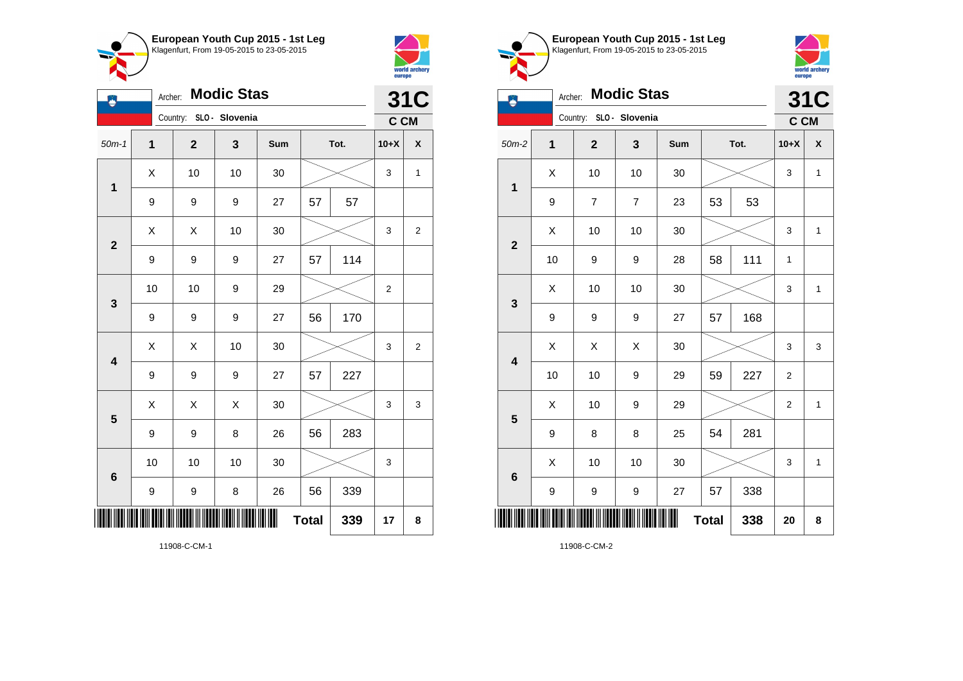



| A                       | <b>Modic Stas</b><br>Archer: |                         |    |     |              |      |                |                |
|-------------------------|------------------------------|-------------------------|----|-----|--------------|------|----------------|----------------|
|                         |                              | Country: SLO - Slovenia |    |     |              |      | C CM           | <b>31C</b>     |
| $50m-1$                 | $\mathbf{1}$                 | $\mathbf{2}$            | 3  | Sum |              | Tot. | $10+X$         | χ              |
| $\mathbf 1$             | X                            | 10                      | 10 | 30  |              |      | 3              | $\mathbf 1$    |
|                         | 9                            | 9                       | 9  | 27  | 57           | 57   |                |                |
| $\overline{\mathbf{2}}$ | Χ                            | X                       | 10 | 30  |              |      | 3              | $\overline{c}$ |
|                         | 9                            | 9                       | 9  | 27  | 57           | 114  |                |                |
| 3                       | 10                           | 10                      | 9  | 29  |              |      | $\overline{c}$ |                |
|                         | 9                            | 9                       | 9  | 27  | 56           | 170  |                |                |
| $\overline{\mathbf{4}}$ | Χ                            | X                       | 10 | 30  |              |      | 3              | 2              |
|                         | 9                            | 9                       | 9  | 27  | 57           | 227  |                |                |
| $\overline{\mathbf{5}}$ | X                            | X                       | X  | 30  |              |      | 3              | 3              |
|                         | 9                            | 9                       | 8  | 26  | 56           | 283  |                |                |
| $6\phantom{1}$          | 10                           | 10                      | 10 | 30  |              |      | 3              |                |
|                         | 9                            | 9                       | 8  | 26  | 56           | 339  |                |                |
|                         |                              |                         |    |     | <b>Total</b> | 339  | 17             | 8              |



**European Youth Cup 2015 - 1st Leg**

11908-C-CM-2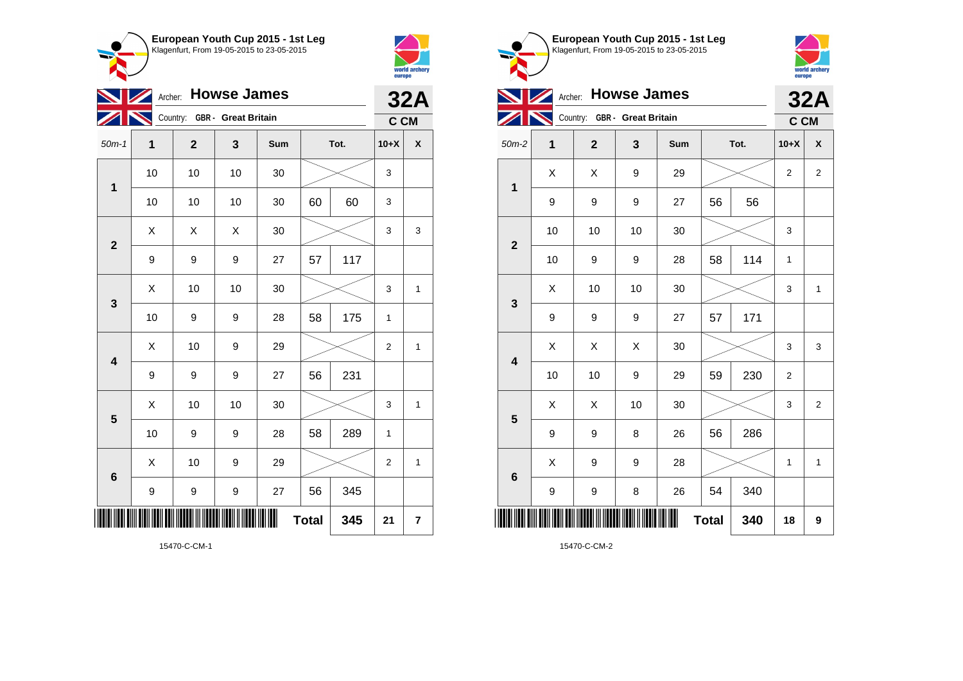



 $\bullet$  $\sim$ 

|                         | Archer: Howse James |                              |    |     |              |      |        |                    |  |
|-------------------------|---------------------|------------------------------|----|-----|--------------|------|--------|--------------------|--|
|                         |                     | Country: GBR - Great Britain |    |     |              |      | C CM   |                    |  |
| $50m-1$                 | 1                   | $\mathbf{2}$                 | 3  | Sum |              | Tot. | $10+X$ | $\pmb{\mathsf{X}}$ |  |
| 1                       | 10                  | 10                           | 10 | 30  |              |      | 3      |                    |  |
|                         | 10                  | 10                           | 10 | 30  | 60           | 60   | 3      |                    |  |
| $\overline{\mathbf{2}}$ | Χ                   | X                            | X  | 30  |              |      | 3      | 3                  |  |
|                         | 9                   | 9                            | 9  | 27  | 57           | 117  |        |                    |  |
| $\mathbf 3$             | Χ                   | 10                           | 10 | 30  |              |      | 3      | 1                  |  |
|                         | 10                  | 9                            | 9  | 28  | 58           | 175  | 1      |                    |  |
| $\overline{\mathbf{4}}$ | Χ                   | 10                           | 9  | 29  |              |      | 2      | 1                  |  |
|                         | 9                   | 9                            | 9  | 27  | 56           | 231  |        |                    |  |
| 5                       | X                   | 10                           | 10 | 30  |              |      | 3      | $\mathbf{1}$       |  |
|                         | 10                  | 9                            | 9  | 28  | 58           | 289  | 1      |                    |  |
| $6\phantom{1}6$         | X                   | 10                           | 9  | 29  |              |      | 2      | 1                  |  |
|                         | 9                   | 9                            | 9  | 27  | 56           | 345  |        |                    |  |
|                         |                     |                              |    |     | <b>Total</b> | 345  | 21     | 7                  |  |

world archery<br>europe **Archer: Howse James 32A** Country: **GBR - Great Britain C CM** 50m-2 **1 2 3 Sum Tot. 10+X X**  $X$   $\mid$   $X$   $\mid$   $9$   $\mid$   $29$   $\mid$   $\gg$   $\mid$  2  $\mid$  2 **1** 9 9 9 27 56 56 10 | 10 | 10 | 30 |  $\times$  | 3 **2** 10 | 9 | 9 | 28 | 58 | 114 | 1  $\textsf{X}$  | 10 | 10 | 30 |  $\textcolor{blue}{\swarrow}$  | 3 | 1 **3** 9 9 9 27 57 171  $\begin{array}{|c|c|c|c|c|}\hline \text{X} & \text{X} & \text{X} & \text{30} & \text{\hspace{1em}}\hline \end{array} \hspace{0.2cm} \begin{array}{|c|c|c|c|c|}\hline \text{X} & \text{3} & \text{3} & \text{3} & \text{3} & \text{3} & \text{3} & \text{3} & \text{3} & \text{3} & \text{3} & \text{3} & \text{3} & \text{3} & \text{3} & \text{3} & \text{3} & \text{3} & \text{3} & \text{3} & \text{3} & \text{3}$ **4** 10 | 10 | 9 | 29 | 59 | 230 | 2  $\begin{array}{|c|c|c|c|c|}\hline \text{X} & \text{X} & \text{10} & \text{30} & \text{\hspace{1em}}\hline \end{array} \hspace{.1cm} \begin{array}{|c|c|c|c|c|}\hline \text{3} & \text{3} & \text{2} & \text{3} & \text{2} \\\hline \end{array}$ **5** 9 | 9 | 8 | 26 | 56 | 286  $X$  | 9 | 9 | 28 |  $\times$  | 1 | 1 **6** 9 | 9 | 8 | 26 | 54 | 340 \*15470-C-CM-2\* **Total 340 18 9**

**European Youth Cup 2015 - 1st Leg** Klagenfurt, From 19-05-2015 to 23-05-2015

15470-C-CM-2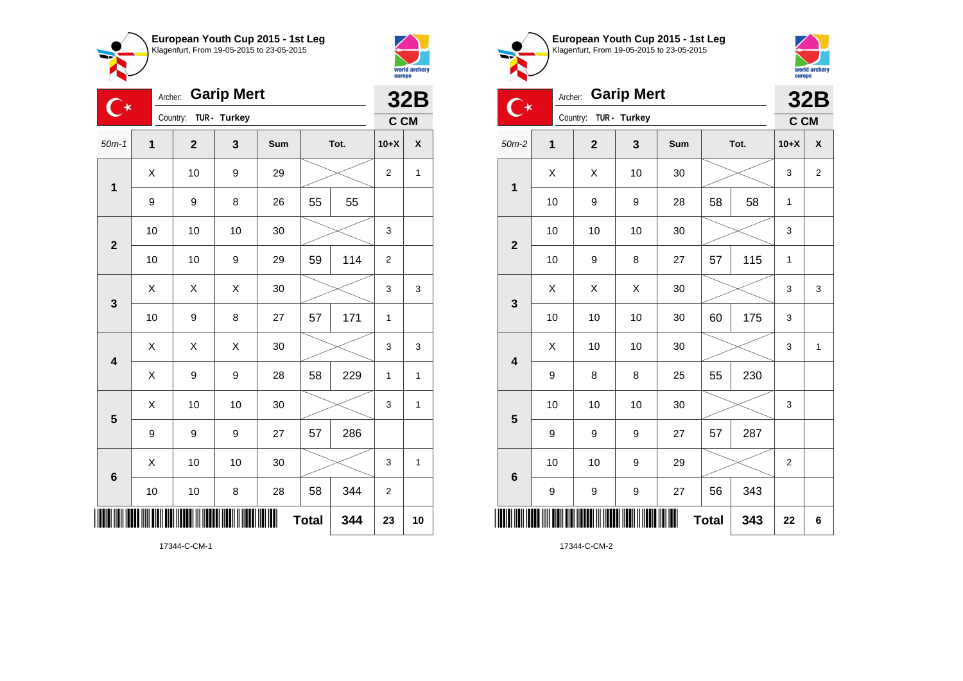



| ੁ∗                      | Archer:        |                |              | <b>32B</b> |              |      |                |              |
|-------------------------|----------------|----------------|--------------|------------|--------------|------|----------------|--------------|
|                         |                | Country:       | TUR - Turkey |            |              |      | C CM           |              |
| $50m-1$                 | $\overline{1}$ | $\overline{2}$ | 3            | Sum        |              | Tot. | $10+X$         | X            |
| $\mathbf{1}$            | Χ              | 10             | 9            | 29         |              |      | $\overline{2}$ | 1            |
|                         | 9              | 9              | 8            | 26         | 55           | 55   |                |              |
| $\overline{2}$          | 10             | 10             | 10           | 30         |              |      | 3              |              |
|                         | 10             | 10             | 9            | 29         | 59           | 114  | $\overline{2}$ |              |
| 3                       | X              | Χ              | Χ            | 30         |              |      | 3              | 3            |
|                         | 10             | 9              | 8            | 27         | 57           | 171  | 1              |              |
| $\overline{\mathbf{4}}$ | Χ              | X              | X            | 30         |              |      | 3              | 3            |
|                         | X              | 9              | 9            | 28         | 58           | 229  | 1              | $\mathbf{1}$ |
| 5                       | Χ              | 10             | 10           | 30         |              |      | 3              | 1            |
|                         | 9              | 9              | 9            | 27         | 57           | 286  |                |              |
| $6\phantom{1}6$         | Χ              | 10             | 10           | 30         |              |      | 3              | $\mathbf{1}$ |
|                         | 10             | 10             | 8            | 28         | 58           | 344  | $\overline{2}$ |              |
|                         |                |                |              |            | <b>Total</b> | 344  | 23             | 10           |





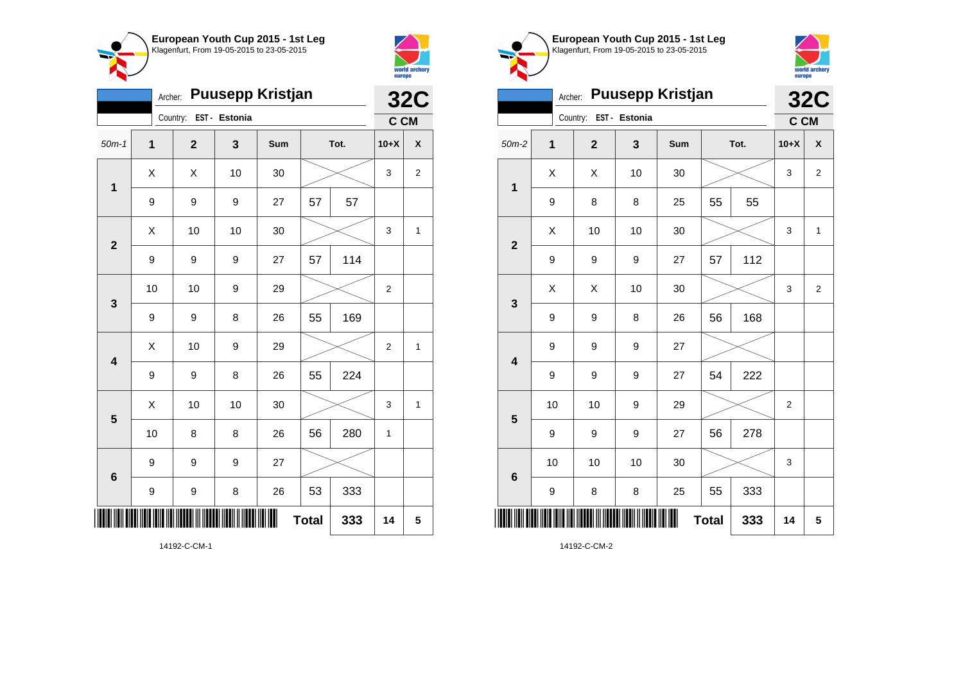



| <b>Puusepp Kristjan</b><br>Archer: |    |                        |    |     |              |      |                | <b>32C</b>         |  |
|------------------------------------|----|------------------------|----|-----|--------------|------|----------------|--------------------|--|
|                                    |    | Country: EST - Estonia |    |     |              |      | C CM           |                    |  |
| $50m-1$                            | 1  | $\mathbf 2$            | 3  | Sum |              | Tot. | $10+X$         | $\pmb{\mathsf{X}}$ |  |
| $\mathbf 1$                        | Χ  | Χ                      | 10 | 30  |              |      | 3              | $\boldsymbol{2}$   |  |
|                                    | 9  | 9                      | 9  | 27  | 57           | 57   |                |                    |  |
| $\mathbf{2}$                       | X  | 10                     | 10 | 30  |              |      | 3              | 1                  |  |
|                                    | 9  | 9                      | 9  | 27  | 57           | 114  |                |                    |  |
| 3                                  | 10 | 10                     | 9  | 29  |              |      | $\overline{2}$ |                    |  |
|                                    | 9  | 9                      | 8  | 26  | 55           | 169  |                |                    |  |
| $\overline{\mathbf{4}}$            | X  | 10                     | 9  | 29  |              |      | $\overline{2}$ | 1                  |  |
|                                    | 9  | 9                      | 8  | 26  | 55           | 224  |                |                    |  |
| 5                                  | X  | 10                     | 10 | 30  |              |      | 3              | 1                  |  |
|                                    | 10 | 8                      | 8  | 26  | 56           | 280  | 1              |                    |  |
| $6\phantom{1}$                     | 9  | 9                      | 9  | 27  |              |      |                |                    |  |
|                                    | 9  | 9                      | 8  | 26  | 53           | 333  |                |                    |  |
|                                    |    |                        |    | ║║  | <b>Total</b> | 333  | 14             | 5                  |  |





|                         | <b>32C</b> |                |               |     |              |      |                |                |
|-------------------------|------------|----------------|---------------|-----|--------------|------|----------------|----------------|
|                         | Country:   |                | EST - Estonia |     |              |      | C CM           |                |
| $50m-2$                 | 1          | $\overline{2}$ | 3             | Sum |              | Tot. | $10+X$         | X              |
| $\mathbf 1$             | Χ          | X              | 10            | 30  |              |      | 3              | $\overline{2}$ |
|                         | 9          | 8              | 8             | 25  | 55           | 55   |                |                |
| $\overline{2}$          | X          | 10             | 10            | 30  |              |      | 3              | $\mathbf{1}$   |
|                         | 9          | 9              | 9             | 27  | 57           | 112  |                |                |
| 3                       | X          | Χ              | 10            | 30  |              |      | 3              | $\overline{2}$ |
|                         | 9          | 9              | 8             | 26  | 56           | 168  |                |                |
| $\overline{\mathbf{4}}$ | 9          | 9              | 9             | 27  |              |      |                |                |
|                         | 9          | 9              | 9             | 27  | 54           | 222  |                |                |
| 5                       | 10         | 10             | 9             | 29  |              |      | $\overline{2}$ |                |
|                         | 9          | 9              | 9             | 27  | 56           | 278  |                |                |
| $6\phantom{1}6$         | 10         | 10             | 10            | 30  |              |      | 3              |                |
|                         | 9          | 8              | 8             | 25  | 55           | 333  |                |                |
| ║                       |            |                |               |     | <b>Total</b> | 333  | 14             | 5              |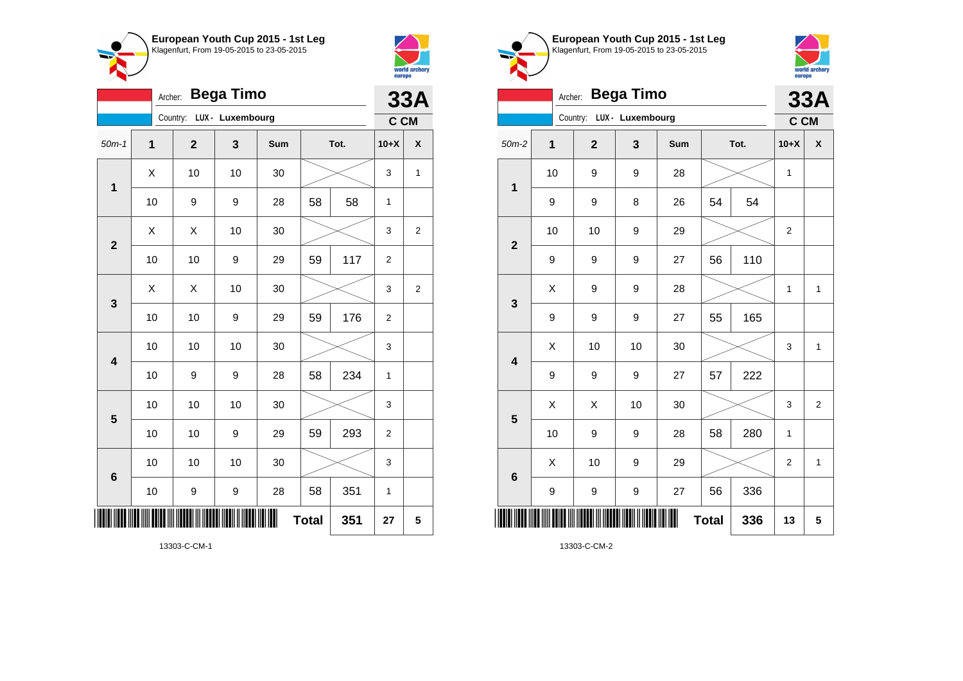



|                         | <b>33A</b>   |                           |    |     |              |      |                |                |
|-------------------------|--------------|---------------------------|----|-----|--------------|------|----------------|----------------|
|                         |              | Country: LUX - Luxembourg |    |     |              |      | C CM           |                |
| $50m-1$                 | $\mathbf{1}$ | $\mathbf{2}$              | 3  | Sum |              | Tot. | $10+X$         | X              |
| $\mathbf 1$             | X            | 10                        | 10 | 30  |              |      | 3              | 1              |
|                         | 10           | 9                         | 9  | 28  | 58           | 58   | 1              |                |
| $\overline{\mathbf{2}}$ | X            | Χ                         | 10 | 30  |              |      | 3              | 2              |
|                         | 10           | 10                        | 9  | 29  | 59           | 117  | $\overline{2}$ |                |
| $\mathbf{3}$            | Χ            | X                         | 10 | 30  |              |      | 3              | $\overline{2}$ |
|                         | 10           | 10                        | 9  | 29  | 59           | 176  | $\overline{c}$ |                |
| $\overline{\mathbf{4}}$ | 10           | 10                        | 10 | 30  |              |      | 3              |                |
|                         | 10           | 9                         | 9  | 28  | 58           | 234  | 1              |                |
| 5                       | 10           | 10                        | 10 | 30  |              |      | 3              |                |
|                         | 10           | 10                        | 9  | 29  | 59           | 293  | $\overline{2}$ |                |
| 6                       | 10           | 10                        | 10 | 30  |              |      | 3              |                |
|                         | 10           | 9                         | 9  | 28  | 58           | 351  | 1              |                |
|                         |              |                           |    |     | <b>Total</b> | 351  | 27             | 5              |





|                         | <b>Bega Timo</b><br>Archer: |                           |    |     |              |      |                  |                         |  |
|-------------------------|-----------------------------|---------------------------|----|-----|--------------|------|------------------|-------------------------|--|
|                         |                             | Country: LUX - Luxembourg |    |     |              |      | C CM             | <b>33A</b>              |  |
| $50m-2$                 | 1                           | $\overline{2}$            | 3  | Sum |              | Tot. | $10+X$           | X                       |  |
| $\mathbf 1$             | 10                          | 9                         | 9  | 28  |              |      | 1                |                         |  |
|                         | 9                           | 9                         | 8  | 26  | 54           | 54   |                  |                         |  |
| $\overline{2}$          | 10                          | 10                        | 9  | 29  |              |      | $\boldsymbol{2}$ |                         |  |
|                         | 9                           | 9                         | 9  | 27  | 56           | 110  |                  |                         |  |
| $\mathbf{3}$            | X                           | 9                         | 9  | 28  |              |      | $\mathbf{1}$     | $\mathbf{1}$            |  |
|                         | 9                           | 9                         | 9  | 27  | 55           | 165  |                  |                         |  |
| $\overline{\mathbf{4}}$ | X                           | 10                        | 10 | 30  |              |      | 3                | $\mathbf{1}$            |  |
|                         | 9                           | 9                         | 9  | 27  | 57           | 222  |                  |                         |  |
| 5                       | X                           | X                         | 10 | 30  |              |      | 3                | $\overline{\mathbf{c}}$ |  |
|                         | 10                          | 9                         | 9  | 28  | 58           | 280  | $\mathbf{1}$     |                         |  |
| $6\phantom{1}6$         | X                           | 10                        | 9  | 29  |              |      | $\overline{2}$   | $\mathbf{1}$            |  |
|                         | 9                           | 9                         | 9  | 27  | 56           | 336  |                  |                         |  |
| Ш                       |                             |                           |    |     | <b>Total</b> | 336  | 13               | 5                       |  |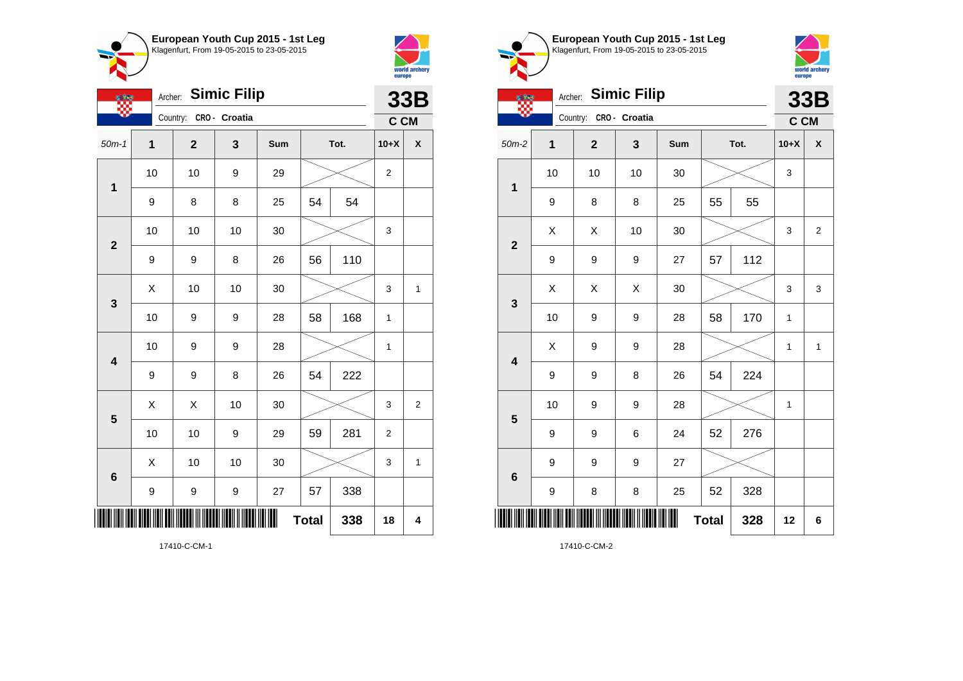



| <b>OF THE</b>           | <b>Simic Filip</b><br>Archer: |                         |               |     |              |      |                | <b>33B</b>     |
|-------------------------|-------------------------------|-------------------------|---------------|-----|--------------|------|----------------|----------------|
|                         |                               | Country:                | CRO - Croatia |     |              |      | C CM           |                |
| $50m-1$                 | $\mathbf{1}$                  | $\overline{\mathbf{2}}$ | 3             | Sum |              | Tot. | $10+X$         | X              |
| $\mathbf 1$             | 10                            | 10                      | 9             | 29  |              |      | $\overline{c}$ |                |
|                         | 9                             | 8                       | 8             | 25  | 54           | 54   |                |                |
| $\overline{\mathbf{c}}$ | 10                            | 10                      | 10            | 30  |              |      | 3              |                |
|                         | 9                             | 9                       | 8             | 26  | 56           | 110  |                |                |
| 3                       | X                             | 10                      | 10            | 30  |              |      | 3              | $\mathbf{1}$   |
|                         | 10                            | 9                       | 9             | 28  | 58           | 168  | 1              |                |
| $\overline{\mathbf{4}}$ | 10                            | 9                       | 9             | 28  |              |      | 1              |                |
|                         | $\boldsymbol{9}$              | 9                       | 8             | 26  | 54           | 222  |                |                |
| 5                       | X                             | X                       | 10            | 30  |              |      | 3              | $\overline{2}$ |
|                         | 10                            | 10                      | 9             | 29  | 59           | 281  | $\overline{2}$ |                |
| $6\phantom{1}6$         | Χ                             | 10                      | 10            | 30  |              |      | 3              | 1              |
|                         | 9                             | 9                       | 9             | 27  | 57           | 338  |                |                |
|                         |                               |                         |               |     | <b>Total</b> | 338  | 18             | 4              |

**European Youth Cup 2015 - 1st Leg** Klagenfurt, From 19-05-2015 to 23-05-2015



|                         | <b>Simic Filip</b><br>Archer:<br><b>CERS</b> |                |               |     |              |      |        | <b>33B</b>     |  |
|-------------------------|----------------------------------------------|----------------|---------------|-----|--------------|------|--------|----------------|--|
|                         |                                              | Country:       | CRO - Croatia |     |              |      | C CM   |                |  |
| $50m-2$                 | 1                                            | $\overline{2}$ | 3             | Sum |              | Tot. | $10+X$ | X              |  |
| $\mathbf 1$             | 10                                           | 10             | 10            | 30  |              |      | 3      |                |  |
|                         | 9                                            | 8              | 8             | 25  | 55           | 55   |        |                |  |
| $\overline{2}$          | X                                            | X              | 10            | 30  |              |      | 3      | $\overline{2}$ |  |
|                         | 9                                            | 9              | 9             | 27  | 57           | 112  |        |                |  |
| $\mathbf{3}$            | X                                            | Χ              | X             | 30  |              |      | 3      | 3              |  |
|                         | 10                                           | 9              | 9             | 28  | 58           | 170  | 1      |                |  |
| $\overline{\mathbf{4}}$ | X                                            | 9              | 9             | 28  |              |      | 1      | $\mathbf{1}$   |  |
|                         | 9                                            | 9              | 8             | 26  | 54           | 224  |        |                |  |
| 5                       | 10                                           | 9              | 9             | 28  |              |      | 1      |                |  |
|                         | 9                                            | 9              | 6             | 24  | 52           | 276  |        |                |  |
| $6\phantom{1}6$         | 9                                            | 9              | 9             | 27  |              |      |        |                |  |
|                         | 9                                            | 8              | 8             | 25  | 52           | 328  |        |                |  |
| I                       |                                              |                |               |     | <b>Total</b> | 328  | 12     | 6              |  |

17410-C-CM-2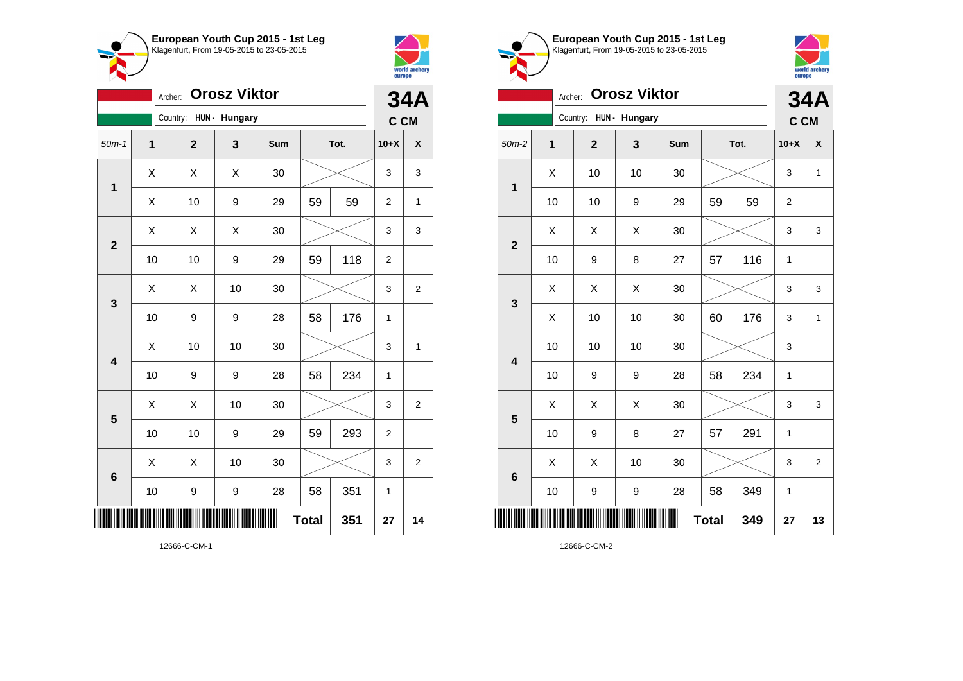



| <b>Orosz Viktor</b><br>Archer: |    |              |               |     |              |      |                | <b>34A</b>     |  |
|--------------------------------|----|--------------|---------------|-----|--------------|------|----------------|----------------|--|
|                                |    | Country:     | HUN - Hungary |     |              |      | C CM           |                |  |
| $50m-1$                        | 1  | $\mathbf{2}$ | 3             | Sum |              | Tot. | $10+X$         | X              |  |
| 1                              | X  | X            | X             | 30  |              |      | 3              | 3              |  |
|                                | X  | 10           | 9             | 29  | 59           | 59   | $\overline{2}$ | 1              |  |
| $\overline{2}$                 | X  | X            | X             | 30  |              |      | 3              | 3              |  |
|                                | 10 | 10           | 9             | 29  | 59           | 118  | $\overline{2}$ |                |  |
| 3                              | X  | Χ            | 10            | 30  |              |      | 3              | $\overline{2}$ |  |
|                                | 10 | 9            | 9             | 28  | 58           | 176  | 1              |                |  |
| $\overline{\mathbf{4}}$        | X  | 10           | 10            | 30  |              |      | 3              | $\mathbf{1}$   |  |
|                                | 10 | 9            | 9             | 28  | 58           | 234  | 1              |                |  |
| 5                              | X  | X            | 10            | 30  |              |      | 3              | $\overline{2}$ |  |
|                                | 10 | 10           | 9             | 29  | 59           | 293  | $\overline{c}$ |                |  |
| $6\phantom{1}6$                | X  | X            | 10            | 30  |              |      | 3              | $\overline{c}$ |  |
|                                | 10 | 9            | 9             | 28  | 58           | 351  | 1              |                |  |
|                                |    |              |               |     | <b>Total</b> | 351  | 27             | 14             |  |





|                                 | <b>Orosz Viktor</b><br>Archer: |              |               |     |    |      |                |                |
|---------------------------------|--------------------------------|--------------|---------------|-----|----|------|----------------|----------------|
|                                 |                                | Country:     | HUN - Hungary |     |    |      | C CM           |                |
| $50m-2$                         | $\mathbf 1$                    | $\mathbf{2}$ | 3             | Sum |    | Tot. | $10+X$         | X              |
| $\mathbf 1$                     | X                              | 10           | 10            | 30  |    |      | 3              | $\mathbf{1}$   |
|                                 | 10                             | 10           | 9             | 29  | 59 | 59   | $\overline{2}$ |                |
| $\mathbf{2}$                    | X                              | Χ            | X             | 30  |    |      | 3              | 3              |
|                                 | 10                             | 9            | 8             | 27  | 57 | 116  | 1              |                |
| 3                               | X                              | X            | X             | 30  |    |      | 3              | 3              |
|                                 | X                              | 10           | 10            | 30  | 60 | 176  | 3              | 1              |
| $\overline{\mathbf{4}}$         | 10                             | 10           | 10            | 30  |    |      | 3              |                |
|                                 | 10                             | 9            | 9             | 28  | 58 | 234  | 1              |                |
| 5                               | X                              | X            | X             | 30  |    |      | 3              | 3              |
|                                 | 10                             | 9            | 8             | 27  | 57 | 291  | 1              |                |
| $6\phantom{1}6$                 | X                              | X            | 10            | 30  |    |      | 3              | $\overline{2}$ |
|                                 | 10                             | 9            | 9             | 28  | 58 | 349  | 1              |                |
| ║║<br><b>Total</b><br>349<br>27 |                                |              |               |     |    |      |                | 13             |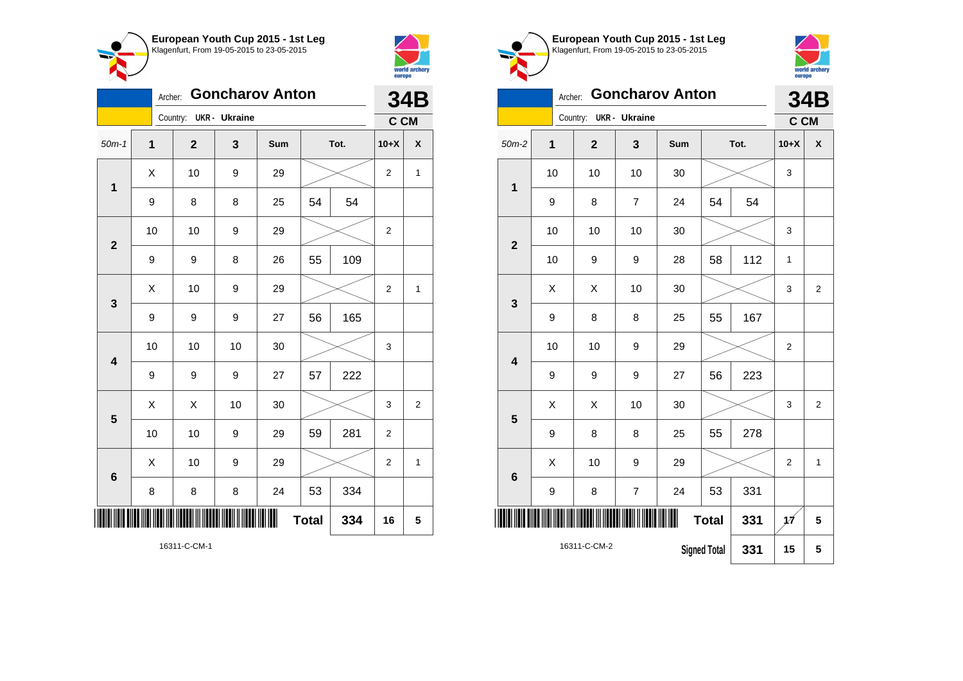



| <b>Goncharov Anton</b><br>Archer: |             |              |                      |     |              |      |                | <b>34B</b>     |  |
|-----------------------------------|-------------|--------------|----------------------|-----|--------------|------|----------------|----------------|--|
|                                   |             | Country:     | <b>UKR</b> - Ukraine |     |              |      | C CM           |                |  |
| $50m-1$                           | $\mathbf 1$ | $\mathbf{2}$ | 3                    | Sum |              | Tot. | $10+X$         | χ              |  |
| 1                                 | X           | 10           | 9                    | 29  |              |      | $\overline{2}$ | $\mathbf 1$    |  |
|                                   | 9           | 8            | 8                    | 25  | 54           | 54   |                |                |  |
| $\overline{2}$                    | 10          | 10           | 9                    | 29  |              |      | $\overline{2}$ |                |  |
|                                   | 9           | 9            | 8                    | 26  | 55           | 109  |                |                |  |
| $\mathbf{3}$                      | X           | 10           | 9                    | 29  |              |      | $\overline{2}$ | $\mathbf 1$    |  |
|                                   | 9           | 9            | 9                    | 27  | 56           | 165  |                |                |  |
| $\overline{\mathbf{4}}$           | 10          | 10           | 10                   | 30  |              |      | 3              |                |  |
|                                   | 9           | 9            | 9                    | 27  | 57           | 222  |                |                |  |
| 5                                 | X           | X            | 10                   | 30  |              |      | 3              | $\overline{c}$ |  |
|                                   | 10          | 10           | 9                    | 29  | 59           | 281  | 2              |                |  |
| $\bf 6$                           | X           | 10           | 9                    | 29  |              |      | $\overline{2}$ | $\mathbf{1}$   |  |
|                                   | 8           | 8            | 8                    | 24  | 53           | 334  |                |                |  |
|                                   |             |              |                      | ∭   | <b>Total</b> | 334  | 16             | 5              |  |

**European Youth Cup 2015 - 1st Leg** Klagenfurt, From 19-05-2015 to 23-05-2015



|                         | <b>Goncharov Anton</b><br>Archer:   |              |                |                      |     |              |      |                |                |
|-------------------------|-------------------------------------|--------------|----------------|----------------------|-----|--------------|------|----------------|----------------|
|                         |                                     |              | Country:       | <b>UKR</b> - Ukraine |     |              |      | C CM           | <b>34B</b>     |
| $50m-2$                 |                                     | $\mathbf{1}$ | $\overline{2}$ | 3                    | Sum |              | Tot. | $10+X$         | X              |
| $\mathbf{1}$            |                                     | 10           | 10             | 10                   | 30  |              |      | 3              |                |
|                         |                                     | 9            | 8              | $\overline{7}$       | 24  | 54           | 54   |                |                |
| $\overline{2}$          |                                     | 10           | 10             | 10                   | 30  |              |      | 3              |                |
|                         |                                     | 10           | 9              | 9                    | 28  | 58           | 112  | 1              |                |
| 3                       |                                     | X            | Χ              | 10                   | 30  |              |      | 3              | $\overline{2}$ |
|                         |                                     | 9            | 8              | 8                    | 25  | 55           | 167  |                |                |
| $\overline{\mathbf{4}}$ |                                     | 10           | 10             | $\boldsymbol{9}$     | 29  |              |      | $\overline{2}$ |                |
|                         |                                     | 9            | 9              | $\boldsymbol{9}$     | 27  | 56           | 223  |                |                |
| 5                       |                                     | X            | X              | 10                   | 30  |              |      | 3              | $\overline{2}$ |
|                         |                                     | 9            | 8              | 8                    | 25  | 55           | 278  |                |                |
| $6\phantom{1}6$         |                                     | X            | 10             | 9                    | 29  |              |      | $\overline{2}$ | $\mathbf{1}$   |
|                         |                                     | 9            | 8              | $\overline{7}$       | 24  | 53           | 331  |                |                |
| IIII                    |                                     |              |                |                      | Ш   | <b>Total</b> | 331  | 1Á             | 5              |
|                         | 16311-C-CM-2<br><b>Signed Total</b> |              |                |                      |     |              | 331  | 15             | 5              |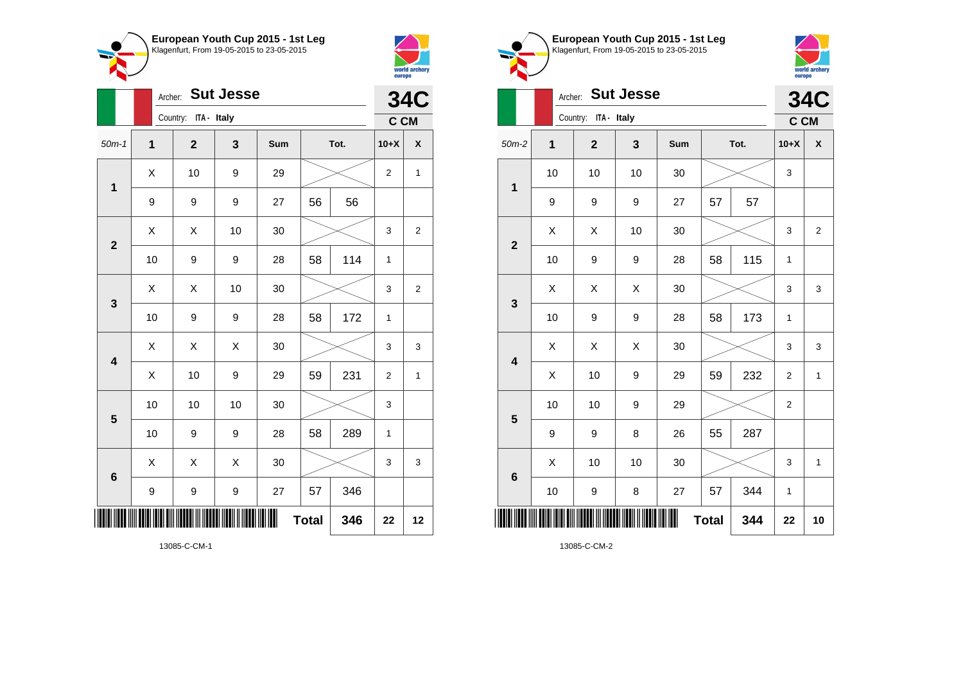



|                         |                | Archer: |                         |    | <b>34C</b> |              |      |                |                         |
|-------------------------|----------------|---------|-------------------------|----|------------|--------------|------|----------------|-------------------------|
|                         |                |         | Country: ITA - Italy    |    |            |              |      | C CM           |                         |
| $50m-1$                 | $\overline{1}$ |         | $\overline{\mathbf{2}}$ | 3  | Sum        |              | Tot. | $10+X$         | χ                       |
| $\mathbf 1$             | X              |         | 10                      | 9  | 29         |              |      | $\overline{2}$ | $\mathbf{1}$            |
|                         | 9              |         | 9                       | 9  | 27         | 56           | 56   |                |                         |
| $\mathbf{2}$            | Χ              |         | X                       | 10 | 30         |              |      | 3              | $\mathbf 2$             |
|                         | 10             |         | 9                       | 9  | 28         | 58           | 114  | $\mathbf{1}$   |                         |
| 3                       | Χ              |         | Χ                       | 10 | 30         |              |      | 3              | $\overline{\mathbf{c}}$ |
|                         | 10             |         | 9                       | 9  | 28         | 58           | 172  | $\mathbf{1}$   |                         |
| $\overline{\mathbf{4}}$ | Χ              |         | X                       | X  | 30         |              |      | 3              | 3                       |
|                         | X              |         | 10                      | 9  | 29         | 59           | 231  | $\overline{2}$ | 1                       |
| $5\phantom{1}$          | 10             |         | 10                      | 10 | 30         |              |      | 3              |                         |
|                         | 10             |         | 9                       | 9  | 28         | 58           | 289  | 1              |                         |
| 6                       | Χ              |         | X                       | Χ  | 30         |              |      | 3              | 3                       |
|                         | 9              |         | 9                       | 9  | 27         | 57           | 346  |                |                         |
|                         |                |         |                         |    |            | <b>Total</b> | 346  | 22             | 12                      |





|                 | Archer: |                      | <b>34C</b>       |     |              |      |                |                |
|-----------------|---------|----------------------|------------------|-----|--------------|------|----------------|----------------|
|                 |         | Country: ITA - Italy |                  |     |              |      | C CM           |                |
| $50m-2$         | 1       | $\mathbf{2}$         | 3                | Sum |              | Tot. | $10+X$         | X              |
| $\mathbf 1$     | 10      | 10                   | 10               | 30  |              |      | 3              |                |
|                 | 9       | 9                    | $\boldsymbol{9}$ | 27  | 57           | 57   |                |                |
| $\overline{2}$  | X       | Χ                    | 10               | 30  |              |      | 3              | $\overline{2}$ |
|                 | 10      | 9                    | 9                | 28  | 58           | 115  | 1              |                |
| 3               | X       | X                    | Χ                | 30  |              |      | 3              | 3              |
|                 | 10      | 9                    | 9                | 28  | 58           | 173  | $\mathbf 1$    |                |
| 4               | X       | X                    | X                | 30  |              |      | 3              | 3              |
|                 | X       | 10                   | 9                | 29  | 59           | 232  | $\overline{2}$ | $\mathbf{1}$   |
| 5               | 10      | 10                   | 9                | 29  |              |      | $\overline{2}$ |                |
|                 | 9       | 9                    | 8                | 26  | 55           | 287  |                |                |
| $6\phantom{1}6$ | X       | 10                   | 10               | 30  |              |      | 3              | 1              |
|                 | 10      | 9                    | 8                | 27  | 57           | 344  | $\mathbf{1}$   |                |
|                 |         |                      |                  | Ш   | <b>Total</b> | 344  | 22             | 10             |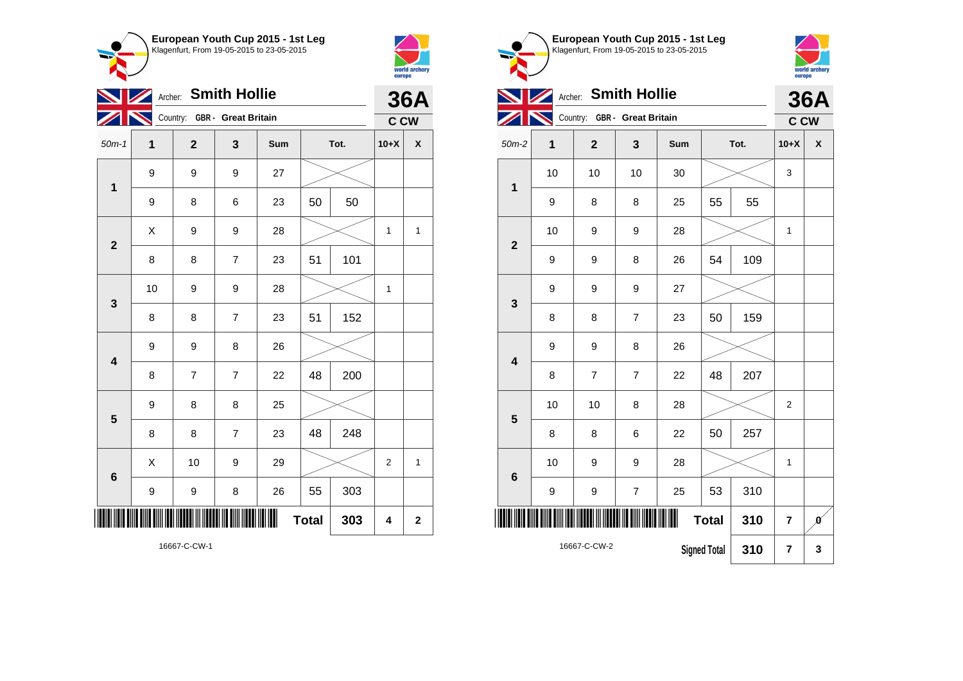



|                         | Archer: Smith Hollie |                |                            |     |              |      |                         |             |  |
|-------------------------|----------------------|----------------|----------------------------|-----|--------------|------|-------------------------|-------------|--|
|                         |                      | Country:       | <b>GBR</b> - Great Britain |     |              |      | C CW                    | <b>36A</b>  |  |
| $50m-1$                 | 1                    | $\mathbf{2}$   | 3                          | Sum |              | Tot. | $10+X$                  | χ           |  |
| $\mathbf 1$             | 9                    | 9              | 9                          | 27  |              |      |                         |             |  |
|                         | 9                    | 8              | 6                          | 23  | 50           | 50   |                         |             |  |
| $\mathbf{2}$            | $\sf X$              | 9              | 9                          | 28  |              |      | 1                       | 1           |  |
|                         | 8                    | 8              | $\overline{7}$             | 23  | 51           | 101  |                         |             |  |
| 3                       | 10                   | 9              | 9                          | 28  |              |      | 1                       |             |  |
|                         | 8                    | 8              | $\overline{7}$             | 23  | 51           | 152  |                         |             |  |
| $\overline{\mathbf{4}}$ | 9                    | 9              | 8                          | 26  |              |      |                         |             |  |
|                         | 8                    | $\overline{7}$ | $\overline{7}$             | 22  | 48           | 200  |                         |             |  |
| 5                       | 9                    | 8              | 8                          | 25  |              |      |                         |             |  |
|                         | 8                    | 8              | $\overline{7}$             | 23  | 48           | 248  |                         |             |  |
| $6\phantom{1}6$         | X                    | 10             | 9                          | 29  |              |      | $\overline{2}$          | 1           |  |
|                         | 9                    | 9              | 8                          | 26  | 55           | 303  |                         |             |  |
|                         |                      |                |                            |     | <b>Total</b> | 303  | $\overline{\mathbf{4}}$ | $\mathbf 2$ |  |

world archery<br>europe **Archer: Smith Hollie 36A** Country: **GBR - Great Britain**  $\mathbb{Z}$ **C CW** 50m-2 **1 2 3 Sum Tot. 10+X X** 10 | 10 | 10 | 30 |  $\times$  | 3 **1** 9 | 8 | 8 | 25 | 55 | 55 10 | 9 | 9 | 28 |  $\times$  | 1 **2** 9 | 9 | 8 | 26 | 54 | 109 9 9 9 27 **3** 8 | 8 | 7 | 23 | 50 | 159 9 | 9 | 8 | 26 **4** 8 7 7 22 48 207 10 | 10 | 8 | 28 |  $\times$  | 2 **5** 8 | 8 | 6 | 22 | 50 | 257 10 | 9 | 9 | 28 |  $\times$  | 1 **6** 9 | 9 | 7 | 25 | 53 | 310 \*16667-C-CW-2\* **Total** 310  $\vert$  7  $\vert$  0

**Signed Total 310 7 3**

16667-C-CW-2

**European Youth Cup 2015 - 1st Leg** Klagenfurt, From 19-05-2015 to 23-05-2015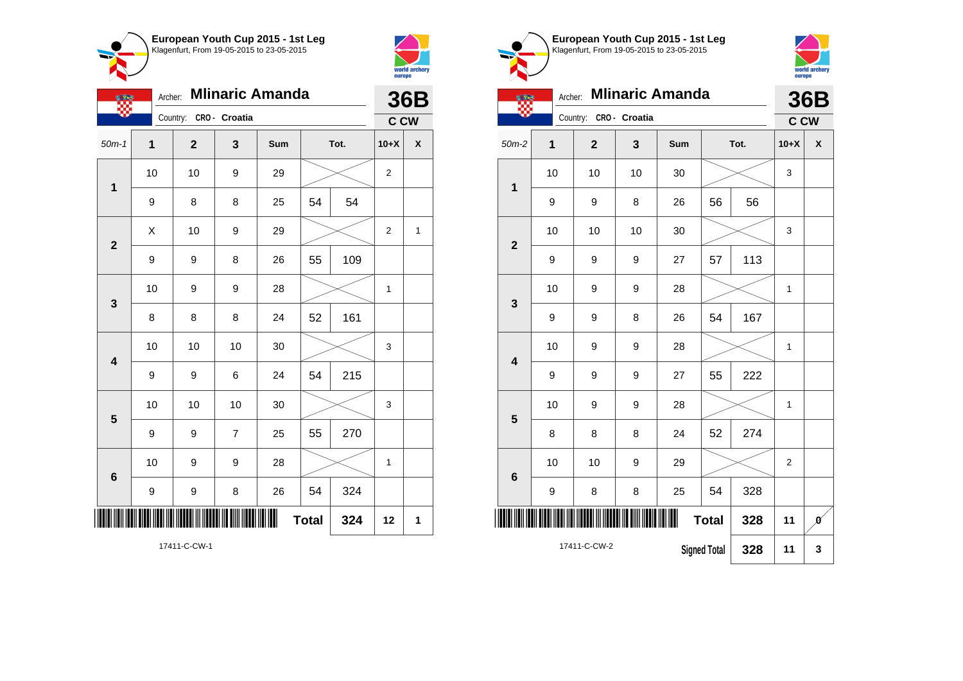



 $\overline{\phantom{0}}$ 

| European Youth Cup 2015 - 1st Leg<br>Klagenfurt, From 19-05-2015 to 23-05-2015 |
|--------------------------------------------------------------------------------|
|                                                                                |



| $\overline{\phantom{a}}$ | <b>Mlinaric Amanda</b><br>Archer:          |                |               |     |      |     |                |   |  |
|--------------------------|--------------------------------------------|----------------|---------------|-----|------|-----|----------------|---|--|
|                          |                                            | Country:       | CRO - Croatia |     |      |     | C CW           |   |  |
| $50m-2$                  | $\overline{1}$                             | $\overline{2}$ | 3             | Sum | Tot. |     | $10+X$         | X |  |
| $\mathbf{1}$             | 10                                         | 10             | 10            | 30  |      |     |                |   |  |
|                          | 9                                          | 9              | 8             | 26  | 56   | 56  |                |   |  |
| $\overline{2}$           | 10                                         | 10             | 10            | 30  |      |     | 3              |   |  |
|                          | 9                                          | 9              | 9             | 27  | 57   | 113 |                |   |  |
| 3                        | 10                                         | 9              | 9             | 28  |      |     | 1              |   |  |
|                          | 9                                          | 9              | 8             | 26  | 54   | 167 |                |   |  |
| $\overline{\mathbf{4}}$  | 10                                         | 9              | 9             | 28  |      |     | 1              |   |  |
|                          | 9                                          | 9              | 9             | 27  | 55   | 222 |                |   |  |
| 5                        | 10                                         | 9              | 9             | 28  |      |     | 1              |   |  |
|                          | 8                                          | 8              | 8             | 24  | 52   | 274 |                |   |  |
| $6\phantom{1}6$          | 10                                         | 10             | 9             | 29  |      |     | $\overline{2}$ |   |  |
|                          | 9                                          | 8              | 8             | 25  | 54   | 328 |                |   |  |
| Ш<br><b>Total</b><br>328 |                                            |                |               |     |      | 11  | Ø              |   |  |
|                          | 17411-C-CW-2<br><b>Signed Total</b><br>328 |                |               |     |      |     | 11             | 3 |  |

|                         |    | Archer:                |                | <b>Mlinaric Amanda</b> |              |      |                | 36B                |
|-------------------------|----|------------------------|----------------|------------------------|--------------|------|----------------|--------------------|
|                         |    | Country: CRO - Croatia |                |                        |              |      | <b>C CW</b>    |                    |
| $50m-1$                 | 1  | $\mathbf 2$            | 3              | Sum                    |              | Tot. | $10+X$         | $\pmb{\mathsf{X}}$ |
| $\mathbf 1$             | 10 | 10                     | 9              | 29                     |              |      | $\overline{2}$ |                    |
|                         | 9  | 8                      | 8              | 25                     | 54           | 54   |                |                    |
| $\overline{\mathbf{2}}$ | X  | 10                     | 9              | 29                     |              |      | 2              | 1                  |
|                         | 9  | 9                      | 8              | 26                     | 55           | 109  |                |                    |
| 3                       | 10 | 9                      | 9              | 28                     |              |      | $\mathbf 1$    |                    |
|                         | 8  | 8                      | 8              | 24                     | 52           | 161  |                |                    |
| $\overline{\mathbf{4}}$ | 10 | 10                     | 10             | 30                     |              |      | 3              |                    |
|                         | 9  | 9                      | 6              | 24                     | 54           | 215  |                |                    |
| 5                       | 10 | 10                     | 10             | 30                     |              |      | 3              |                    |
|                         | 9  | 9                      | $\overline{7}$ | 25                     | 55           | 270  |                |                    |
| 6                       | 10 | 9                      | 9              | 28                     |              |      | $\mathbf{1}$   |                    |
|                         | 9  | 9                      | 8              | 26                     | 54           | 324  |                |                    |
|                         |    |                        |                |                        | <b>Total</b> | 324  | 12             | 1                  |
|                         |    |                        |                |                        |              |      |                |                    |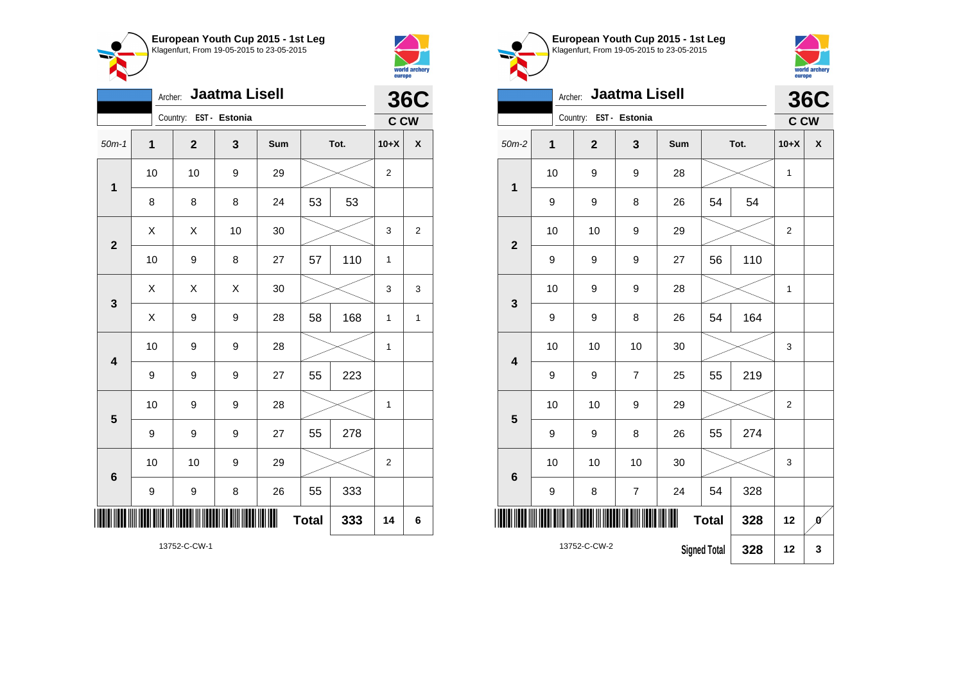



 $\bullet$ 

|                         | <b>36C</b>     |                        |    |     |              |     |                |                |
|-------------------------|----------------|------------------------|----|-----|--------------|-----|----------------|----------------|
|                         |                | Country: EST - Estonia |    |     |              |     | <b>C CW</b>    |                |
| $50m-1$                 | $\overline{1}$ | $\mathbf{2}$           | 3  | Sum | Tot.         |     | $10+X$         | χ              |
| 1                       | 10             | 10                     | 9  | 29  |              |     | $\overline{2}$ |                |
|                         | 8              | 8                      | 8  | 24  | 53           | 53  |                |                |
| $\overline{2}$          | Χ              | X                      | 10 | 30  |              |     | 3              | $\overline{2}$ |
|                         | 10             | 9                      | 8  | 27  | 57           | 110 | 1              |                |
| 3                       | Χ              | X                      | X  | 30  |              |     | 3              | 3              |
|                         | X              | 9                      | 9  | 28  | 58           | 168 | 1              | 1              |
| $\overline{\mathbf{4}}$ | 10             | 9                      | 9  | 28  |              |     | 1              |                |
|                         | 9              | 9                      | 9  | 27  | 55           | 223 |                |                |
| 5                       | 10             | 9                      | 9  | 28  |              |     | 1              |                |
|                         | 9              | 9                      | 9  | 27  | 55           | 278 |                |                |
| 6                       | 10             | 10                     | 9  | 29  |              |     | $\overline{2}$ |                |
|                         | 9              | 9                      | 8  | 26  | 55           | 333 |                |                |
|                         |                |                        |    |     | <b>Total</b> | 333 | 14             | 6              |

**European Youth Cup 2015 - 1st Leg** Klagenfurt, From 19-05-2015 to 23-05-2015 Archer: **Jaatma Lisell** Country: **EST - Estonia** 50m-2 **1 2 3 Sum Tot. 10+X X** 10 | 9 | 9 | 28 |  $\times$  | 1

**36C C CW**

world archery<br>europe

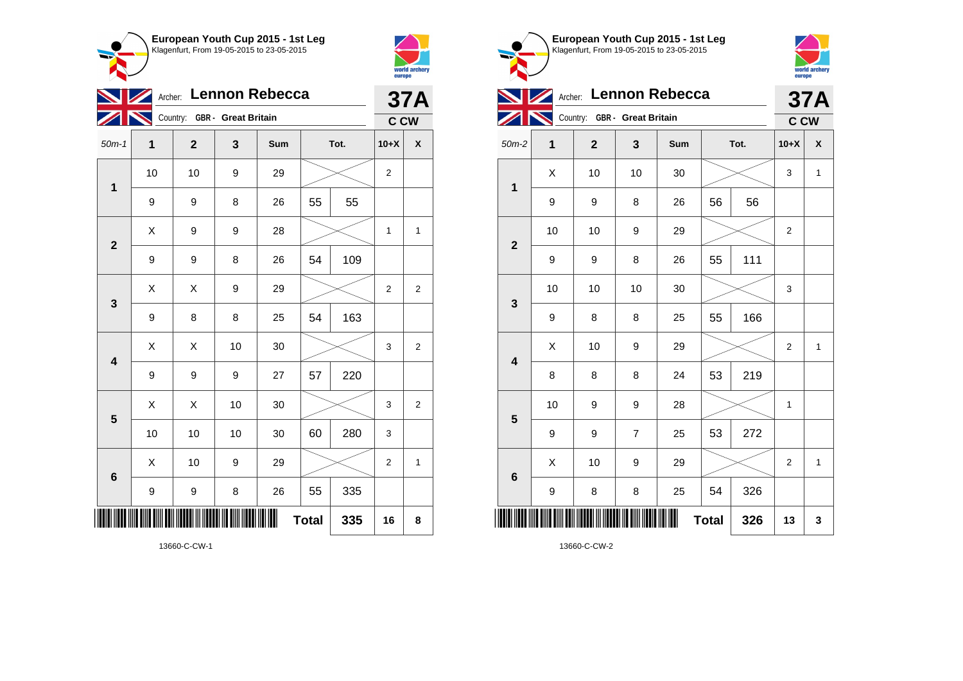



|                         | Archer: Lennon Rebecca<br>$\blacksquare$ |                              |    |     |              |      |                |                    |  |  |
|-------------------------|------------------------------------------|------------------------------|----|-----|--------------|------|----------------|--------------------|--|--|
|                         |                                          | Country: GBR - Great Britain |    |     |              |      | <b>C CW</b>    |                    |  |  |
| $50m-1$                 | 1                                        | $\mathbf 2$                  | 3  | Sum |              | Tot. | $10+X$         | $\pmb{\mathsf{X}}$ |  |  |
| $\mathbf{1}$            | 10                                       | 10                           | 9  | 29  |              |      | $\overline{c}$ |                    |  |  |
|                         | 9                                        | 9                            | 8  | 26  | 55           | 55   |                |                    |  |  |
| $\overline{2}$          | Χ                                        | 9                            | 9  | 28  |              |      | 1              | 1                  |  |  |
|                         | 9                                        | 9                            | 8  | 26  | 54           | 109  |                |                    |  |  |
| 3                       | X                                        | Χ                            | 9  | 29  |              |      | 2              | $\overline{2}$     |  |  |
|                         | 9                                        | 8                            | 8  | 25  | 54           | 163  |                |                    |  |  |
| $\overline{\mathbf{4}}$ | X                                        | X                            | 10 | 30  |              |      | 3              | $\overline{2}$     |  |  |
|                         | 9                                        | 9                            | 9  | 27  | 57           | 220  |                |                    |  |  |
| 5                       | X                                        | X                            | 10 | 30  |              |      | 3              | $\overline{c}$     |  |  |
|                         | 10                                       | 10                           | 10 | 30  | 60           | 280  | 3              |                    |  |  |
| $6\phantom{1}6$         | Χ                                        | 10                           | 9  | 29  |              |      | $\overline{2}$ | 1                  |  |  |
|                         | 9                                        | 9                            | 8  | 26  | 55           | 335  |                |                    |  |  |
|                         |                                          |                              |    |     | <b>Total</b> | 335  | 16             | 8                  |  |  |



13660-C-CW-1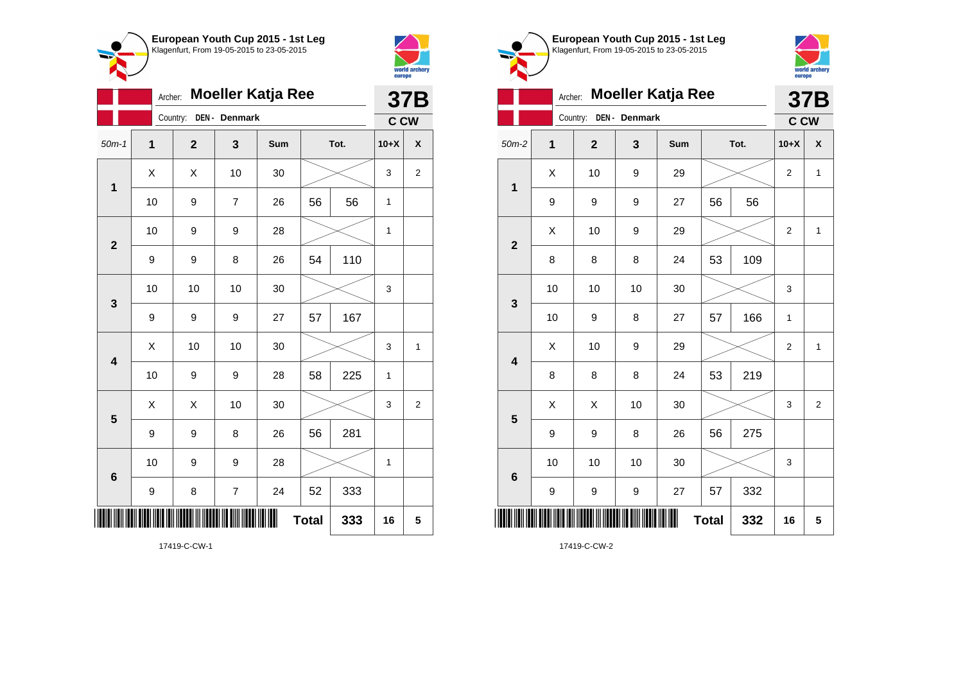



|                         | <b>Moeller Katja Ree</b><br>Archer: |              |                          |     |              |      |              |                |  |
|-------------------------|-------------------------------------|--------------|--------------------------|-----|--------------|------|--------------|----------------|--|
|                         |                                     | Country:     | DEN - Denmark            |     |              |      | C CW         | <b>37B</b>     |  |
| $50m-1$                 | 1                                   | $\mathbf{2}$ | 3                        | Sum |              | Tot. | $10+X$       | χ              |  |
| $\mathbf 1$             | Χ                                   | X            | 10                       | 30  |              |      | 3            | $\overline{2}$ |  |
|                         | 10                                  | 9            | $\overline{7}$           | 26  | 56           | 56   | 1            |                |  |
| $\overline{\mathbf{2}}$ | 10                                  | 9            | 9                        | 28  |              |      | 1            |                |  |
|                         | 9                                   | 9            | 8                        | 26  | 54           | 110  |              |                |  |
| 3                       | 10                                  | 10           | 10                       | 30  |              |      | 3            |                |  |
|                         | 9                                   | 9            | 9                        | 27  | 57           | 167  |              |                |  |
| $\overline{\mathbf{4}}$ | Χ                                   | 10           | 10                       | 30  |              |      | 3            | 1              |  |
|                         | 10                                  | 9            | 9                        | 28  | 58           | 225  | $\mathbf{1}$ |                |  |
| 5                       | Χ                                   | X            | 10                       | 30  |              |      | 3            | $\overline{c}$ |  |
|                         | 9                                   | 9            | 8                        | 26  | 56           | 281  |              |                |  |
| 6                       | 10                                  | 9            | 9                        | 28  |              |      | $\mathbf{1}$ |                |  |
|                         | 9                                   | 8            | $\overline{\mathcal{I}}$ | 24  | 52           | 333  |              |                |  |
|                         |                                     |              |                          |     | <b>Total</b> | 333  | 16           | 5              |  |



**European Youth Cup 2015 - 1st Leg** Klagenfurt, From 19-05-2015 to 23-05-2015

17419-C-CW-1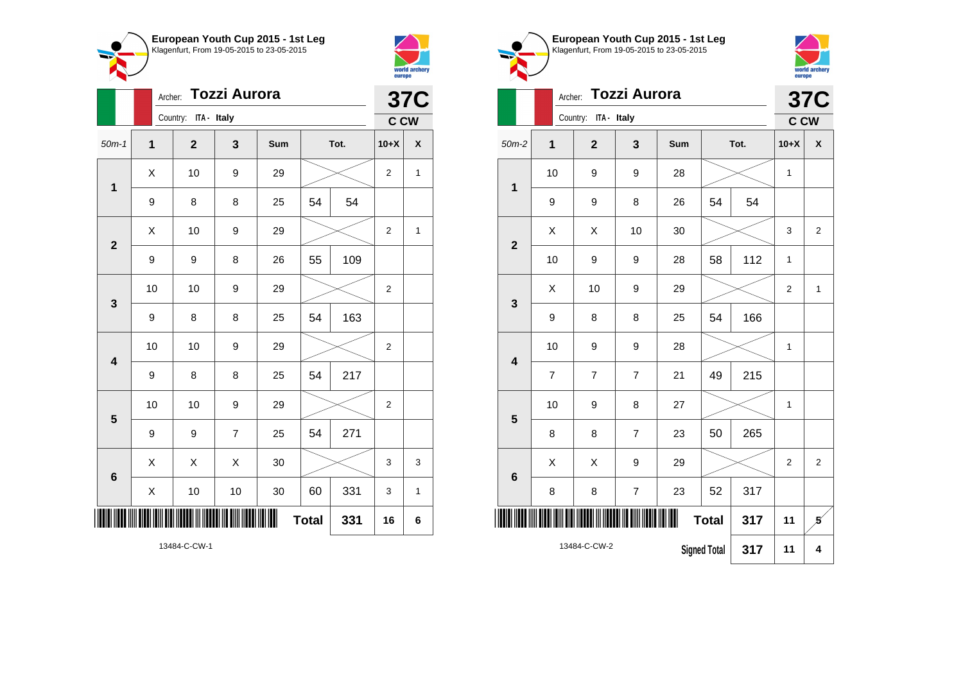



|                         |    | Archer: |                      |                | <b>37C</b> |              |      |                |   |
|-------------------------|----|---------|----------------------|----------------|------------|--------------|------|----------------|---|
|                         |    |         | Country: ITA - Italy |                |            |              |      | <b>C CW</b>    |   |
| $50m-1$                 | 1  |         | $\mathbf{2}$         | 3              | Sum        |              | Tot. | $10+X$         | X |
| 1                       | Χ  |         | 10                   | 9              | 29         |              |      | 2              | 1 |
|                         | 9  |         | 8                    | 8              | 25         | 54           | 54   |                |   |
| $\mathbf{2}$            | X  |         | 10                   | 9              | 29         |              |      | $\overline{2}$ | 1 |
|                         | 9  |         | 9                    | 8              | 26         | 55           | 109  |                |   |
| $\mathbf{3}$            | 10 |         | 10                   | 9              | 29         |              |      | 2              |   |
|                         | 9  |         | 8                    | 8              | 25         | 54           | 163  |                |   |
| $\overline{\mathbf{4}}$ | 10 |         | 10                   | 9              | 29         |              |      | $\overline{c}$ |   |
|                         | 9  |         | 8                    | 8              | 25         | 54           | 217  |                |   |
| 5                       | 10 |         | 10                   | 9              | 29         |              |      | $\overline{2}$ |   |
|                         | 9  |         | 9                    | $\overline{7}$ | 25         | 54           | 271  |                |   |
| $6\phantom{1}6$         | Χ  |         | Χ                    | Χ              | 30         |              |      | 3              | 3 |
|                         | X  |         | 10                   | 10             | 30         | 60           | 331  | 3              | 1 |
| III                     |    |         |                      |                |            | <b>Total</b> | 331  | 16             | 6 |

world archery<br>europe Archer: **Tozzi Aurora 37C** Country: **ITA - Italy C CW** 50m-2 **1 2 3 Sum Tot. 10+X X** 10 | 9 | 9 | 28 |  $\times$  | 1 **1** 9 | 9 | 8 | 26 | 54 | 54  $X$   $\mid$   $X$   $\mid$  10  $\mid$  30  $\mid$   $\gg$   $\mid$  3  $\mid$  2 **2** 10 | 9 | 9 | 28 | 58 | 112 | 1  $\begin{array}{|c|c|c|c|c|c|}\hline \hspace{.1cm}X & \hspace{.1cm} & \textbf{10} & \hspace{.1cm} & \textbf{9} & \hspace{.1cm} & \textbf{29} & \hspace{.1cm} & \hspace{.1cm} & \hspace{.1cm} & \hspace{.1cm} & \hspace{.1cm} & \hspace{.1cm} & \hspace{.1cm} & \hspace{.1cm} & \hspace{.1cm} & \hspace{.1cm} & \hspace{.1cm} & \hspace{.1cm} & \hspace{.1cm} & \hspace{.1cm} & \hspace{.1cm} & \hspace{$ **3** 9 | 8 | 8 | 25 | 54 | 166 10 | 9 | 9 | 28 |  $\times$  | 1 **4** 7 7 7 21 49 215 10 | 9 | 8 | 27 |  $\times$  | 1 **5** 8 | 8 | 7 | 23 | 50 | 265  $\begin{array}{|c|c|c|c|c|c|}\hline \hspace{.1cm}X & \hspace{.1cm} & \hspace{.1cm}3 & \hspace{.1cm} & \hspace{.1cm}29 & \hspace{.1cm} & \hspace{.1cm}\hline \end{array} \hspace{.2cm} \begin{array}{c|c|c|c|c|c|c|c|c} \hline \hspace{.1cm} & \hspace{.1cm} & \hspace{.1cm} & \hspace{.1cm} & \hspace{.1cm} & \hspace{.1cm} & \hspace{.1cm} & \hspace{.1cm} & \hspace{.1cm} & \hspace{.1cm} & \hs$ **6** 8 | 8 | 7 | 23 | 52 | 317 \*13484-C-CW-2\*

**European Youth Cup 2015 - 1st Leg** Klagenfurt, From 19-05-2015 to 23-05-2015

13484-C-CW-2

**Signed Total 317 11 4**

**Total 317 11 5**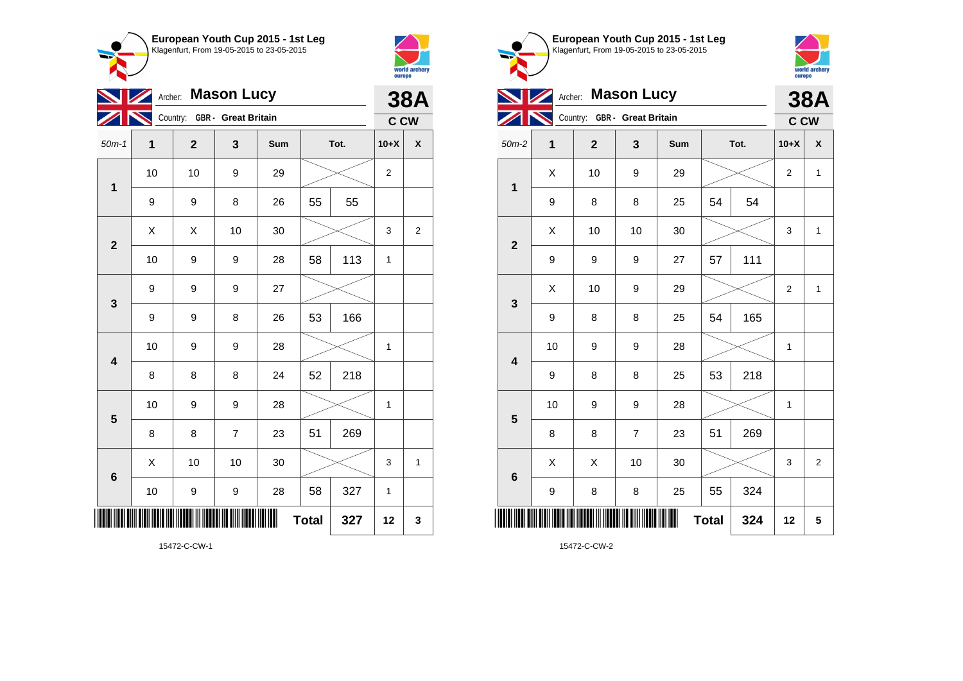



|                         | <b>Mason Lucy</b><br>Archer:<br>$\boldsymbol{Z}$ |                              |                |     |              |     |                |                    |  |  |  |
|-------------------------|--------------------------------------------------|------------------------------|----------------|-----|--------------|-----|----------------|--------------------|--|--|--|
|                         |                                                  | Country: GBR - Great Britain |                |     |              |     | C CW           |                    |  |  |  |
| $50m-1$                 | 1                                                | $\mathbf 2$                  | 3              | Sum | Tot.         |     | $10+X$         | $\pmb{\mathsf{X}}$ |  |  |  |
| $\mathbf{1}$            | 10                                               | 10                           | 9              | 29  |              |     | $\overline{c}$ |                    |  |  |  |
|                         | 9                                                | 9                            | 8              | 26  | 55           | 55  |                |                    |  |  |  |
| $\overline{\mathbf{2}}$ | Χ                                                | Χ                            | 10             | 30  |              |     | 3              | $\overline{2}$     |  |  |  |
|                         | 10                                               | 9                            | 9              | 28  | 58           | 113 | 1              |                    |  |  |  |
| 3                       | 9                                                | 9                            | 9              | 27  |              |     |                |                    |  |  |  |
|                         | 9                                                | 9                            | 8              | 26  | 53           | 166 |                |                    |  |  |  |
| $\overline{\mathbf{4}}$ | 10                                               | 9                            | 9              | 28  |              |     | 1              |                    |  |  |  |
|                         | 8                                                | 8                            | 8              | 24  | 52           | 218 |                |                    |  |  |  |
| 5                       | 10                                               | 9                            | 9              | 28  |              |     | 1              |                    |  |  |  |
|                         | 8                                                | 8                            | $\overline{7}$ | 23  | 51           | 269 |                |                    |  |  |  |
| $6\phantom{1}$          | X                                                | 10                           | 10             | 30  |              |     | 3              | 1                  |  |  |  |
|                         | 10                                               | 9                            | 9              | 28  | 58           | 327 | 1              |                    |  |  |  |
|                         |                                                  |                              |                | Ш   | <b>Total</b> | 327 | 12             | 3                  |  |  |  |



15472-C-CW-2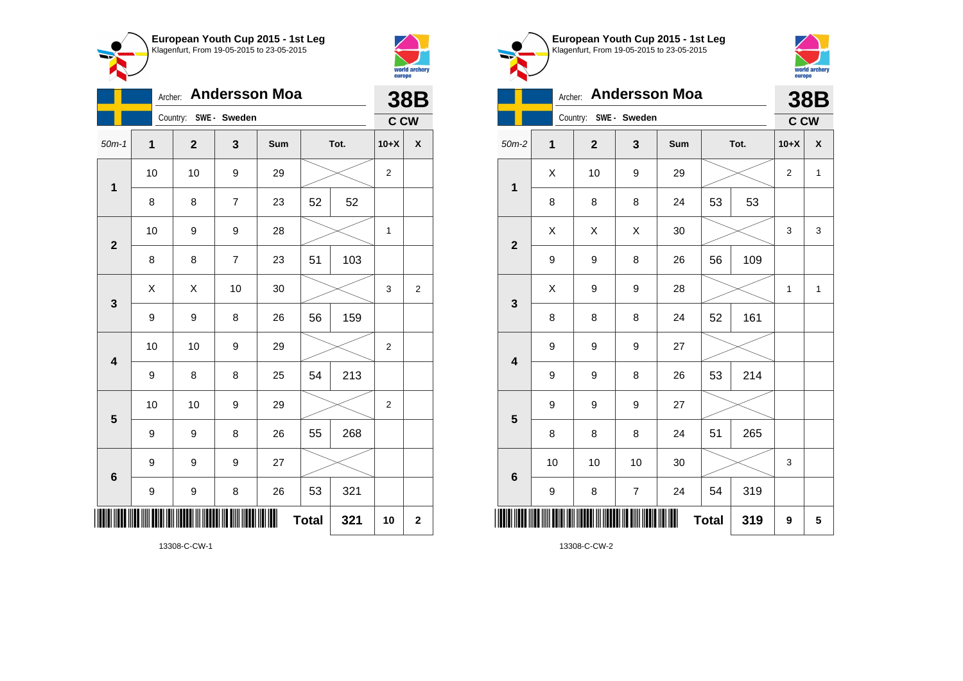



|                | <b>Andersson Moa</b><br>Archer:<br>Country: SWE - Sweden |              |                |     |              |      |                |                    |  |  |  |
|----------------|----------------------------------------------------------|--------------|----------------|-----|--------------|------|----------------|--------------------|--|--|--|
| $50m-1$        | $\mathbf 1$                                              | $\mathbf{2}$ | 3              | Sum |              | Tot. | C CW<br>$10+X$ | $\pmb{\mathsf{X}}$ |  |  |  |
|                | 10                                                       | 10           | 9              | 29  |              |      | 2              |                    |  |  |  |
| 1              | 8                                                        | 8            | $\overline{7}$ | 23  | 52           | 52   |                |                    |  |  |  |
|                | 10                                                       | 9            | 9              | 28  |              |      | 1              |                    |  |  |  |
| $\overline{2}$ | 8                                                        | 8            | 7              | 23  | 51           | 103  |                |                    |  |  |  |
| $\mathbf{3}$   | Χ                                                        | X            | 10             | 30  |              |      | 3              | $\overline{2}$     |  |  |  |
|                | 9                                                        | 9            | 8              | 26  | 56           | 159  |                |                    |  |  |  |
| 4              | 10                                                       | 10           | 9              | 29  |              |      | $\overline{2}$ |                    |  |  |  |
|                | 9                                                        | 8            | 8              | 25  | 54           | 213  |                |                    |  |  |  |
| 5              | 10                                                       | 10           | 9              | 29  |              |      | 2              |                    |  |  |  |
|                | 9                                                        | 9            | 8              | 26  | 55           | 268  |                |                    |  |  |  |
| $6\phantom{1}$ | 9                                                        | 9            | 9              | 27  |              |      |                |                    |  |  |  |
|                | 9                                                        | 9            | 8              | 26  | 53           | 321  |                |                    |  |  |  |
|                |                                                          |              |                |     | <b>Total</b> | 321  | 10             | $\mathbf{2}$       |  |  |  |



**European Youth Cup 2015 - 1st Leg**

13308-C-CW-2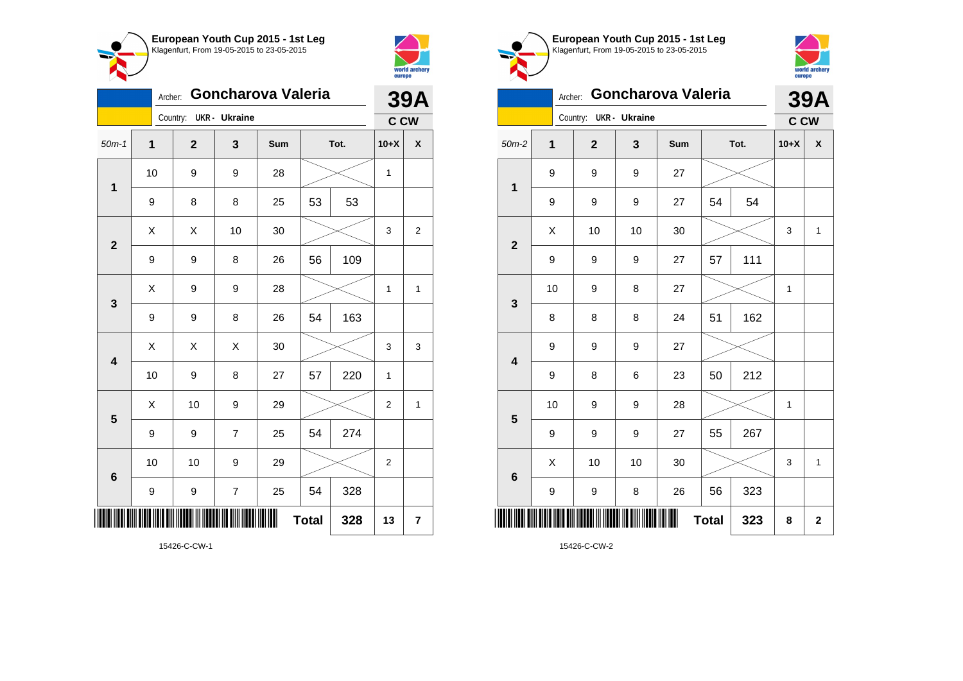



|                         | <b>39A</b>       |                         |                      |     |              |      |                |                |
|-------------------------|------------------|-------------------------|----------------------|-----|--------------|------|----------------|----------------|
|                         |                  | Country:                | <b>UKR</b> - Ukraine |     |              |      | <b>C CW</b>    |                |
| $50m-1$                 | $\mathbf 1$      | $\overline{\mathbf{2}}$ | 3                    | Sum |              | Tot. | $10+X$         | χ              |
| $\mathbf 1$             | 10               | 9                       | 9                    | 28  |              |      | 1              |                |
|                         | 9                | 8                       | 8                    | 25  | 53           | 53   |                |                |
| $\overline{\mathbf{2}}$ | Χ                | X                       | 10                   | 30  |              |      | 3              | $\overline{2}$ |
|                         | 9                | 9                       | 8                    | 26  | 56           | 109  |                |                |
| 3                       | Χ                | 9                       | 9                    | 28  |              |      | 1              | 1              |
|                         | 9                | 9                       | 8                    | 26  | 54           | 163  |                |                |
| $\overline{\mathbf{4}}$ | Χ                | X                       | X                    | 30  |              |      | 3              | 3              |
|                         | 10               | 9                       | 8                    | 27  | 57           | 220  | 1              |                |
| 5                       | Χ                | 10                      | 9                    | 29  |              |      | 2              | 1              |
|                         | 9                | 9                       | 7                    | 25  | 54           | 274  |                |                |
| 6                       | 10               | 10                      | 9                    | 29  |              |      | $\overline{2}$ |                |
|                         | $\boldsymbol{9}$ | 9                       | $\overline{7}$       | 25  | 54           | 328  |                |                |
|                         |                  |                         |                      |     | <b>Total</b> | 328  | 13             | 7              |





|                         | Archer: |                        |    | Goncharova Valeria |              |      | <b>39A</b>  |                    |
|-------------------------|---------|------------------------|----|--------------------|--------------|------|-------------|--------------------|
|                         |         | Country: UKR - Ukraine |    |                    |              |      | <b>C CW</b> |                    |
| $50m-2$                 | 1       | $\mathbf{2}$           | 3  | Sum                |              | Tot. | $10+X$      | $\pmb{\mathsf{X}}$ |
| 1                       | 9       | 9                      | 9  | 27                 |              |      |             |                    |
|                         | 9       | 9                      | 9  | 27                 | 54           | 54   |             |                    |
| $\mathbf{2}$            | X       | 10                     | 10 | 30                 |              |      | 3           | $\mathbf{1}$       |
|                         | 9       | 9                      | 9  | 27                 | 57           | 111  |             |                    |
| 3                       | 10      | 9                      | 8  | 27                 |              |      | 1           |                    |
|                         | 8       | 8                      | 8  | 24                 | 51           | 162  |             |                    |
| $\overline{\mathbf{4}}$ | 9       | 9                      | 9  | 27                 |              |      |             |                    |
|                         | 9       | 8                      | 6  | 23                 | 50           | 212  |             |                    |
| 5                       | 10      | 9                      | 9  | 28                 |              |      | 1           |                    |
|                         | 9       | 9                      | 9  | 27                 | 55           | 267  |             |                    |
| $6\phantom{1}6$         | X       | 10                     | 10 | 30                 |              |      | 3           | $\mathbf{1}$       |
|                         | 9       | 9                      | 8  | 26                 | 56           | 323  |             |                    |
| Ш                       |         |                        |    |                    | <b>Total</b> | 323  | 8           | $\mathbf 2$        |

15426-C-CW-2